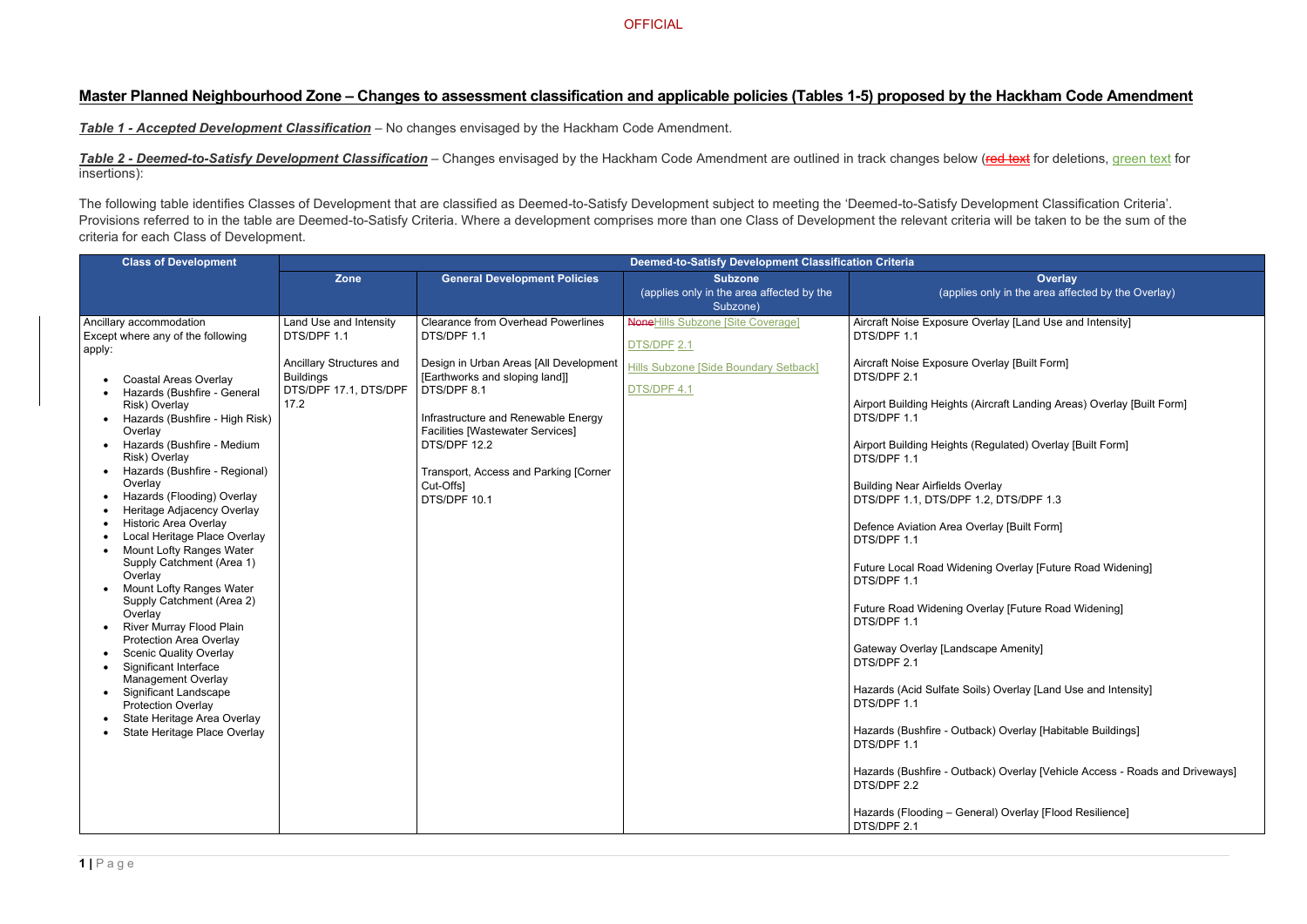# **Master Planned Neighbourhood Zone – Changes to assessment classification and applicable policies (Tables 1-5) proposed by the Hackham Code Amendment**

*Table 1 - Accepted Development Classification* – No changes envisaged by the Hackham Code Amendment.

**Table 2 - Deemed-to-Satisfy Development Classification** – Changes envisaged by the Hackham Code Amendment are outlined in track changes below (red text for deletions, green text for insertions):

> **Overlay** nly in the area affected by the Overlay)

erlay [Land Use and Intensity]

erlay [Built Form]

rcraft Landing Areas) Overlay [Built Form]

egulated) Overlay [Built Form]

 $\overline{D}$ . DTS/DPF 1.3

rlay [Built Form]

g Overlay [Future Road Widening]

rlay [Future Road Widening]

pe Amenity]

Goverlay [Land Use and Intensity]

k) Overlay [Habitable Buildings]

k) Overlay [Vehicle Access - Roads and Driveways]

al) Overlay [Flood Resilience]

The following table identifies Classes of Development that are classified as Deemed-to-Satisfy Development subject to meeting the 'Deemed-to-Satisfy Development Classification Criteria'. Provisions referred to in the table are Deemed-to-Satisfy Criteria. Where a development comprises more than one Class of Development the relevant criteria will be taken to be the sum of the criteria for each Class of Development.

| <b>Class of Development</b>                                                                                                                                                                                                                                                                                                                                                                                                                                                                                                                                                                                                                                                                                                                                                                                                                                       | <b>Deemed-to-Satisfy Development Classification Criteria</b>                                                           |                                                                                                                                                                                                                                                                                                                             |                                                                                                                 |                                                                                                                                                                                                                                                                                                                                                                                                                                                                                                                                                                                          |
|-------------------------------------------------------------------------------------------------------------------------------------------------------------------------------------------------------------------------------------------------------------------------------------------------------------------------------------------------------------------------------------------------------------------------------------------------------------------------------------------------------------------------------------------------------------------------------------------------------------------------------------------------------------------------------------------------------------------------------------------------------------------------------------------------------------------------------------------------------------------|------------------------------------------------------------------------------------------------------------------------|-----------------------------------------------------------------------------------------------------------------------------------------------------------------------------------------------------------------------------------------------------------------------------------------------------------------------------|-----------------------------------------------------------------------------------------------------------------|------------------------------------------------------------------------------------------------------------------------------------------------------------------------------------------------------------------------------------------------------------------------------------------------------------------------------------------------------------------------------------------------------------------------------------------------------------------------------------------------------------------------------------------------------------------------------------------|
|                                                                                                                                                                                                                                                                                                                                                                                                                                                                                                                                                                                                                                                                                                                                                                                                                                                                   | <b>Zone</b>                                                                                                            | <b>General Development Policies</b>                                                                                                                                                                                                                                                                                         | <b>Subzone</b><br>(applies only in the area affected by the<br>Subzone)                                         | (applies only                                                                                                                                                                                                                                                                                                                                                                                                                                                                                                                                                                            |
| Ancillary accommodation<br>Except where any of the following<br>apply:<br><b>Coastal Areas Overlay</b><br>Hazards (Bushfire - General<br>Risk) Overlay<br>Hazards (Bushfire - High Risk)<br>Overlay<br>Hazards (Bushfire - Medium<br>Risk) Overlay<br>Hazards (Bushfire - Regional)<br>Overlay<br>Hazards (Flooding) Overlay<br>Heritage Adjacency Overlay<br><b>Historic Area Overlay</b><br>Local Heritage Place Overlay<br><b>Mount Lofty Ranges Water</b><br>Supply Catchment (Area 1)<br>Overlay<br>Mount Lofty Ranges Water<br>Supply Catchment (Area 2)<br>Overlay<br><b>River Murray Flood Plain</b><br><b>Protection Area Overlay</b><br><b>Scenic Quality Overlay</b><br>Significant Interface<br><b>Management Overlay</b><br><b>Significant Landscape</b><br><b>Protection Overlay</b><br>State Heritage Area Overlay<br>State Heritage Place Overlay | Land Use and Intensity<br>DTS/DPF 1.1<br>Ancillary Structures and<br><b>Buildings</b><br>DTS/DPF 17.1, DTS/DPF<br>17.2 | <b>Clearance from Overhead Powerlines</b><br>DTS/DPF 1.1<br>Design in Urban Areas [All Development<br>[Earthworks and sloping land]]<br>DTS/DPF 8.1<br>Infrastructure and Renewable Energy<br><b>Facilities [Wastewater Services]</b><br>DTS/DPF 12.2<br>Transport, Access and Parking [Corner<br>Cut-Offs]<br>DTS/DPF 10.1 | <b>NoneHills Subzone [Site Coverage]</b><br>DTS/DPF 2.1<br>Hills Subzone [Side Boundary Setback]<br>DTS/DPF 4.1 | Aircraft Noise Exposure Overla<br>DTS/DPF 1.1<br>Aircraft Noise Exposure Overla<br>DTS/DPF 2.1<br><b>Airport Building Heights (Aircra</b><br>DTS/DPF 1.1<br>Airport Building Heights (Regu<br>DTS/DPF 1.1<br><b>Building Near Airfields Overlay</b><br>DTS/DPF 1.1, DTS/DPF 1.2, D<br>Defence Aviation Area Overlay<br>DTS/DPF 1.1<br>Future Local Road Widening C<br>DTS/DPF 1.1<br><b>Future Road Widening Overlay</b><br>DTS/DPF 1.1<br>Gateway Overlay [Landscape /<br>DTS/DPF 2.1<br>Hazards (Acid Sulfate Soils) O<br>DTS/DPF 1.1<br>Hazards (Bushfire - Outback) (<br>DTS/DPF 1.1 |
|                                                                                                                                                                                                                                                                                                                                                                                                                                                                                                                                                                                                                                                                                                                                                                                                                                                                   |                                                                                                                        |                                                                                                                                                                                                                                                                                                                             |                                                                                                                 | Hazards (Bushfire - Outback) (<br>DTS/DPF 2.2<br>Hazards (Flooding - General)<br>DTS/DPF 2.1                                                                                                                                                                                                                                                                                                                                                                                                                                                                                             |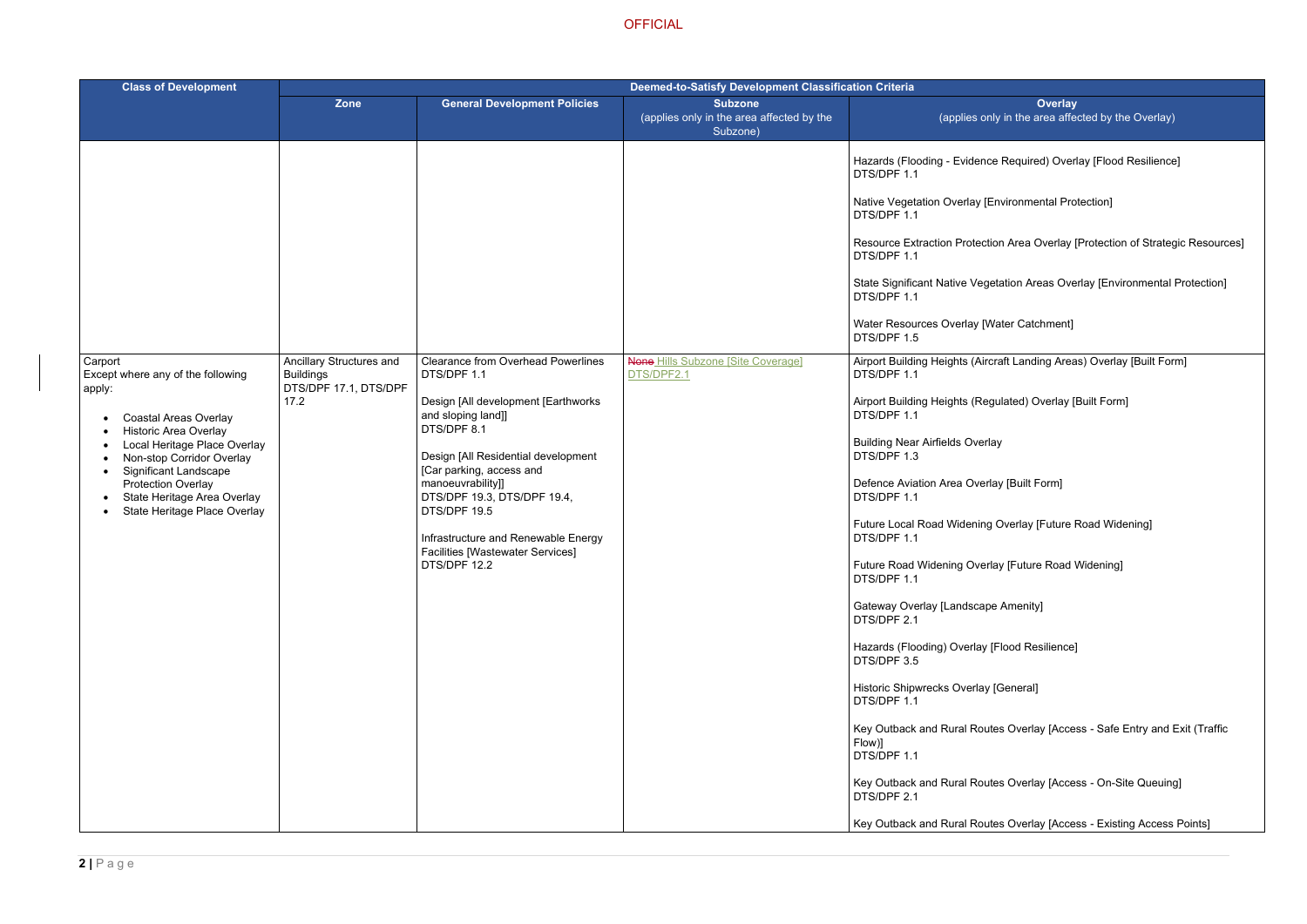ce Required) Overlay [Flood Resilience]

Environmental Protection]

tion Area Overlay [Protection of Strategic Resources]

getation Areas Overlay [Environmental Protection]

Water Catchment]

**Frame Airport Building Areas) Overlay [Built Form]** 

egulated) Overlay [Built Form]

rlay

rlay [Built Form]

g Overlay [Future Road Widening]

rlay [Future Road Widening]

pe Amenity]

[Flood Resilience]

[General]

Ites Overlay [Access - Safe Entry and Exit (Traffic

Ites Overlay [Access - On-Site Queuing]

Ites Overlay [Access - Existing Access Points]

| <b>Class of Development</b>                                                              | Deemed-to-Satisfy Development Classification Criteria                 |                                                                                                                                                                                                                                                                                                                   |                                                                         |                                                     |
|------------------------------------------------------------------------------------------|-----------------------------------------------------------------------|-------------------------------------------------------------------------------------------------------------------------------------------------------------------------------------------------------------------------------------------------------------------------------------------------------------------|-------------------------------------------------------------------------|-----------------------------------------------------|
|                                                                                          | <b>Zone</b>                                                           | <b>General Development Policies</b>                                                                                                                                                                                                                                                                               | <b>Subzone</b><br>(applies only in the area affected by the<br>Subzone) | (applies or                                         |
|                                                                                          |                                                                       |                                                                                                                                                                                                                                                                                                                   |                                                                         | Hazards (Flooding - Evidend<br>DTS/DPF 1.1          |
|                                                                                          |                                                                       |                                                                                                                                                                                                                                                                                                                   |                                                                         | Native Vegetation Overlay [I<br>DTS/DPF 1.1         |
|                                                                                          |                                                                       |                                                                                                                                                                                                                                                                                                                   |                                                                         | <b>Resource Extraction Protect</b><br>DTS/DPF 1.1   |
|                                                                                          |                                                                       |                                                                                                                                                                                                                                                                                                                   |                                                                         | <b>State Significant Native Veg</b><br>DTS/DPF 1.1  |
|                                                                                          |                                                                       |                                                                                                                                                                                                                                                                                                                   |                                                                         | Water Resources Overlay [V<br>DTS/DPF 1.5           |
| Carport<br>Except where any of the following<br>apply:                                   | Ancillary Structures and<br><b>Buildings</b><br>DTS/DPF 17.1, DTS/DPF | <b>Clearance from Overhead Powerlines</b><br>DTS/DPF 1.1                                                                                                                                                                                                                                                          | <b>None Hills Subzone [Site Coverage]</b><br>DTS/DPF2.1                 | Airport Building Heights (Air<br>DTS/DPF 1.1        |
| <b>Coastal Areas Overlay</b><br><b>Historic Area Overlay</b>                             | 17.2                                                                  | Design [All development [Earthworks<br>and sloping land]]<br>DTS/DPF 8.1<br>Design [All Residential development<br>[Car parking, access and<br>manoeuvrability]]<br>DTS/DPF 19.3, DTS/DPF 19.4,<br>DTS/DPF 19.5<br>Infrastructure and Renewable Energy<br><b>Facilities [Wastewater Services]</b><br>DTS/DPF 12.2 |                                                                         | Airport Building Heights (Re<br>DTS/DPF 1.1         |
| Local Heritage Place Overlay<br>Non-stop Corridor Overlay<br>Significant Landscape       |                                                                       |                                                                                                                                                                                                                                                                                                                   |                                                                         | <b>Building Near Airfields Overl</b><br>DTS/DPF 1.3 |
| <b>Protection Overlay</b><br>State Heritage Area Overlay<br>State Heritage Place Overlay |                                                                       |                                                                                                                                                                                                                                                                                                                   |                                                                         | Defence Aviation Area Over<br>DTS/DPF 1.1           |
|                                                                                          |                                                                       |                                                                                                                                                                                                                                                                                                                   |                                                                         | <b>Future Local Road Widening</b><br>DTS/DPF 1.1    |
|                                                                                          |                                                                       |                                                                                                                                                                                                                                                                                                                   |                                                                         | <b>Future Road Widening Over</b><br>DTS/DPF 1.1     |
|                                                                                          |                                                                       |                                                                                                                                                                                                                                                                                                                   |                                                                         | Gateway Overlay [Landscap<br>DTS/DPF 2.1            |
|                                                                                          |                                                                       |                                                                                                                                                                                                                                                                                                                   |                                                                         | Hazards (Flooding) Overlay<br>DTS/DPF 3.5           |
|                                                                                          |                                                                       |                                                                                                                                                                                                                                                                                                                   |                                                                         | <b>Historic Shipwrecks Overlay</b><br>DTS/DPF 1.1   |
|                                                                                          |                                                                       |                                                                                                                                                                                                                                                                                                                   |                                                                         | Key Outback and Rural Rou<br>Flow)]<br>DTS/DPF 1.1  |
|                                                                                          |                                                                       |                                                                                                                                                                                                                                                                                                                   |                                                                         | Key Outback and Rural Rou<br>DTS/DPF 2.1            |
|                                                                                          |                                                                       |                                                                                                                                                                                                                                                                                                                   |                                                                         | Key Outback and Rural Rou                           |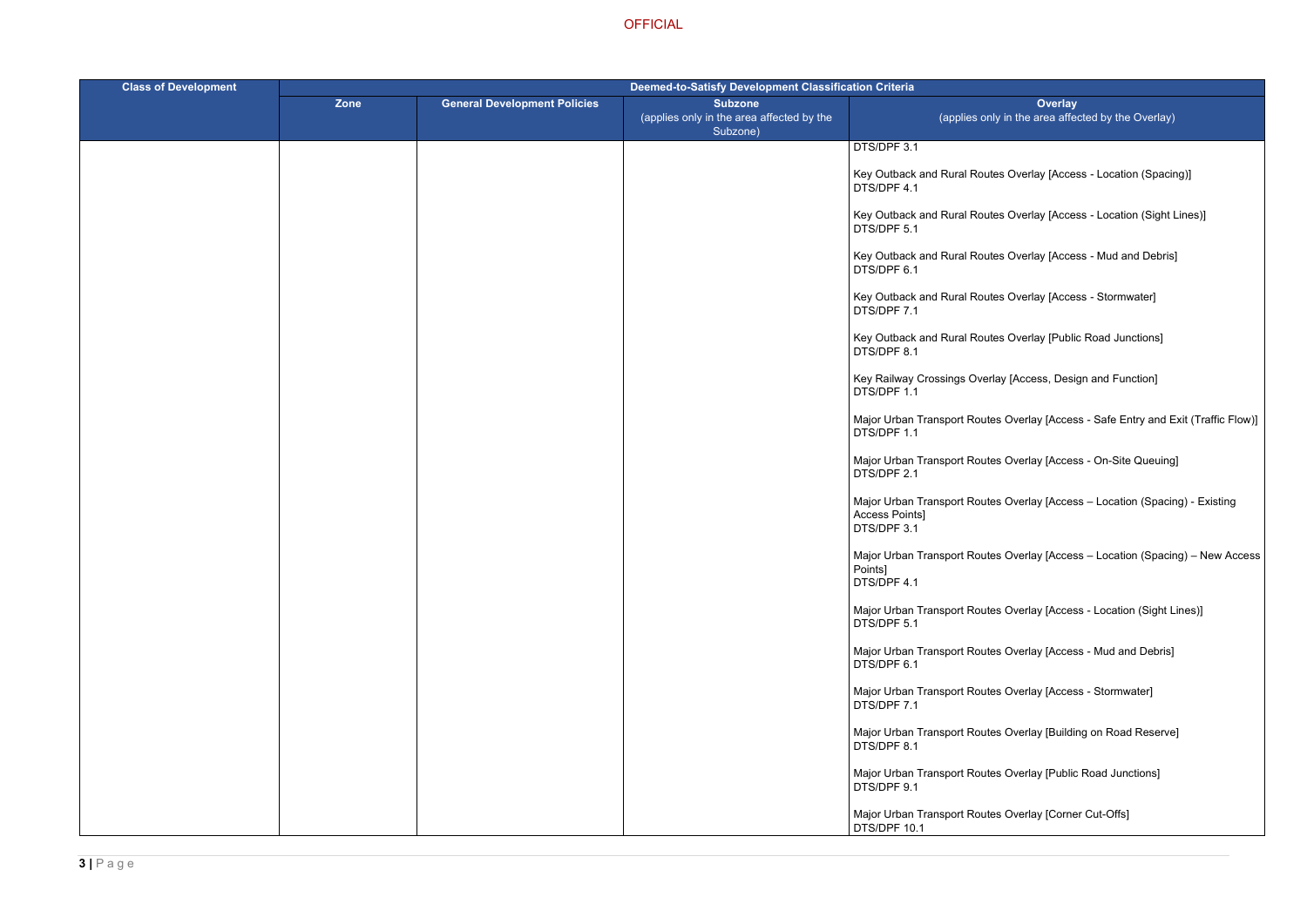- Ites Overlay [Access Location (Spacing)]
- Ites Overlay [Access Location (Sight Lines)]
- Ites Overlay [Access Mud and Debris]
- Ites Overlay [Access Stormwater]
- Ites Overlay [Public Road Junctions]
- erlay [Access, Design and Function]
- tes Overlay [Access Safe Entry and Exit (Traffic Flow)]
- tes Overlay [Access On-Site Queuing]
- tes Overlay [Access Location (Spacing) Existing
- tes Overlay [Access Location (Spacing) New Access
- tes Overlay [Access Location (Sight Lines)]
- tes Overlay [Access Mud and Debris]
- tes Overlay [Access Stormwater]
- tes Overlay [Building on Road Reserve]
- tes Overlay [Public Road Junctions]
- tes Overlay [Corner Cut-Offs]

| <b>Class of Development</b> | <b>Deemed-to-Satisfy Development Classification Criteria</b> |                                     |                                                                         |                                                             |
|-----------------------------|--------------------------------------------------------------|-------------------------------------|-------------------------------------------------------------------------|-------------------------------------------------------------|
|                             | Zone                                                         | <b>General Development Policies</b> | <b>Subzone</b><br>(applies only in the area affected by the<br>Subzone) | (applies or                                                 |
|                             |                                                              |                                     |                                                                         | DTS/DPF 3.1                                                 |
|                             |                                                              |                                     |                                                                         | Key Outback and Rural Rou<br>DTS/DPF 4.1                    |
|                             |                                                              |                                     |                                                                         | Key Outback and Rural Rou<br>DTS/DPF 5.1                    |
|                             |                                                              |                                     |                                                                         | Key Outback and Rural Rou<br>DTS/DPF 6.1                    |
|                             |                                                              |                                     |                                                                         | Key Outback and Rural Rou<br>DTS/DPF 7.1                    |
|                             |                                                              |                                     |                                                                         | Key Outback and Rural Rou<br>DTS/DPF 8.1                    |
|                             |                                                              |                                     |                                                                         | Key Railway Crossings Over<br>DTS/DPF 1.1                   |
|                             |                                                              |                                     |                                                                         | Major Urban Transport Rout<br>DTS/DPF 1.1                   |
|                             |                                                              |                                     |                                                                         | Major Urban Transport Rout<br>DTS/DPF 2.1                   |
|                             |                                                              |                                     |                                                                         | Major Urban Transport Rout<br>Access Points]<br>DTS/DPF 3.1 |
|                             |                                                              |                                     |                                                                         | Major Urban Transport Rout<br>Points]<br>DTS/DPF 4.1        |
|                             |                                                              |                                     |                                                                         | Major Urban Transport Rout<br>DTS/DPF 5.1                   |
|                             |                                                              |                                     |                                                                         | Major Urban Transport Rout<br>DTS/DPF 6.1                   |
|                             |                                                              |                                     |                                                                         | Major Urban Transport Rout<br>DTS/DPF 7.1                   |
|                             |                                                              |                                     |                                                                         | Major Urban Transport Rout<br>DTS/DPF 8.1                   |
|                             |                                                              |                                     |                                                                         | Major Urban Transport Rout<br>DTS/DPF 9.1                   |
|                             |                                                              |                                     |                                                                         | Major Urban Transport Rout<br>DTS/DPF 10.1                  |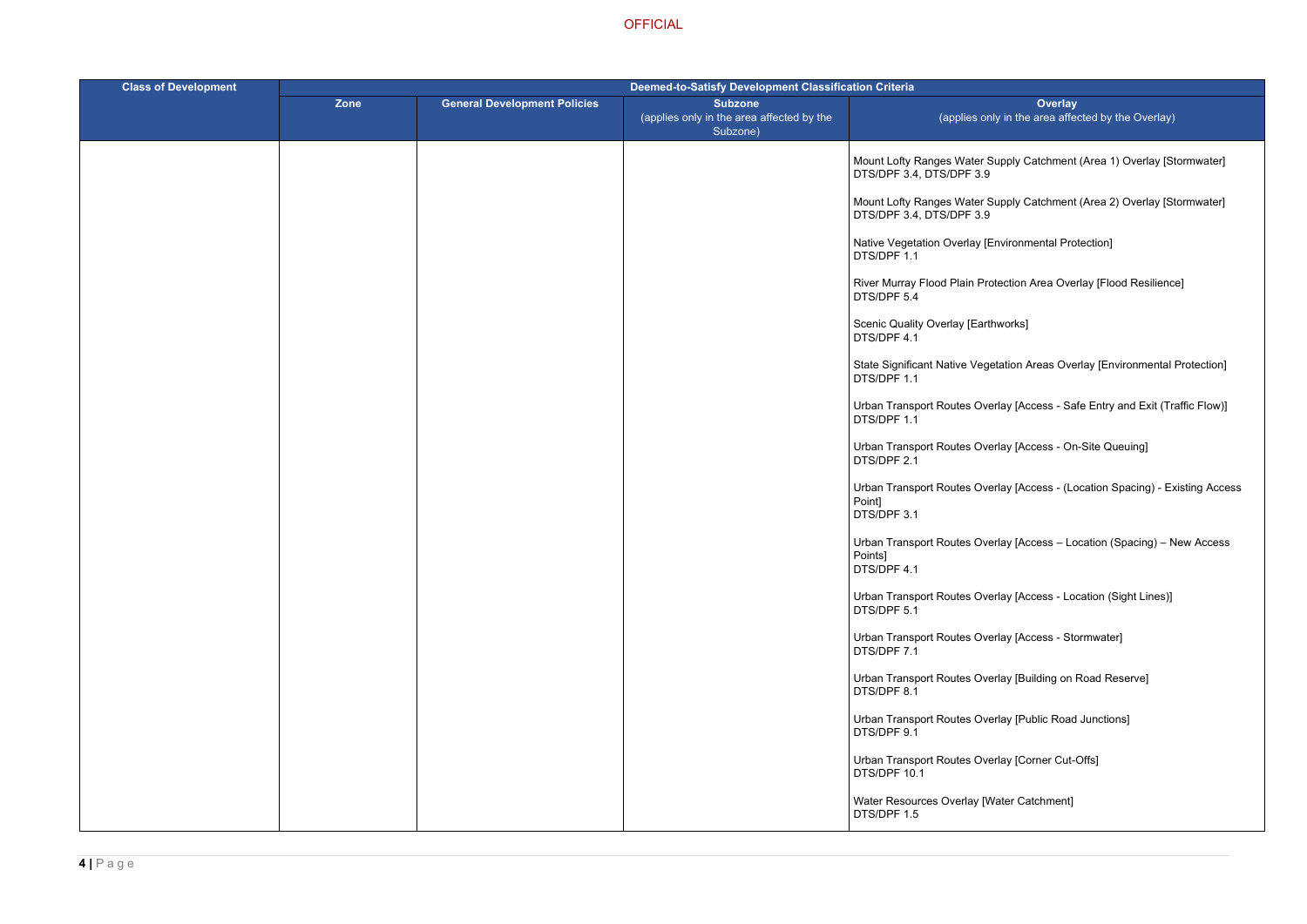- Supply Catchment (Area 1) Overlay [Stormwater]
- Supply Catchment (Area 2) Overlay [Stormwater]
- [Environmental Protection]
- rotection Area Overlay [Flood Resilience]
- thworks]
- getation Areas Overlay [Environmental Protection]
- verlay [Access Safe Entry and Exit (Traffic Flow)]
- verlay [Access On-Site Queuing]
- verlay [Access (Location Spacing) Existing Access
- verlay [Access Location (Spacing) New Access
- verlay [Access Location (Sight Lines)]
- verlay [Access Stormwater]
- verlay [Building on Road Reserve]
- verlay [Public Road Junctions]
- verlay [Corner Cut-Offs]
- Water Catchment]

| <b>Class of Development</b> | <b>Deemed-to-Satisfy Development Classification Criteria</b> |                                     |                                                                         |                                                        |
|-----------------------------|--------------------------------------------------------------|-------------------------------------|-------------------------------------------------------------------------|--------------------------------------------------------|
|                             | Zone                                                         | <b>General Development Policies</b> | <b>Subzone</b><br>(applies only in the area affected by the<br>Subzone) | (applies or                                            |
|                             |                                                              |                                     |                                                                         | Mount Lofty Ranges Water S<br>DTS/DPF 3.4, DTS/DPF 3.9 |
|                             |                                                              |                                     |                                                                         | Mount Lofty Ranges Water &<br>DTS/DPF 3.4, DTS/DPF 3.9 |
|                             |                                                              |                                     |                                                                         | Native Vegetation Overlay [I<br>DTS/DPF 1.1            |
|                             |                                                              |                                     |                                                                         | River Murray Flood Plain Pro<br>DTS/DPF 5.4            |
|                             |                                                              |                                     |                                                                         | <b>Scenic Quality Overlay [Eart</b><br>DTS/DPF 4.1     |
|                             |                                                              |                                     |                                                                         | <b>State Significant Native Veg</b><br>DTS/DPF 1.1     |
|                             |                                                              |                                     |                                                                         | Urban Transport Routes Ove<br>DTS/DPF 1.1              |
|                             |                                                              |                                     |                                                                         | Urban Transport Routes Ove<br>DTS/DPF 2.1              |
|                             |                                                              |                                     |                                                                         | Urban Transport Routes Ove<br>Point]<br>DTS/DPF 3.1    |
|                             |                                                              |                                     |                                                                         | Urban Transport Routes Ove<br>Points]<br>DTS/DPF 4.1   |
|                             |                                                              |                                     |                                                                         | Urban Transport Routes Ove<br>DTS/DPF 5.1              |
|                             |                                                              |                                     |                                                                         | Urban Transport Routes Ove<br>DTS/DPF 7.1              |
|                             |                                                              |                                     |                                                                         | Urban Transport Routes Ove<br>DTS/DPF 8.1              |
|                             |                                                              |                                     |                                                                         | <b>Urban Transport Routes Ove</b><br>DTS/DPF 9.1       |
|                             |                                                              |                                     |                                                                         | Urban Transport Routes Ove<br>DTS/DPF 10.1             |
|                             |                                                              |                                     |                                                                         | Water Resources Overlay [V<br>DTS/DPF 1.5              |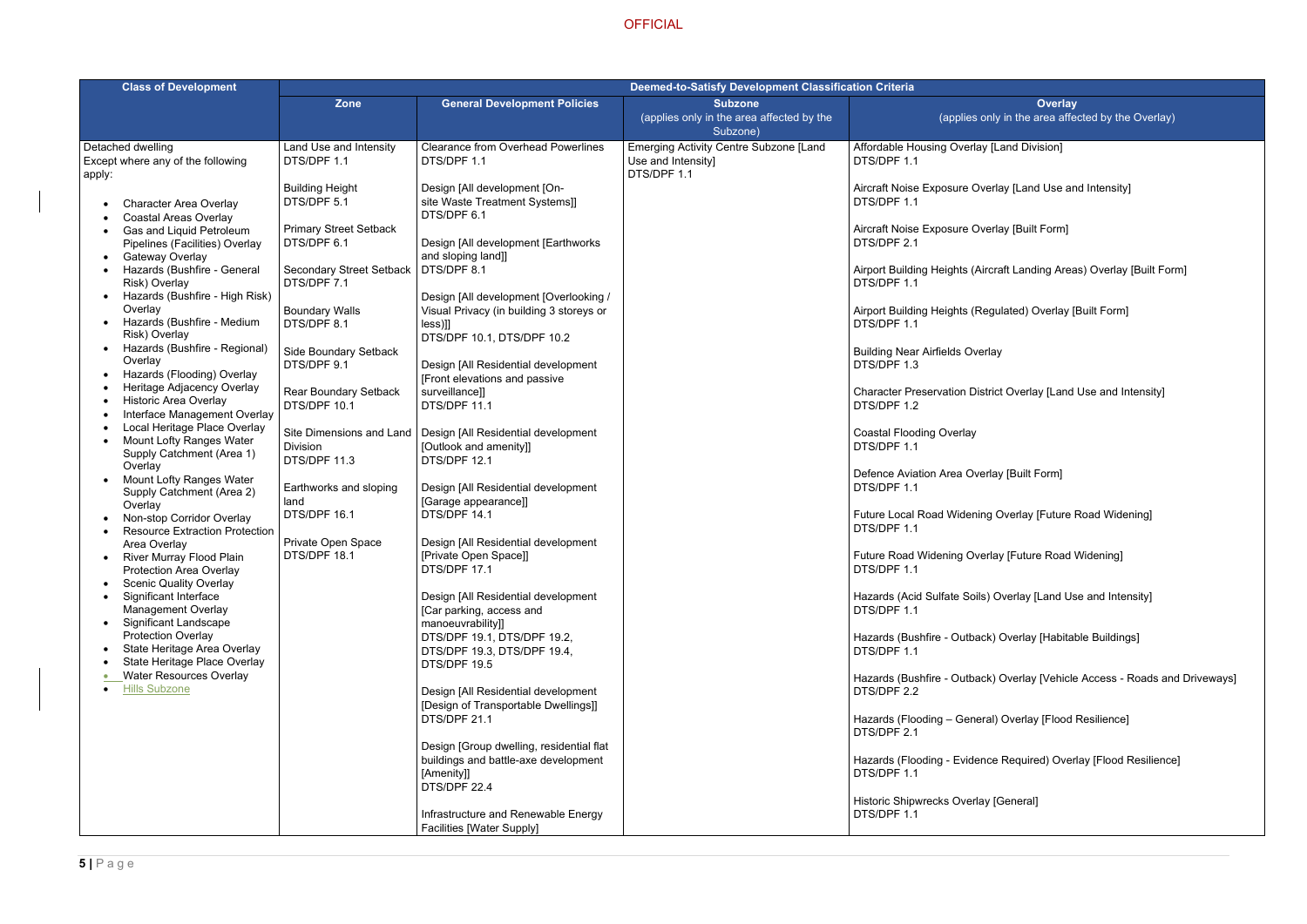### **[Land Division]**

- erlay [Land Use and Intensity]
- erlay [Built Form]
- rcraft Landing Areas) Overlay [Built Form]
- egulated) Overlay [Built Form]
- rlay
- trict Overlay [Land Use and Intensity]
- rlay [Built Form]
- g Overlay [Future Road Widening]
- rlay [Future Road Widening]
- Goverlay [Land Use and Intensity]
- k) Overlay [Habitable Buildings]
- k) Overlay [Vehicle Access Roads and Driveways]
- al) Overlay [Flood Resilience]
- ice Required) Overlay [Flood Resilience]
- [General]

| <b>Class of Development</b>                                                                                                                                                                                                                                                                                                                                                                                                                                                                                                                                                                                                                                                                                                                                                                                                                                                                                                                                                                                                                                                                         | <b>Deemed-to-Satisfy Development Classification Criteria</b>                                                                                                                                                                                                                                                                                                                                |                                                                                                                                                                                                                                                                                                                                                                                                                                                                                                                                                                                                                                                                                                                                                                                                                                                        |                                                                         |                                                                                                                                                                                                                                                                                                                                                                                                                                                                                                                                                                                                                                                     |
|-----------------------------------------------------------------------------------------------------------------------------------------------------------------------------------------------------------------------------------------------------------------------------------------------------------------------------------------------------------------------------------------------------------------------------------------------------------------------------------------------------------------------------------------------------------------------------------------------------------------------------------------------------------------------------------------------------------------------------------------------------------------------------------------------------------------------------------------------------------------------------------------------------------------------------------------------------------------------------------------------------------------------------------------------------------------------------------------------------|---------------------------------------------------------------------------------------------------------------------------------------------------------------------------------------------------------------------------------------------------------------------------------------------------------------------------------------------------------------------------------------------|--------------------------------------------------------------------------------------------------------------------------------------------------------------------------------------------------------------------------------------------------------------------------------------------------------------------------------------------------------------------------------------------------------------------------------------------------------------------------------------------------------------------------------------------------------------------------------------------------------------------------------------------------------------------------------------------------------------------------------------------------------------------------------------------------------------------------------------------------------|-------------------------------------------------------------------------|-----------------------------------------------------------------------------------------------------------------------------------------------------------------------------------------------------------------------------------------------------------------------------------------------------------------------------------------------------------------------------------------------------------------------------------------------------------------------------------------------------------------------------------------------------------------------------------------------------------------------------------------------------|
|                                                                                                                                                                                                                                                                                                                                                                                                                                                                                                                                                                                                                                                                                                                                                                                                                                                                                                                                                                                                                                                                                                     | <b>Zone</b>                                                                                                                                                                                                                                                                                                                                                                                 | <b>General Development Policies</b>                                                                                                                                                                                                                                                                                                                                                                                                                                                                                                                                                                                                                                                                                                                                                                                                                    | <b>Subzone</b><br>(applies only in the area affected by the<br>Subzone) | (applies or                                                                                                                                                                                                                                                                                                                                                                                                                                                                                                                                                                                                                                         |
| Detached dwelling<br>Except where any of the following                                                                                                                                                                                                                                                                                                                                                                                                                                                                                                                                                                                                                                                                                                                                                                                                                                                                                                                                                                                                                                              | Land Use and Intensity<br>DTS/DPF 1.1                                                                                                                                                                                                                                                                                                                                                       | <b>Clearance from Overhead Powerlines</b><br>DTS/DPF 1.1                                                                                                                                                                                                                                                                                                                                                                                                                                                                                                                                                                                                                                                                                                                                                                                               | <b>Emerging Activity Centre Subzone [Land</b><br>Use and Intensity]     | Affordable Housing Overlay<br>DTS/DPF 1.1                                                                                                                                                                                                                                                                                                                                                                                                                                                                                                                                                                                                           |
| apply:<br><b>Character Area Overlay</b><br><b>Coastal Areas Overlay</b><br>Gas and Liquid Petroleum<br>Pipelines (Facilities) Overlay<br><b>Gateway Overlay</b><br>Hazards (Bushfire - General<br>Risk) Overlay<br>Hazards (Bushfire - High Risk)<br>Overlay<br>Hazards (Bushfire - Medium<br>Risk) Overlay<br>Hazards (Bushfire - Regional)<br>Overlay<br>Hazards (Flooding) Overlay<br>Heritage Adjacency Overlay<br><b>Historic Area Overlay</b><br>Interface Management Overlay<br>Local Heritage Place Overlay<br><b>Mount Lofty Ranges Water</b><br>Supply Catchment (Area 1)<br>Overlay<br><b>Mount Lofty Ranges Water</b><br>Supply Catchment (Area 2)<br>Overlay<br>Non-stop Corridor Overlay<br><b>Resource Extraction Protection</b><br>Area Overlay<br>River Murray Flood Plain<br>Protection Area Overlay<br><b>Scenic Quality Overlay</b><br>Significant Interface<br><b>Management Overlay</b><br><b>Significant Landscape</b><br><b>Protection Overlay</b><br>State Heritage Area Overlay<br>State Heritage Place Overlay<br><b>Water Resources Overlay</b><br><b>Hills Subzone</b> | <b>Building Height</b><br>DTS/DPF 5.1<br><b>Primary Street Setback</b><br>DTS/DPF 6.1<br><b>Secondary Street Setback</b><br>DTS/DPF 7.1<br><b>Boundary Walls</b><br>DTS/DPF 8.1<br>Side Boundary Setback<br>DTS/DPF 9.1<br>Rear Boundary Setback<br>DTS/DPF 10.1<br><b>Division</b><br>DTS/DPF 11.3<br>Earthworks and sloping<br>land<br>DTS/DPF 16.1<br>Private Open Space<br>DTS/DPF 18.1 | Design [All development [On-<br>site Waste Treatment Systems]]<br>DTS/DPF 6.1<br>Design [All development [Earthworks]<br>and sloping land]]<br>DTS/DPF 8.1<br>Design [All development [Overlooking /<br>Visual Privacy (in building 3 storeys or<br>$less$ ]]<br>DTS/DPF 10.1, DTS/DPF 10.2<br>Design [All Residential development<br>[Front elevations and passive<br>surveillance]]<br>DTS/DPF 11.1<br>Site Dimensions and Land   Design [All Residential development<br>[Outlook and amenity]]<br>DTS/DPF 12.1<br>Design [All Residential development<br>[Garage appearance]]<br>DTS/DPF 14.1<br>Design [All Residential development<br>[Private Open Space]]<br>DTS/DPF 17.1<br>Design [All Residential development<br>[Car parking, access and<br>manoeuvrability]]<br>DTS/DPF 19.1, DTS/DPF 19.2,<br>DTS/DPF 19.3, DTS/DPF 19.4,<br>DTS/DPF 19.5 | DTS/DPF 1.1                                                             | Aircraft Noise Exposure Ove<br>DTS/DPF 1.1<br>Aircraft Noise Exposure Ove<br>DTS/DPF 2.1<br>Airport Building Heights (Air<br>DTS/DPF 1.1<br>Airport Building Heights (Re<br>DTS/DPF 1.1<br><b>Building Near Airfields Over</b><br>DTS/DPF 1.3<br><b>Character Preservation Dist</b><br>DTS/DPF 1.2<br><b>Coastal Flooding Overlay</b><br>DTS/DPF 1.1<br>Defence Aviation Area Over<br>DTS/DPF 1.1<br><b>Future Local Road Widening</b><br>DTS/DPF 1.1<br><b>Future Road Widening Over</b><br>DTS/DPF 1.1<br>Hazards (Acid Sulfate Soils)<br>DTS/DPF 1.1<br>Hazards (Bushfire - Outback<br>DTS/DPF 1.1<br>Hazards (Bushfire - Outback<br>DTS/DPF 2.2 |
|                                                                                                                                                                                                                                                                                                                                                                                                                                                                                                                                                                                                                                                                                                                                                                                                                                                                                                                                                                                                                                                                                                     |                                                                                                                                                                                                                                                                                                                                                                                             | Design [All Residential development<br>[Design of Transportable Dwellings]]<br>DTS/DPF 21.1                                                                                                                                                                                                                                                                                                                                                                                                                                                                                                                                                                                                                                                                                                                                                            |                                                                         | Hazards (Flooding - Genera<br>DTS/DPF 2.1                                                                                                                                                                                                                                                                                                                                                                                                                                                                                                                                                                                                           |
|                                                                                                                                                                                                                                                                                                                                                                                                                                                                                                                                                                                                                                                                                                                                                                                                                                                                                                                                                                                                                                                                                                     |                                                                                                                                                                                                                                                                                                                                                                                             | Design [Group dwelling, residential flat<br>buildings and battle-axe development<br>[Amenity]]<br>DTS/DPF 22.4                                                                                                                                                                                                                                                                                                                                                                                                                                                                                                                                                                                                                                                                                                                                         |                                                                         | Hazards (Flooding - Evidend<br>DTS/DPF 1.1                                                                                                                                                                                                                                                                                                                                                                                                                                                                                                                                                                                                          |
|                                                                                                                                                                                                                                                                                                                                                                                                                                                                                                                                                                                                                                                                                                                                                                                                                                                                                                                                                                                                                                                                                                     |                                                                                                                                                                                                                                                                                                                                                                                             | Infrastructure and Renewable Energy<br><b>Facilities [Water Supply]</b>                                                                                                                                                                                                                                                                                                                                                                                                                                                                                                                                                                                                                                                                                                                                                                                |                                                                         | Historic Shipwrecks Overlay<br>DTS/DPF 1.1                                                                                                                                                                                                                                                                                                                                                                                                                                                                                                                                                                                                          |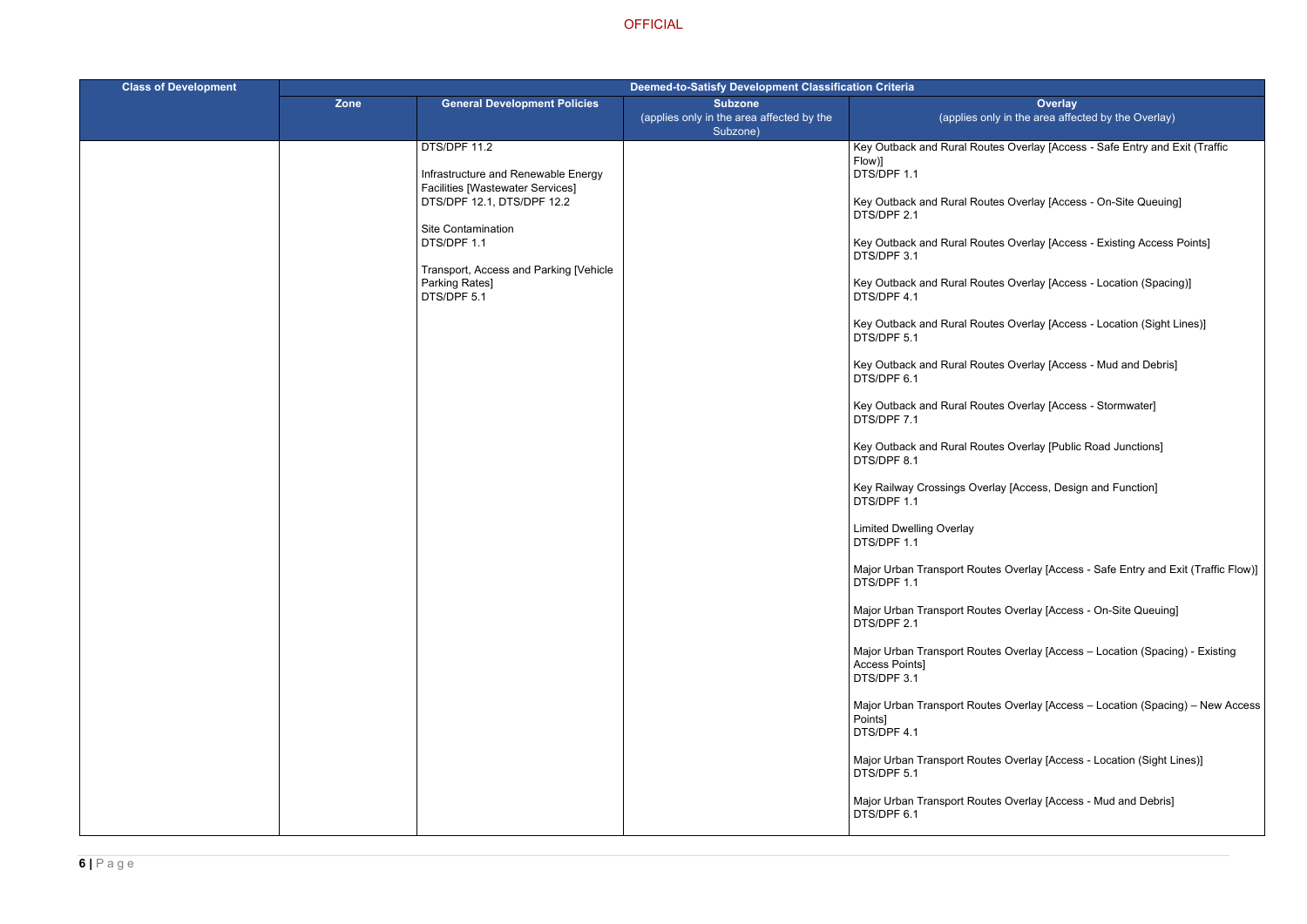utes Overlay [Access - Safe Entry and Exit (Traffic

Ites Overlay [Access - On-Site Queuing]

Ites Overlay [Access - Existing Access Points]

Ites Overlay [Access - Location (Spacing)]

Ites Overlay [Access - Location (Sight Lines)]

Ites Overlay [Access - Mud and Debris]

Ites Overlay [Access - Stormwater]

Ites Overlay [Public Road Junctions]

erlay [Access, Design and Function]

tes Overlay [Access - Safe Entry and Exit (Traffic Flow)]

tes Overlay [Access - On-Site Queuing]

tes Overlay [Access – Location (Spacing) - Existing

tes Overlay [Access – Location (Spacing) – New Access

tes Overlay [Access - Location (Sight Lines)]

tes Overlay [Access - Mud and Debris]

| <b>Class of Development</b> | Deemed-to-Satisfy Development Classification Criteria |                                                                                                                                                                                                                                              |                                                                         |                                                                                                                                                                                                                                                                                                                                                                                                                                                                                                                                                                                                                                                                                                                                                                                 |
|-----------------------------|-------------------------------------------------------|----------------------------------------------------------------------------------------------------------------------------------------------------------------------------------------------------------------------------------------------|-------------------------------------------------------------------------|---------------------------------------------------------------------------------------------------------------------------------------------------------------------------------------------------------------------------------------------------------------------------------------------------------------------------------------------------------------------------------------------------------------------------------------------------------------------------------------------------------------------------------------------------------------------------------------------------------------------------------------------------------------------------------------------------------------------------------------------------------------------------------|
|                             | Zone                                                  | <b>General Development Policies</b>                                                                                                                                                                                                          | <b>Subzone</b><br>(applies only in the area affected by the<br>Subzone) | (applies or                                                                                                                                                                                                                                                                                                                                                                                                                                                                                                                                                                                                                                                                                                                                                                     |
|                             |                                                       | DTS/DPF 11.2<br>Infrastructure and Renewable Energy<br><b>Facilities [Wastewater Services]</b><br>DTS/DPF 12.1, DTS/DPF 12.2<br>Site Contamination<br>DTS/DPF 1.1<br>Transport, Access and Parking [Vehicle<br>Parking Rates]<br>DTS/DPF 5.1 |                                                                         | Key Outback and Rural Rou<br>Flow)]<br>DTS/DPF 1.1<br>Key Outback and Rural Rou<br>DTS/DPF 2.1<br>Key Outback and Rural Rou<br>DTS/DPF 3.1<br>Key Outback and Rural Rou<br>DTS/DPF 4.1<br>Key Outback and Rural Rou<br>DTS/DPF 5.1<br>Key Outback and Rural Rou<br>DTS/DPF 6.1<br>Key Outback and Rural Rou<br>DTS/DPF 7.1<br>Key Outback and Rural Rou<br>DTS/DPF 8.1<br>Key Railway Crossings Ove<br>DTS/DPF 1.1<br><b>Limited Dwelling Overlay</b><br>DTS/DPF 1.1<br>Major Urban Transport Rout<br>DTS/DPF 1.1<br>Major Urban Transport Rout<br>DTS/DPF 2.1<br>Major Urban Transport Rout<br>Access Points]<br>DTS/DPF 3.1<br>Major Urban Transport Rout<br>Points]<br>DTS/DPF 4.1<br>Major Urban Transport Rout<br>DTS/DPF 5.1<br>Major Urban Transport Rout<br>DTS/DPF 6.1 |
|                             |                                                       |                                                                                                                                                                                                                                              |                                                                         |                                                                                                                                                                                                                                                                                                                                                                                                                                                                                                                                                                                                                                                                                                                                                                                 |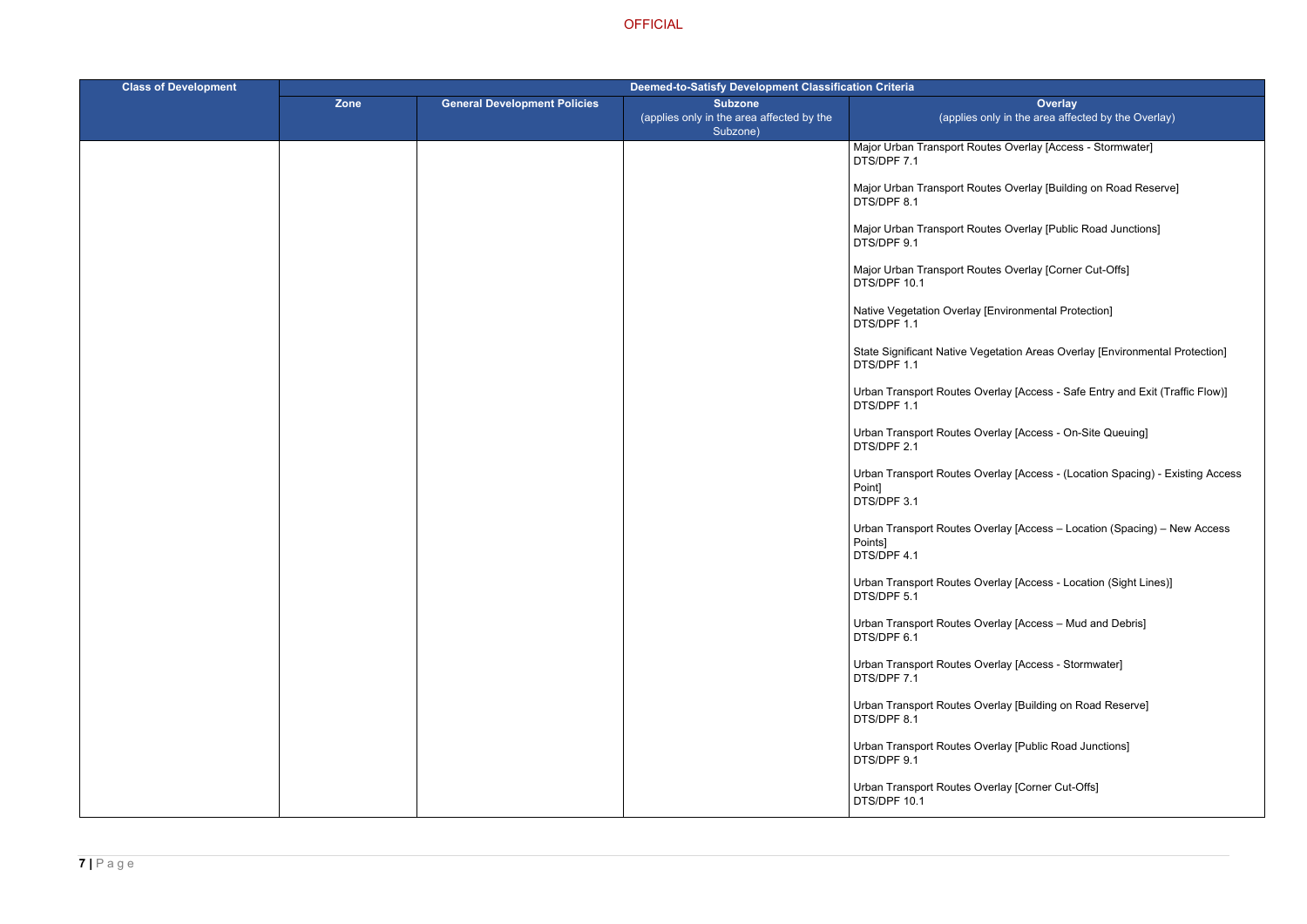tes Overlay [Access - Stormwater]

- tes Overlay [Building on Road Reserve]
- tes Overlay [Public Road Junctions]
- tes Overlay [Corner Cut-Offs]
- [Environmental Protection]
- getation Areas Overlay [Environmental Protection]
- verlay [Access Safe Entry and Exit (Traffic Flow)]
- erlay [Access On-Site Queuing]
- verlay [Access (Location Spacing) Existing Access
- verlay [Access Location (Spacing) New Access
- verlay [Access Location (Sight Lines)]
- $\nu$ erlay [Access Mud and Debris]
- verlay [Access Stormwater]
- verlay [Building on Road Reserve]
- verlay [Public Road Junctions]
- erlay [Corner Cut-Offs]

| <b>Class of Development</b> | <b>Deemed-to-Satisfy Development Classification Criteria</b> |                                     |                                                                         |                                                     |
|-----------------------------|--------------------------------------------------------------|-------------------------------------|-------------------------------------------------------------------------|-----------------------------------------------------|
|                             | Zone                                                         | <b>General Development Policies</b> | <b>Subzone</b><br>(applies only in the area affected by the<br>Subzone) | (applies of                                         |
|                             |                                                              |                                     |                                                                         | Major Urban Transport Rou<br>DTS/DPF 7.1            |
|                             |                                                              |                                     |                                                                         | Major Urban Transport Rou<br>DTS/DPF 8.1            |
|                             |                                                              |                                     |                                                                         | Major Urban Transport Rou<br>DTS/DPF 9.1            |
|                             |                                                              |                                     |                                                                         | Major Urban Transport Rou<br>DTS/DPF 10.1           |
|                             |                                                              |                                     |                                                                         | Native Vegetation Overlay [<br>DTS/DPF 1.1          |
|                             |                                                              |                                     |                                                                         | <b>State Significant Native Veg</b><br>DTS/DPF 1.1  |
|                             |                                                              |                                     |                                                                         | Urban Transport Routes Ov<br>DTS/DPF 1.1            |
|                             |                                                              |                                     |                                                                         | Urban Transport Routes Ov<br>DTS/DPF 2.1            |
|                             |                                                              |                                     |                                                                         | Urban Transport Routes Ov<br>Point]<br>DTS/DPF 3.1  |
|                             |                                                              |                                     |                                                                         | Urban Transport Routes Ov<br>Points]<br>DTS/DPF 4.1 |
|                             |                                                              |                                     |                                                                         | Urban Transport Routes Ov<br>DTS/DPF 5.1            |
|                             |                                                              |                                     |                                                                         | Urban Transport Routes Ov<br>DTS/DPF 6.1            |
|                             |                                                              |                                     |                                                                         | Urban Transport Routes Ov<br>DTS/DPF 7.1            |
|                             |                                                              |                                     |                                                                         | Urban Transport Routes Ov<br>DTS/DPF 8.1            |
|                             |                                                              |                                     |                                                                         | Urban Transport Routes Ov<br>DTS/DPF 9.1            |
|                             |                                                              |                                     |                                                                         | Urban Transport Routes Ov<br>DTS/DPF 10.1           |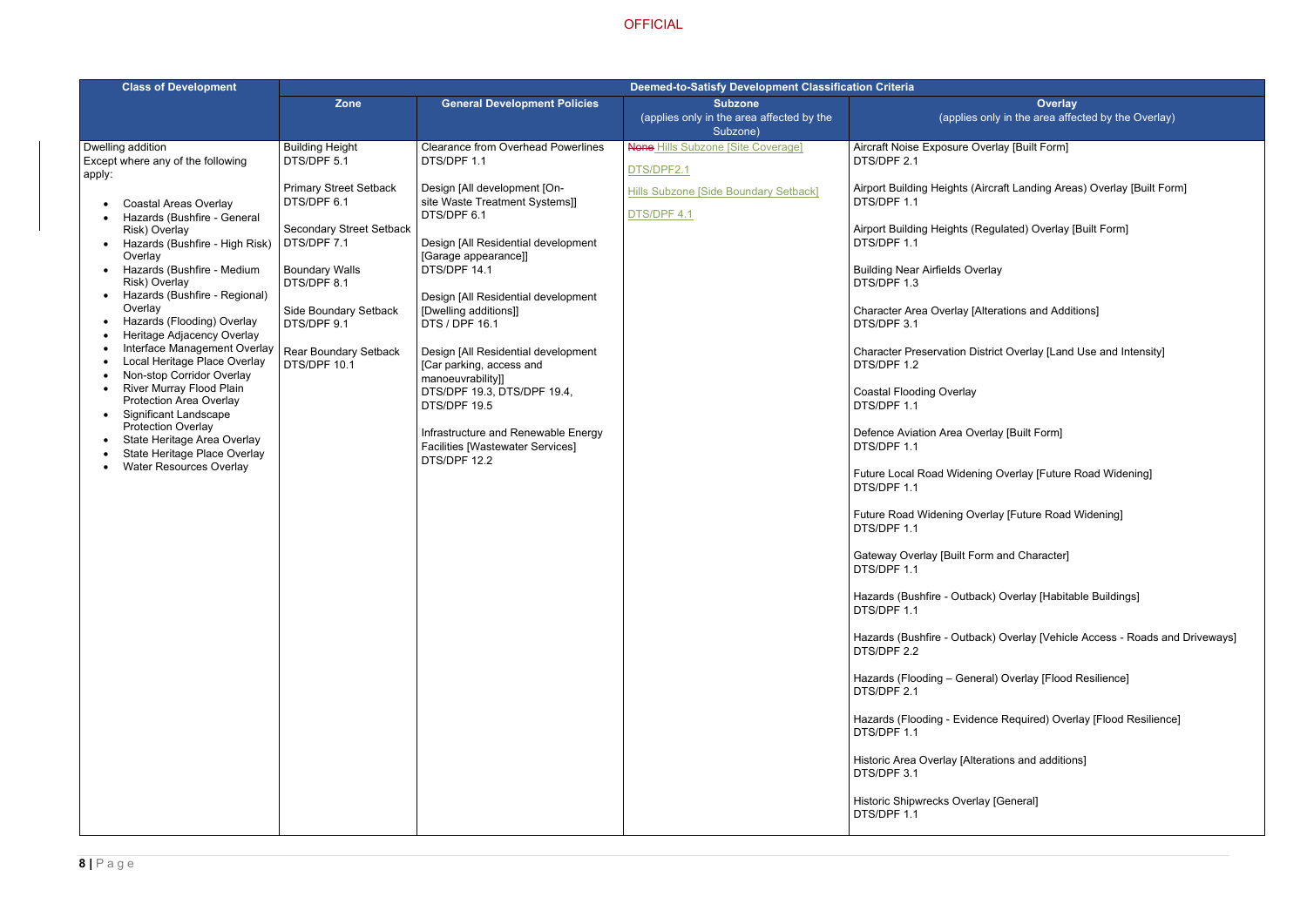## erlay [Built Form]

- rcraft Landing Areas) Overlay [Built Form]
- egulated) Overlay [Built Form]
- rlay
- terations and Additions]
- trict Overlay [Land Use and Intensity]
- rlay [Built Form]
- g Overlay [Future Road Widening]
- rlay [Future Road Widening]
- m and Character]
- k) Overlay [Habitable Buildings]
- k) Overlay [Vehicle Access Roads and Driveways]
- al) Overlay [Flood Resilience]
- ice Required) Overlay [Flood Resilience]
- ations and additions]
- [General]

| <b>Class of Development</b>                                                                                                                                                                                                                                                                                                                                                                                                                                                                                                                                                                                                                                                                                                 | <b>Deemed-to-Satisfy Development Classification Criteria</b>                                                                                                                                                                   |                                                                                                                                                                                                                                                                                                                                                                                                                                                                                         |                                                       |                                                                                                                                                                                                                                                                                                                                                                                                         |
|-----------------------------------------------------------------------------------------------------------------------------------------------------------------------------------------------------------------------------------------------------------------------------------------------------------------------------------------------------------------------------------------------------------------------------------------------------------------------------------------------------------------------------------------------------------------------------------------------------------------------------------------------------------------------------------------------------------------------------|--------------------------------------------------------------------------------------------------------------------------------------------------------------------------------------------------------------------------------|-----------------------------------------------------------------------------------------------------------------------------------------------------------------------------------------------------------------------------------------------------------------------------------------------------------------------------------------------------------------------------------------------------------------------------------------------------------------------------------------|-------------------------------------------------------|---------------------------------------------------------------------------------------------------------------------------------------------------------------------------------------------------------------------------------------------------------------------------------------------------------------------------------------------------------------------------------------------------------|
|                                                                                                                                                                                                                                                                                                                                                                                                                                                                                                                                                                                                                                                                                                                             | <b>Zone</b>                                                                                                                                                                                                                    | <b>General Development Policies</b>                                                                                                                                                                                                                                                                                                                                                                                                                                                     | <b>Subzone</b>                                        |                                                                                                                                                                                                                                                                                                                                                                                                         |
|                                                                                                                                                                                                                                                                                                                                                                                                                                                                                                                                                                                                                                                                                                                             |                                                                                                                                                                                                                                |                                                                                                                                                                                                                                                                                                                                                                                                                                                                                         | (applies only in the area affected by the<br>Subzone) | (applies or                                                                                                                                                                                                                                                                                                                                                                                             |
| Dwelling addition                                                                                                                                                                                                                                                                                                                                                                                                                                                                                                                                                                                                                                                                                                           | <b>Building Height</b>                                                                                                                                                                                                         | <b>Clearance from Overhead Powerlines</b>                                                                                                                                                                                                                                                                                                                                                                                                                                               | <b>None Hills Subzone [Site Coverage]</b>             | Aircraft Noise Exposure Ove                                                                                                                                                                                                                                                                                                                                                                             |
| Except where any of the following                                                                                                                                                                                                                                                                                                                                                                                                                                                                                                                                                                                                                                                                                           | DTS/DPF 5.1                                                                                                                                                                                                                    | DTS/DPF 1.1                                                                                                                                                                                                                                                                                                                                                                                                                                                                             | DTS/DPF2.1                                            | DTS/DPF 2.1                                                                                                                                                                                                                                                                                                                                                                                             |
| apply:<br><b>Coastal Areas Overlay</b><br>Hazards (Bushfire - General<br>Risk) Overlay<br>Hazards (Bushfire - High Risk)<br>$\bullet$<br>Overlay<br>Hazards (Bushfire - Medium<br>$\bullet$<br>Risk) Overlay<br>Hazards (Bushfire - Regional)<br>$\bullet$<br>Overlay<br>Hazards (Flooding) Overlay<br>$\bullet$<br>Heritage Adjacency Overlay<br>Interface Management Overlay<br>Local Heritage Place Overlay<br>$\bullet$<br>Non-stop Corridor Overlay<br><b>River Murray Flood Plain</b><br>$\bullet$<br>Protection Area Overlay<br><b>Significant Landscape</b><br>$\bullet$<br><b>Protection Overlay</b><br>State Heritage Area Overlay<br>$\bullet$<br>State Heritage Place Overlay<br><b>Water Resources Overlay</b> | <b>Primary Street Setback</b><br>DTS/DPF 6.1<br><b>Secondary Street Setback</b><br>DTS/DPF 7.1<br><b>Boundary Walls</b><br>DTS/DPF 8.1<br>Side Boundary Setback<br>DTS/DPF 9.1<br><b>Rear Boundary Setback</b><br>DTS/DPF 10.1 | Design [All development [On-<br>site Waste Treatment Systems]]<br>DTS/DPF 6.1<br>Design [All Residential development<br>[Garage appearance]]<br>DTS/DPF 14.1<br>Design [All Residential development<br>[Dwelling additions]]<br>DTS / DPF 16.1<br>Design [All Residential development<br>[Car parking, access and<br>manoeuvrability]]<br>DTS/DPF 19.3, DTS/DPF 19.4,<br>DTS/DPF 19.5<br>Infrastructure and Renewable Energy<br><b>Facilities [Wastewater Services]</b><br>DTS/DPF 12.2 | Hills Subzone [Side Boundary Setback]<br>DTS/DPF 4.1  | Airport Building Heights (Air<br>DTS/DPF 1.1<br>Airport Building Heights (Re<br>DTS/DPF 1.1<br><b>Building Near Airfields Over</b><br>DTS/DPF 1.3<br>Character Area Overlay [Alt<br>DTS/DPF 3.1<br><b>Character Preservation Dist</b><br>DTS/DPF 1.2<br><b>Coastal Flooding Overlay</b><br>DTS/DPF 1.1<br>Defence Aviation Area Over<br>DTS/DPF 1.1<br><b>Future Local Road Widening</b><br>DTS/DPF 1.1 |
|                                                                                                                                                                                                                                                                                                                                                                                                                                                                                                                                                                                                                                                                                                                             |                                                                                                                                                                                                                                |                                                                                                                                                                                                                                                                                                                                                                                                                                                                                         |                                                       | <b>Future Road Widening Over</b><br>DTS/DPF 1.1<br>Gateway Overlay [Built Forn                                                                                                                                                                                                                                                                                                                          |
|                                                                                                                                                                                                                                                                                                                                                                                                                                                                                                                                                                                                                                                                                                                             |                                                                                                                                                                                                                                |                                                                                                                                                                                                                                                                                                                                                                                                                                                                                         |                                                       | DTS/DPF 1.1<br>Hazards (Bushfire - Outback<br>DTS/DPF 1.1                                                                                                                                                                                                                                                                                                                                               |
|                                                                                                                                                                                                                                                                                                                                                                                                                                                                                                                                                                                                                                                                                                                             |                                                                                                                                                                                                                                |                                                                                                                                                                                                                                                                                                                                                                                                                                                                                         |                                                       | Hazards (Bushfire - Outback<br>DTS/DPF 2.2                                                                                                                                                                                                                                                                                                                                                              |
|                                                                                                                                                                                                                                                                                                                                                                                                                                                                                                                                                                                                                                                                                                                             |                                                                                                                                                                                                                                |                                                                                                                                                                                                                                                                                                                                                                                                                                                                                         |                                                       | Hazards (Flooding - Genera<br>DTS/DPF 2.1                                                                                                                                                                                                                                                                                                                                                               |
|                                                                                                                                                                                                                                                                                                                                                                                                                                                                                                                                                                                                                                                                                                                             |                                                                                                                                                                                                                                |                                                                                                                                                                                                                                                                                                                                                                                                                                                                                         |                                                       | Hazards (Flooding - Evidend<br>DTS/DPF 1.1                                                                                                                                                                                                                                                                                                                                                              |
|                                                                                                                                                                                                                                                                                                                                                                                                                                                                                                                                                                                                                                                                                                                             |                                                                                                                                                                                                                                |                                                                                                                                                                                                                                                                                                                                                                                                                                                                                         |                                                       | Historic Area Overlay [Altera<br>DTS/DPF 3.1                                                                                                                                                                                                                                                                                                                                                            |
|                                                                                                                                                                                                                                                                                                                                                                                                                                                                                                                                                                                                                                                                                                                             |                                                                                                                                                                                                                                |                                                                                                                                                                                                                                                                                                                                                                                                                                                                                         |                                                       | <b>Historic Shipwrecks Overlay</b><br>DTS/DPF 1.1                                                                                                                                                                                                                                                                                                                                                       |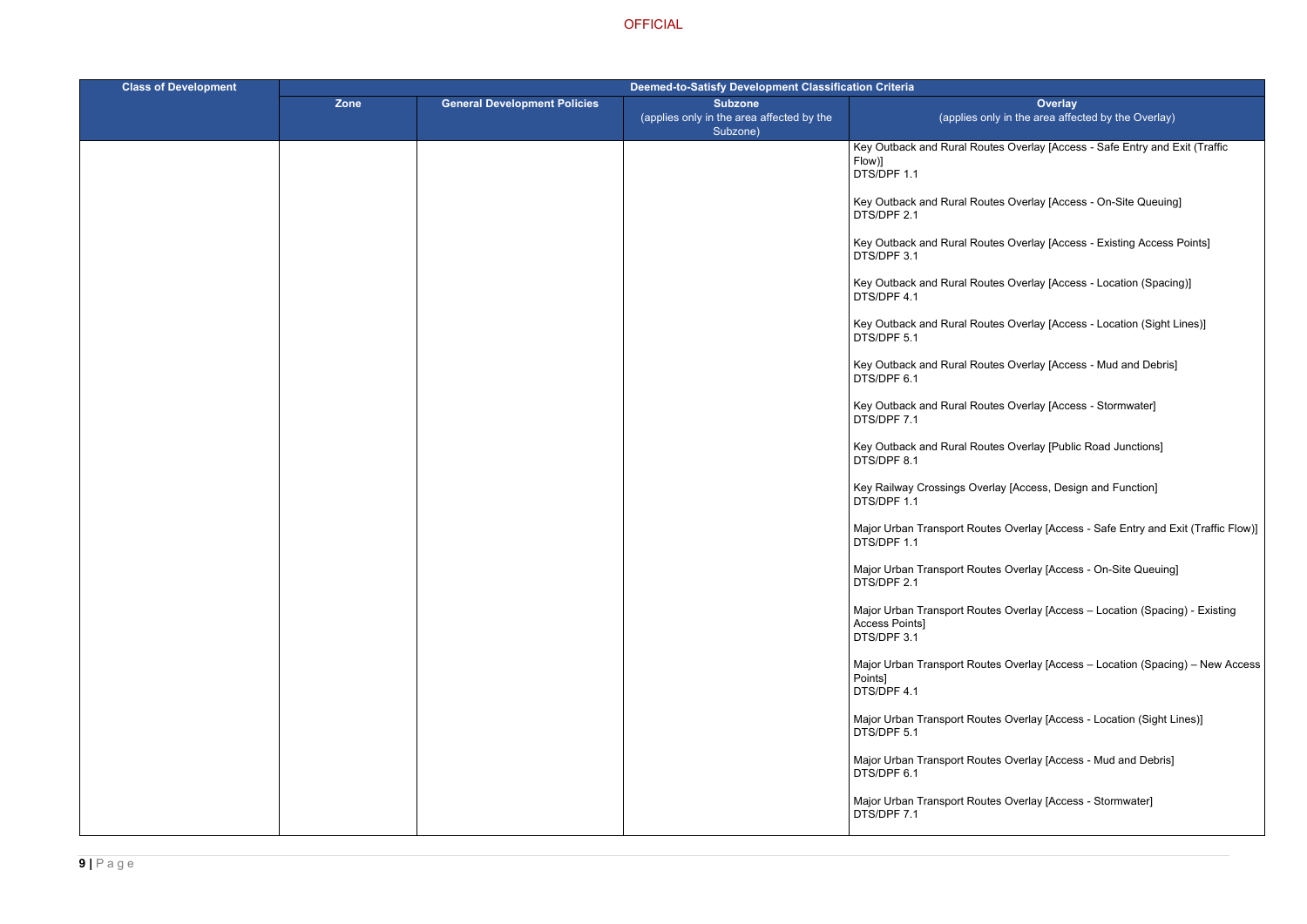**Overlay** hly in the area affected by the Overlay)

utes Overlay [Access - Safe Entry and Exit (Traffic

- Ites Overlay [Access On-Site Queuing]
- Ites Overlay [Access Existing Access Points]
- Ites Overlay [Access Location (Spacing)]
- Ites Overlay [Access Location (Sight Lines)]
- Ites Overlay [Access Mud and Debris]
- Ites Overlay [Access Stormwater]
- Ites Overlay [Public Road Junctions]
- erlay [Access, Design and Function]
- tes Overlay [Access Safe Entry and Exit (Traffic Flow)]
- tes Overlay [Access On-Site Queuing]
- tes Overlay [Access Location (Spacing) Existing
- tes Overlay [Access Location (Spacing) New Access
- tes Overlay [Access Location (Sight Lines)]
- tes Overlay [Access Mud and Debris]
- tes Overlay [Access Stormwater]

| <b>Class of Development</b> | Deemed-to-Satisfy Development Classification Criteria |                                     |                                                                         |                                                             |
|-----------------------------|-------------------------------------------------------|-------------------------------------|-------------------------------------------------------------------------|-------------------------------------------------------------|
|                             | Zone                                                  | <b>General Development Policies</b> | <b>Subzone</b><br>(applies only in the area affected by the<br>Subzone) | (applies or                                                 |
|                             |                                                       |                                     |                                                                         | Key Outback and Rural Rou<br>Flow)]<br>DTS/DPF 1.1          |
|                             |                                                       |                                     |                                                                         | Key Outback and Rural Rou<br>DTS/DPF 2.1                    |
|                             |                                                       |                                     |                                                                         | Key Outback and Rural Rou<br>DTS/DPF 3.1                    |
|                             |                                                       |                                     |                                                                         | Key Outback and Rural Rou<br>DTS/DPF 4.1                    |
|                             |                                                       |                                     |                                                                         | Key Outback and Rural Rou<br>DTS/DPF 5.1                    |
|                             |                                                       |                                     |                                                                         | Key Outback and Rural Rou<br>DTS/DPF 6.1                    |
|                             |                                                       |                                     |                                                                         | Key Outback and Rural Rou<br>DTS/DPF 7.1                    |
|                             |                                                       |                                     |                                                                         | Key Outback and Rural Rou<br>DTS/DPF 8.1                    |
|                             |                                                       |                                     |                                                                         | Key Railway Crossings Ove<br>DTS/DPF 1.1                    |
|                             |                                                       |                                     |                                                                         | Major Urban Transport Rout<br>DTS/DPF 1.1                   |
|                             |                                                       |                                     |                                                                         | Major Urban Transport Rout<br>DTS/DPF 2.1                   |
|                             |                                                       |                                     |                                                                         | Major Urban Transport Rout<br>Access Points]<br>DTS/DPF 3.1 |
|                             |                                                       |                                     |                                                                         | Major Urban Transport Rout<br>Points]<br>DTS/DPF 4.1        |
|                             |                                                       |                                     |                                                                         | Major Urban Transport Rout<br>DTS/DPF 5.1                   |
|                             |                                                       |                                     |                                                                         | Major Urban Transport Rout<br>DTS/DPF 6.1                   |
|                             |                                                       |                                     |                                                                         | Major Urban Transport Rout<br>DTS/DPF 7.1                   |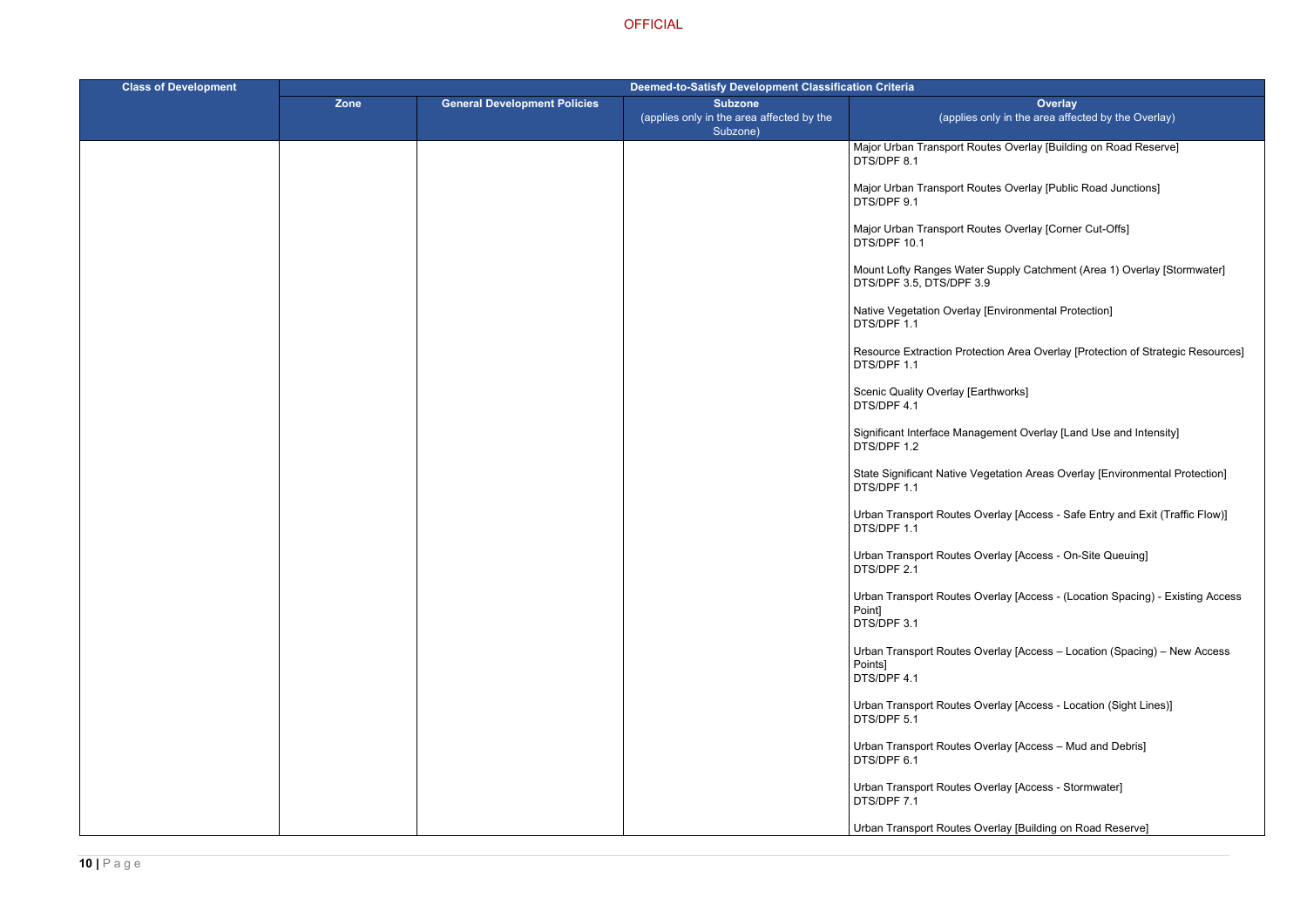tes Overlay [Building on Road Reserve]

tes Overlay [Public Road Junctions]

tes Overlay [Corner Cut-Offs]

Supply Catchment (Area 1) Overlay [Stormwater]

[Environmental Protection]

tion Area Overlay [Protection of Strategic Resources]

thworks]

ement Overlay [Land Use and Intensity]

getation Areas Overlay [Environmental Protection]

verlay [Access - Safe Entry and Exit (Traffic Flow)]

erlay [Access - On-Site Queuing]

verlay [Access - (Location Spacing) - Existing Access

verlay [Access – Location (Spacing) – New Access

verlay [Access - Location (Sight Lines)]

 $\nu$ erlay [Access – Mud and Debris]

verlay [Access - Stormwater]

verlay [Building on Road Reserve]

| <b>Class of Development</b> | <b>Deemed-to-Satisfy Development Classification Criteria</b> |                                     |                                                                         |                                                                   |
|-----------------------------|--------------------------------------------------------------|-------------------------------------|-------------------------------------------------------------------------|-------------------------------------------------------------------|
|                             | Zone                                                         | <b>General Development Policies</b> | <b>Subzone</b><br>(applies only in the area affected by the<br>Subzone) | (applies or                                                       |
|                             |                                                              |                                     |                                                                         | Major Urban Transport Rout<br>DTS/DPF 8.1                         |
|                             |                                                              |                                     |                                                                         | Major Urban Transport Rout<br>DTS/DPF 9.1                         |
|                             |                                                              |                                     |                                                                         | Major Urban Transport Rout<br>DTS/DPF 10.1                        |
|                             |                                                              |                                     |                                                                         | <b>Mount Lofty Ranges Water &amp;</b><br>DTS/DPF 3.5, DTS/DPF 3.9 |
|                             |                                                              |                                     |                                                                         | Native Vegetation Overlay [I<br>DTS/DPF 1.1                       |
|                             |                                                              |                                     |                                                                         | <b>Resource Extraction Protect</b><br>DTS/DPF 1.1                 |
|                             |                                                              |                                     |                                                                         | Scenic Quality Overlay [Eart<br>DTS/DPF 4.1                       |
|                             |                                                              |                                     |                                                                         | Significant Interface Manage<br>DTS/DPF 1.2                       |
|                             |                                                              |                                     |                                                                         | <b>State Significant Native Veg</b><br>DTS/DPF 1.1                |
|                             |                                                              |                                     |                                                                         | Urban Transport Routes Ov<br>DTS/DPF 1.1                          |
|                             |                                                              |                                     |                                                                         | Urban Transport Routes Ov<br>DTS/DPF 2.1                          |
|                             |                                                              |                                     |                                                                         | Urban Transport Routes Ov<br>Point]<br>DTS/DPF 3.1                |
|                             |                                                              |                                     |                                                                         | Urban Transport Routes Ov<br>Points]<br>DTS/DPF 4.1               |
|                             |                                                              |                                     |                                                                         | Urban Transport Routes Ov<br>DTS/DPF 5.1                          |
|                             |                                                              |                                     |                                                                         | Urban Transport Routes Ov<br>DTS/DPF 6.1                          |
|                             |                                                              |                                     |                                                                         | Urban Transport Routes Ov<br>DTS/DPF 7.1                          |
|                             |                                                              |                                     |                                                                         | Urban Transport Routes Ov                                         |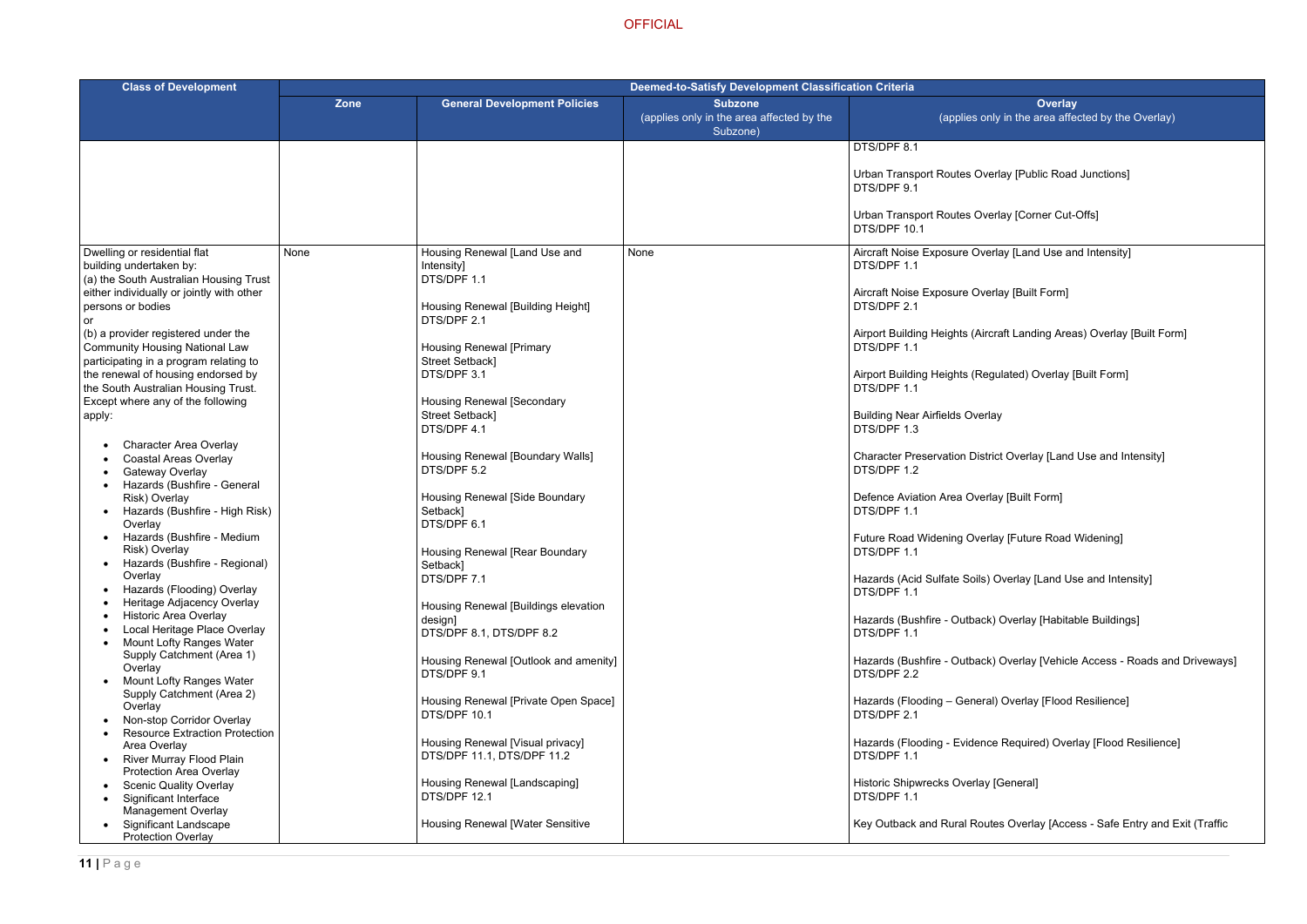- verlay [Public Road Junctions]
- verlay [Corner Cut-Offs]
- $\overline{\text{erlay [Land Use and Intensity]}}$
- erlay [Built Form]
- rcraft Landing Areas) Overlay [Built Form]
- egulated) Overlay [Built Form]
- rlay
- trict Overlay [Land Use and Intensity]
- rlay [Built Form]
- rlay [Future Road Widening]
- ) Overlay [Land Use and Intensity]
- k) Overlay [Habitable Buildings]
- k) Overlay [Vehicle Access Roads and Driveways]
- al) Overlay [Flood Resilience]
- ice Required) Overlay [Flood Resilience]
- (General]
- utes Overlay [Access Safe Entry and Exit (Traffic

| <b>Class of Development</b>                                                                                            | <b>Deemed-to-Satisfy Development Classification Criteria</b> |                                                                     |                                                                         |                                                    |
|------------------------------------------------------------------------------------------------------------------------|--------------------------------------------------------------|---------------------------------------------------------------------|-------------------------------------------------------------------------|----------------------------------------------------|
|                                                                                                                        | <b>Zone</b>                                                  | <b>General Development Policies</b>                                 | <b>Subzone</b><br>(applies only in the area affected by the<br>Subzone) | (applies of                                        |
|                                                                                                                        |                                                              |                                                                     |                                                                         | DTS/DPF 8.1                                        |
|                                                                                                                        |                                                              |                                                                     |                                                                         | Urban Transport Routes Ov<br>DTS/DPF 9.1           |
|                                                                                                                        |                                                              |                                                                     |                                                                         | Urban Transport Routes Ov<br>DTS/DPF 10.1          |
| Dwelling or residential flat<br>building undertaken by:<br>(a) the South Australian Housing Trust                      | None                                                         | Housing Renewal [Land Use and<br>Intensity]<br>DTS/DPF 1.1          | None                                                                    | Aircraft Noise Exposure Ove<br>DTS/DPF 1.1         |
| either individually or jointly with other<br>persons or bodies<br>or                                                   |                                                              | Housing Renewal [Building Height]<br>DTS/DPF 2.1                    |                                                                         | Aircraft Noise Exposure Ove<br>DTS/DPF 2.1         |
| (b) a provider registered under the<br><b>Community Housing National Law</b><br>participating in a program relating to |                                                              | <b>Housing Renewal [Primary</b><br>Street Setback]                  |                                                                         | Airport Building Heights (Air<br>DTS/DPF 1.1       |
| the renewal of housing endorsed by<br>the South Australian Housing Trust.                                              |                                                              | DTS/DPF 3.1                                                         |                                                                         | Airport Building Heights (Re<br>DTS/DPF 1.1        |
| Except where any of the following<br>apply:                                                                            |                                                              | <b>Housing Renewal [Secondary</b><br>Street Setback]<br>DTS/DPF 4.1 |                                                                         | <b>Building Near Airfields Over</b><br>DTS/DPF 1.3 |
| <b>Character Area Overlay</b><br><b>Coastal Areas Overlay</b><br>Gateway Overlay                                       |                                                              | Housing Renewal [Boundary Walls]<br>DTS/DPF 5.2                     |                                                                         | <b>Character Preservation Dist</b><br>DTS/DPF 1.2  |
| Hazards (Bushfire - General<br>Risk) Overlay<br>Hazards (Bushfire - High Risk)<br>Overlay                              |                                                              | Housing Renewal [Side Boundary<br>Setback]<br>DTS/DPF 6.1           |                                                                         | Defence Aviation Area Over<br>DTS/DPF 1.1          |
| Hazards (Bushfire - Medium<br>Risk) Overlay<br>Hazards (Bushfire - Regional)                                           |                                                              | Housing Renewal [Rear Boundary<br>Setback]                          |                                                                         | Future Road Widening Over<br>DTS/DPF 1.1           |
| Overlay<br>Hazards (Flooding) Overlay<br>Heritage Adjacency Overlay                                                    |                                                              | DTS/DPF 7.1<br>Housing Renewal [Buildings elevation                 |                                                                         | Hazards (Acid Sulfate Soils)<br>DTS/DPF 1.1        |
| <b>Historic Area Overlay</b><br>Local Heritage Place Overlay<br><b>Mount Lofty Ranges Water</b>                        |                                                              | design]<br>DTS/DPF 8.1, DTS/DPF 8.2                                 |                                                                         | Hazards (Bushfire - Outbacl<br>DTS/DPF 1.1         |
| Supply Catchment (Area 1)<br>Overlay<br><b>Mount Lofty Ranges Water</b>                                                |                                                              | Housing Renewal [Outlook and amenity]<br>DTS/DPF 9.1                |                                                                         | Hazards (Bushfire - Outbacl<br>DTS/DPF 2.2         |
| Supply Catchment (Area 2)<br>Overlay<br>Non-stop Corridor Overlay                                                      |                                                              | Housing Renewal [Private Open Space]<br>DTS/DPF 10.1                |                                                                         | Hazards (Flooding - Genera<br>DTS/DPF 2.1          |
| <b>Resource Extraction Protection</b><br>Area Overlay<br>River Murray Flood Plain                                      |                                                              | Housing Renewal [Visual privacy]<br>DTS/DPF 11.1, DTS/DPF 11.2      |                                                                         | Hazards (Flooding - Eviden<br>DTS/DPF 1.1          |
| Protection Area Overlay<br><b>Scenic Quality Overlay</b><br>Significant Interface                                      |                                                              | Housing Renewal [Landscaping]<br>DTS/DPF 12.1                       |                                                                         | Historic Shipwrecks Overlay<br>DTS/DPF 1.1         |
| <b>Management Overlay</b><br><b>Significant Landscape</b><br><b>Protection Overlay</b>                                 |                                                              | <b>Housing Renewal [Water Sensitive</b>                             |                                                                         | Key Outback and Rural Rou                          |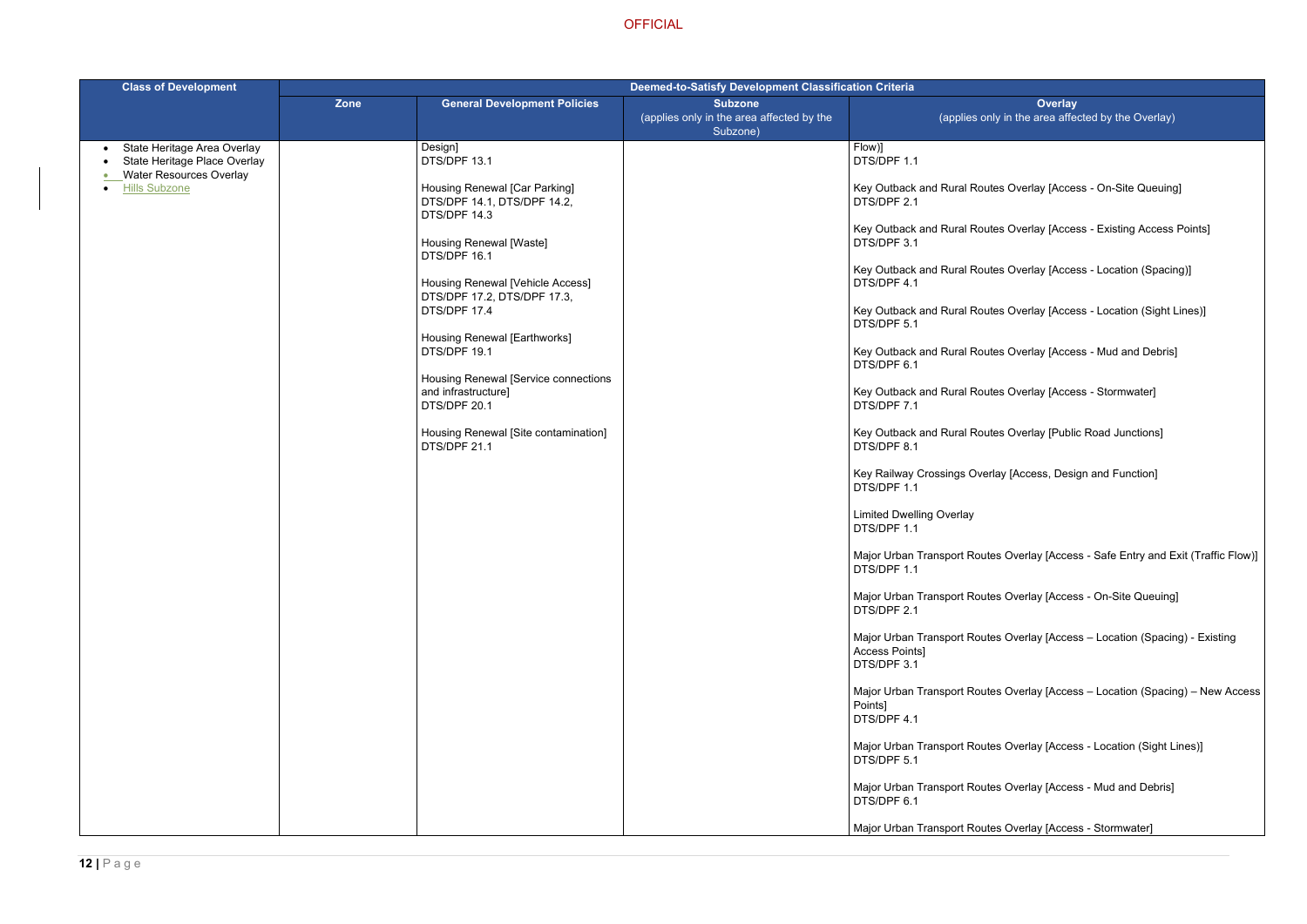- Ites Overlay [Access On-Site Queuing]
- Ites Overlay [Access Existing Access Points]
- Ites Overlay [Access Location (Spacing)]
- Ites Overlay [Access Location (Sight Lines)]
- Ites Overlay [Access Mud and Debris]
- Ites Overlay [Access Stormwater]
- Ites Overlay [Public Road Junctions]
- erlay [Access, Design and Function]
- tes Overlay [Access Safe Entry and Exit (Traffic Flow)]
- tes Overlay [Access On-Site Queuing]
- tes Overlay [Access Location (Spacing) Existing
- tes Overlay [Access Location (Spacing) New Access
- tes Overlay [Access Location (Sight Lines)]
- tes Overlay [Access Mud and Debris]
- tes Overlay [Access Stormwater]

| <b>Class of Development</b>                                                                                | <b>Deemed-to-Satisfy Development Classification Criteria</b> |                                                                              |                                                                         |                                                             |
|------------------------------------------------------------------------------------------------------------|--------------------------------------------------------------|------------------------------------------------------------------------------|-------------------------------------------------------------------------|-------------------------------------------------------------|
|                                                                                                            | <b>Zone</b>                                                  | <b>General Development Policies</b>                                          | <b>Subzone</b><br>(applies only in the area affected by the<br>Subzone) | (applies or                                                 |
| State Heritage Area Overlay<br>$\bullet$<br>State Heritage Place Overlay<br><b>Water Resources Overlay</b> |                                                              | Design]<br>DTS/DPF 13.1                                                      |                                                                         | Flow)]<br>DTS/DPF 1.1                                       |
| <b>Hills Subzone</b>                                                                                       |                                                              | Housing Renewal [Car Parking]<br>DTS/DPF 14.1, DTS/DPF 14.2,<br>DTS/DPF 14.3 |                                                                         | Key Outback and Rural Rou<br>DTS/DPF 2.1                    |
|                                                                                                            |                                                              | Housing Renewal [Waste]<br>DTS/DPF 16.1                                      |                                                                         | Key Outback and Rural Rou<br>DTS/DPF 3.1                    |
|                                                                                                            |                                                              | Housing Renewal [Vehicle Access]                                             |                                                                         | Key Outback and Rural Rou<br>DTS/DPF 4.1                    |
|                                                                                                            |                                                              | DTS/DPF 17.2, DTS/DPF 17.3,<br>DTS/DPF 17.4                                  |                                                                         | Key Outback and Rural Rou<br>DTS/DPF 5.1                    |
|                                                                                                            |                                                              | Housing Renewal [Earthworks]<br>DTS/DPF 19.1                                 |                                                                         | Key Outback and Rural Rou<br>DTS/DPF 6.1                    |
|                                                                                                            |                                                              | Housing Renewal [Service connections<br>and infrastructure]<br>DTS/DPF 20.1  |                                                                         | Key Outback and Rural Rou<br>DTS/DPF 7.1                    |
|                                                                                                            |                                                              | Housing Renewal [Site contamination]<br>DTS/DPF 21.1                         |                                                                         | Key Outback and Rural Rou<br>DTS/DPF 8.1                    |
|                                                                                                            |                                                              |                                                                              |                                                                         | Key Railway Crossings Ove<br>DTS/DPF 1.1                    |
|                                                                                                            |                                                              |                                                                              |                                                                         | <b>Limited Dwelling Overlay</b><br>DTS/DPF 1.1              |
|                                                                                                            |                                                              |                                                                              |                                                                         | Major Urban Transport Rout<br>DTS/DPF 1.1                   |
|                                                                                                            |                                                              |                                                                              |                                                                         | Major Urban Transport Rout<br>DTS/DPF 2.1                   |
|                                                                                                            |                                                              |                                                                              |                                                                         | Major Urban Transport Rout<br>Access Points]<br>DTS/DPF 3.1 |
|                                                                                                            |                                                              |                                                                              |                                                                         | Major Urban Transport Rout<br>Points]<br>DTS/DPF 4.1        |
|                                                                                                            |                                                              |                                                                              |                                                                         | Major Urban Transport Rout<br>DTS/DPF 5.1                   |
|                                                                                                            |                                                              |                                                                              |                                                                         | Major Urban Transport Rout<br>DTS/DPF 6.1                   |
|                                                                                                            |                                                              |                                                                              |                                                                         | Major Urban Transport Rout                                  |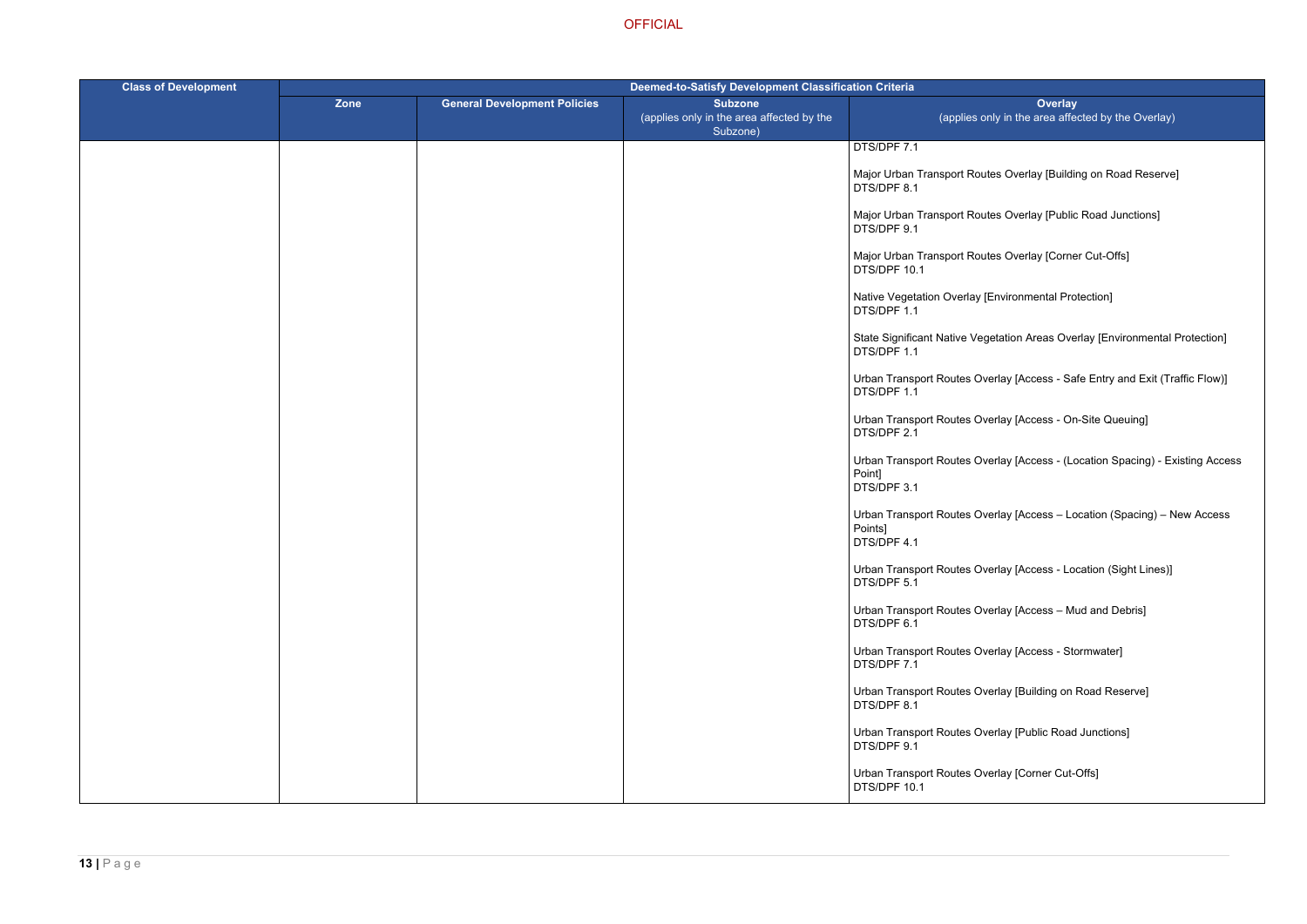- tes Overlay [Building on Road Reserve]
- tes Overlay [Public Road Junctions]
- tes Overlay [Corner Cut-Offs]
- [Environmental Protection]
- getation Areas Overlay [Environmental Protection]
- verlay [Access Safe Entry and Exit (Traffic Flow)]
- erlay [Access On-Site Queuing]
- verlay [Access (Location Spacing) Existing Access
- verlay [Access Location (Spacing) New Access
- verlay [Access Location (Sight Lines)]
- erlay [Access Mud and Debris]
- verlay [Access Stormwater]
- verlay [Building on Road Reserve]
- verlay [Public Road Junctions]
- erlay [Corner Cut-Offs]

| <b>Class of Development</b> | <b>Deemed-to-Satisfy Development Classification Criteria</b> |                                     |                                                                         |                                                     |
|-----------------------------|--------------------------------------------------------------|-------------------------------------|-------------------------------------------------------------------------|-----------------------------------------------------|
|                             | Zone                                                         | <b>General Development Policies</b> | <b>Subzone</b><br>(applies only in the area affected by the<br>Subzone) | (applies or                                         |
|                             |                                                              |                                     |                                                                         | DTS/DPF 7.1                                         |
|                             |                                                              |                                     |                                                                         | Major Urban Transport Rout<br>DTS/DPF 8.1           |
|                             |                                                              |                                     |                                                                         | Major Urban Transport Rout<br>DTS/DPF 9.1           |
|                             |                                                              |                                     |                                                                         | Major Urban Transport Rout<br>DTS/DPF 10.1          |
|                             |                                                              |                                     |                                                                         | Native Vegetation Overlay [I<br>DTS/DPF 1.1         |
|                             |                                                              |                                     |                                                                         | <b>State Significant Native Veg</b><br>DTS/DPF 1.1  |
|                             |                                                              |                                     |                                                                         | Urban Transport Routes Ov<br>DTS/DPF 1.1            |
|                             |                                                              |                                     |                                                                         | Urban Transport Routes Ov<br>DTS/DPF 2.1            |
|                             |                                                              |                                     |                                                                         | Urban Transport Routes Ov<br>Point]<br>DTS/DPF 3.1  |
|                             |                                                              |                                     |                                                                         | Urban Transport Routes Ov<br>Points]<br>DTS/DPF 4.1 |
|                             |                                                              |                                     |                                                                         | Urban Transport Routes Ov<br>DTS/DPF 5.1            |
|                             |                                                              |                                     |                                                                         | Urban Transport Routes Ov<br>DTS/DPF 6.1            |
|                             |                                                              |                                     |                                                                         | Urban Transport Routes Ov<br>DTS/DPF 7.1            |
|                             |                                                              |                                     |                                                                         | Urban Transport Routes Ov<br>DTS/DPF 8.1            |
|                             |                                                              |                                     |                                                                         | Urban Transport Routes Ov<br>DTS/DPF 9.1            |
|                             |                                                              |                                     |                                                                         | Urban Transport Routes Ov<br>DTS/DPF 10.1           |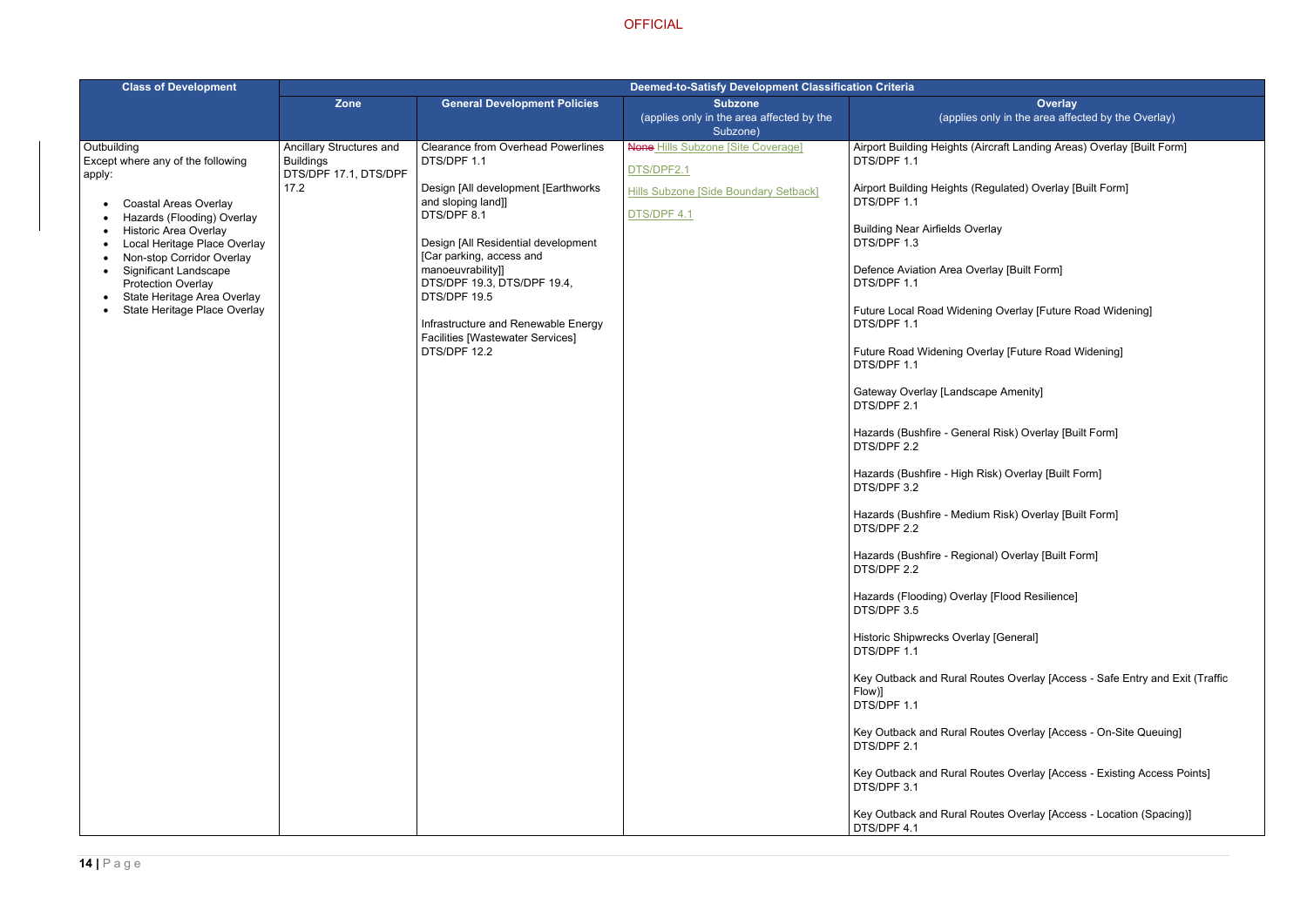rcraft Landing Areas) Overlay [Built Form]

egulated) Overlay [Built Form]

rlay

rlay [Built Form]

g Overlay [Future Road Widening]

rlay [Future Road Widening]

pe Amenity]

Risk) Overlay [Built Form]

isk) Overlay [Built Form]

ا Risk) Overlay [Built Form]

al) Overlay [Built Form]

letards (Flood Resilience)

General]

utes Overlay [Access - Safe Entry and Exit (Traffic

Ites Overlay [Access - On-Site Queuing]

Ites Overlay [Access - Existing Access Points]

Ites Overlay [Access - Location (Spacing)]

| <b>Class of Development</b>                                                                                                                                                   | <b>Deemed-to-Satisfy Development Classification Criteria</b>          |                                                                                                |                                                             |                                                                                     |
|-------------------------------------------------------------------------------------------------------------------------------------------------------------------------------|-----------------------------------------------------------------------|------------------------------------------------------------------------------------------------|-------------------------------------------------------------|-------------------------------------------------------------------------------------|
|                                                                                                                                                                               | <b>Zone</b>                                                           | <b>General Development Policies</b>                                                            | <b>Subzone</b><br>(applies only in the area affected by the | (applies or                                                                         |
|                                                                                                                                                                               |                                                                       |                                                                                                | Subzone)                                                    |                                                                                     |
| Outbuilding<br>Except where any of the following<br>apply:                                                                                                                    | Ancillary Structures and<br><b>Buildings</b><br>DTS/DPF 17.1, DTS/DPF | <b>Clearance from Overhead Powerlines</b><br>DTS/DPF 1.1                                       | <b>None Hills Subzone [Site Coverage]</b><br>DTS/DPF2.1     | Airport Building Heights (Air<br>DTS/DPF 1.1                                        |
| <b>Coastal Areas Overlay</b><br>$\bullet$<br>Hazards (Flooding) Overlay                                                                                                       | 17.2                                                                  | Design [All development [Earthworks]<br>and sloping land]]<br>DTS/DPF 8.1                      | Hills Subzone [Side Boundary Setback]<br>DTS/DPF 4.1        | Airport Building Heights (Re<br>DTS/DPF 1.1<br><b>Building Near Airfields Overl</b> |
| <b>Historic Area Overlay</b><br>$\bullet$<br>Local Heritage Place Overlay<br>$\bullet$<br>Non-stop Corridor Overlay<br>$\bullet$<br><b>Significant Landscape</b><br>$\bullet$ |                                                                       | Design [All Residential development<br>[Car parking, access and<br>manoeuvrability]]           |                                                             | DTS/DPF 1.3<br>Defence Aviation Area Over                                           |
| <b>Protection Overlay</b><br>State Heritage Area Overlay<br>$\bullet$<br>State Heritage Place Overlay<br>$\bullet$                                                            |                                                                       | DTS/DPF 19.3, DTS/DPF 19.4,<br>DTS/DPF 19.5                                                    |                                                             | DTS/DPF 1.1<br><b>Future Local Road Widening</b>                                    |
|                                                                                                                                                                               |                                                                       | Infrastructure and Renewable Energy<br><b>Facilities [Wastewater Services]</b><br>DTS/DPF 12.2 |                                                             | DTS/DPF 1.1<br><b>Future Road Widening Over</b>                                     |
|                                                                                                                                                                               |                                                                       |                                                                                                |                                                             | DTS/DPF 1.1<br>Gateway Overlay [Landscap<br>DTS/DPF 2.1                             |
|                                                                                                                                                                               |                                                                       |                                                                                                |                                                             | Hazards (Bushfire - General<br>DTS/DPF 2.2                                          |
|                                                                                                                                                                               |                                                                       |                                                                                                |                                                             | Hazards (Bushfire - High Ris<br>DTS/DPF 3.2                                         |
|                                                                                                                                                                               |                                                                       |                                                                                                |                                                             | Hazards (Bushfire - Medium<br>DTS/DPF 2.2                                           |
|                                                                                                                                                                               |                                                                       |                                                                                                |                                                             | Hazards (Bushfire - Regiona<br>DTS/DPF 2.2                                          |
|                                                                                                                                                                               |                                                                       |                                                                                                |                                                             | Hazards (Flooding) Overlay<br>DTS/DPF 3.5                                           |
|                                                                                                                                                                               |                                                                       |                                                                                                |                                                             | Historic Shipwrecks Overlay<br>DTS/DPF 1.1                                          |
|                                                                                                                                                                               |                                                                       |                                                                                                |                                                             | Key Outback and Rural Rou<br>Flow)]<br>DTS/DPF 1.1                                  |
|                                                                                                                                                                               |                                                                       |                                                                                                |                                                             | Key Outback and Rural Rou<br>DTS/DPF 2.1                                            |
|                                                                                                                                                                               |                                                                       |                                                                                                |                                                             | Key Outback and Rural Rou<br>DTS/DPF 3.1                                            |
|                                                                                                                                                                               |                                                                       |                                                                                                |                                                             | Key Outback and Rural Rou<br>DTS/DPF 4.1                                            |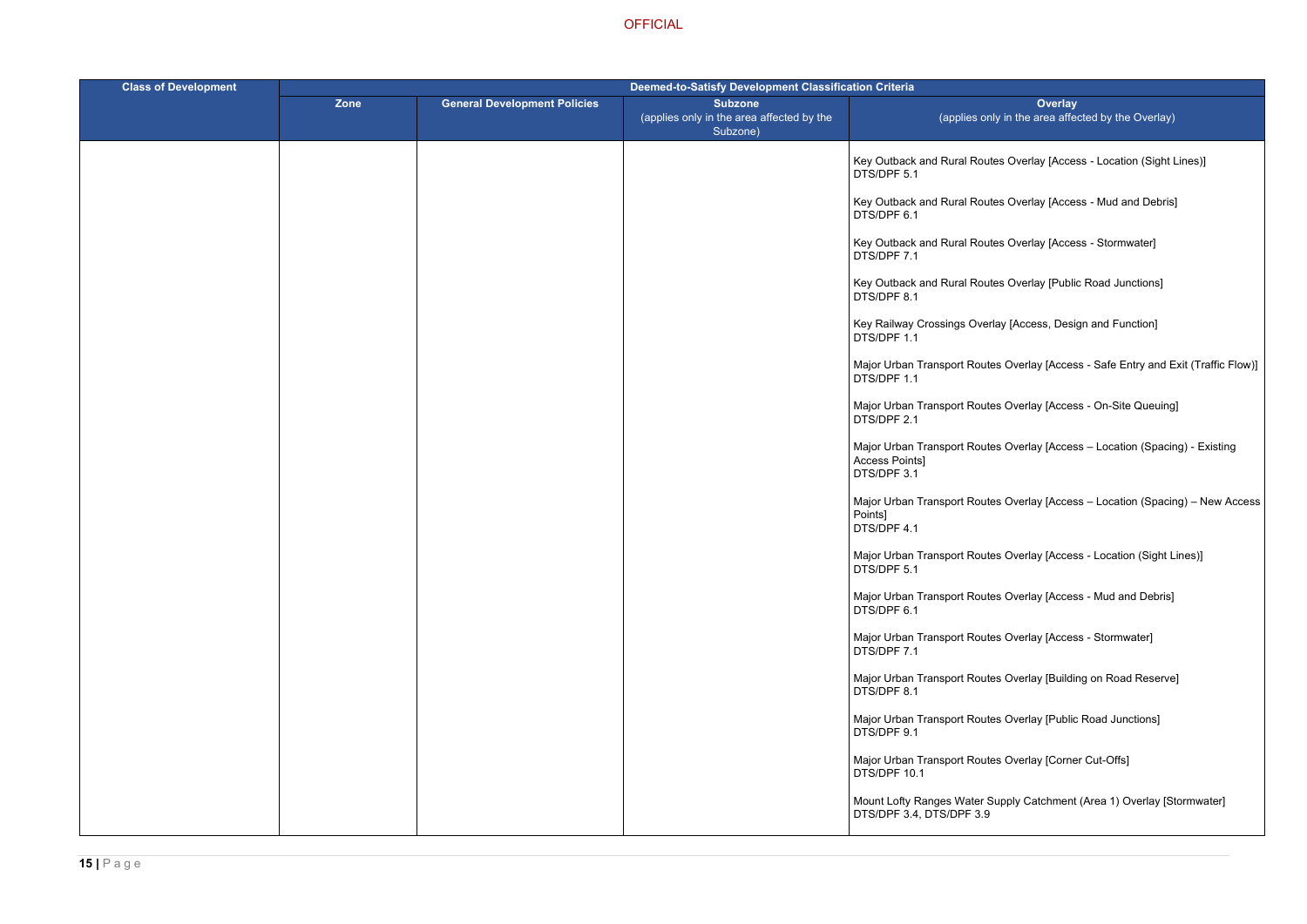- Ites Overlay [Access Location (Sight Lines)]
- Ites Overlay [Access Mud and Debris]
- Ites Overlay [Access Stormwater]
- Ites Overlay [Public Road Junctions]
- rlay [Access, Design and Function]
- tes Overlay [Access Safe Entry and Exit (Traffic Flow)]
- tes Overlay [Access On-Site Queuing]
- tes Overlay [Access Location (Spacing) Existing
- tes Overlay [Access Location (Spacing) New Access
- tes Overlay [Access Location (Sight Lines)]
- tes Overlay [Access Mud and Debris]
- tes Overlay [Access Stormwater]
- tes Overlay [Building on Road Reserve]
- tes Overlay [Public Road Junctions]
- tes Overlay [Corner Cut-Offs]
- Supply Catchment (Area 1) Overlay [Stormwater]

| <b>Class of Development</b> | <b>Deemed-to-Satisfy Development Classification Criteria</b> |                                     |                                                                         |                                                             |
|-----------------------------|--------------------------------------------------------------|-------------------------------------|-------------------------------------------------------------------------|-------------------------------------------------------------|
|                             | Zone                                                         | <b>General Development Policies</b> | <b>Subzone</b><br>(applies only in the area affected by the<br>Subzone) | (applies or                                                 |
|                             |                                                              |                                     |                                                                         | Key Outback and Rural Rou<br>DTS/DPF 5.1                    |
|                             |                                                              |                                     |                                                                         | Key Outback and Rural Rou<br>DTS/DPF 6.1                    |
|                             |                                                              |                                     |                                                                         | Key Outback and Rural Rou<br>DTS/DPF 7.1                    |
|                             |                                                              |                                     |                                                                         | Key Outback and Rural Rou<br>DTS/DPF 8.1                    |
|                             |                                                              |                                     |                                                                         | Key Railway Crossings Over<br>DTS/DPF 1.1                   |
|                             |                                                              |                                     |                                                                         | Major Urban Transport Rout<br>DTS/DPF 1.1                   |
|                             |                                                              |                                     |                                                                         | Major Urban Transport Rout<br>DTS/DPF 2.1                   |
|                             |                                                              |                                     |                                                                         | Major Urban Transport Rout<br>Access Points]<br>DTS/DPF 3.1 |
|                             |                                                              |                                     |                                                                         | Major Urban Transport Rout<br>Points]<br>DTS/DPF 4.1        |
|                             |                                                              |                                     |                                                                         | Major Urban Transport Rout<br>DTS/DPF 5.1                   |
|                             |                                                              |                                     |                                                                         | Major Urban Transport Rout<br>DTS/DPF 6.1                   |
|                             |                                                              |                                     |                                                                         | Major Urban Transport Rout<br>DTS/DPF 7.1                   |
|                             |                                                              |                                     |                                                                         | Major Urban Transport Rout<br>DTS/DPF 8.1                   |
|                             |                                                              |                                     |                                                                         | Major Urban Transport Rout<br>DTS/DPF 9.1                   |
|                             |                                                              |                                     |                                                                         | Major Urban Transport Rout<br>DTS/DPF 10.1                  |
|                             |                                                              |                                     |                                                                         | Mount Lofty Ranges Water S<br>DTS/DPF 3.4, DTS/DPF 3.9      |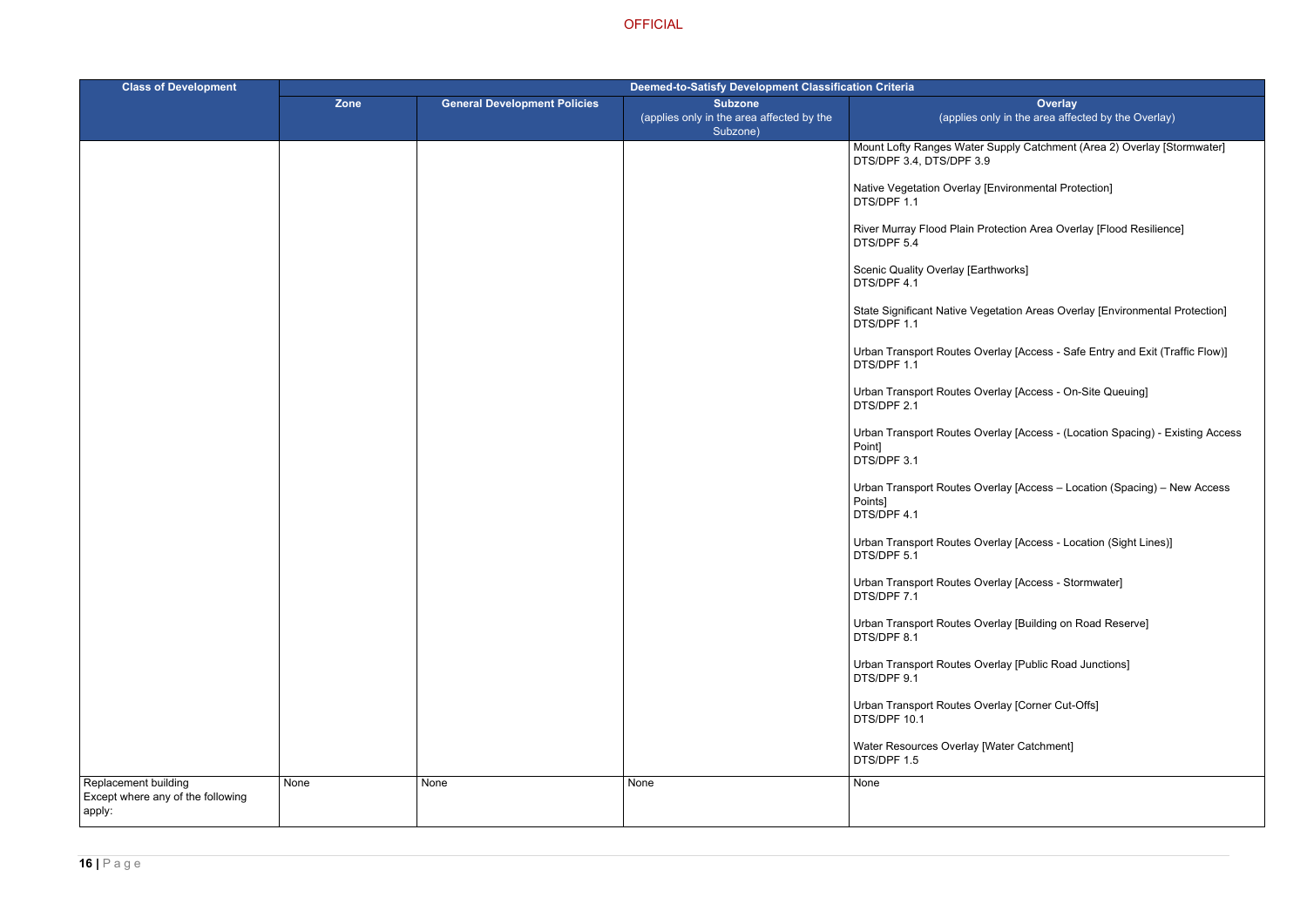Supply Catchment (Area 2) Overlay [Stormwater]

[Environmental Protection]

rotection Area Overlay [Flood Resilience]

rthworks]

getation Areas Overlay [Environmental Protection]

verlay [Access - Safe Entry and Exit (Traffic Flow)]

verlay [Access - On-Site Queuing]

verlay [Access - (Location Spacing) - Existing Access

verlay [Access – Location (Spacing) – New Access

verlay [Access - Location (Sight Lines)]

erlay [Access - Stormwater]

verlay [Building on Road Reserve]

verlay [Public Road Junctions]

verlay [Corner Cut-Offs]

[Water Catchment]

| <b>Class of Development</b>                                         | <b>Deemed-to-Satisfy Development Classification Criteria</b> |                                     |                                                                         |                                                               |
|---------------------------------------------------------------------|--------------------------------------------------------------|-------------------------------------|-------------------------------------------------------------------------|---------------------------------------------------------------|
|                                                                     | Zone                                                         | <b>General Development Policies</b> | <b>Subzone</b><br>(applies only in the area affected by the<br>Subzone) | (applies or                                                   |
|                                                                     |                                                              |                                     |                                                                         | <b>Mount Lofty Ranges Water 9</b><br>DTS/DPF 3.4, DTS/DPF 3.9 |
|                                                                     |                                                              |                                     |                                                                         | Native Vegetation Overlay [I<br>DTS/DPF 1.1                   |
|                                                                     |                                                              |                                     |                                                                         | River Murray Flood Plain Pr<br>DTS/DPF 5.4                    |
|                                                                     |                                                              |                                     |                                                                         | Scenic Quality Overlay [Eart<br>DTS/DPF 4.1                   |
|                                                                     |                                                              |                                     |                                                                         | <b>State Significant Native Veg</b><br>DTS/DPF 1.1            |
|                                                                     |                                                              |                                     |                                                                         | Urban Transport Routes Ov<br>DTS/DPF 1.1                      |
|                                                                     |                                                              |                                     |                                                                         | Urban Transport Routes Ov<br>DTS/DPF 2.1                      |
|                                                                     |                                                              |                                     |                                                                         | Urban Transport Routes Ov<br>Point]<br>DTS/DPF 3.1            |
|                                                                     |                                                              |                                     |                                                                         | Urban Transport Routes Ov<br>Points]<br>DTS/DPF 4.1           |
|                                                                     |                                                              |                                     |                                                                         | Urban Transport Routes Ov<br>DTS/DPF 5.1                      |
|                                                                     |                                                              |                                     |                                                                         | Urban Transport Routes Ov<br>DTS/DPF 7.1                      |
|                                                                     |                                                              |                                     |                                                                         | Urban Transport Routes Ov<br>DTS/DPF 8.1                      |
|                                                                     |                                                              |                                     |                                                                         | Urban Transport Routes Ov<br>DTS/DPF 9.1                      |
|                                                                     |                                                              |                                     |                                                                         | Urban Transport Routes Ov<br>DTS/DPF 10.1                     |
|                                                                     |                                                              |                                     |                                                                         | Water Resources Overlay [V<br>DTS/DPF 1.5                     |
| Replacement building<br>Except where any of the following<br>apply: | None                                                         | None                                | None                                                                    | None                                                          |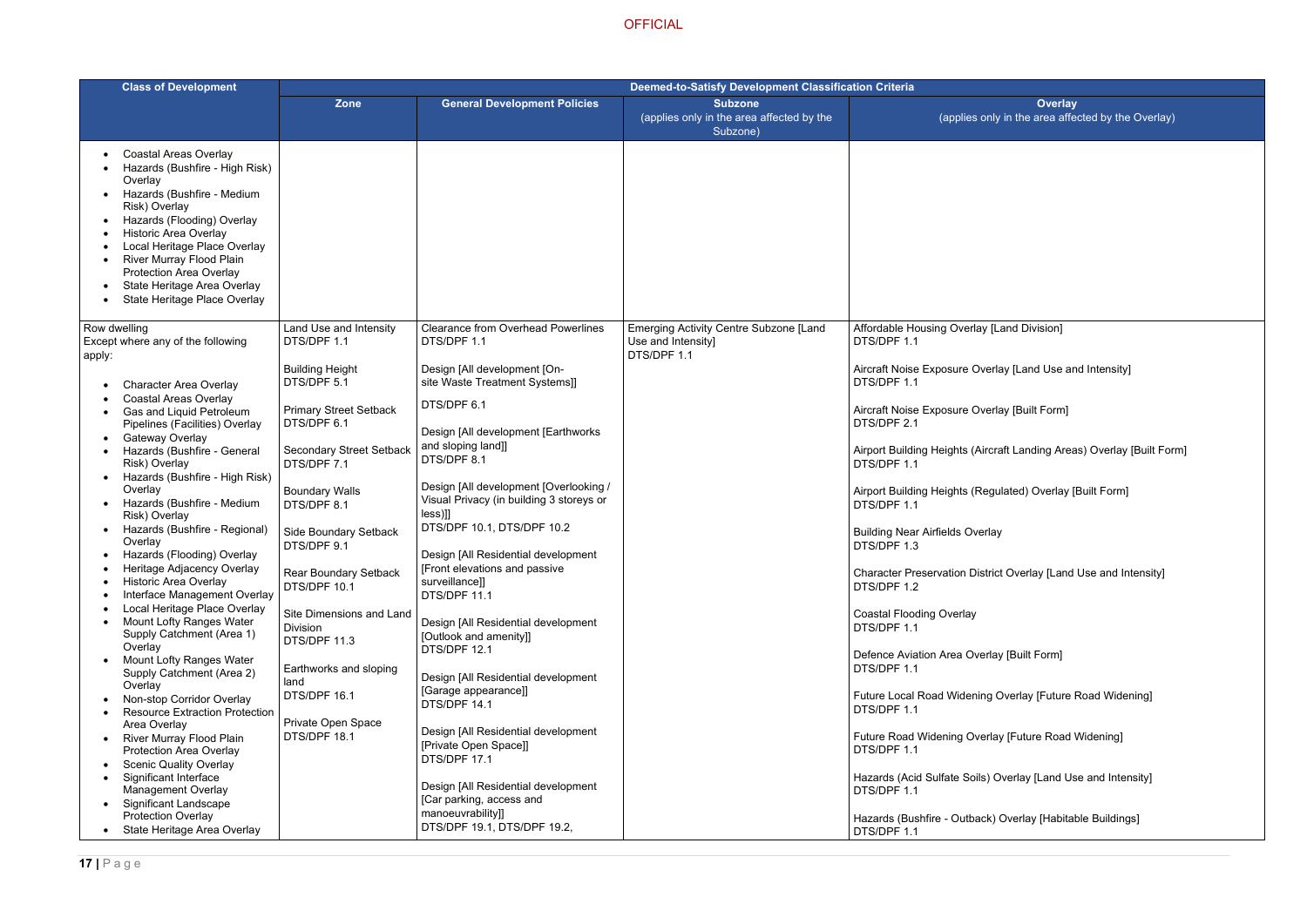/ [Land Division]

 $\epsilon$ rerlay [Land Use and Intensity]

rerlay [Built Form]

rcraft Landing Areas) Overlay [Built Form]

egulated) Overlay [Built Form]

rlay

 $\frac{1}{\pi}$ trict Overlay [Land Use and Intensity]

rlay [Built Form]

ng Overlay [Future Road Widening]

rlay [Future Road Widening]

) Overlay [Land Use and Intensity]

k) Overlay [Habitable Buildings]

| <b>Class of Development</b>                                                                                                                                                                                                                                                                                                                                                                                                                                                                                                                                                                                                                                                                                                      | Deemed-to-Satisfy Development Classification Criteria                                                                                                                                                                                                                                                                                                                                                   |                                                                                                                                                                                                                                                                                                                                                                                                                                                                                                                                                                                                              |                                                                             |                                                                                                                                                                                                                                                                                                                                                                                                                                                |
|----------------------------------------------------------------------------------------------------------------------------------------------------------------------------------------------------------------------------------------------------------------------------------------------------------------------------------------------------------------------------------------------------------------------------------------------------------------------------------------------------------------------------------------------------------------------------------------------------------------------------------------------------------------------------------------------------------------------------------|---------------------------------------------------------------------------------------------------------------------------------------------------------------------------------------------------------------------------------------------------------------------------------------------------------------------------------------------------------------------------------------------------------|--------------------------------------------------------------------------------------------------------------------------------------------------------------------------------------------------------------------------------------------------------------------------------------------------------------------------------------------------------------------------------------------------------------------------------------------------------------------------------------------------------------------------------------------------------------------------------------------------------------|-----------------------------------------------------------------------------|------------------------------------------------------------------------------------------------------------------------------------------------------------------------------------------------------------------------------------------------------------------------------------------------------------------------------------------------------------------------------------------------------------------------------------------------|
|                                                                                                                                                                                                                                                                                                                                                                                                                                                                                                                                                                                                                                                                                                                                  | <b>Zone</b>                                                                                                                                                                                                                                                                                                                                                                                             | <b>General Development Policies</b>                                                                                                                                                                                                                                                                                                                                                                                                                                                                                                                                                                          | <b>Subzone</b><br>(applies only in the area affected by the<br>Subzone)     | (applies of                                                                                                                                                                                                                                                                                                                                                                                                                                    |
| <b>Coastal Areas Overlay</b><br>Hazards (Bushfire - High Risk)<br>Overlay<br>Hazards (Bushfire - Medium<br>Risk) Overlay<br>Hazards (Flooding) Overlay<br><b>Historic Area Overlay</b><br>Local Heritage Place Overlay<br>River Murray Flood Plain<br><b>Protection Area Overlay</b><br>State Heritage Area Overlay<br>State Heritage Place Overlay                                                                                                                                                                                                                                                                                                                                                                              |                                                                                                                                                                                                                                                                                                                                                                                                         |                                                                                                                                                                                                                                                                                                                                                                                                                                                                                                                                                                                                              |                                                                             |                                                                                                                                                                                                                                                                                                                                                                                                                                                |
| Row dwelling<br>Except where any of the following<br>apply:                                                                                                                                                                                                                                                                                                                                                                                                                                                                                                                                                                                                                                                                      | Land Use and Intensity<br>DTS/DPF 1.1                                                                                                                                                                                                                                                                                                                                                                   | <b>Clearance from Overhead Powerlines</b><br>DTS/DPF 1.1                                                                                                                                                                                                                                                                                                                                                                                                                                                                                                                                                     | Emerging Activity Centre Subzone [Land<br>Use and Intensity]<br>DTS/DPF 1.1 | <b>Affordable Housing Overlay</b><br>DTS/DPF 1.1                                                                                                                                                                                                                                                                                                                                                                                               |
| <b>Character Area Overlay</b><br><b>Coastal Areas Overlay</b><br>Gas and Liquid Petroleum<br>Pipelines (Facilities) Overlay<br>Gateway Overlay<br>Hazards (Bushfire - General<br>Risk) Overlay<br>Hazards (Bushfire - High Risk)<br>Overlay<br>Hazards (Bushfire - Medium<br>Risk) Overlay<br>Hazards (Bushfire - Regional)<br>Overlay<br>Hazards (Flooding) Overlay<br>Heritage Adjacency Overlay<br><b>Historic Area Overlay</b><br>Interface Management Overlay<br>Local Heritage Place Overlay<br>Mount Lofty Ranges Water<br>Supply Catchment (Area 1)<br>Overlay<br>Mount Lofty Ranges Water<br>Supply Catchment (Area 2)<br>Overlay<br>Non-stop Corridor Overlay<br><b>Resource Extraction Protection</b><br>Area Overlay | <b>Building Height</b><br>DTS/DPF 5.1<br><b>Primary Street Setback</b><br>DTS/DPF 6.1<br><b>Secondary Street Setback</b><br>DTS/DPF 7.1<br><b>Boundary Walls</b><br>DTS/DPF 8.1<br>Side Boundary Setback<br>DTS/DPF 9.1<br>Rear Boundary Setback<br>DTS/DPF 10.1<br>Site Dimensions and Land<br><b>Division</b><br>DTS/DPF 11.3<br>Earthworks and sloping<br>land<br>DTS/DPF 16.1<br>Private Open Space | Design [All development [On-<br>site Waste Treatment Systems]]<br>DTS/DPF 6.1<br>Design [All development [Earthworks]<br>and sloping land]]<br>DTS/DPF 8.1<br>Design [All development [Overlooking /<br>Visual Privacy (in building 3 storeys or<br>$less$ ]]<br>DTS/DPF 10.1, DTS/DPF 10.2<br>Design [All Residential development<br>[Front elevations and passive<br>surveillance]]<br>DTS/DPF 11.1<br>Design [All Residential development<br>[Outlook and amenity]]<br>DTS/DPF 12.1<br>Design [All Residential development<br>[Garage appearance]]<br>DTS/DPF 14.1<br>Design [All Residential development |                                                                             | Aircraft Noise Exposure Ove<br>DTS/DPF 1.1<br>Aircraft Noise Exposure Ove<br>DTS/DPF 2.1<br>Airport Building Heights (Air<br>DTS/DPF 1.1<br>Airport Building Heights (Re<br>DTS/DPF 1.1<br><b>Building Near Airfields Over</b><br>DTS/DPF 1.3<br><b>Character Preservation Dist</b><br>DTS/DPF 1.2<br><b>Coastal Flooding Overlay</b><br>DTS/DPF 1.1<br>Defence Aviation Area Over<br>DTS/DPF 1.1<br>Future Local Road Widening<br>DTS/DPF 1.1 |
| <b>River Murray Flood Plain</b><br><b>Protection Area Overlay</b><br><b>Scenic Quality Overlay</b><br>Significant Interface<br><b>Management Overlay</b><br><b>Significant Landscape</b><br><b>Protection Overlay</b>                                                                                                                                                                                                                                                                                                                                                                                                                                                                                                            | DTS/DPF 18.1                                                                                                                                                                                                                                                                                                                                                                                            | [Private Open Space]]<br>DTS/DPF 17.1<br>Design [All Residential development<br>[Car parking, access and<br>manoeuvrability]]                                                                                                                                                                                                                                                                                                                                                                                                                                                                                |                                                                             | Future Road Widening Over<br>DTS/DPF 1.1<br>Hazards (Acid Sulfate Soils)<br>DTS/DPF 1.1<br>Hazards (Bushfire - Outbacl                                                                                                                                                                                                                                                                                                                         |
| State Heritage Area Overlay                                                                                                                                                                                                                                                                                                                                                                                                                                                                                                                                                                                                                                                                                                      |                                                                                                                                                                                                                                                                                                                                                                                                         | DTS/DPF 19.1, DTS/DPF 19.2,                                                                                                                                                                                                                                                                                                                                                                                                                                                                                                                                                                                  |                                                                             | DTS/DPF 1.1                                                                                                                                                                                                                                                                                                                                                                                                                                    |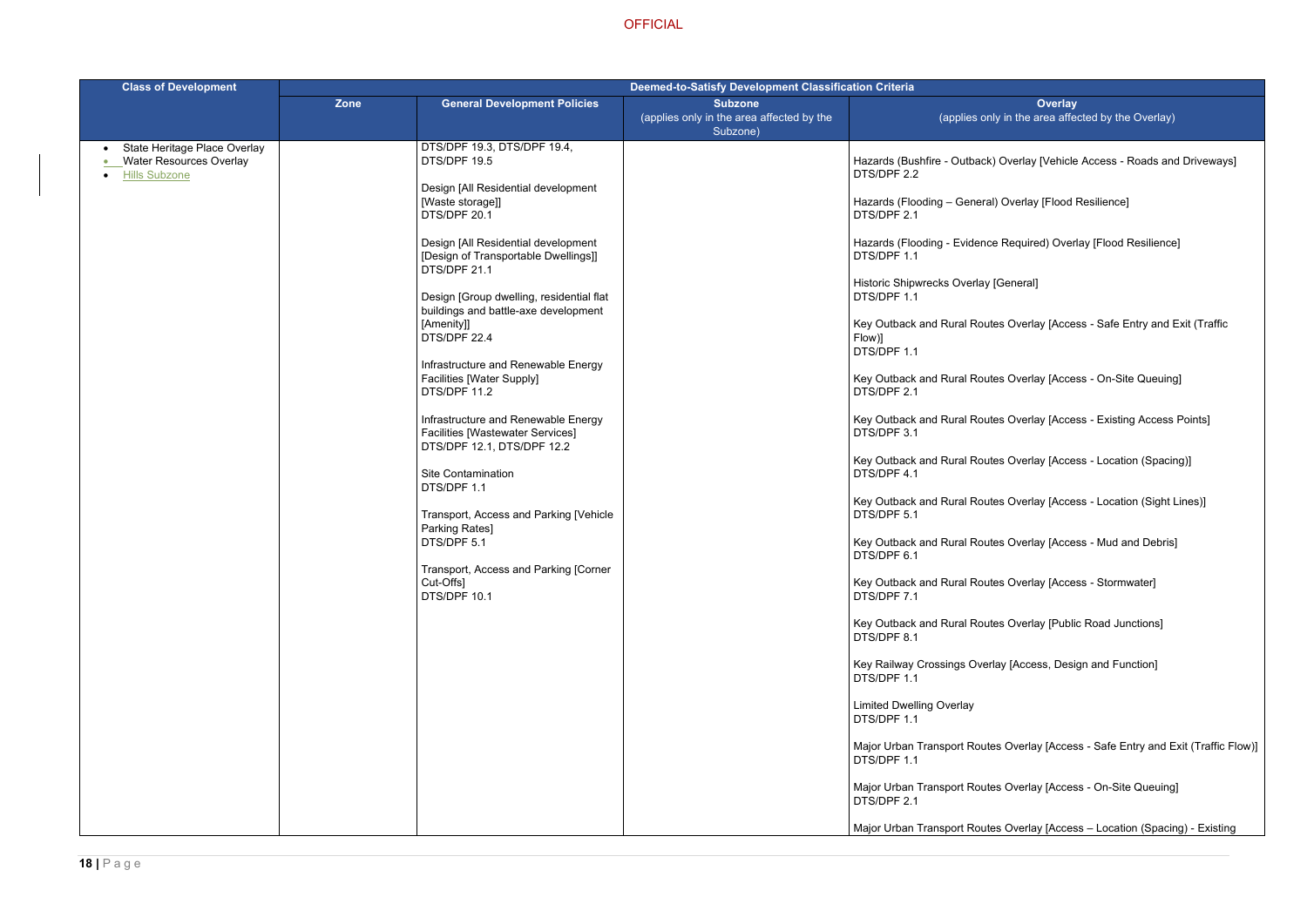- k) Overlay [Vehicle Access Roads and Driveways]
- al) Overlay [Flood Resilience]
- ce Required) Overlay [Flood Resilience]
- [General]
- tes Overlay [Access Safe Entry and Exit (Traffic
- tes Overlay [Access On-Site Queuing]
- tes Overlay [Access Existing Access Points]
- tes Overlay [Access Location (Spacing)]
- tes Overlay [Access Location (Sight Lines)]
- tes Overlay [Access Mud and Debris]
- tes Overlay [Access Stormwater]
- tes Overlay [Public Road Junctions]
- rlay [Access, Design and Function]
- tes Overlay [Access Safe Entry and Exit (Traffic Flow)]
- tes Overlay [Access On-Site Queuing]
- tes Overlay [Access Location (Spacing) Existing

| <b>Class of Development</b>                                                            | <b>Deemed-to-Satisfy Development Classification Criteria</b> |                                                                                                                                                                                                                                                                                                                                                                                                                                                                                                                                                                                                                                                                                                                                                 |                                                                         |                                                                                                                                                                                                                                                                                                                                                                                                                                                                                                                                                                                                                                                                                                                                                                                                        |
|----------------------------------------------------------------------------------------|--------------------------------------------------------------|-------------------------------------------------------------------------------------------------------------------------------------------------------------------------------------------------------------------------------------------------------------------------------------------------------------------------------------------------------------------------------------------------------------------------------------------------------------------------------------------------------------------------------------------------------------------------------------------------------------------------------------------------------------------------------------------------------------------------------------------------|-------------------------------------------------------------------------|--------------------------------------------------------------------------------------------------------------------------------------------------------------------------------------------------------------------------------------------------------------------------------------------------------------------------------------------------------------------------------------------------------------------------------------------------------------------------------------------------------------------------------------------------------------------------------------------------------------------------------------------------------------------------------------------------------------------------------------------------------------------------------------------------------|
|                                                                                        | <b>Zone</b>                                                  | <b>General Development Policies</b>                                                                                                                                                                                                                                                                                                                                                                                                                                                                                                                                                                                                                                                                                                             | <b>Subzone</b><br>(applies only in the area affected by the<br>Subzone) | (applies on                                                                                                                                                                                                                                                                                                                                                                                                                                                                                                                                                                                                                                                                                                                                                                                            |
| State Heritage Place Overlay<br><b>Water Resources Overlay</b><br><b>Hills Subzone</b> |                                                              | DTS/DPF 19.3, DTS/DPF 19.4,<br>DTS/DPF 19.5<br>Design [All Residential development<br>[Waste storage]]<br>DTS/DPF 20.1<br>Design [All Residential development<br>[Design of Transportable Dwellings]]<br>DTS/DPF 21.1<br>Design [Group dwelling, residential flat<br>buildings and battle-axe development<br>[Amenity]]<br>DTS/DPF 22.4<br>Infrastructure and Renewable Energy<br><b>Facilities [Water Supply]</b><br>DTS/DPF 11.2<br>Infrastructure and Renewable Energy<br><b>Facilities [Wastewater Services]</b><br>DTS/DPF 12.1, DTS/DPF 12.2<br><b>Site Contamination</b><br>DTS/DPF 1.1<br>Transport, Access and Parking [Vehicle<br>Parking Rates]<br>DTS/DPF 5.1<br>Transport, Access and Parking [Corner<br>Cut-Offs]<br>DTS/DPF 10.1 |                                                                         | Hazards (Bushfire - Outback<br>DTS/DPF 2.2<br>Hazards (Flooding - Genera<br>DTS/DPF 2.1<br>Hazards (Flooding - Evidenc<br>DTS/DPF 1.1<br><b>Historic Shipwrecks Overlay</b><br>DTS/DPF 1.1<br>Key Outback and Rural Rout<br>Flow)]<br>DTS/DPF 1.1<br>Key Outback and Rural Rout<br>DTS/DPF 2.1<br>Key Outback and Rural Rout<br>DTS/DPF 3.1<br>Key Outback and Rural Rout<br>DTS/DPF 4.1<br>Key Outback and Rural Rout<br>DTS/DPF 5.1<br>Key Outback and Rural Rout<br>DTS/DPF 6.1<br>Key Outback and Rural Rout<br>DTS/DPF 7.1<br>Key Outback and Rural Rout<br>DTS/DPF 8.1<br>Key Railway Crossings Over<br>DTS/DPF 1.1<br><b>Limited Dwelling Overlay</b><br>DTS/DPF 1.1<br>Major Urban Transport Route<br>DTS/DPF 1.1<br>Major Urban Transport Route<br>DTS/DPF 2.1<br>Major Urban Transport Route |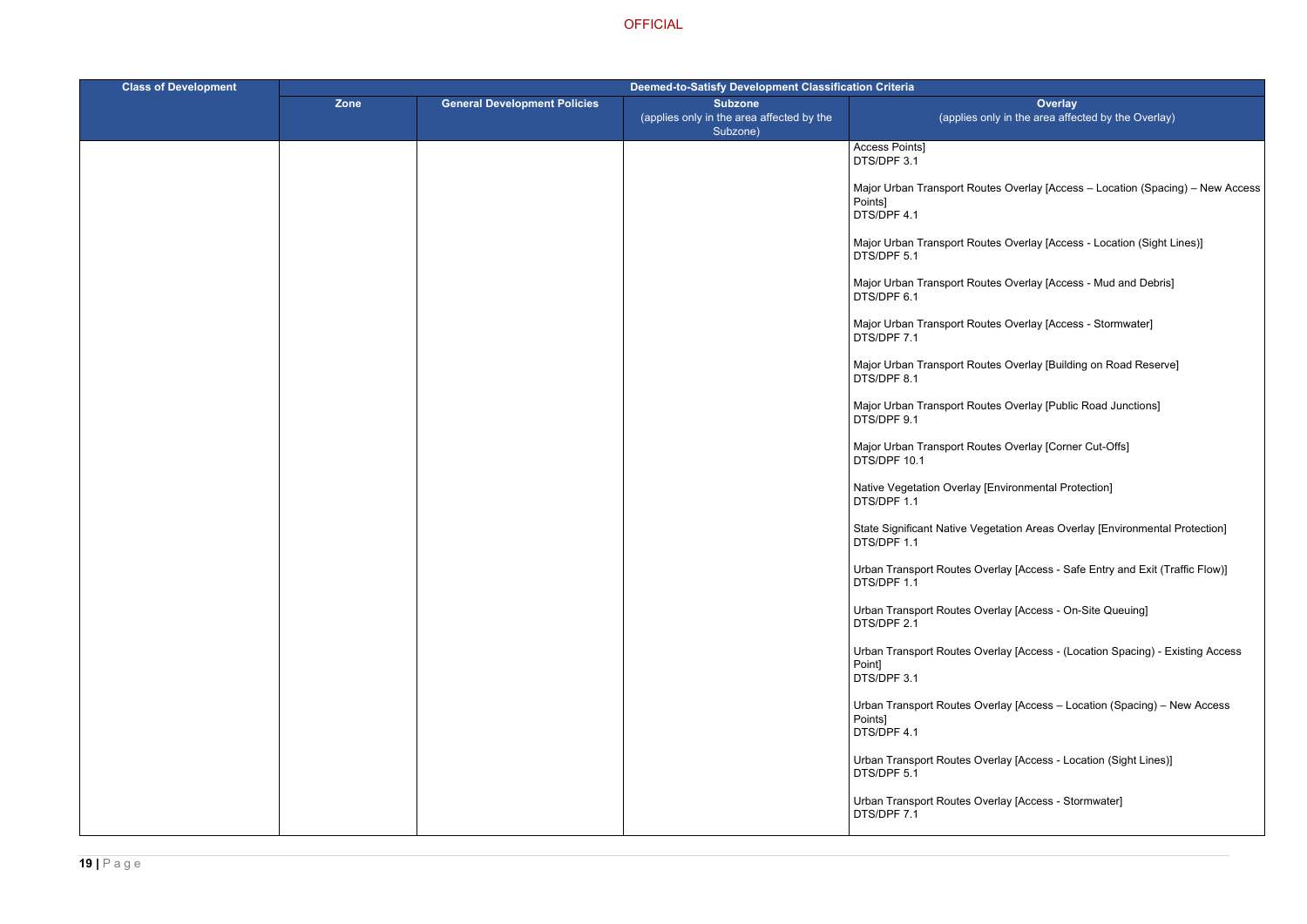tes Overlay [Access – Location (Spacing) – New Access

- tes Overlay [Access Location (Sight Lines)]
- tes Overlay [Access Mud and Debris]
- tes Overlay [Access Stormwater]
- tes Overlay [Building on Road Reserve]
- Ites Overlay [Public Road Junctions]
- tes Overlay [Corner Cut-Offs]
- Environmental Protection]
- getation Areas Overlay [Environmental Protection]
- verlay [Access Safe Entry and Exit (Traffic Flow)]
- erlay [Access On-Site Queuing]
- verlay [Access (Location Spacing) Existing Access
- verlay [Access Location (Spacing) New Access
- verlay [Access Location (Sight Lines)]
- erlay [Access Stormwater]

| <b>Class of Development</b> | Deemed-to-Satisfy Development Classification Criteria |                                     |                                                                         |                                                             |
|-----------------------------|-------------------------------------------------------|-------------------------------------|-------------------------------------------------------------------------|-------------------------------------------------------------|
|                             | Zone                                                  | <b>General Development Policies</b> | <b>Subzone</b><br>(applies only in the area affected by the<br>Subzone) | (applies or                                                 |
|                             |                                                       |                                     |                                                                         | Access Points]<br>DTS/DPF 3.1                               |
|                             |                                                       |                                     |                                                                         | Major Urban Transport Rout<br>Points]<br>DTS/DPF 4.1        |
|                             |                                                       |                                     |                                                                         | Major Urban Transport Rout<br>DTS/DPF 5.1                   |
|                             |                                                       |                                     |                                                                         | Major Urban Transport Rout<br>DTS/DPF 6.1                   |
|                             |                                                       |                                     |                                                                         | Major Urban Transport Rout<br>DTS/DPF 7.1                   |
|                             |                                                       |                                     |                                                                         | Major Urban Transport Rout<br>DTS/DPF 8.1                   |
|                             |                                                       |                                     |                                                                         | Major Urban Transport Rout<br>DTS/DPF 9.1                   |
|                             |                                                       |                                     |                                                                         | Major Urban Transport Rout<br>DTS/DPF 10.1                  |
|                             |                                                       |                                     |                                                                         | Native Vegetation Overlay [I<br>DTS/DPF 1.1                 |
|                             |                                                       |                                     |                                                                         | <b>State Significant Native Veg</b><br>DTS/DPF 1.1          |
|                             |                                                       |                                     |                                                                         | Urban Transport Routes Ove<br>DTS/DPF 1.1                   |
|                             |                                                       |                                     |                                                                         | Urban Transport Routes Ove<br>DTS/DPF 2.1                   |
|                             |                                                       |                                     |                                                                         | Urban Transport Routes Ove<br>Point]<br>DTS/DPF 3.1         |
|                             |                                                       |                                     |                                                                         | <b>Urban Transport Routes Ove</b><br>Points]<br>DTS/DPF 4.1 |
|                             |                                                       |                                     |                                                                         | Urban Transport Routes Ove<br>DTS/DPF 5.1                   |
|                             |                                                       |                                     |                                                                         | Urban Transport Routes Ove<br>DTS/DPF 7.1                   |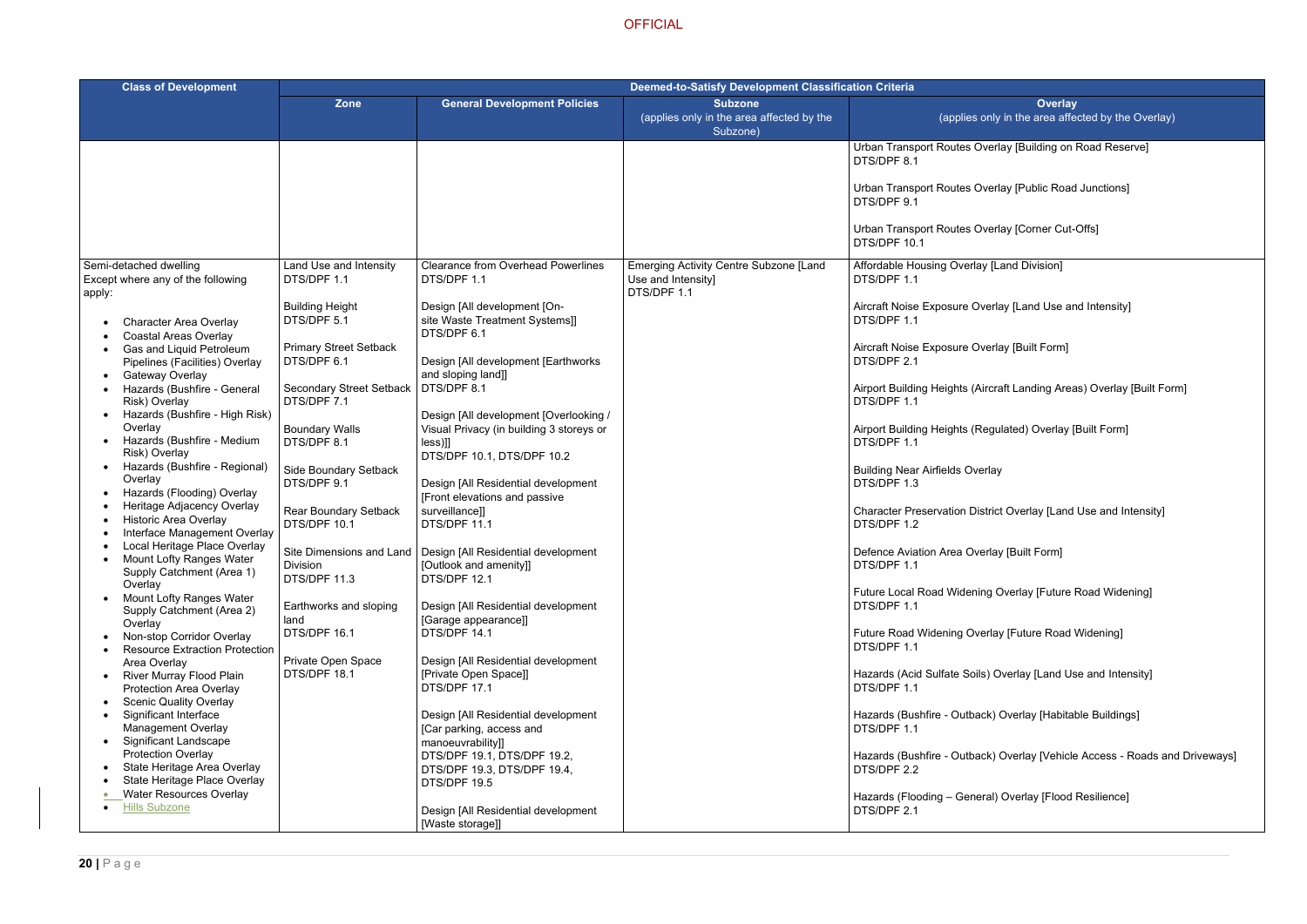verlay [Building on Road Reserve]

verlay [Public Road Junctions]

verlay [Corner Cut-Offs]

 $\sqrt{\text{[Land Division]}}$ 

 $\nu$ erlay [Land Use and Intensity]

verlay [Built Form]

ircraft Landing Areas) Overlay [Built Form]

egulated) Overlay [Built Form]

rlay

strict Overlay [Land Use and Intensity]

rlay [Built Form]

ng Overlay [Future Road Widening]

erlay [Future Road Widening]

s) Overlay [Land Use and Intensity]

ck) Overlay [Habitable Buildings]

ck) Overlay [Vehicle Access - Roads and Driveways]

ral) Overlay [Flood Resilience]

| <b>Class of Development</b>                                                                      | <b>Deemed-to-Satisfy Development Classification Criteria</b> |                                                                                      |                                                                             |                                                    |
|--------------------------------------------------------------------------------------------------|--------------------------------------------------------------|--------------------------------------------------------------------------------------|-----------------------------------------------------------------------------|----------------------------------------------------|
|                                                                                                  | <b>Zone</b>                                                  | <b>General Development Policies</b>                                                  | <b>Subzone</b><br>(applies only in the area affected by the<br>Subzone)     | (applies o                                         |
|                                                                                                  |                                                              |                                                                                      |                                                                             | Urban Transport Routes Ov<br>DTS/DPF 8.1           |
|                                                                                                  |                                                              |                                                                                      |                                                                             | Urban Transport Routes Ov<br>DTS/DPF 9.1           |
|                                                                                                  |                                                              |                                                                                      |                                                                             | Urban Transport Routes Ov<br>DTS/DPF 10.1          |
| Semi-detached dwelling<br>Except where any of the following<br>apply:                            | Land Use and Intensity<br>DTS/DPF 1.1                        | <b>Clearance from Overhead Powerlines</b><br>DTS/DPF 1.1                             | Emerging Activity Centre Subzone [Land<br>Use and Intensity]<br>DTS/DPF 1.1 | <b>Affordable Housing Overlay</b><br>DTS/DPF 1.1   |
| <b>Character Area Overlay</b><br><b>Coastal Areas Overlay</b>                                    | <b>Building Height</b><br>DTS/DPF 5.1                        | Design [All development [On-<br>site Waste Treatment Systems]]<br>DTS/DPF 6.1        |                                                                             | Aircraft Noise Exposure Ov<br>DTS/DPF 1.1          |
| Gas and Liquid Petroleum<br>Pipelines (Facilities) Overlay<br>Gateway Overlay                    | <b>Primary Street Setback</b><br>DTS/DPF 6.1                 | Design [All development [Earthworks<br>and sloping land]]                            |                                                                             | Aircraft Noise Exposure Ove<br>DTS/DPF 2.1         |
| Hazards (Bushfire - General<br>Risk) Overlay<br>Hazards (Bushfire - High Risk)                   | <b>Secondary Street Setback</b><br>DTS/DPF 7.1               | DTS/DPF 8.1<br>Design [All development [Overlooking /                                |                                                                             | Airport Building Heights (Air<br>DTS/DPF 1.1       |
| Overlay<br>Hazards (Bushfire - Medium<br>Risk) Overlay                                           | <b>Boundary Walls</b><br>DTS/DPF 8.1                         | Visual Privacy (in building 3 storeys or<br>$leses$ ]]<br>DTS/DPF 10.1, DTS/DPF 10.2 |                                                                             | <b>Airport Building Heights (Re</b><br>DTS/DPF 1.1 |
| Hazards (Bushfire - Regional)<br>Overlay<br>Hazards (Flooding) Overlay                           | Side Boundary Setback<br>DTS/DPF 9.1                         | Design [All Residential development<br>[Front elevations and passive                 |                                                                             | <b>Building Near Airfields Over</b><br>DTS/DPF 1.3 |
| Heritage Adjacency Overlay<br><b>Historic Area Overlay</b><br>Interface Management Overlay       | Rear Boundary Setback<br>DTS/DPF 10.1                        | surveillance]]<br>DTS/DPF 11.1                                                       |                                                                             | <b>Character Preservation Dist</b><br>DTS/DPF 1.2  |
| Local Heritage Place Overlay<br>Mount Lofty Ranges Water<br>Supply Catchment (Area 1)<br>Overlay | Site Dimensions and Land<br>Division<br>DTS/DPF 11.3         | Design [All Residential development<br>[Outlook and amenity]]<br>DTS/DPF 12.1        |                                                                             | Defence Aviation Area Over<br>DTS/DPF 1.1          |
| Mount Lofty Ranges Water<br>Supply Catchment (Area 2)<br>Overlay                                 | Earthworks and sloping<br>land                               | Design [All Residential development<br>[Garage appearance]]                          |                                                                             | <b>Future Local Road Widenin</b><br>DTS/DPF 1.1    |
| Non-stop Corridor Overlay<br><b>Resource Extraction Protection</b><br>Area Overlay               | DTS/DPF 16.1<br>Private Open Space                           | DTS/DPF 14.1<br>Design [All Residential development                                  |                                                                             | <b>Future Road Widening Ove</b><br>DTS/DPF 1.1     |
| River Murray Flood Plain<br>Protection Area Overlay<br><b>Scenic Quality Overlay</b>             | DTS/DPF 18.1                                                 | [Private Open Space]]<br>DTS/DPF 17.1                                                |                                                                             | Hazards (Acid Sulfate Soils<br>DTS/DPF 1.1         |
| Significant Interface<br><b>Management Overlay</b><br><b>Significant Landscape</b>               |                                                              | Design [All Residential development<br>[Car parking, access and                      |                                                                             | Hazards (Bushfire - Outbac<br>DTS/DPF 1.1          |
| Protection Overlay<br>State Heritage Area Overlay<br>State Heritage Place Overlay                |                                                              | manoeuvrability]]<br>DTS/DPF 19.1, DTS/DPF 19.2,<br>DTS/DPF 19.3, DTS/DPF 19.4,      |                                                                             | Hazards (Bushfire - Outbac<br>DTS/DPF 2.2          |
| <b>Water Resources Overlay</b><br><b>Hills Subzone</b>                                           |                                                              | DTS/DPF 19.5<br>Design [All Residential development<br>[Waste storage]]              |                                                                             | Hazards (Flooding - Genera<br>DTS/DPF 2.1          |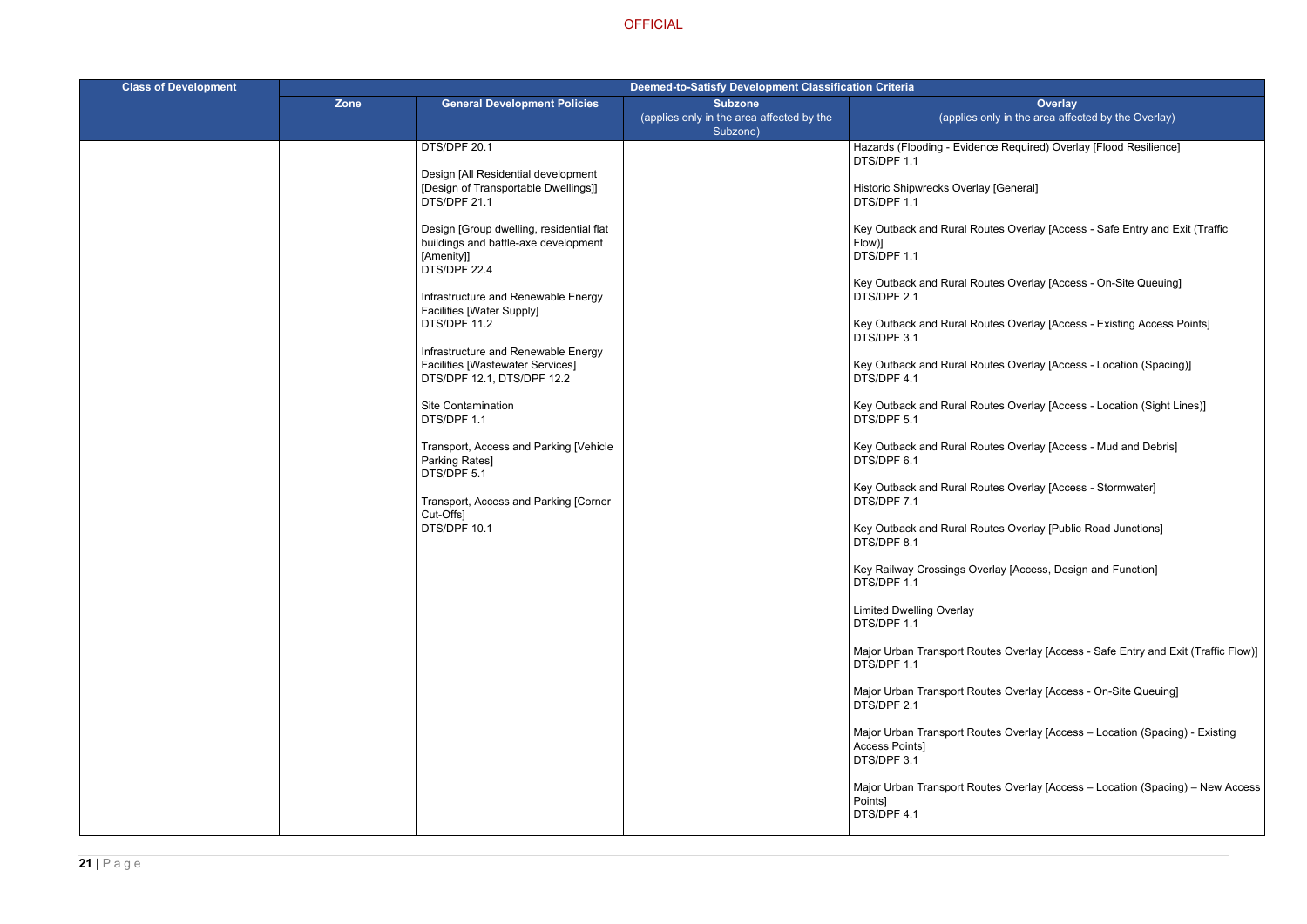**Overlay**  $\eta$ ly in the area affected by the Overlay)

ce Required) Overlay [Flood Resilience]

[General]

Ites Overlay [Access - Safe Entry and Exit (Traffic

Ites Overlay [Access - On-Site Queuing]

Ites Overlay [Access - Existing Access Points]

Ites Overlay [Access - Location (Spacing)]

Ites Overlay [Access - Location (Sight Lines)]

Ites Overlay [Access - Mud and Debris]

Ites Overlay [Access - Stormwater]

Ites Overlay [Public Road Junctions]

erlay [Access, Design and Function]

tes Overlay [Access - Safe Entry and Exit (Traffic Flow)]

tes Overlay [Access - On-Site Queuing]

tes Overlay [Access – Location (Spacing) - Existing

tes Overlay [Access – Location (Spacing) – New Access

| <b>Class of Development</b> | Deemed-to-Satisfy Development Classification Criteria |                                                                                                                                                                                                                                                                                                                                                                                                                                                                                                                                                                                                                                       |                                                             |                                                                                                                                                                                                                                                                                                                                                                                                                                                                                                                                                                                                                                                                                                                                         |
|-----------------------------|-------------------------------------------------------|---------------------------------------------------------------------------------------------------------------------------------------------------------------------------------------------------------------------------------------------------------------------------------------------------------------------------------------------------------------------------------------------------------------------------------------------------------------------------------------------------------------------------------------------------------------------------------------------------------------------------------------|-------------------------------------------------------------|-----------------------------------------------------------------------------------------------------------------------------------------------------------------------------------------------------------------------------------------------------------------------------------------------------------------------------------------------------------------------------------------------------------------------------------------------------------------------------------------------------------------------------------------------------------------------------------------------------------------------------------------------------------------------------------------------------------------------------------------|
|                             | Zone                                                  | <b>General Development Policies</b>                                                                                                                                                                                                                                                                                                                                                                                                                                                                                                                                                                                                   | <b>Subzone</b><br>(applies only in the area affected by the | (applies or                                                                                                                                                                                                                                                                                                                                                                                                                                                                                                                                                                                                                                                                                                                             |
|                             |                                                       | DTS/DPF 20.1<br>Design [All Residential development<br>[Design of Transportable Dwellings]]<br>DTS/DPF 21.1<br>Design [Group dwelling, residential flat<br>buildings and battle-axe development<br>[Amenity]]<br>DTS/DPF 22.4<br>Infrastructure and Renewable Energy<br><b>Facilities [Water Supply]</b><br>DTS/DPF 11.2<br>Infrastructure and Renewable Energy<br><b>Facilities [Wastewater Services]</b><br>DTS/DPF 12.1, DTS/DPF 12.2<br><b>Site Contamination</b><br>DTS/DPF 1.1<br>Transport, Access and Parking [Vehicle<br>Parking Rates]<br>DTS/DPF 5.1<br>Transport, Access and Parking [Corner<br>Cut-Offs1<br>DTS/DPF 10.1 | Subzone)                                                    | Hazards (Flooding - Evidend<br>DTS/DPF 1.1<br><b>Historic Shipwrecks Overlay</b><br>DTS/DPF 1.1<br>Key Outback and Rural Rou<br>Flow)]<br>DTS/DPF 1.1<br>Key Outback and Rural Rou<br>DTS/DPF 2.1<br>Key Outback and Rural Rou<br>DTS/DPF 3.1<br>Key Outback and Rural Rou<br>DTS/DPF 4.1<br>Key Outback and Rural Rou<br>DTS/DPF 5.1<br>Key Outback and Rural Rou<br>DTS/DPF 6.1<br>Key Outback and Rural Rou<br>DTS/DPF 7.1<br>Key Outback and Rural Rou<br>DTS/DPF 8.1<br>Key Railway Crossings Ove<br>DTS/DPF 1.1<br><b>Limited Dwelling Overlay</b><br>DTS/DPF 1.1<br>Major Urban Transport Rout<br>DTS/DPF 1.1<br>Major Urban Transport Rout<br>DTS/DPF 2.1<br>Major Urban Transport Rout<br><b>Access Points]</b><br>DTS/DPF 3.1 |
|                             |                                                       |                                                                                                                                                                                                                                                                                                                                                                                                                                                                                                                                                                                                                                       |                                                             | Major Urban Transport Rout<br>Points]<br>DTS/DPF 4.1                                                                                                                                                                                                                                                                                                                                                                                                                                                                                                                                                                                                                                                                                    |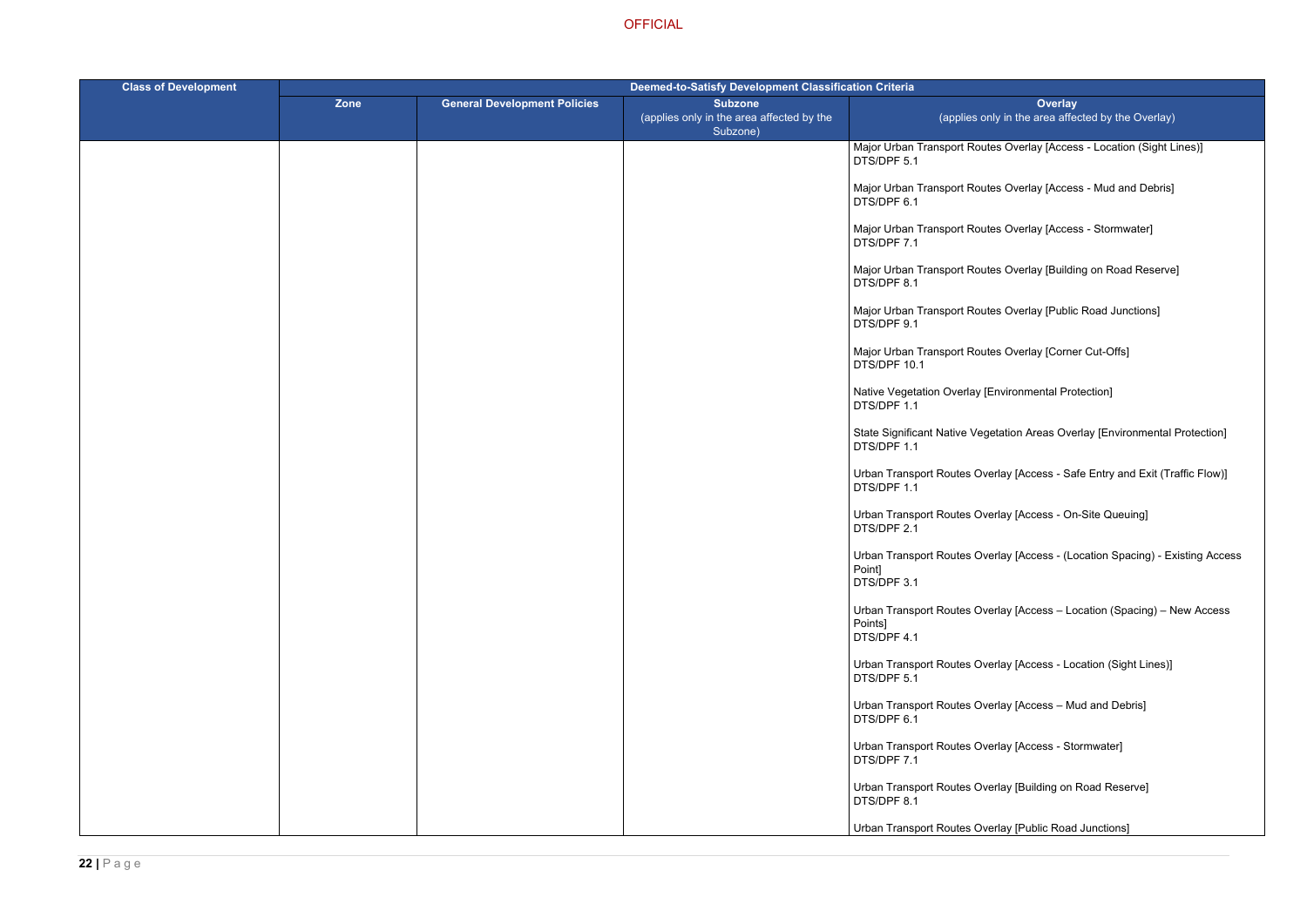tes Overlay [Access - Location (Sight Lines)]

tes Overlay [Access - Mud and Debris]

tes Overlay [Access - Stormwater]

tes Overlay [Building on Road Reserve]

tes Overlay [Public Road Junctions]

tes Overlay [Corner Cut-Offs]

[Environmental Protection]

getation Areas Overlay [Environmental Protection]

verlay [Access - Safe Entry and Exit (Traffic Flow)]

erlay [Access - On-Site Queuing]

verlay [Access - (Location Spacing) - Existing Access

verlay [Access – Location (Spacing) – New Access

verlay [Access - Location (Sight Lines)]

 $\nu$ erlay [Access – Mud and Debris]

verlay [Access - Stormwater]

verlay [Building on Road Reserve]

verlay [Public Road Junctions]

| <b>Class of Development</b> | <b>Deemed-to-Satisfy Development Classification Criteria</b> |                                     |                                                                         |                                                     |
|-----------------------------|--------------------------------------------------------------|-------------------------------------|-------------------------------------------------------------------------|-----------------------------------------------------|
|                             | <b>Zone</b>                                                  | <b>General Development Policies</b> | <b>Subzone</b><br>(applies only in the area affected by the<br>Subzone) | (applies or                                         |
|                             |                                                              |                                     |                                                                         | Major Urban Transport Rout<br>DTS/DPF 5.1           |
|                             |                                                              |                                     |                                                                         | Major Urban Transport Rout<br>DTS/DPF 6.1           |
|                             |                                                              |                                     |                                                                         | Major Urban Transport Rout<br>DTS/DPF 7.1           |
|                             |                                                              |                                     |                                                                         | Major Urban Transport Rout<br>DTS/DPF 8.1           |
|                             |                                                              |                                     |                                                                         | Major Urban Transport Rout<br>DTS/DPF 9.1           |
|                             |                                                              |                                     |                                                                         | Major Urban Transport Rout<br>DTS/DPF 10.1          |
|                             |                                                              |                                     |                                                                         | Native Vegetation Overlay [I<br>DTS/DPF 1.1         |
|                             |                                                              |                                     |                                                                         | <b>State Significant Native Veg</b><br>DTS/DPF 1.1  |
|                             |                                                              |                                     |                                                                         | Urban Transport Routes Ov<br>DTS/DPF 1.1            |
|                             |                                                              |                                     |                                                                         | Urban Transport Routes Ov<br>DTS/DPF 2.1            |
|                             |                                                              |                                     |                                                                         | Urban Transport Routes Ov<br>Point]<br>DTS/DPF 3.1  |
|                             |                                                              |                                     |                                                                         | Urban Transport Routes Ov<br>Points]<br>DTS/DPF 4.1 |
|                             |                                                              |                                     |                                                                         | Urban Transport Routes Ov<br>DTS/DPF 5.1            |
|                             |                                                              |                                     |                                                                         | Urban Transport Routes Ov<br>DTS/DPF 6.1            |
|                             |                                                              |                                     |                                                                         | Urban Transport Routes Ov<br>DTS/DPF 7.1            |
|                             |                                                              |                                     |                                                                         | Urban Transport Routes Ov<br>DTS/DPF 8.1            |
|                             |                                                              |                                     |                                                                         | Urban Transport Routes Ov                           |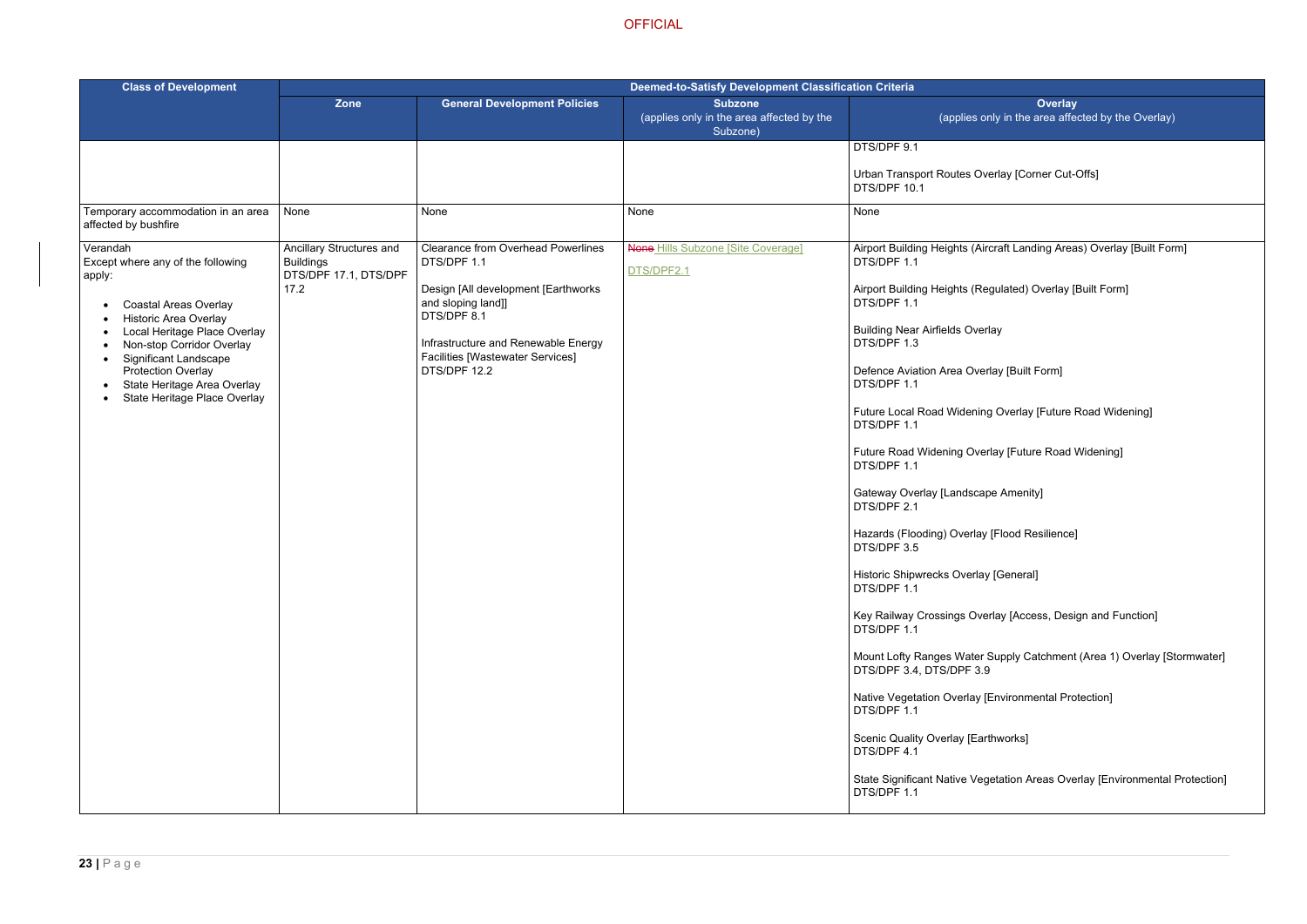verlay [Corner Cut-Offs]

**Fraft Landing Areas) Overlay [Built Form]** 

egulated) Overlay [Built Form]

rlay

rlay [Built Form]

g Overlay [Future Road Widening]

rlay [Future Road Widening]

pe Amenity]

[Flood Resilience]

[General]

erlay [Access, Design and Function]

Supply Catchment (Area 1) Overlay [Stormwater]

[Environmental Protection]

thworks]

getation Areas Overlay [Environmental Protection]

| <b>Class of Development</b>                                                                                                                                                                                                                                                                                      | <b>Deemed-to-Satisfy Development Classification Criteria</b>                  |                                                                                                                                                                                                                                         |                                                                         |                                                                                                                                                                                                                                                                                                                                                                                                                                                                                                                                                                                                                                                                                                        |  |
|------------------------------------------------------------------------------------------------------------------------------------------------------------------------------------------------------------------------------------------------------------------------------------------------------------------|-------------------------------------------------------------------------------|-----------------------------------------------------------------------------------------------------------------------------------------------------------------------------------------------------------------------------------------|-------------------------------------------------------------------------|--------------------------------------------------------------------------------------------------------------------------------------------------------------------------------------------------------------------------------------------------------------------------------------------------------------------------------------------------------------------------------------------------------------------------------------------------------------------------------------------------------------------------------------------------------------------------------------------------------------------------------------------------------------------------------------------------------|--|
|                                                                                                                                                                                                                                                                                                                  | <b>Zone</b>                                                                   | <b>General Development Policies</b>                                                                                                                                                                                                     | <b>Subzone</b><br>(applies only in the area affected by the<br>Subzone) | (applies or                                                                                                                                                                                                                                                                                                                                                                                                                                                                                                                                                                                                                                                                                            |  |
|                                                                                                                                                                                                                                                                                                                  |                                                                               |                                                                                                                                                                                                                                         |                                                                         | DTS/DPF 9.1<br>Urban Transport Routes Ov<br>DTS/DPF 10.1                                                                                                                                                                                                                                                                                                                                                                                                                                                                                                                                                                                                                                               |  |
| Temporary accommodation in an area<br>affected by bushfire                                                                                                                                                                                                                                                       | None                                                                          | None                                                                                                                                                                                                                                    | None                                                                    | None                                                                                                                                                                                                                                                                                                                                                                                                                                                                                                                                                                                                                                                                                                   |  |
| Verandah<br>Except where any of the following<br>apply:<br><b>Coastal Areas Overlay</b><br><b>Historic Area Overlay</b><br>Local Heritage Place Overlay<br>Non-stop Corridor Overlay<br><b>Significant Landscape</b><br><b>Protection Overlay</b><br>State Heritage Area Overlay<br>State Heritage Place Overlay | Ancillary Structures and<br><b>Buildings</b><br>DTS/DPF 17.1, DTS/DPF<br>17.2 | <b>Clearance from Overhead Powerlines</b><br>DTS/DPF 1.1<br>Design [All development [Earthworks]<br>and sloping land]]<br>DTS/DPF 8.1<br>Infrastructure and Renewable Energy<br><b>Facilities [Wastewater Services]</b><br>DTS/DPF 12.2 | <b>None Hills Subzone [Site Coverage]</b><br>DTS/DPF2.1                 | Airport Building Heights (Air<br>DTS/DPF 1.1<br>Airport Building Heights (Re<br>DTS/DPF 1.1<br><b>Building Near Airfields Over</b><br>DTS/DPF 1.3<br>Defence Aviation Area Over<br>DTS/DPF 1.1<br><b>Future Local Road Widening</b><br>DTS/DPF 1.1<br><b>Future Road Widening Over</b><br>DTS/DPF 1.1<br>Gateway Overlay [Landscap<br>DTS/DPF 2.1<br>Hazards (Flooding) Overlay<br>DTS/DPF 3.5<br>Historic Shipwrecks Overlay<br>DTS/DPF 1.1<br>Key Railway Crossings Ove<br>DTS/DPF 1.1<br>Mount Lofty Ranges Water &<br>DTS/DPF 3.4, DTS/DPF 3.9<br>Native Vegetation Overlay [I<br>DTS/DPF 1.1<br>Scenic Quality Overlay [Earl<br>DTS/DPF 4.1<br><b>State Significant Native Veg</b><br>DTS/DPF 1.1 |  |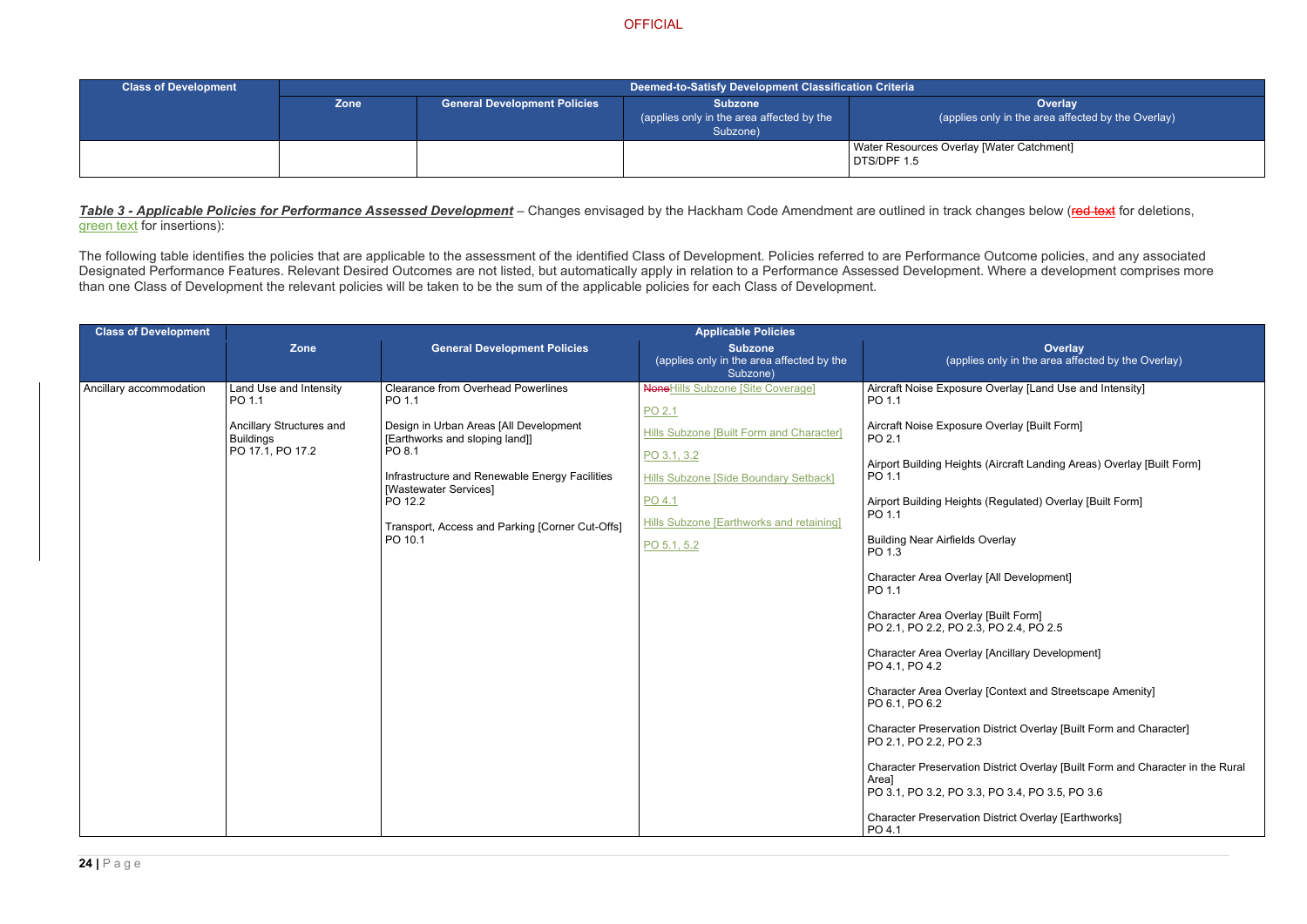**Overlay** ly in the area affected by the Overlay)

### Water Catchment]

| <b>Class of Development</b> |             | Deemed-to-Satisfy Development Classification Criteria |                                                                         |                                                  |
|-----------------------------|-------------|-------------------------------------------------------|-------------------------------------------------------------------------|--------------------------------------------------|
|                             | <b>Zone</b> | <b>General Development Policies</b>                   | <b>Subzone</b><br>(applies only in the area affected by the<br>Subzone) | (applies on                                      |
|                             |             |                                                       |                                                                         | <b>Water Resources Overlay [W</b><br>DTS/DPF 1.5 |

**Table 3 - Applicable Policies for Performance Assessed Development** – Changes envisaged by the Hackham Code Amendment are outlined in track changes below (red text for deletions, green text for insertions):

> **Overlay** only in the area affected by the Overlay)

Overlay [Land Use and Intensity]

Overlay [Built Form]

(Aircraft Landing Areas) Overlay [Built Form]

(Regulated) Overlay [Built Form]

verlay

[All Development]

[Built Form]  $P$ O 2.4, PO 2.5

[Ancillary Development]

[Context and Streetscape Amenity]

District Overlay [Built Form and Character]

District Overlay [Built Form and Character in the Rural

The following table identifies the policies that are applicable to the assessment of the identified Class of Development. Policies referred to are Performance Outcome policies, and any associated Designated Performance Features. Relevant Desired Outcomes are not listed, but automatically apply in relation to a Performance Assessed Development. Where a development comprises more than one Class of Development the relevant policies will be taken to be the sum of the applicable policies for each Class of Development.

| <b>Class of Development</b> | <b>Applicable Policies</b>                   |                                                                          |                                                                         |                                                                     |  |  |
|-----------------------------|----------------------------------------------|--------------------------------------------------------------------------|-------------------------------------------------------------------------|---------------------------------------------------------------------|--|--|
|                             | Zone                                         | <b>General Development Policies</b>                                      | <b>Subzone</b><br>(applies only in the area affected by the<br>Subzone) | (applies                                                            |  |  |
| Ancillary accommodation     | Land Use and Intensity<br>PO 1.1             | <b>Clearance from Overhead Powerlines</b><br>PO 1.1                      | <b>NoneHills Subzone [Site Coverage]</b><br>PO 2.1                      | Aircraft Noise Exposure<br>PO 1.1                                   |  |  |
|                             | Ancillary Structures and<br><b>Buildings</b> | Design in Urban Areas [All Development<br>[Earthworks and sloping land]] | Hills Subzone [Built Form and Character]                                | Aircraft Noise Exposure<br>PO 2.1                                   |  |  |
|                             | PO 17.1, PO 17.2                             | PO 8.1<br>Infrastructure and Renewable Energy Facilities                 | PO 3.1, 3.2<br><b>Hills Subzone [Side Boundary Setback]</b>             | Airport Building Heights<br>PO 1.1                                  |  |  |
|                             |                                              | [Wastewater Services]<br>PO 12.2                                         | PO 4.1                                                                  | Airport Building Heights (<br>PO 1.1                                |  |  |
|                             |                                              | Transport, Access and Parking [Corner Cut-Offs]<br>PO 10.1               | Hills Subzone [Earthworks and retaining]<br>PO 5.1, 5.2                 | <b>Building Near Airfields O</b><br>PO 1.3                          |  |  |
|                             |                                              |                                                                          |                                                                         | Character Area Overlay<br>PO 1.1                                    |  |  |
|                             |                                              |                                                                          |                                                                         | Character Area Overlay<br>PO 2.1, PO 2.2, PO 2.3,                   |  |  |
|                             |                                              |                                                                          |                                                                         | Character Area Overlay<br>PO 4.1, PO 4.2                            |  |  |
|                             |                                              |                                                                          |                                                                         | Character Area Overlay<br>PO 6.1, PO 6.2                            |  |  |
|                             |                                              |                                                                          |                                                                         | <b>Character Preservation D</b><br>PO 2.1, PO 2.2, PO 2.3           |  |  |
|                             |                                              |                                                                          |                                                                         | <b>Character Preservation D</b><br>Area]<br>PO 3.1, PO 3.2, PO 3.3, |  |  |
|                             |                                              |                                                                          |                                                                         | <b>Character Preservation D</b><br>PO 4.1                           |  |  |

PO 3.1, PO 3.2, PO 3.3, PO 3.4, PO 3.5, PO 3.6

District Overlay [Earthworks]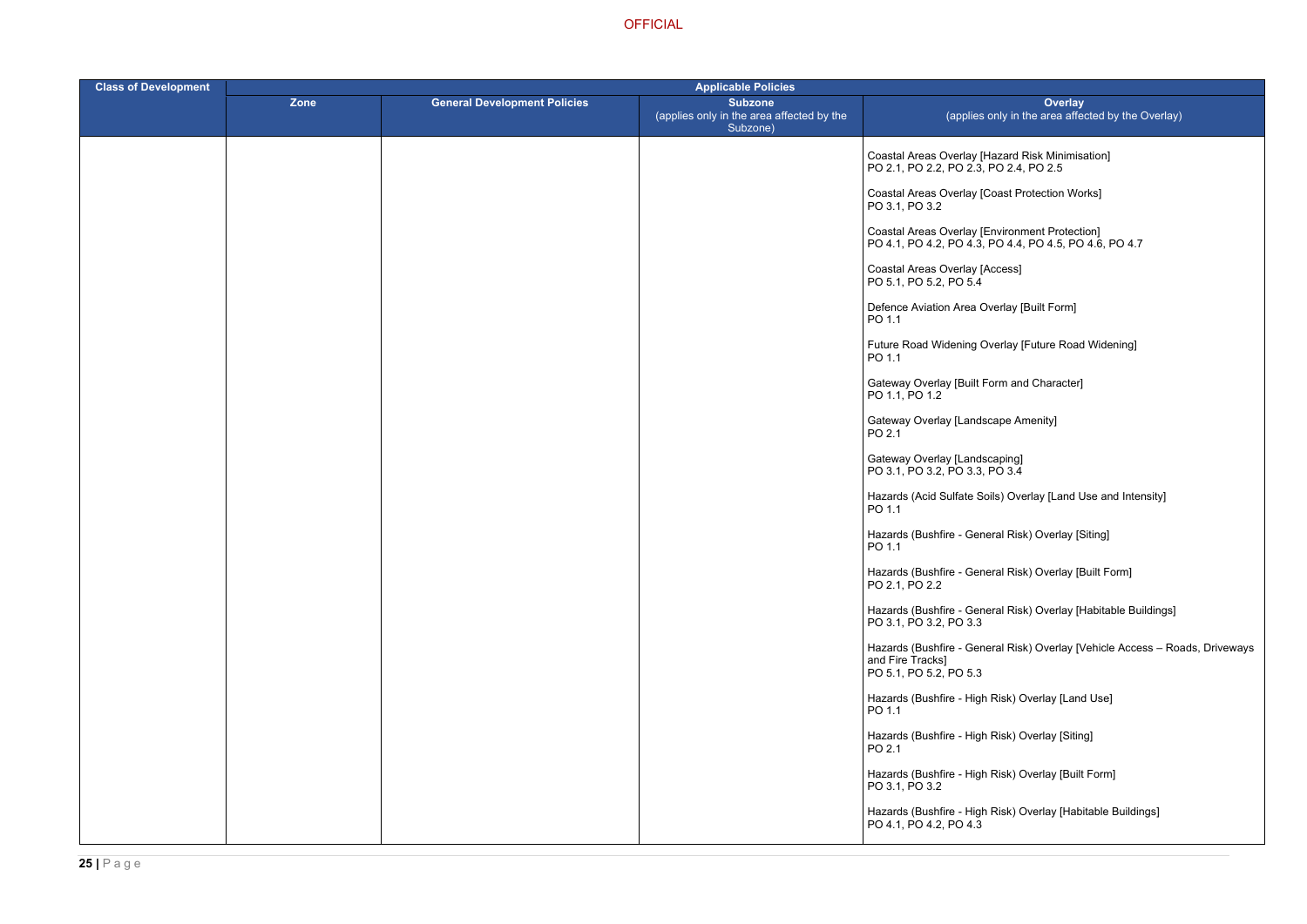> Hazard Risk Minimisation] PO 2.4, PO 2.5

Coast Protection Works]

Invironment Protection] PO 4.1, PO 4.2, PO 4.3, PO 4.4, PO 4.5, PO 4.6, PO 4.7

\ccess]

verlay [Built Form]

verlay [Future Road Widening]

Form and Character]

cape Amenity]

caping]  $\overline{PO}$  3.4

hils) Overlay [Land Use and Intensity]

eral Risk) Overlay [Siting]

eral Risk) Overlay [Built Form]

eral Risk) Overlay [Habitable Buildings]

eral Risk) Overlay [Vehicle Access – Roads, Driveways

ا Risk) Overlay [Land Use]

Risk) Overlay [Siting]

Risk) Overlay [Built Form]

Risk) Overlay [Habitable Buildings]

| <b>Class of Development</b> |      |                                     | <b>Applicable Policies</b>                                              |                                                                        |  |
|-----------------------------|------|-------------------------------------|-------------------------------------------------------------------------|------------------------------------------------------------------------|--|
|                             | Zone | <b>General Development Policies</b> | <b>Subzone</b><br>(applies only in the area affected by the<br>Subzone) | (applies c                                                             |  |
|                             |      |                                     |                                                                         | Coastal Areas Overlay [H<br>PO 2.1, PO 2.2, PO 2.3, F                  |  |
|                             |      |                                     |                                                                         | Coastal Areas Overlay [C<br>PO 3.1, PO 3.2                             |  |
|                             |      |                                     |                                                                         | Coastal Areas Overlay [El<br>PO 4.1, PO 4.2, PO 4.3, F                 |  |
|                             |      |                                     |                                                                         | Coastal Areas Overlay [A<br>PO 5.1, PO 5.2, PO 5.4                     |  |
|                             |      |                                     |                                                                         | Defence Aviation Area Ov<br>PO 1.1                                     |  |
|                             |      |                                     |                                                                         | Future Road Widening Ov<br>PO 1.1                                      |  |
|                             |      |                                     |                                                                         | Gateway Overlay [Built Fo<br>PO 1.1, PO 1.2                            |  |
|                             |      |                                     |                                                                         | Gateway Overlay [Landso<br>PO 2.1                                      |  |
|                             |      |                                     |                                                                         | Gateway Overlay [Landso<br>PO 3.1, PO 3.2, PO 3.3, F                   |  |
|                             |      |                                     |                                                                         | Hazards (Acid Sulfate Soi<br>PO 1.1                                    |  |
|                             |      |                                     |                                                                         | Hazards (Bushfire - Gene<br>PO 1.1                                     |  |
|                             |      |                                     |                                                                         | Hazards (Bushfire - Gene<br>PO 2.1, PO 2.2                             |  |
|                             |      |                                     |                                                                         | Hazards (Bushfire - Gene<br>PO 3.1, PO 3.2, PO 3.3                     |  |
|                             |      |                                     |                                                                         | Hazards (Bushfire - Gene<br>and Fire Tracks]<br>PO 5.1, PO 5.2, PO 5.3 |  |
|                             |      |                                     |                                                                         | Hazards (Bushfire - High I<br>PO 1.1                                   |  |
|                             |      |                                     |                                                                         | Hazards (Bushfire - High I<br>PO 2.1                                   |  |
|                             |      |                                     |                                                                         | Hazards (Bushfire - High I<br>PO 3.1, PO 3.2                           |  |
|                             |      |                                     |                                                                         | Hazards (Bushfire - High I<br>PO 4.1, PO 4.2, PO 4.3                   |  |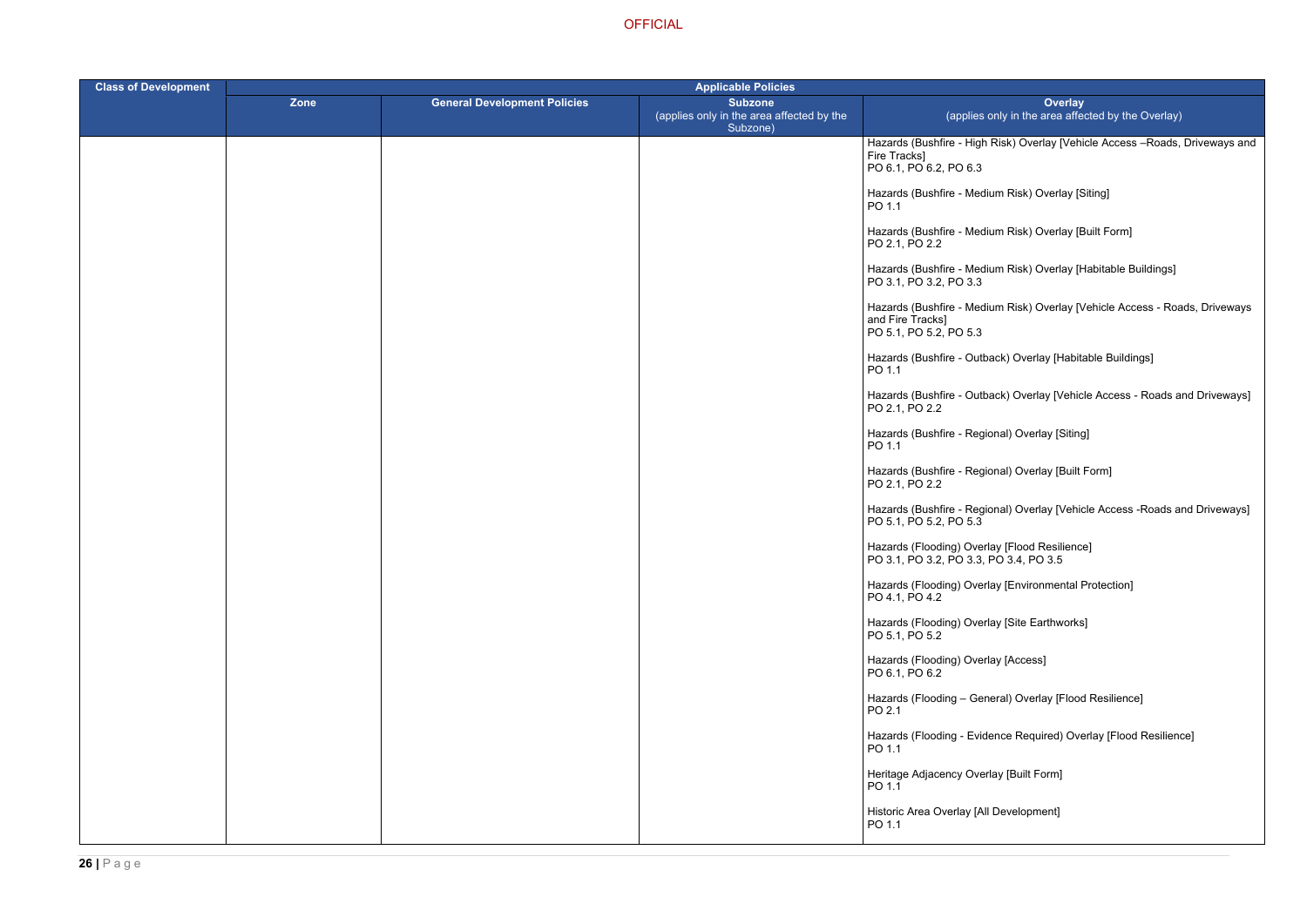Risk) Overlay [Vehicle Access –Roads, Driveways and

- ium Risk) Overlay [Siting]
- ium Risk) Overlay [Built Form]
- ium Risk) Overlay [Habitable Buildings]
- ium Risk) Overlay [Vehicle Access Roads, Driveways
- back) Overlay [Habitable Buildings]
- hack) Overlay [Vehicle Access Roads and Driveways]
- ional) Overlay [Siting]
- ional) Overlay [Built Form]
- ional) Overlay [Vehicle Access -Roads and Driveways]
- 
- Iay [Environmental Protection]
- lay [Site Earthworks]
- lay [Access]
- heral) Overlay [Flood Resilience]
- lence Required) Overlay [Flood Resilience]
- rlay [Built Form]
- Development]

| <b>Class of Development</b> | <b>Applicable Policies</b> |                                     |                                                                         |                                                                                            |
|-----------------------------|----------------------------|-------------------------------------|-------------------------------------------------------------------------|--------------------------------------------------------------------------------------------|
|                             | <b>Zone</b>                | <b>General Development Policies</b> | <b>Subzone</b><br>(applies only in the area affected by the<br>Subzone) | <b>Overlay</b><br>(applies only in the area affect                                         |
|                             |                            |                                     |                                                                         | Hazards (Bushfire - High Risk) Overlay [Vehic<br>Fire Tracks]<br>PO 6.1, PO 6.2, PO 6.3    |
|                             |                            |                                     |                                                                         | Hazards (Bushfire - Medium Risk) Overlay [Sit<br>PO 1.1                                    |
|                             |                            |                                     |                                                                         | Hazards (Bushfire - Medium Risk) Overlay [Bu<br>PO 2.1, PO 2.2                             |
|                             |                            |                                     |                                                                         | Hazards (Bushfire - Medium Risk) Overlay [Ha<br>PO 3.1, PO 3.2, PO 3.3                     |
|                             |                            |                                     |                                                                         | Hazards (Bushfire - Medium Risk) Overlay [Ve<br>and Fire Tracks]<br>PO 5.1, PO 5.2, PO 5.3 |
|                             |                            |                                     |                                                                         | Hazards (Bushfire - Outback) Overlay [Habital<br>PO 1.1                                    |
|                             |                            |                                     |                                                                         | Hazards (Bushfire - Outback) Overlay [Vehicle<br>PO 2.1, PO 2.2                            |
|                             |                            |                                     |                                                                         | Hazards (Bushfire - Regional) Overlay [Siting]<br>PO 1.1                                   |
|                             |                            |                                     |                                                                         | Hazards (Bushfire - Regional) Overlay [Built F<br>PO 2.1, PO 2.2                           |
|                             |                            |                                     |                                                                         | Hazards (Bushfire - Regional) Overlay [Vehicle<br>PO 5.1, PO 5.2, PO 5.3                   |
|                             |                            |                                     |                                                                         | Hazards (Flooding) Overlay [Flood Resilience]<br>PO 3.1, PO 3.2, PO 3.3, PO 3.4, PO 3.5    |
|                             |                            |                                     |                                                                         | Hazards (Flooding) Overlay [Environmental Pr<br>PO 4.1, PO 4.2                             |
|                             |                            |                                     |                                                                         | Hazards (Flooding) Overlay [Site Earthworks]<br>PO 5.1, PO 5.2                             |
|                             |                            |                                     |                                                                         | Hazards (Flooding) Overlay [Access]<br>PO 6.1, PO 6.2                                      |
|                             |                            |                                     |                                                                         | Hazards (Flooding - General) Overlay [Flood<br>PO 2.1                                      |
|                             |                            |                                     |                                                                         | Hazards (Flooding - Evidence Required) Over<br>PO 1.1                                      |
|                             |                            |                                     |                                                                         | Heritage Adjacency Overlay [Built Form]<br>PO 1.1                                          |
|                             |                            |                                     |                                                                         | Historic Area Overlay [All Development]<br>PO 1.1                                          |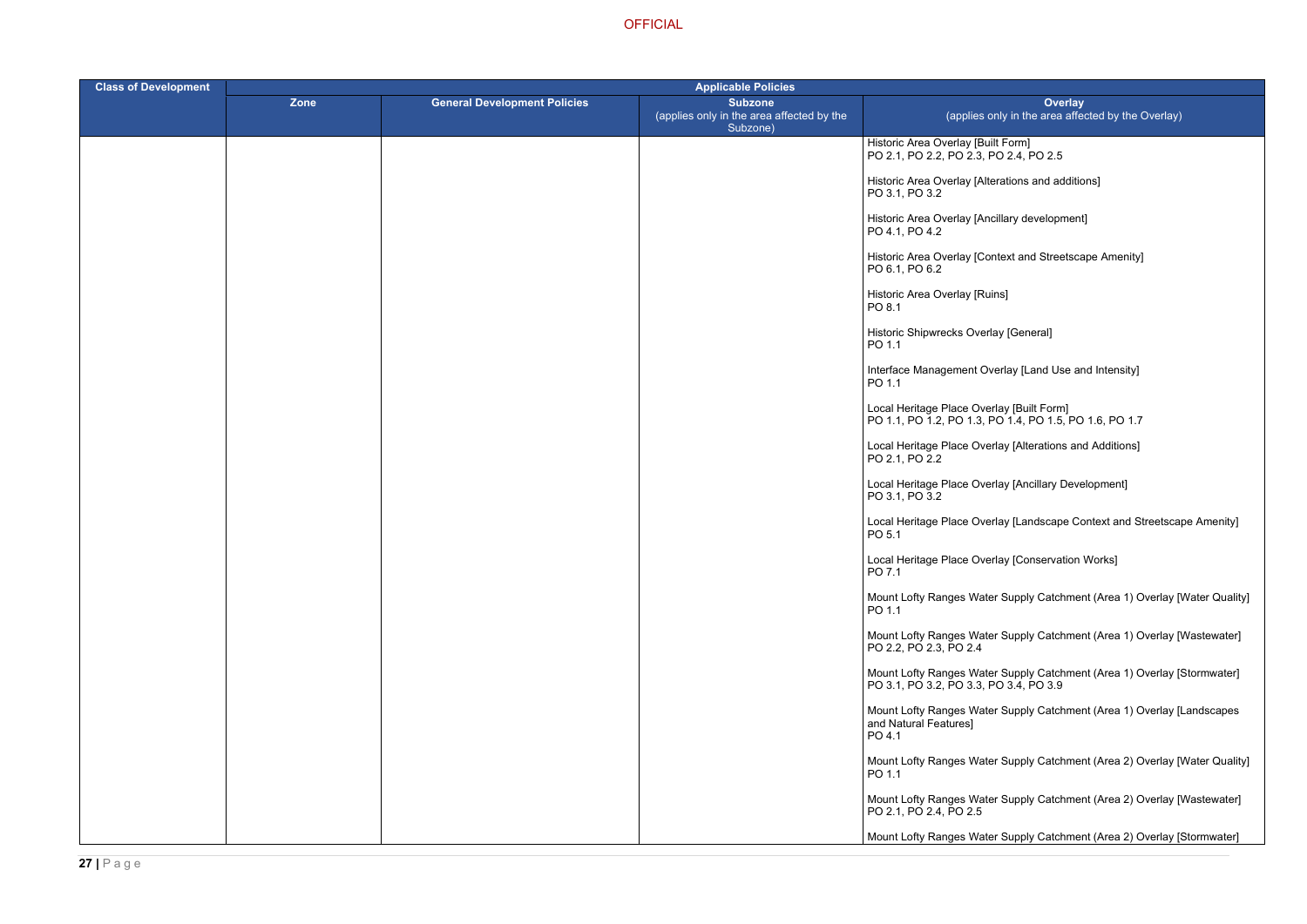terations and additions]

ncillary development]

ontext and Streetscape Amenity]

Ioterlay [Land Use and Intensity]

PO 1.1, PO 1.2, PO 1.3, PO 1.4, PO 1.5, PO 1.6, PO 1.7

erlay [Alterations and Additions]

erlay [Ancillary Development]

erlay [Landscape Context and Streetscape Amenity]

erlay [Conservation Works]

ter Supply Catchment (Area 1) Overlay [Water Quality]

ter Supply Catchment (Area 1) Overlay [Wastewater]

er Supply Catchment (Area 1) Overlay [Stormwater] PO 3.4, PO 3.9

ter Supply Catchment (Area 1) Overlay [Landscapes

ter Supply Catchment (Area 2) Overlay [Water Quality]

er Supply Catchment (Area 2) Overlay [Wastewater]

ter Supply Catchment (Area 2) Overlay [Stormwater]

| <b>Class of Development</b> | <b>Applicable Policies</b> |                                     |                                                                         |                                                                                      |
|-----------------------------|----------------------------|-------------------------------------|-------------------------------------------------------------------------|--------------------------------------------------------------------------------------|
|                             | Zone                       | <b>General Development Policies</b> | <b>Subzone</b><br>(applies only in the area affected by the<br>Subzone) | Over<br>(applies only in the area                                                    |
|                             |                            |                                     |                                                                         | Historic Area Overlay [Built Form]<br>PO 2.1, PO 2.2, PO 2.3, PO 2.4, PO 2.5         |
|                             |                            |                                     |                                                                         | Historic Area Overlay [Alterations and add<br>PO 3.1, PO 3.2                         |
|                             |                            |                                     |                                                                         | Historic Area Overlay [Ancillary developm<br>PO 4.1, PO 4.2                          |
|                             |                            |                                     |                                                                         | Historic Area Overlay [Context and Street<br>PO 6.1, PO 6.2                          |
|                             |                            |                                     |                                                                         | Historic Area Overlay [Ruins]<br>PO 8.1                                              |
|                             |                            |                                     |                                                                         | Historic Shipwrecks Overlay [General]<br>PO 1.1                                      |
|                             |                            |                                     |                                                                         | Interface Management Overlay [Land Use<br>PO 1.1                                     |
|                             |                            |                                     |                                                                         | Local Heritage Place Overlay [Built Form]<br>PO 1.1, PO 1.2, PO 1.3, PO 1.4, PO 1.5, |
|                             |                            |                                     |                                                                         | Local Heritage Place Overlay [Alterations<br>PO 2.1, PO 2.2                          |
|                             |                            |                                     |                                                                         | Local Heritage Place Overlay [Ancillary D<br>PO 3.1, PO 3.2                          |
|                             |                            |                                     |                                                                         | Local Heritage Place Overlay [Landscape<br>PO 5.1                                    |
|                             |                            |                                     |                                                                         | Local Heritage Place Overlay [Conservati<br>PO 7.1                                   |
|                             |                            |                                     |                                                                         | Mount Lofty Ranges Water Supply Catchi<br>PO 1.1                                     |
|                             |                            |                                     |                                                                         | Mount Lofty Ranges Water Supply Catch<br>PO 2.2, PO 2.3, PO 2.4                      |
|                             |                            |                                     |                                                                         | Mount Lofty Ranges Water Supply Catch<br>PO 3.1, PO 3.2, PO 3.3, PO 3.4, PO 3.9      |
|                             |                            |                                     |                                                                         | Mount Lofty Ranges Water Supply Catch<br>and Natural Features]<br>PO 4.1             |
|                             |                            |                                     |                                                                         | Mount Lofty Ranges Water Supply Catch<br>PO 1.1                                      |
|                             |                            |                                     |                                                                         | Mount Lofty Ranges Water Supply Catch<br>PO 2.1, PO 2.4, PO 2.5                      |
|                             |                            |                                     |                                                                         | Mount Lofty Ranges Water Supply Catch                                                |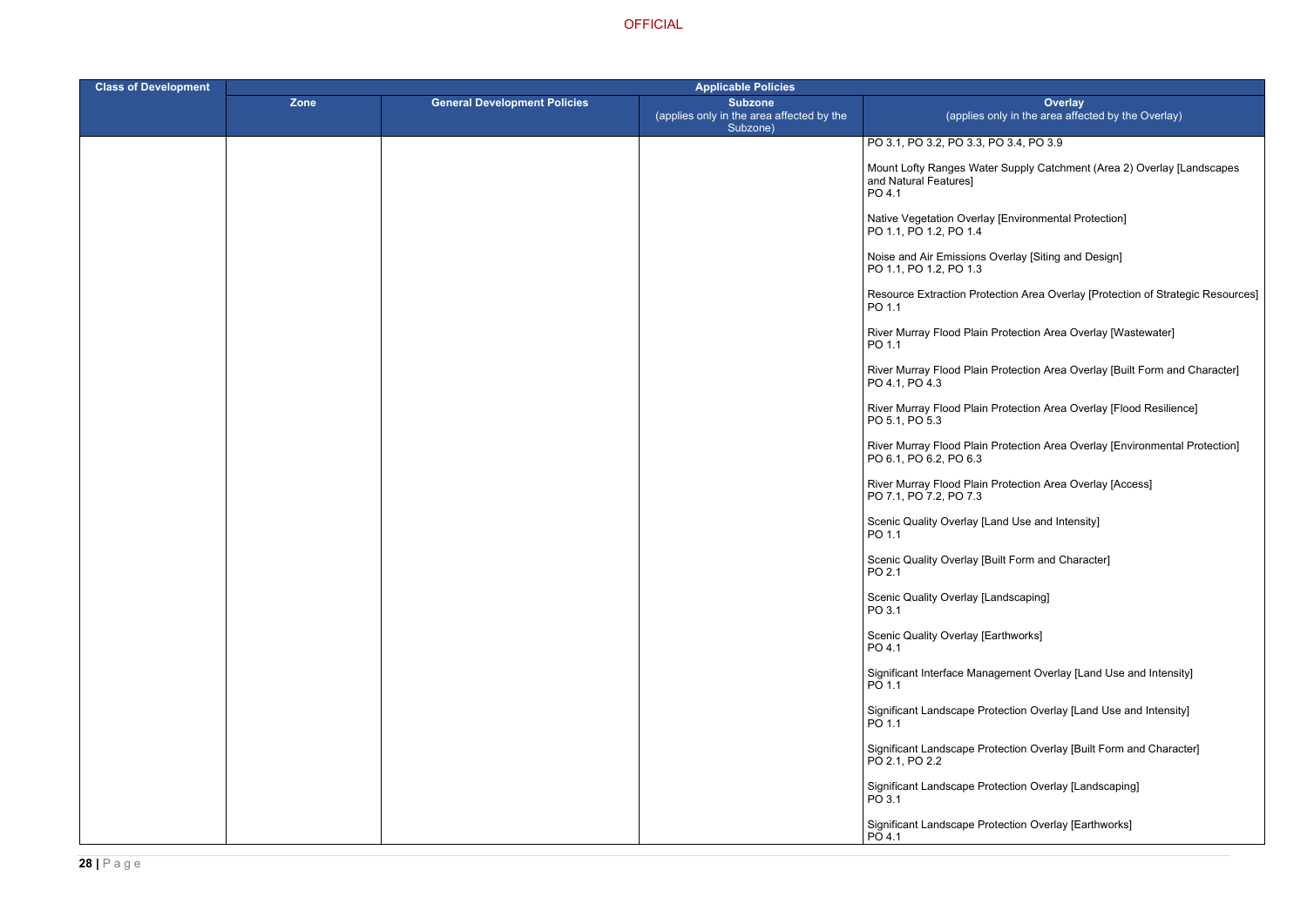PO 3.4, PO 3.9

ter Supply Catchment (Area 2) Overlay [Landscapes

ay [Environmental Protection]

Overlay [Siting and Design]

tection Area Overlay [Protection of Strategic Resources]

- **Protection Area Overlay [Wastewater]**
- Protection Area Overlay [Built Form and Character]
- r Protection Area Overlay [Flood Resilience]
- **Protection Area Overlay [Environmental Protection]**
- Rrotection Area Overlay [Access] ا
- Land Use and Intensity]
- Built Form and Character]
- Landscaping]
- Earthworks]
- agement Overlay [Land Use and Intensity]
- rotection Overlay [Land Use and Intensity]
- rotection Overlay [Built Form and Character]
- rotection Overlay [Landscaping]
- rotection Overlay [Earthworks]

| <b>Class of Development</b> |      |                                     | <b>Applicable Policies</b>                                              |                                                            |  |
|-----------------------------|------|-------------------------------------|-------------------------------------------------------------------------|------------------------------------------------------------|--|
|                             | Zone | <b>General Development Policies</b> | <b>Subzone</b><br>(applies only in the area affected by the<br>Subzone) | (applies o                                                 |  |
|                             |      |                                     |                                                                         | PO 3.1, PO 3.2, PO 3.3, R                                  |  |
|                             |      |                                     |                                                                         | Mount Lofty Ranges Wate<br>and Natural Features]<br>PO 4.1 |  |
|                             |      |                                     |                                                                         | Native Vegetation Overlay<br>PO 1.1, PO 1.2, PO 1.4        |  |
|                             |      |                                     |                                                                         | Noise and Air Emissions<br>PO 1.1, PO 1.2, PO 1.3          |  |
|                             |      |                                     |                                                                         | <b>Resource Extraction Prot</b><br>PO 1.1                  |  |
|                             |      |                                     |                                                                         | River Murray Flood Plain<br>PO 1.1                         |  |
|                             |      |                                     |                                                                         | River Murray Flood Plain<br>PO 4.1, PO 4.3                 |  |
|                             |      |                                     |                                                                         | River Murray Flood Plain<br>PO 5.1, PO 5.3                 |  |
|                             |      |                                     |                                                                         | River Murray Flood Plain<br>PO 6.1, PO 6.2, PO 6.3         |  |
|                             |      |                                     |                                                                         | River Murray Flood Plain<br>PO 7.1, PO 7.2, PO 7.3         |  |
|                             |      |                                     |                                                                         | <b>Scenic Quality Overlay [L</b><br>PO 1.1                 |  |
|                             |      |                                     |                                                                         | <b>Scenic Quality Overlay [B</b><br>PO 2.1                 |  |
|                             |      |                                     |                                                                         | Scenic Quality Overlay [L<br>PO 3.1                        |  |
|                             |      |                                     |                                                                         | Scenic Quality Overlay [E<br>PO 4.1                        |  |
|                             |      |                                     |                                                                         | Significant Interface Mana<br>PO 1.1                       |  |
|                             |      |                                     |                                                                         | Significant Landscape Pro<br>PO 1.1                        |  |
|                             |      |                                     |                                                                         | Significant Landscape Pro<br>PO 2.1, PO 2.2                |  |
|                             |      |                                     |                                                                         | Significant Landscape Pro<br>PO 3.1                        |  |
|                             |      |                                     |                                                                         | Significant Landscape Pro<br>PO 4.1                        |  |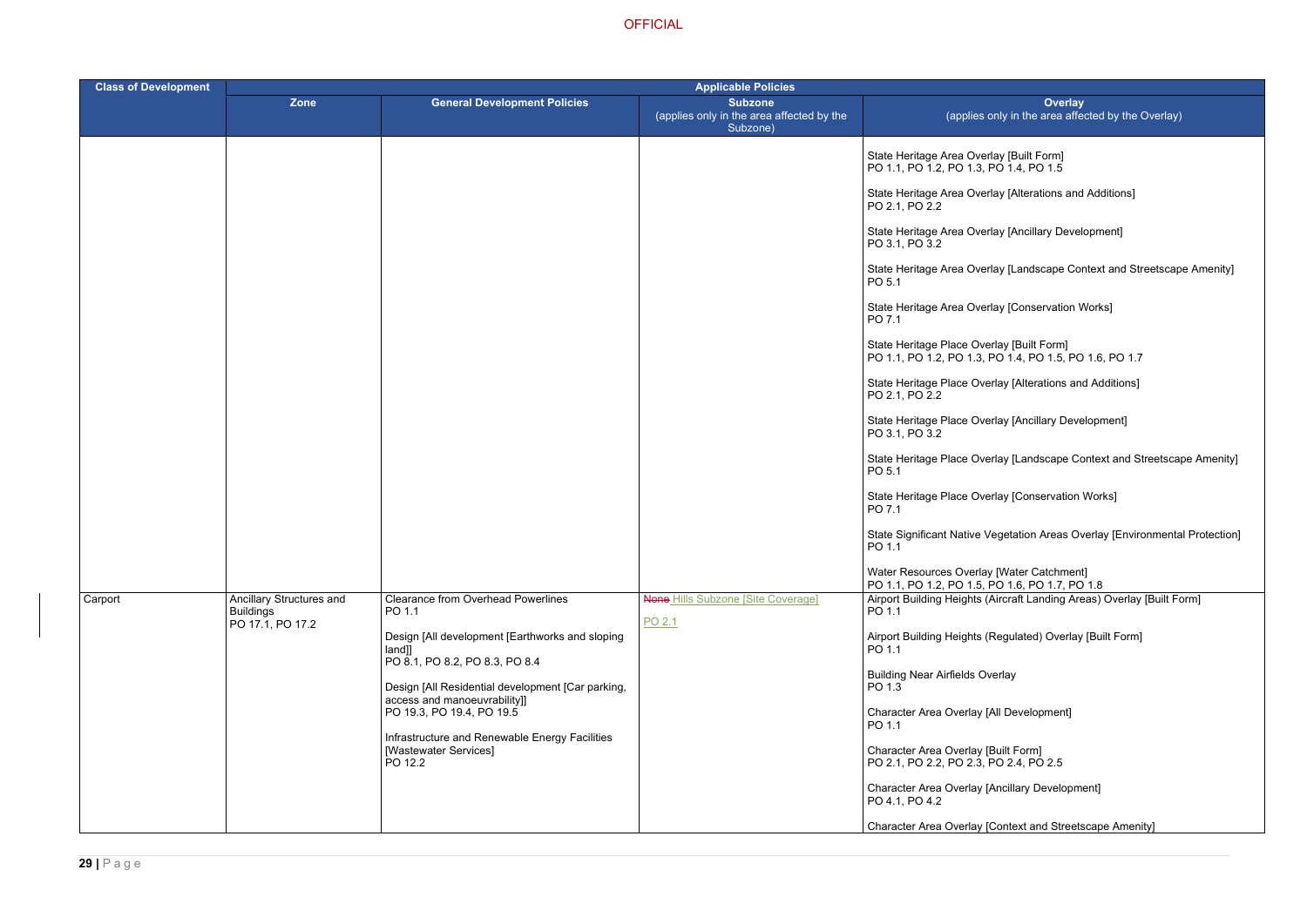rlay [Alterations and Additions]

rlay [Ancillary Development]

rlay [Landscape Context and Streetscape Amenity]

rlay [Conservation Works]

erlay [Built Form] PO 1.1, PO 1.2, PO 1.3, PO 1.4, PO 1.5, PO 1.6, PO 1.7

erlay [Alterations and Additions]

erlay [Ancillary Development]

erlay [Landscape Context and Streetscape Amenity]

erlay [Conservation Works]

Vegetation Areas Overlay [Environmental Protection]

(Aircraft Landing Areas) Overlay [Built Form]

(Regulated) Overlay [Built Form]

[Context and Streetscape Amenity]

| <b>Class of Development</b> | <b>Applicable Policies</b>                                       |                                                                                                                                                                                                                                                                                                                                                            |                                                                         |                                                                                                                                                                                                                                                                                                                                                                                                                                                                                                                                                                                                                                                                                                                                                                                                                                   |  |
|-----------------------------|------------------------------------------------------------------|------------------------------------------------------------------------------------------------------------------------------------------------------------------------------------------------------------------------------------------------------------------------------------------------------------------------------------------------------------|-------------------------------------------------------------------------|-----------------------------------------------------------------------------------------------------------------------------------------------------------------------------------------------------------------------------------------------------------------------------------------------------------------------------------------------------------------------------------------------------------------------------------------------------------------------------------------------------------------------------------------------------------------------------------------------------------------------------------------------------------------------------------------------------------------------------------------------------------------------------------------------------------------------------------|--|
|                             | <b>Zone</b>                                                      | <b>General Development Policies</b>                                                                                                                                                                                                                                                                                                                        | <b>Subzone</b><br>(applies only in the area affected by the<br>Subzone) | Overlay<br>(applies only in the area affected                                                                                                                                                                                                                                                                                                                                                                                                                                                                                                                                                                                                                                                                                                                                                                                     |  |
|                             |                                                                  |                                                                                                                                                                                                                                                                                                                                                            |                                                                         | State Heritage Area Overlay [Built Form]<br>PO 1.1, PO 1.2, PO 1.3, PO 1.4, PO 1.5<br>State Heritage Area Overlay [Alterations and Add<br>PO 2.1, PO 2.2<br>State Heritage Area Overlay [Ancillary Developm<br>PO 3.1, PO 3.2<br>State Heritage Area Overlay [Landscape Contex<br>PO 5.1<br>State Heritage Area Overlay [Conservation Work<br>PO 7.1<br>State Heritage Place Overlay [Built Form]<br>PO 1.1, PO 1.2, PO 1.3, PO 1.4, PO 1.5, PO 1.6<br>State Heritage Place Overlay [Alterations and Ad<br>PO 2.1, PO 2.2<br>State Heritage Place Overlay [Ancillary Developı<br>PO 3.1, PO 3.2<br>State Heritage Place Overlay [Landscape Conte<br>PO 5.1<br>State Heritage Place Overlay [Conservation Wor<br>PO 7.1<br>State Significant Native Vegetation Areas Overla<br>PO 1.1<br>Water Resources Overlay [Water Catchment] |  |
| Carport                     | Ancillary Structures and<br><b>Buildings</b><br>PO 17.1, PO 17.2 | <b>Clearance from Overhead Powerlines</b><br>PO 1.1<br>Design [All development [Earthworks and sloping<br>land]]<br>PO 8.1, PO 8.2, PO 8.3, PO 8.4<br>Design [All Residential development [Car parking,<br>access and manoeuvrability]]<br>PO 19.3, PO 19.4, PO 19.5<br>Infrastructure and Renewable Energy Facilities<br>[Wastewater Services]<br>PO 12.2 | <b>None Hills Subzone [Site Coverage]</b><br>PO 2.1                     | PO 1.1, PO 1.2, PO 1.5, PO 1.6, PO 1.7, PO 1.8<br>Airport Building Heights (Aircraft Landing Areas)<br>PO 1.1<br>Airport Building Heights (Regulated) Overlay [Bu<br>PO 1.1<br><b>Building Near Airfields Overlay</b><br>PO 1.3<br>Character Area Overlay [All Development]<br>PO 1.1<br>Character Area Overlay [Built Form]<br>PO 2.1, PO 2.2, PO 2.3, PO 2.4, PO 2.5<br><b>Character Area Overlay [Ancillary Development]</b><br>PO 4.1, PO 4.2<br>Character Area Overlay [Context and Streetscap                                                                                                                                                                                                                                                                                                                               |  |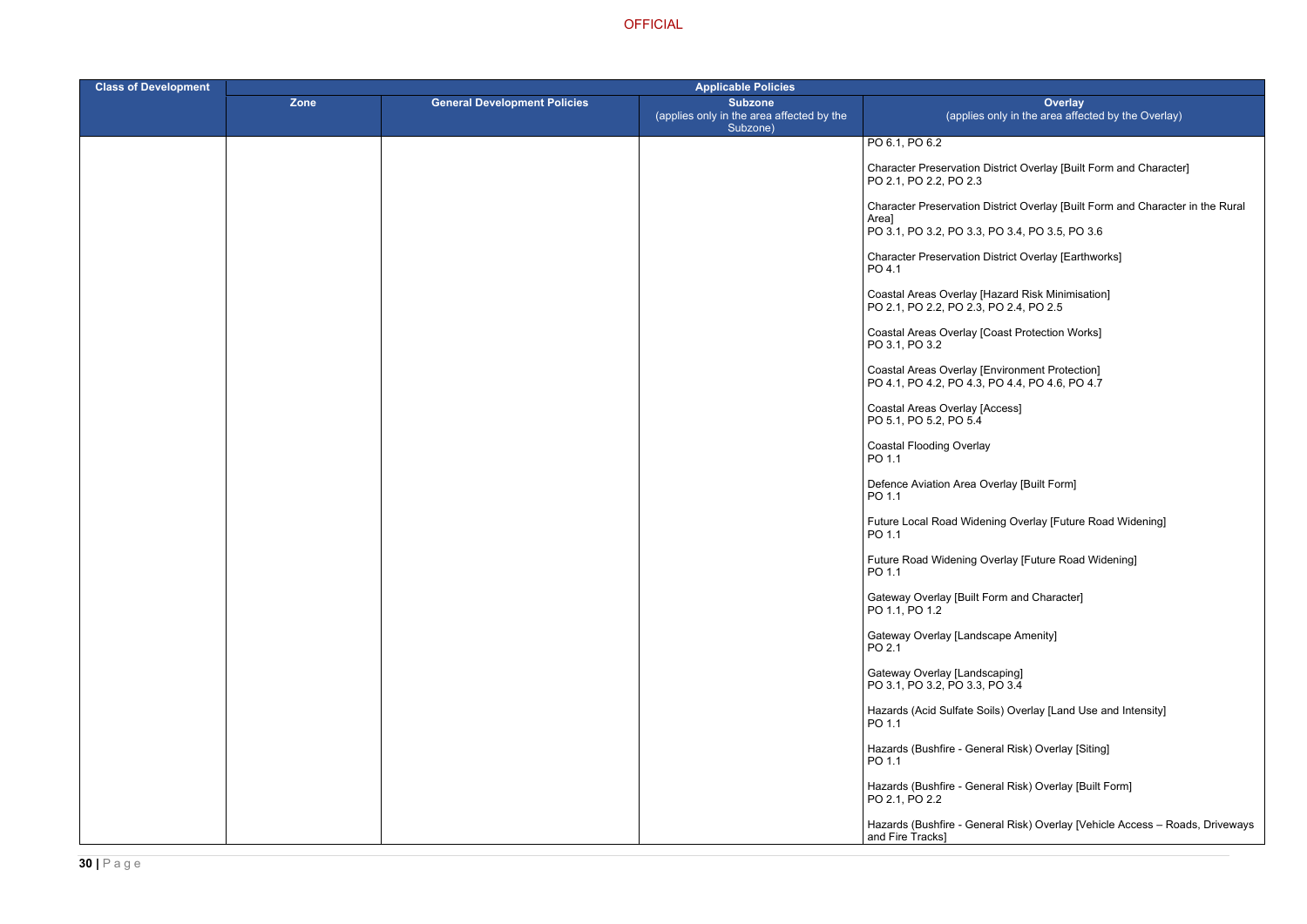District Overlay [Built Form and Character]

District Overlay [Built Form and Character in the Rural

District Overlay [Earthworks]

Hazard Risk Minimisation] PO 2.4, PO 2.5

hing Overlay [Future Road Widening]

Verlay [Future Road Widening]

bils) Overlay [Land Use and Intensity]

eral Risk) Overlay [Siting]

eral Risk) Overlay [Built Form]

eral Risk) Overlay [Vehicle Access – Roads, Driveways

| <b>Class of Development</b> | <b>Applicable Policies</b> |                                     |                                                                         |                                                                                                         |
|-----------------------------|----------------------------|-------------------------------------|-------------------------------------------------------------------------|---------------------------------------------------------------------------------------------------------|
|                             | Zone                       | <b>General Development Policies</b> | <b>Subzone</b><br>(applies only in the area affected by the<br>Subzone) | Overlay<br>(applies only in the area affected                                                           |
|                             |                            |                                     |                                                                         | PO 6.1, PO 6.2                                                                                          |
|                             |                            |                                     |                                                                         | Character Preservation District Overlay [Built Fo<br>PO 2.1, PO 2.2, PO 2.3                             |
|                             |                            |                                     |                                                                         | Character Preservation District Overlay [Built Fo<br>Area]                                              |
|                             |                            |                                     |                                                                         | PO 3.1, PO 3.2, PO 3.3, PO 3.4, PO 3.5, PO 3.6                                                          |
|                             |                            |                                     |                                                                         | <b>Character Preservation District Overlay [Earthwo</b><br>PO 4.1                                       |
|                             |                            |                                     |                                                                         | Coastal Areas Overlay [Hazard Risk Minimisatio<br>PO 2.1, PO 2.2, PO 2.3, PO 2.4, PO 2.5                |
|                             |                            |                                     |                                                                         | Coastal Areas Overlay [Coast Protection Works]<br>PO 3.1, PO 3.2                                        |
|                             |                            |                                     |                                                                         | <b>Coastal Areas Overlay [Environment Protection]</b><br>PO 4.1, PO 4.2, PO 4.3, PO 4.4, PO 4.6, PO 4.7 |
|                             |                            |                                     |                                                                         | Coastal Areas Overlay [Access]<br>PO 5.1, PO 5.2, PO 5.4                                                |
|                             |                            |                                     |                                                                         | <b>Coastal Flooding Overlay</b><br>PO 1.1                                                               |
|                             |                            |                                     |                                                                         | Defence Aviation Area Overlay [Built Form]<br>PO 1.1                                                    |
|                             |                            |                                     |                                                                         | Future Local Road Widening Overlay [Future Ro<br>PO 1.1                                                 |
|                             |                            |                                     |                                                                         | Future Road Widening Overlay [Future Road Wi<br>PO 1.1                                                  |
|                             |                            |                                     |                                                                         | Gateway Overlay [Built Form and Character]<br>PO 1.1, PO 1.2                                            |
|                             |                            |                                     |                                                                         | Gateway Overlay [Landscape Amenity]<br>PO 2.1                                                           |
|                             |                            |                                     |                                                                         | Gateway Overlay [Landscaping]<br>PO 3.1, PO 3.2, PO 3.3, PO 3.4                                         |
|                             |                            |                                     |                                                                         | Hazards (Acid Sulfate Soils) Overlay [Land Use<br>PO 1.1                                                |
|                             |                            |                                     |                                                                         | Hazards (Bushfire - General Risk) Overlay [Siting<br>PO 1.1                                             |
|                             |                            |                                     |                                                                         | Hazards (Bushfire - General Risk) Overlay [Built<br>PO 2.1, PO 2.2                                      |
|                             |                            |                                     |                                                                         | Hazards (Bushfire - General Risk) Overlay [Vehi<br>and Fire Tracks]                                     |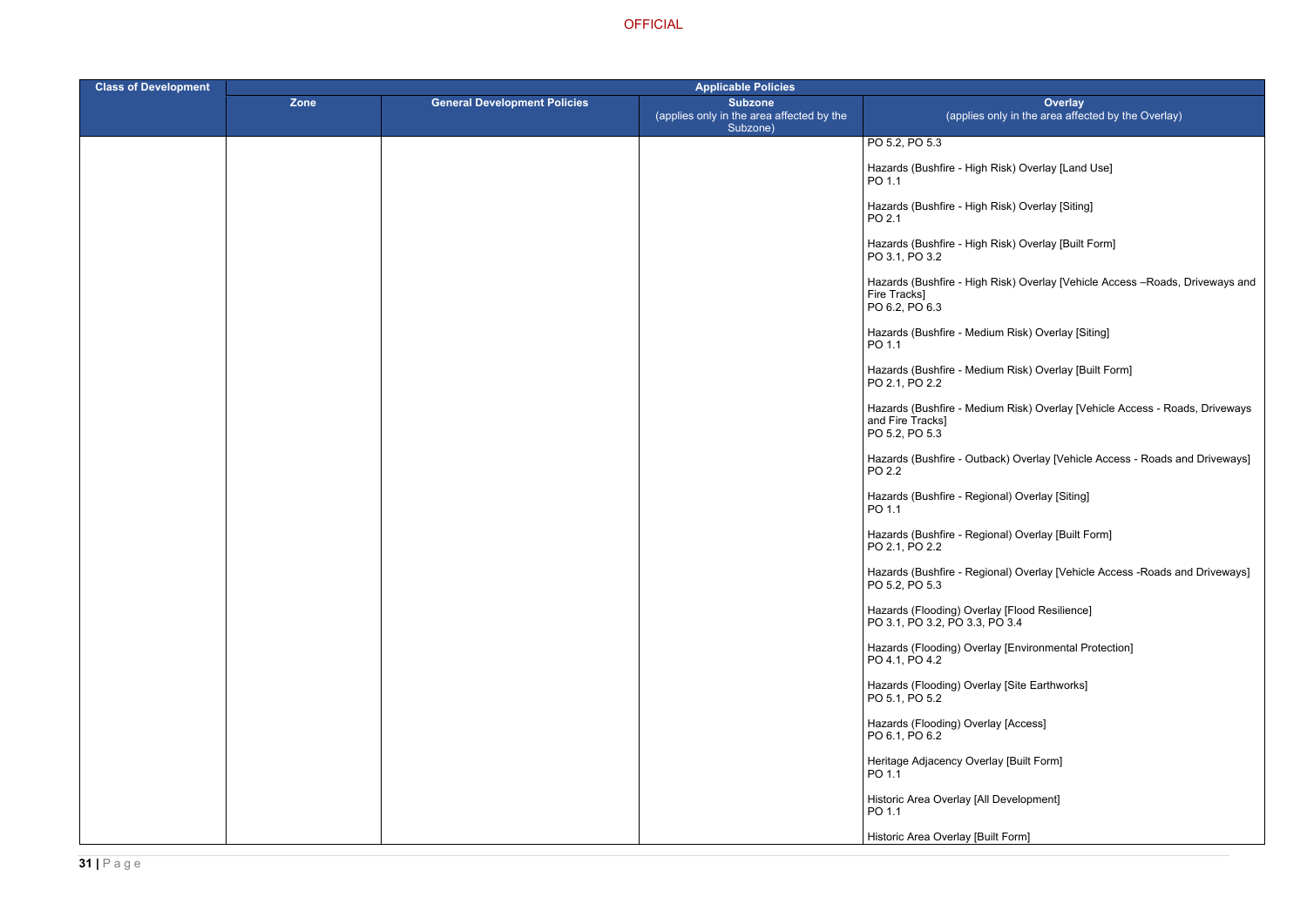- Risk) Overlay [Land Use]
- Risk) Overlay [Siting]
- Risk) Overlay [Built Form]
- Risk) Overlay [Vehicle Access –Roads, Driveways and
- um Risk) Overlay [Siting]
- um Risk) Overlay [Built Form]
- um Risk) Overlay [Vehicle Access Roads, Driveways
- ack) Overlay [Vehicle Access Roads and Driveways]
- hal) Overlay [Siting]
- onal) Overlay [Built Form]
- onal) Overlay [Vehicle Access -Roads and Driveways]
- 
- ay [Environmental Protection]
- lay [Site Earthworks]
- ay [Access]
- lay [Built Form]
- Development]
- ilt Form]

| <b>Class of Development</b> | <b>Applicable Policies</b> |                                     |                                                                         |                                                                                    |
|-----------------------------|----------------------------|-------------------------------------|-------------------------------------------------------------------------|------------------------------------------------------------------------------------|
|                             | Zone                       | <b>General Development Policies</b> | <b>Subzone</b><br>(applies only in the area affected by the<br>Subzone) | <b>Overlay</b><br>(applies only in the area affect                                 |
|                             |                            |                                     |                                                                         | PO 5.2, PO 5.3                                                                     |
|                             |                            |                                     |                                                                         | Hazards (Bushfire - High Risk) Overlay [Land<br>PO 1.1                             |
|                             |                            |                                     |                                                                         | Hazards (Bushfire - High Risk) Overlay [Siting]<br>PO 2.1                          |
|                             |                            |                                     |                                                                         | Hazards (Bushfire - High Risk) Overlay [Built F<br>PO 3.1, PO 3.2                  |
|                             |                            |                                     |                                                                         | Hazards (Bushfire - High Risk) Overlay [Vehic<br>Fire Tracks]<br>PO 6.2, PO 6.3    |
|                             |                            |                                     |                                                                         | Hazards (Bushfire - Medium Risk) Overlay [Sit<br>PO 1.1                            |
|                             |                            |                                     |                                                                         | Hazards (Bushfire - Medium Risk) Overlay [Bu<br>PO 2.1, PO 2.2                     |
|                             |                            |                                     |                                                                         | Hazards (Bushfire - Medium Risk) Overlay [Ve<br>and Fire Tracks]<br>PO 5.2, PO 5.3 |
|                             |                            |                                     |                                                                         | Hazards (Bushfire - Outback) Overlay [Vehicle<br>PO 2.2                            |
|                             |                            |                                     |                                                                         | Hazards (Bushfire - Regional) Overlay [Siting]<br>PO 1.1                           |
|                             |                            |                                     |                                                                         | Hazards (Bushfire - Regional) Overlay [Built F<br>PO 2.1, PO 2.2                   |
|                             |                            |                                     |                                                                         | Hazards (Bushfire - Regional) Overlay [Vehicle<br>PO 5.2, PO 5.3                   |
|                             |                            |                                     |                                                                         | Hazards (Flooding) Overlay [Flood Resilience]<br>PO 3.1, PO 3.2, PO 3.3, PO 3.4    |
|                             |                            |                                     |                                                                         | Hazards (Flooding) Overlay [Environmental Pr<br>PO 4.1, PO 4.2                     |
|                             |                            |                                     |                                                                         | Hazards (Flooding) Overlay [Site Earthworks]<br>PO 5.1, PO 5.2                     |
|                             |                            |                                     |                                                                         | Hazards (Flooding) Overlay [Access]<br>PO 6.1, PO 6.2                              |
|                             |                            |                                     |                                                                         | Heritage Adjacency Overlay [Built Form]<br>PO 1.1                                  |
|                             |                            |                                     |                                                                         | Historic Area Overlay [All Development]<br>PO 1.1                                  |
|                             |                            |                                     |                                                                         | Historic Area Overlay [Built Form]                                                 |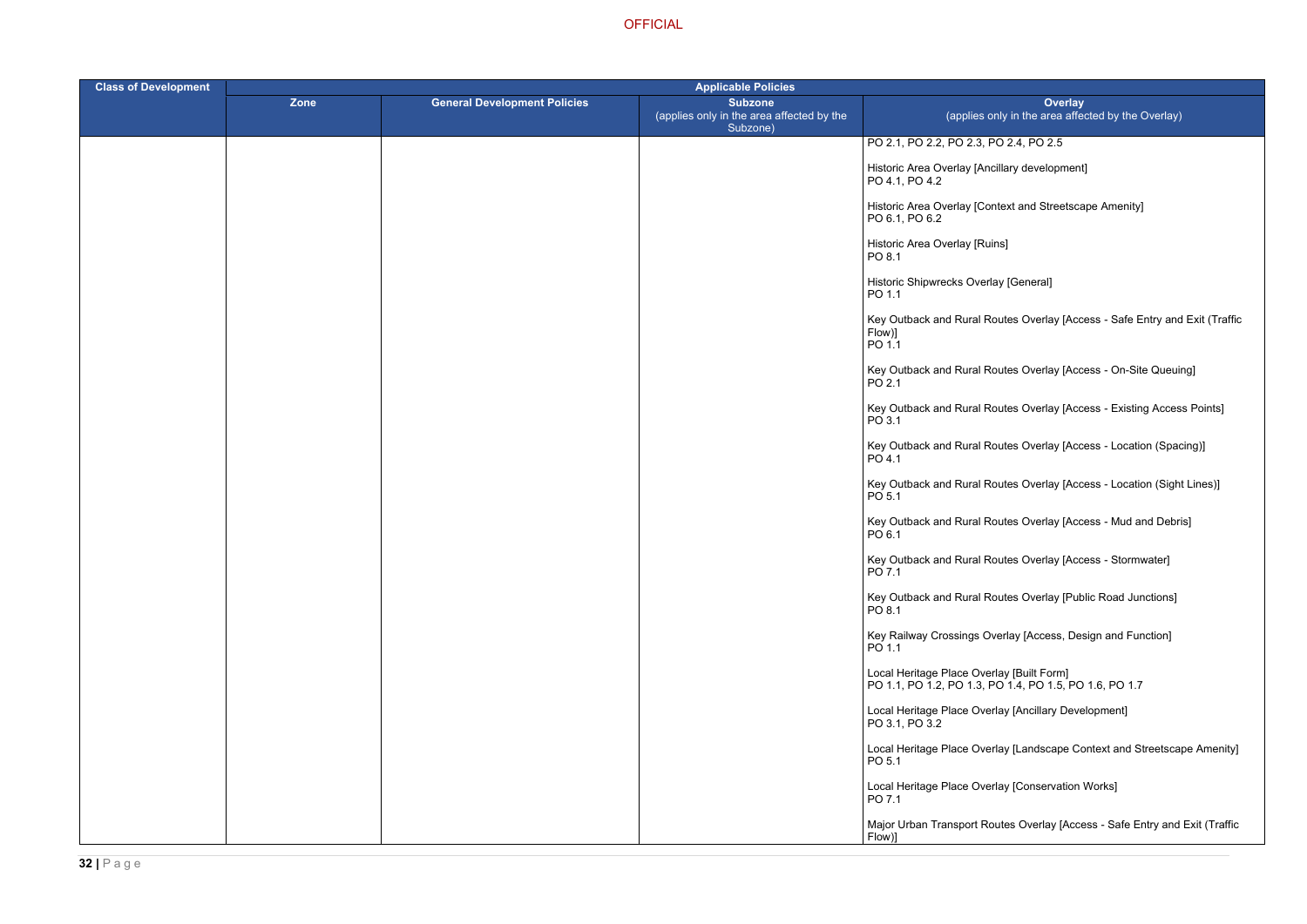PO 2.4, PO 2.5

ncillary development]

ontext and Streetscape Amenity]

uins]

rlay [General]

Routes Overlay [Access - Safe Entry and Exit (Traffic

Routes Overlay [Access - On-Site Queuing]

Routes Overlay [Access - Existing Access Points]

Routes Overlay [Access - Location (Spacing)]

Routes Overlay [Access - Location (Sight Lines)]

Routes Overlay [Access - Mud and Debris]

Routes Overlay [Access - Stormwater]

Routes Overlay [Public Road Junctions]

Dverlay [Access, Design and Function]

erlay [Built Form] PO 1.1, PO 1.2, PO 1.3, PO 1.4, PO 1.5, PO 1.6, PO 1.7

erlay [Ancillary Development]

erlay [Landscape Context and Streetscape Amenity]

erlay [Conservation Works]

اoutes Overlay [Access - Safe Entry and Exit (Traffic

| <b>Class of Development</b> | <b>Applicable Policies</b> |                                     |                                                                         |                                                       |
|-----------------------------|----------------------------|-------------------------------------|-------------------------------------------------------------------------|-------------------------------------------------------|
|                             | Zone                       | <b>General Development Policies</b> | <b>Subzone</b><br>(applies only in the area affected by the<br>Subzone) | (applies o                                            |
|                             |                            |                                     |                                                                         | PO 2.1, PO 2.2, PO 2.3, P                             |
|                             |                            |                                     |                                                                         | Historic Area Overlay [An<br>PO 4.1, PO 4.2           |
|                             |                            |                                     |                                                                         | Historic Area Overlay [Co<br>PO 6.1, PO 6.2           |
|                             |                            |                                     |                                                                         | Historic Area Overlay [Ru<br>PO 8.1                   |
|                             |                            |                                     |                                                                         | <b>Historic Shipwrecks Over</b><br>PO 1.1             |
|                             |                            |                                     |                                                                         | Key Outback and Rural R<br>Flow)]<br>PO 1.1           |
|                             |                            |                                     |                                                                         | Key Outback and Rural R<br>PO 2.1                     |
|                             |                            |                                     |                                                                         | Key Outback and Rural R<br>PO 3.1                     |
|                             |                            |                                     |                                                                         | Key Outback and Rural R<br>PO 4.1                     |
|                             |                            |                                     |                                                                         | Key Outback and Rural R<br>PO 5.1                     |
|                             |                            |                                     |                                                                         | Key Outback and Rural R<br>PO 6.1                     |
|                             |                            |                                     |                                                                         | Key Outback and Rural R<br>PO 7.1                     |
|                             |                            |                                     |                                                                         | Key Outback and Rural R<br>PO 8.1                     |
|                             |                            |                                     |                                                                         | Key Railway Crossings O<br>PO 1.1                     |
|                             |                            |                                     |                                                                         | Local Heritage Place Ove<br>PO 1.1, PO 1.2, PO 1.3, R |
|                             |                            |                                     |                                                                         | Local Heritage Place Ove<br>PO 3.1, PO 3.2            |
|                             |                            |                                     |                                                                         | Local Heritage Place Ove<br>PO 5.1                    |
|                             |                            |                                     |                                                                         | Local Heritage Place Ove<br>PO 7.1                    |
|                             |                            |                                     |                                                                         | Major Urban Transport Ro<br>Flow)]                    |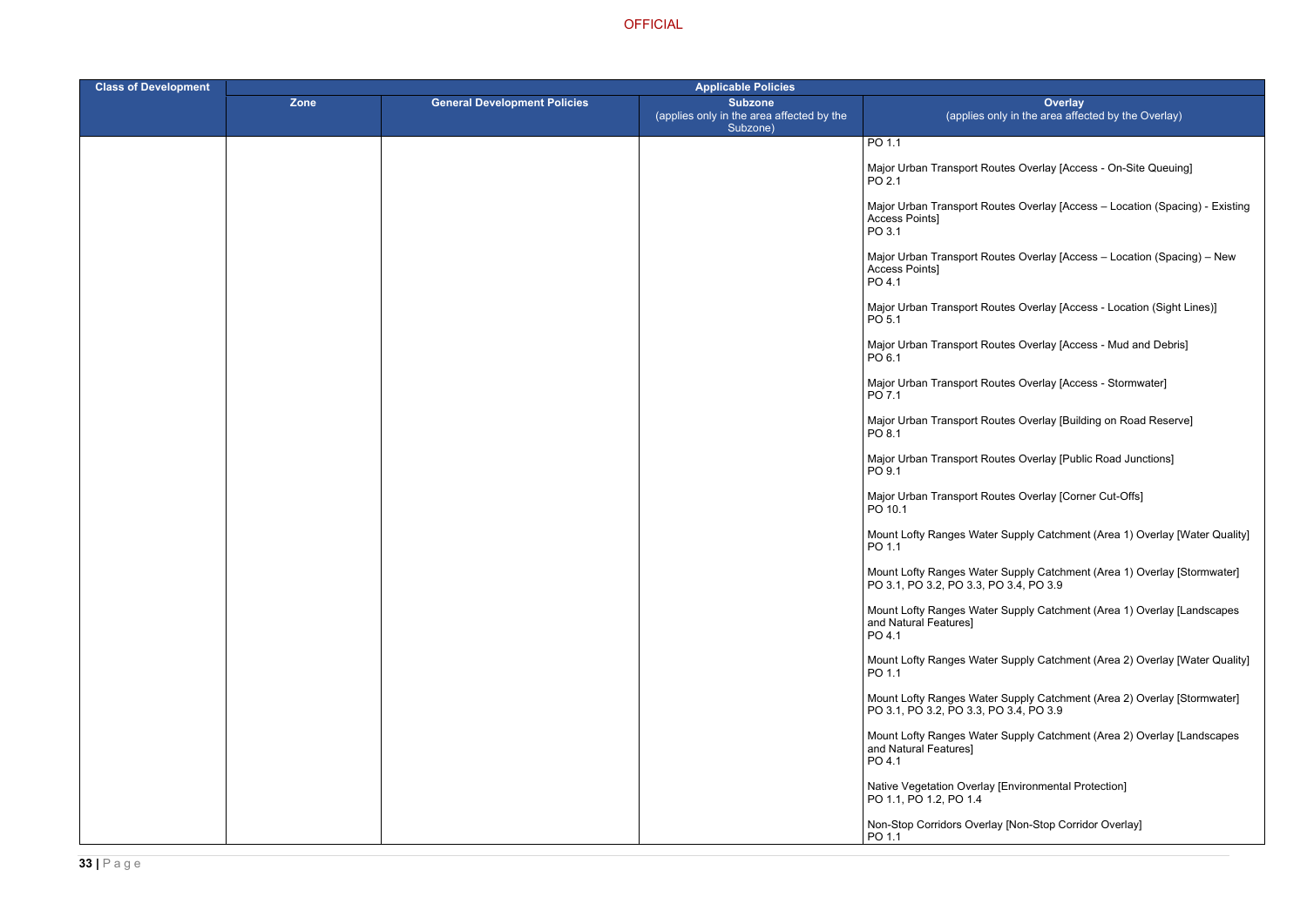- outes Overlay [Access On-Site Queuing]
- butes Overlay [Access Location (Spacing) Existing
- outes Overlay [Access Location (Spacing) New
- Mates Overlay [Access Location (Sight Lines)]
- outes Overlay [Access Mud and Debris]
- outes Overlay [Access Stormwater]
- outes Overlay [Building on Road Reserve]
- outes Overlay [Public Road Junctions]
- outes Overlay [Corner Cut-Offs]
- er Supply Catchment (Area 1) Overlay [Water Quality]
- er Supply Catchment (Area 1) Overlay [Stormwater] PO 3.1, PO 3.2, PO 3.3, PO 3.4, PO 3.9
- er Supply Catchment (Area 1) Overlay [Landscapes
- er Supply Catchment (Area 2) Overlay [Water Quality]
- er Supply Catchment (Area 2) Overlay [Stormwater] PO 3.1, PO 3.2, PO 3.3, PO 3.4, PO 3.9
- er Supply Catchment (Area 2) Overlay [Landscapes
- Verland of Environmental Protection
- ay [Non-Stop Corridor Overlay]

| <b>Class of Development</b> | <b>Applicable Policies</b> |                                     |                                                                         |                                                            |
|-----------------------------|----------------------------|-------------------------------------|-------------------------------------------------------------------------|------------------------------------------------------------|
|                             | Zone                       | <b>General Development Policies</b> | <b>Subzone</b><br>(applies only in the area affected by the<br>Subzone) | (applies o                                                 |
|                             |                            |                                     |                                                                         | PO 1.1                                                     |
|                             |                            |                                     |                                                                         | Major Urban Transport Ro<br>PO 2.1                         |
|                             |                            |                                     |                                                                         | Major Urban Transport Ro<br>Access Points]<br>PO 3.1       |
|                             |                            |                                     |                                                                         | Major Urban Transport Ro<br>Access Points]<br>PO 4.1       |
|                             |                            |                                     |                                                                         | Major Urban Transport Ro<br>PO 5.1                         |
|                             |                            |                                     |                                                                         | Major Urban Transport Ro<br>PO 6.1                         |
|                             |                            |                                     |                                                                         | Major Urban Transport Ro<br>PO 7.1                         |
|                             |                            |                                     |                                                                         | Major Urban Transport Ro<br>PO 8.1                         |
|                             |                            |                                     |                                                                         | Major Urban Transport Ro<br>PO 9.1                         |
|                             |                            |                                     |                                                                         | Major Urban Transport Ro<br>PO 10.1                        |
|                             |                            |                                     |                                                                         | Mount Lofty Ranges Wate<br>PO 1.1                          |
|                             |                            |                                     |                                                                         | Mount Lofty Ranges Wate<br>PO 3.1, PO 3.2, PO 3.3, F       |
|                             |                            |                                     |                                                                         | Mount Lofty Ranges Wate<br>and Natural Features]<br>PO 4.1 |
|                             |                            |                                     |                                                                         | Mount Lofty Ranges Wate<br>PO 1.1                          |
|                             |                            |                                     |                                                                         | Mount Lofty Ranges Wate<br>PO 3.1, PO 3.2, PO 3.3, F       |
|                             |                            |                                     |                                                                         | Mount Lofty Ranges Wate<br>and Natural Features]<br>PO 4.1 |
|                             |                            |                                     |                                                                         | Native Vegetation Overlay<br>PO 1.1, PO 1.2, PO 1.4        |
|                             |                            |                                     |                                                                         | Non-Stop Corridors Overla<br>PO 1.1                        |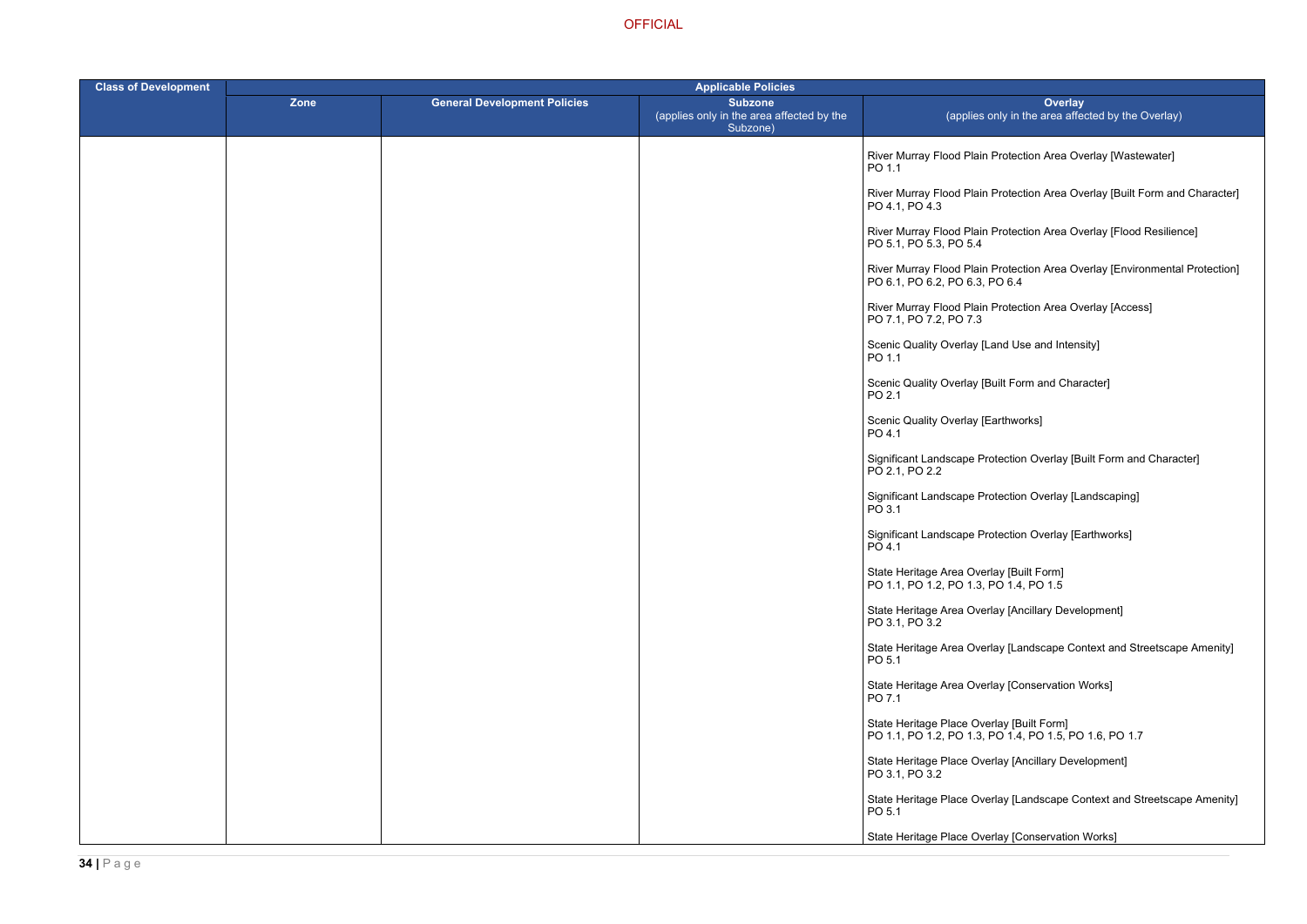- **Protection Area Overlay [Wastewater]**
- Protection Area Overlay [Built Form and Character]
- ا Protection Area Overlay [Flood Resilience]
- River Murray Flood Protection Area Overlay [Environmental Protection] PO 6.4
- **Protection Area Overlay [Access]**
- Land Use and Intensity]
- Built Form and Character]
- Earthworks]
- rotection Overlay [Built Form and Character]
- rotection Overlay [Landscaping]
- rotection Overlay [Earthworks]
- 
- rlay [Ancillary Development]
- rlay [Landscape Context and Streetscape Amenity]
- rlay [Conservation Works]
- erlay [Built Form] PO 1.1, PO 1.2, PO 1.3, PO 1.4, PO 1.5, PO 1.6, PO 1.7
- erlay [Ancillary Development]
- erlay [Landscape Context and Streetscape Amenity]

erlay [Conservation Works]

| <b>Class of Development</b> | <b>Applicable Policies</b> |                                     |                                                                         |                                                                                    |
|-----------------------------|----------------------------|-------------------------------------|-------------------------------------------------------------------------|------------------------------------------------------------------------------------|
|                             | <b>Zone</b>                | <b>General Development Policies</b> | <b>Subzone</b><br>(applies only in the area affected by the<br>Subzone) | Ove<br>(applies only in the area                                                   |
|                             |                            |                                     |                                                                         | River Murray Flood Plain Protection Area<br>PO 1.1                                 |
|                             |                            |                                     |                                                                         | River Murray Flood Plain Protection Area<br>PO 4.1, PO 4.3                         |
|                             |                            |                                     |                                                                         | River Murray Flood Plain Protection Area<br>PO 5.1, PO 5.3, PO 5.4                 |
|                             |                            |                                     |                                                                         | River Murray Flood Plain Protection Area<br>PO 6.1, PO 6.2, PO 6.3, PO 6.4         |
|                             |                            |                                     |                                                                         | River Murray Flood Plain Protection Area<br>PO 7.1, PO 7.2, PO 7.3                 |
|                             |                            |                                     |                                                                         | Scenic Quality Overlay [Land Use and Ir<br>PO 1.1                                  |
|                             |                            |                                     |                                                                         | Scenic Quality Overlay [Built Form and 0<br>PO 2.1                                 |
|                             |                            |                                     |                                                                         | Scenic Quality Overlay [Earthworks]<br>PO 4.1                                      |
|                             |                            |                                     |                                                                         | Significant Landscape Protection Overla<br>PO 2.1, PO 2.2                          |
|                             |                            |                                     |                                                                         | Significant Landscape Protection Overla<br>PO 3.1                                  |
|                             |                            |                                     |                                                                         | Significant Landscape Protection Overla<br>PO 4.1                                  |
|                             |                            |                                     |                                                                         | State Heritage Area Overlay [Built Form]<br>PO 1.1, PO 1.2, PO 1.3, PO 1.4, PO 1.5 |
|                             |                            |                                     |                                                                         | State Heritage Area Overlay [Ancillary D<br>PO 3.1, PO 3.2                         |
|                             |                            |                                     |                                                                         | State Heritage Area Overlay [Landscape<br>PO 5.1                                   |
|                             |                            |                                     |                                                                         | State Heritage Area Overlay [Conservati<br>PO 7.1                                  |
|                             |                            |                                     |                                                                         | State Heritage Place Overlay [Built Form<br>PO 1.1, PO 1.2, PO 1.3, PO 1.4, PO 1.5 |
|                             |                            |                                     |                                                                         | State Heritage Place Overlay [Ancillary I<br>PO 3.1, PO 3.2                        |
|                             |                            |                                     |                                                                         | State Heritage Place Overlay [Landscap<br>PO 5.1                                   |
|                             |                            |                                     |                                                                         | State Heritage Place Overlay [Conserva                                             |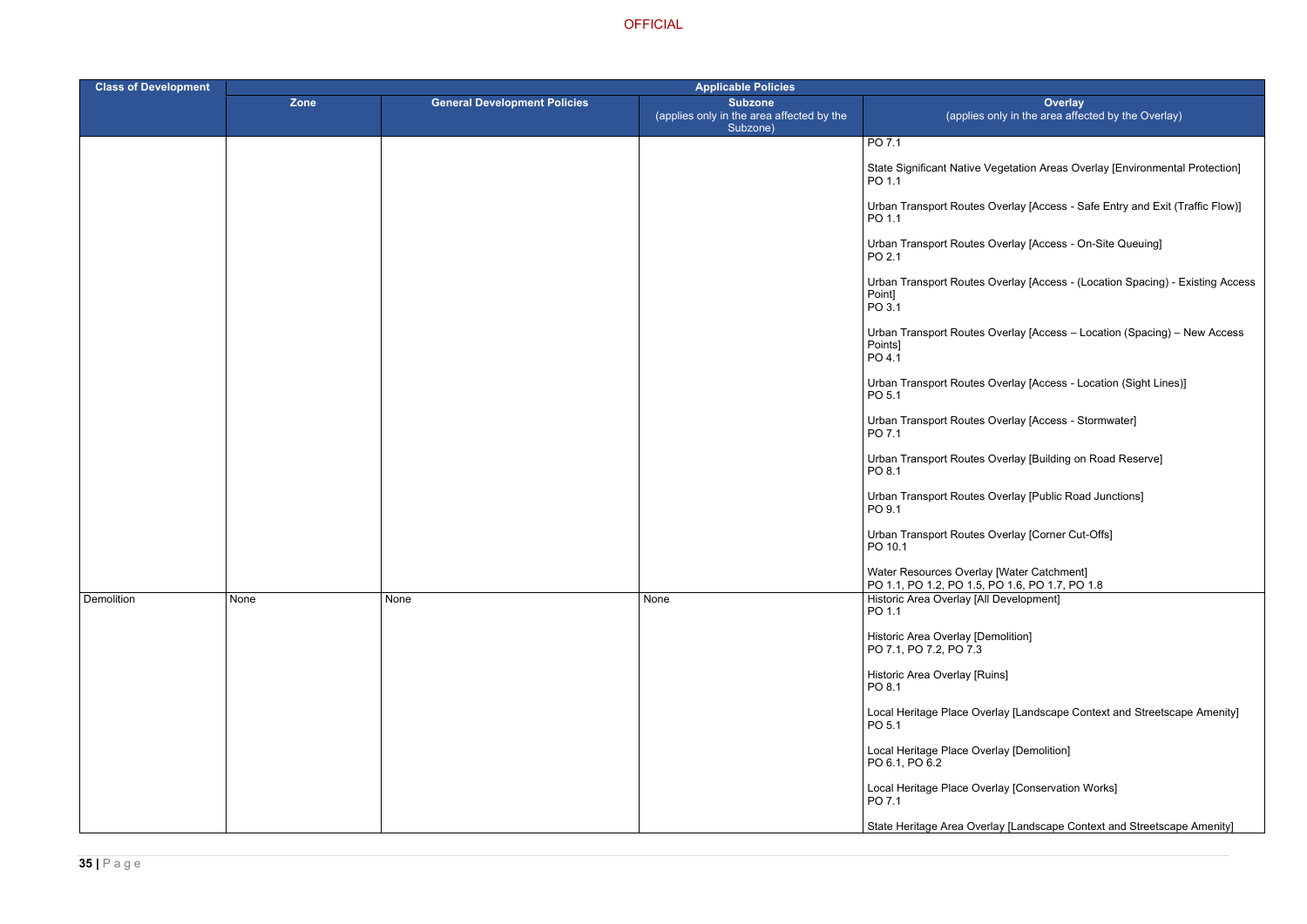- 
- 
- 
- 
- 
- 
- 
- 
- 

- 
- 
- 
- 
- 
- 

| <b>Class of Development</b> |      |                                     | <b>Applicable Policies</b>                                              |                                                                                                  |
|-----------------------------|------|-------------------------------------|-------------------------------------------------------------------------|--------------------------------------------------------------------------------------------------|
|                             | Zone | <b>General Development Policies</b> | <b>Subzone</b><br>(applies only in the area affected by the<br>Subzone) | <b>Overlay</b><br>(applies only in the area affected by the Overlay)                             |
|                             |      |                                     |                                                                         | PO 7.1                                                                                           |
|                             |      |                                     |                                                                         | State Significant Native Vegetation Areas Overlay [Environmental Protection]<br>PO 1.1           |
|                             |      |                                     |                                                                         | Urban Transport Routes Overlay [Access - Safe Entry and Exit (Traffic Flow)]<br>PO 1.1           |
|                             |      |                                     |                                                                         | Urban Transport Routes Overlay [Access - On-Site Queuing]<br>PO 2.1                              |
|                             |      |                                     |                                                                         | Urban Transport Routes Overlay [Access - (Location Spacing) - Existing Access<br>Point]<br>PO3.1 |
|                             |      |                                     |                                                                         | Urban Transport Routes Overlay [Access - Location (Spacing) - New Access<br>Points]<br>PO 4.1    |
|                             |      |                                     |                                                                         | Urban Transport Routes Overlay [Access - Location (Sight Lines)]<br>PO 5.1                       |
|                             |      |                                     |                                                                         | Urban Transport Routes Overlay [Access - Stormwater]<br>PO 7.1                                   |
|                             |      |                                     |                                                                         | Urban Transport Routes Overlay [Building on Road Reserve]<br>PO 8.1                              |
|                             |      |                                     |                                                                         | Urban Transport Routes Overlay [Public Road Junctions]<br>PO 9.1                                 |
|                             |      |                                     |                                                                         | Urban Transport Routes Overlay [Corner Cut-Offs]<br>PO 10.1                                      |
|                             |      |                                     |                                                                         | Water Resources Overlay [Water Catchment]<br>PO 1.1, PO 1.2, PO 1.5, PO 1.6, PO 1.7, PO 1.8      |
| <b>Demolition</b>           | None | None                                | None                                                                    | Historic Area Overlay [All Development]<br>PO 1.1                                                |
|                             |      |                                     |                                                                         | Historic Area Overlay [Demolition]<br>PO 7.1, PO 7.2, PO 7.3                                     |
|                             |      |                                     |                                                                         | Historic Area Overlay [Ruins]<br>PO 8.1                                                          |
|                             |      |                                     |                                                                         | Local Heritage Place Overlay [Landscape Context and Streetscape Amenity]<br>PO <sub>5.1</sub>    |
|                             |      |                                     |                                                                         | Local Heritage Place Overlay [Demolition]<br>PO 6.1, PO 6.2                                      |
|                             |      |                                     |                                                                         | Local Heritage Place Overlay [Conservation Works]<br>PO 7.1                                      |
|                             |      |                                     |                                                                         | State Heritage Area Overlay [Landscape Context and Streetscape Amenity]                          |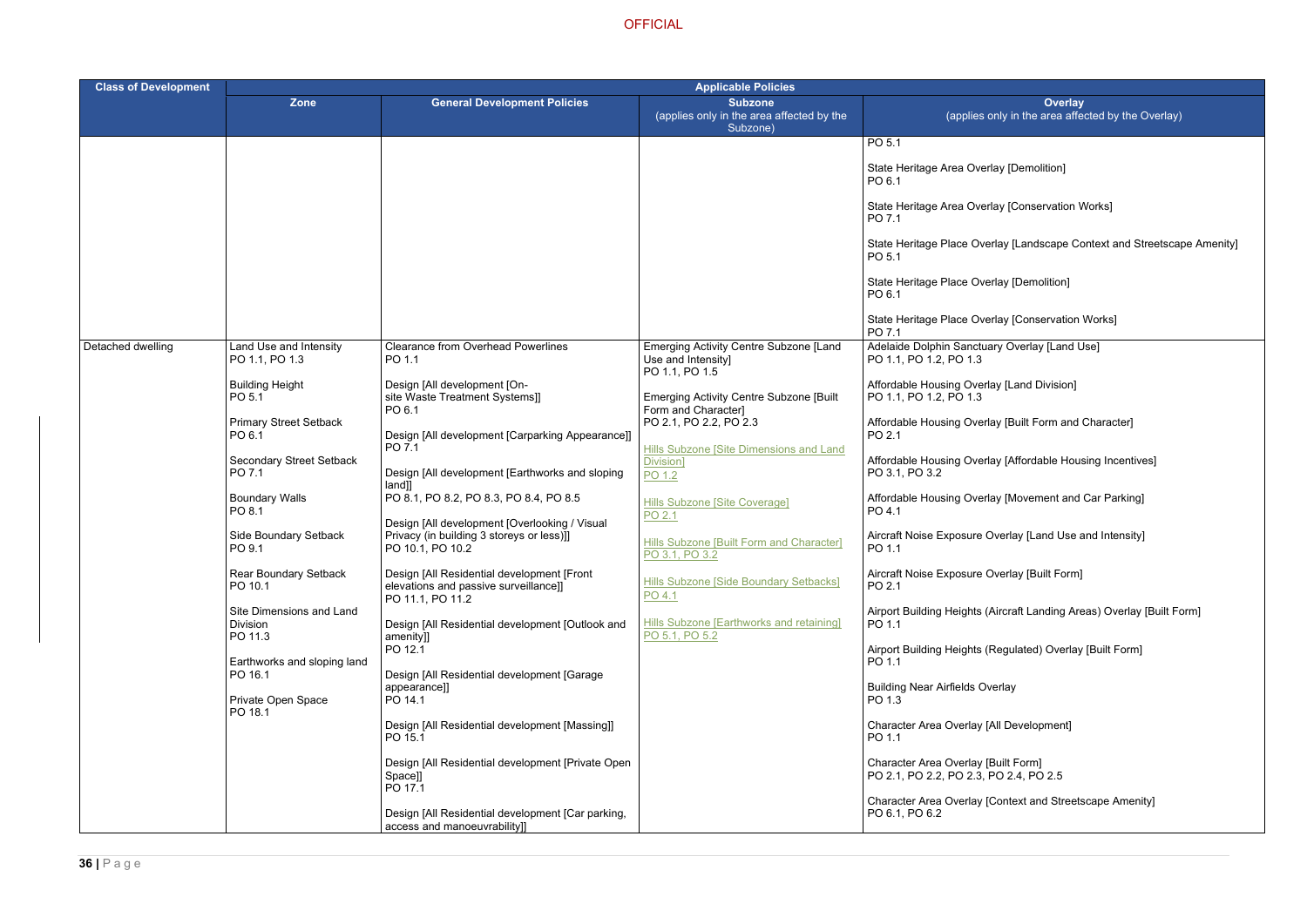- rlay [Demolition]
- rlay [Conservation Works]
- erlay [Landscape Context and Streetscape Amenity]
- erlay [Demolition]
- erlay [Conservation Works]
- ary Overlay [Land Use]
- Iay [Land Division]
- rlay [Built Form and Character]
- rlay [Affordable Housing Incentives]
- rlay [Movement and Car Parking]
- Overlay [Land Use and Intensity]
- Overlay [Built Form]
- (Aircraft Landing Areas) Overlay [Built Form]
- (Regulated) Overlay [Built Form]
- verlay
- [All Development]
- 
- [Context and Streetscape Amenity]

| <b>Class of Development</b> | <b>Applicable Policies</b>                      |                                                                                                                |                                                                                |                                                                               |
|-----------------------------|-------------------------------------------------|----------------------------------------------------------------------------------------------------------------|--------------------------------------------------------------------------------|-------------------------------------------------------------------------------|
|                             | Zone                                            | <b>General Development Policies</b>                                                                            | <b>Subzone</b><br>(applies only in the area affected by the<br>Subzone)        | <b>Ove</b><br>(applies only in the area                                       |
|                             |                                                 |                                                                                                                |                                                                                | PO 5.1                                                                        |
|                             |                                                 |                                                                                                                |                                                                                | State Heritage Area Overlay [Demolition<br>PO 6.1                             |
|                             |                                                 |                                                                                                                |                                                                                | State Heritage Area Overlay [Conservat<br>PO 7.1                              |
|                             |                                                 |                                                                                                                |                                                                                | State Heritage Place Overlay [Landscap<br>PO 5.1                              |
|                             |                                                 |                                                                                                                |                                                                                | State Heritage Place Overlay [Demolitio<br>PO 6.1                             |
|                             |                                                 |                                                                                                                |                                                                                | State Heritage Place Overlay [Conserva<br>PO 7.1                              |
| Detached dwelling           | Land Use and Intensity<br>PO 1.1, PO 1.3        | <b>Clearance from Overhead Powerlines</b><br>PO 1.1                                                            | Emerging Activity Centre Subzone [Land<br>Use and Intensity]<br>PO 1.1, PO 1.5 | Adelaide Dolphin Sanctuary Overlay [La<br>PO 1.1, PO 1.2, PO 1.3              |
|                             | <b>Building Height</b><br>PO 5.1                | Design [All development [On-<br>site Waste Treatment Systems]]<br>PO 6.1                                       | <b>Emerging Activity Centre Subzone [Built</b><br>Form and Character]          | Affordable Housing Overlay [Land Divisi<br>PO 1.1, PO 1.2, PO 1.3             |
|                             | <b>Primary Street Setback</b><br>PO 6.1         | Design [All development [Carparking Appearance]]<br>PO 7.1                                                     | PO 2.1, PO 2.2, PO 2.3<br>Hills Subzone [Site Dimensions and Land              | Affordable Housing Overlay [Built Form<br>PO 2.1                              |
|                             | <b>Secondary Street Setback</b><br>PO 7.1       | Design [All development [Earthworks and sloping]<br>$land]$ ]                                                  | Division]<br>PO 1.2                                                            | Affordable Housing Overlay [Affordable<br>PO 3.1, PO 3.2                      |
|                             | <b>Boundary Walls</b><br>PO 8.1                 | PO 8.1, PO 8.2, PO 8.3, PO 8.4, PO 8.5                                                                         | <b>Hills Subzone [Site Coverage]</b><br>PO 2.1                                 | Affordable Housing Overlay [Movement<br>PO 4.1                                |
|                             | Side Boundary Setback<br>PO 9.1                 | Design [All development [Overlooking / Visual<br>Privacy (in building 3 storeys or less)]]<br>PO 10.1, PO 10.2 | <b>Hills Subzone [Built Form and Character]</b><br>PO 3.1, PO 3.2              | Aircraft Noise Exposure Overlay [Land L<br>PO 1.1                             |
|                             | <b>Rear Boundary Setback</b><br>PO 10.1         | Design [All Residential development [Front<br>elevations and passive surveillance]]<br>PO 11.1, PO 11.2        | Hills Subzone [Side Boundary Setbacks]<br>PO 4.1                               | Aircraft Noise Exposure Overlay [Built F<br>PO 2.1                            |
|                             | Site Dimensions and Land<br>Division<br>PO 11.3 | Design [All Residential development [Outlook and<br>amenity]]                                                  | Hills Subzone [Earthworks and retaining]<br>PO 5.1, PO 5.2                     | Airport Building Heights (Aircraft Landing<br>PO 1.1                          |
|                             | Earthworks and sloping land<br>PO 16.1          | PO 12.1<br>Design [All Residential development [Garage                                                         |                                                                                | Airport Building Heights (Regulated) Ove<br>PO 1.1                            |
|                             | Private Open Space<br>PO 18.1                   | appearance]]<br>PO 14.1                                                                                        |                                                                                | <b>Building Near Airfields Overlay</b><br>PO 1.3                              |
|                             |                                                 | Design [All Residential development [Massing]]<br>PO 15.1                                                      |                                                                                | Character Area Overlay [All Developmer<br>PO 1.1                              |
|                             |                                                 | Design [All Residential development [Private Open<br>Space]]<br>PO 17.1                                        |                                                                                | Character Area Overlay [Built Form]<br>PO 2.1, PO 2.2, PO 2.3, PO 2.4, PO 2.5 |
|                             |                                                 | Design [All Residential development [Car parking,<br>access and manoeuvrability]]                              |                                                                                | Character Area Overlay [Context and St<br>PO 6.1, PO 6.2                      |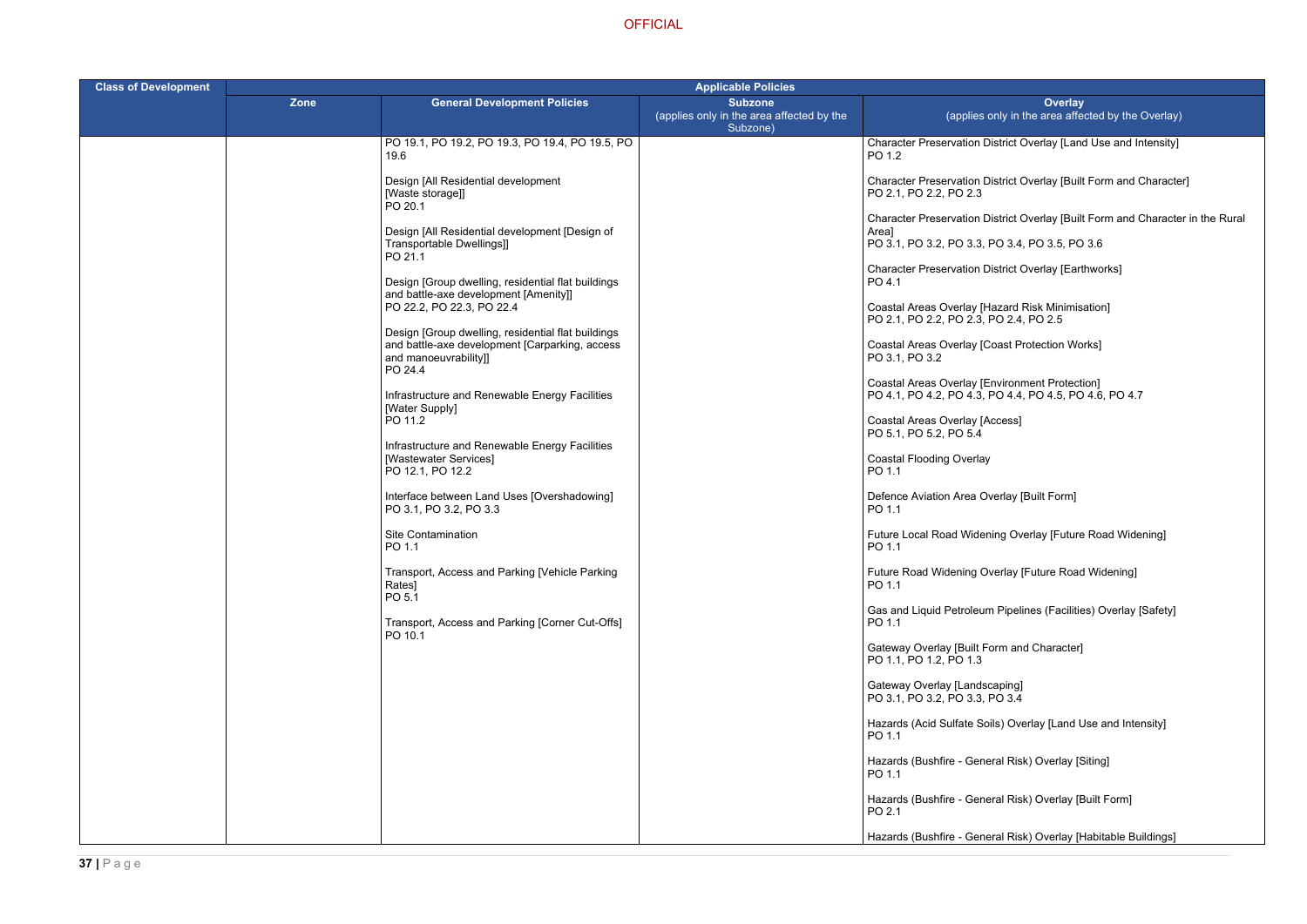r in the Rural

| <b>Class of Development</b> | <b>Applicable Policies</b> |                                                                                             |                                                                         |                                                                                                                              |
|-----------------------------|----------------------------|---------------------------------------------------------------------------------------------|-------------------------------------------------------------------------|------------------------------------------------------------------------------------------------------------------------------|
|                             | <b>Zone</b>                | <b>General Development Policies</b>                                                         | <b>Subzone</b><br>(applies only in the area affected by the<br>Subzone) | <b>Overlay</b><br>(applies only in the area affected by the Overlay)                                                         |
|                             |                            | PO 19.1, PO 19.2, PO 19.3, PO 19.4, PO 19.5, PO<br>19.6                                     |                                                                         | Character Preservation District Overlay [Land Use and Intensity]<br>PO 1.2                                                   |
|                             |                            | Design [All Residential development<br>[Waste storage]]<br>PO 20.1                          |                                                                         | Character Preservation District Overlay [Built Form and Character]<br>PO 2.1, PO 2.2, PO 2.3                                 |
|                             |                            | Design [All Residential development [Design of<br>Transportable Dwellings]]<br>PO 21.1      |                                                                         | Character Preservation District Overlay [Built Form and Character<br>Area]<br>PO 3.1, PO 3.2, PO 3.3, PO 3.4, PO 3.5, PO 3.6 |
|                             |                            | Design [Group dwelling, residential flat buildings<br>and battle-axe development [Amenity]] |                                                                         | <b>Character Preservation District Overlay [Earthworks]</b><br>PO 4.1                                                        |
|                             |                            | PO 22.2, PO 22.3, PO 22.4<br>Design [Group dwelling, residential flat buildings             |                                                                         | Coastal Areas Overlay [Hazard Risk Minimisation]<br>PO 2.1, PO 2.2, PO 2.3, PO 2.4, PO 2.5                                   |
|                             |                            | and battle-axe development [Carparking, access<br>and manoeuvrability]]<br>PO 24.4          |                                                                         | Coastal Areas Overlay [Coast Protection Works]<br>PO 3.1, PO 3.2                                                             |
|                             |                            | Infrastructure and Renewable Energy Facilities<br>[Water Supply]                            |                                                                         | Coastal Areas Overlay [Environment Protection]<br>PO 4.1, PO 4.2, PO 4.3, PO 4.4, PO 4.5, PO 4.6, PO 4.7                     |
|                             |                            | PO 11.2<br>Infrastructure and Renewable Energy Facilities                                   |                                                                         | Coastal Areas Overlay [Access]<br>PO 5.1, PO 5.2, PO 5.4                                                                     |
|                             |                            | [Wastewater Services]<br>PO 12.1, PO 12.2                                                   |                                                                         | <b>Coastal Flooding Overlay</b><br>PO 1.1                                                                                    |
|                             |                            | Interface between Land Uses [Overshadowing]<br>PO 3.1, PO 3.2, PO 3.3                       |                                                                         | Defence Aviation Area Overlay [Built Form]<br>PO 1.1                                                                         |
|                             |                            | <b>Site Contamination</b><br>PO 1.1                                                         |                                                                         | Future Local Road Widening Overlay [Future Road Widening]<br>PO 1.1                                                          |
|                             |                            | Transport, Access and Parking [Vehicle Parking<br>Rates]<br>PO 5.1                          |                                                                         | Future Road Widening Overlay [Future Road Widening]<br>PO 1.1                                                                |
|                             |                            | Transport, Access and Parking [Corner Cut-Offs]<br>PO 10.1                                  |                                                                         | Gas and Liquid Petroleum Pipelines (Facilities) Overlay [Safety]<br>PO 1.1                                                   |
|                             |                            |                                                                                             |                                                                         | Gateway Overlay [Built Form and Character]<br>PO 1.1, PO 1.2, PO 1.3                                                         |
|                             |                            |                                                                                             |                                                                         | Gateway Overlay [Landscaping]<br>PO 3.1, PO 3.2, PO 3.3, PO 3.4                                                              |
|                             |                            |                                                                                             |                                                                         | Hazards (Acid Sulfate Soils) Overlay [Land Use and Intensity]<br>PO 1.1                                                      |
|                             |                            |                                                                                             |                                                                         | Hazards (Bushfire - General Risk) Overlay [Siting]<br>PO 1.1                                                                 |
|                             |                            |                                                                                             |                                                                         | Hazards (Bushfire - General Risk) Overlay [Built Form]<br>PO 2.1                                                             |
|                             |                            |                                                                                             |                                                                         | Hazards (Bushfire - General Risk) Overlay [Habitable Buildings]                                                              |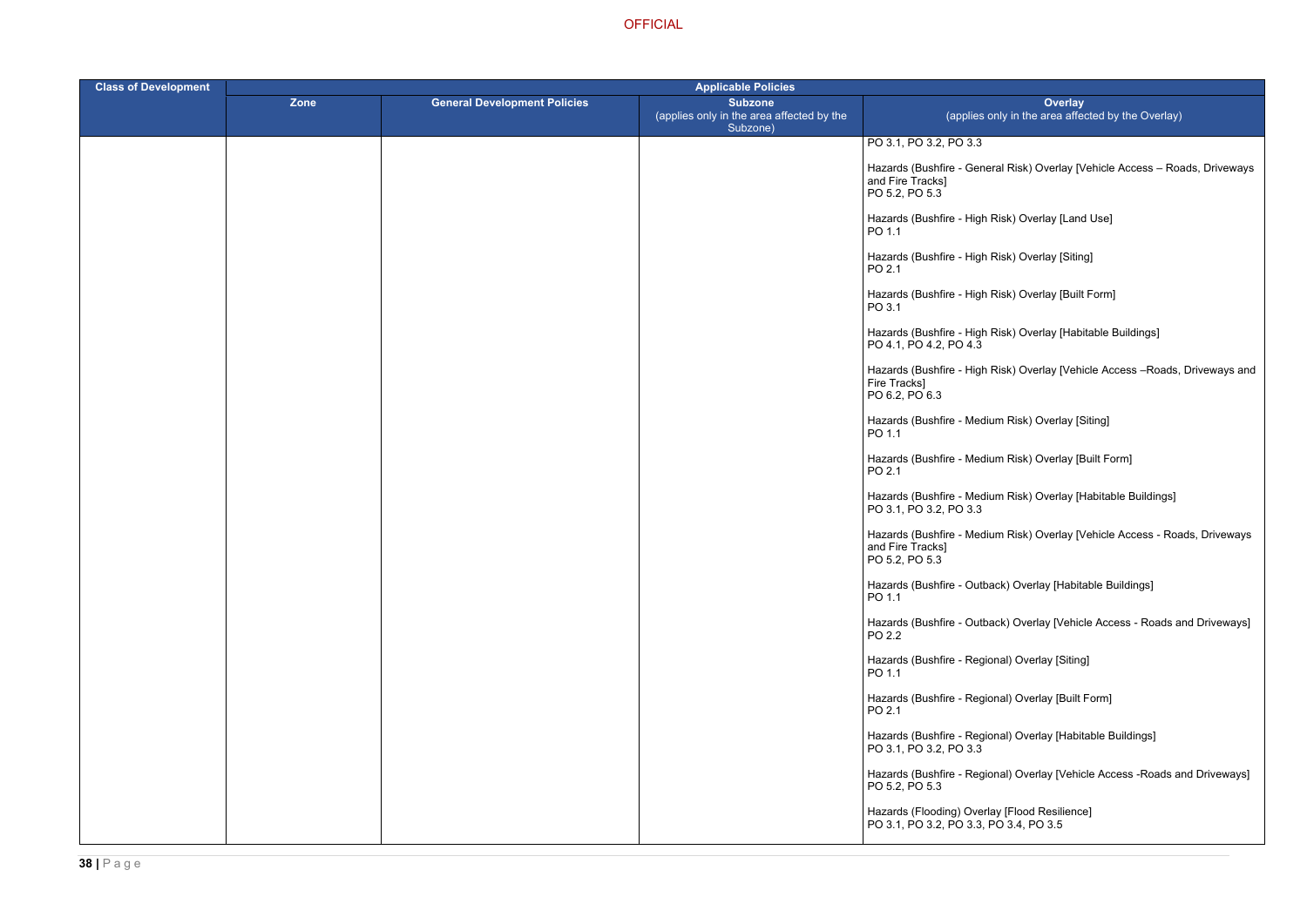eral Risk) Overlay [Vehicle Access – Roads, Driveways

- Risk) Overlay [Land Use]
- Risk) Overlay [Siting]
- Risk) Overlay [Built Form]
- Risk) Overlay [Habitable Buildings]
- Risk) Overlay [Vehicle Access –Roads, Driveways and
- ium Risk) Overlay [Siting]
- ium Risk) Overlay [Built Form]
- ium Risk) Overlay [Habitable Buildings]
- ium Risk) Overlay [Vehicle Access Roads, Driveways
- back) Overlay [Habitable Buildings]
- hack) Overlay [Vehicle Access Roads and Driveways]
- ional) Overlay [Siting]
- ional) Overlay [Built Form]
- ional) Overlay [Habitable Buildings]
- ional) Overlay [Vehicle Access -Roads and Driveways]

| <b>Class of Development</b> | <b>Applicable Policies</b> |                                     |                                                                         |                                                                                         |
|-----------------------------|----------------------------|-------------------------------------|-------------------------------------------------------------------------|-----------------------------------------------------------------------------------------|
|                             | Zone                       | <b>General Development Policies</b> | <b>Subzone</b><br>(applies only in the area affected by the<br>Subzone) | <b>Overlay</b><br>(applies only in the area affect                                      |
|                             |                            |                                     |                                                                         | PO 3.1, PO 3.2, PO 3.3                                                                  |
|                             |                            |                                     |                                                                         | Hazards (Bushfire - General Risk) Overlay [Ve<br>and Fire Tracks]<br>PO 5.2, PO 5.3     |
|                             |                            |                                     |                                                                         | Hazards (Bushfire - High Risk) Overlay [Land<br>PO 1.1                                  |
|                             |                            |                                     |                                                                         | Hazards (Bushfire - High Risk) Overlay [Siting<br>PO 2.1                                |
|                             |                            |                                     |                                                                         | Hazards (Bushfire - High Risk) Overlay [Built F<br>PO 3.1                               |
|                             |                            |                                     |                                                                         | Hazards (Bushfire - High Risk) Overlay [Habita<br>PO 4.1, PO 4.2, PO 4.3                |
|                             |                            |                                     |                                                                         | Hazards (Bushfire - High Risk) Overlay [Vehic<br>Fire Tracks]<br>PO 6.2, PO 6.3         |
|                             |                            |                                     |                                                                         | Hazards (Bushfire - Medium Risk) Overlay [Sit<br>PO 1.1                                 |
|                             |                            |                                     |                                                                         | Hazards (Bushfire - Medium Risk) Overlay [Bu<br>PO 2.1                                  |
|                             |                            |                                     |                                                                         | Hazards (Bushfire - Medium Risk) Overlay [Ha<br>PO 3.1, PO 3.2, PO 3.3                  |
|                             |                            |                                     |                                                                         | Hazards (Bushfire - Medium Risk) Overlay [Ve<br>and Fire Tracks]<br>PO 5.2, PO 5.3      |
|                             |                            |                                     |                                                                         | Hazards (Bushfire - Outback) Overlay [Habital<br>PO 1.1                                 |
|                             |                            |                                     |                                                                         | Hazards (Bushfire - Outback) Overlay [Vehicle<br>PO 2.2                                 |
|                             |                            |                                     |                                                                         | Hazards (Bushfire - Regional) Overlay [Siting]<br>PO 1.1                                |
|                             |                            |                                     |                                                                         | Hazards (Bushfire - Regional) Overlay [Built F<br>PO 2.1                                |
|                             |                            |                                     |                                                                         | Hazards (Bushfire - Regional) Overlay [Habita<br>PO 3.1, PO 3.2, PO 3.3                 |
|                             |                            |                                     |                                                                         | Hazards (Bushfire - Regional) Overlay [Vehicle<br>PO 5.2, PO 5.3                        |
|                             |                            |                                     |                                                                         | Hazards (Flooding) Overlay [Flood Resilience]<br>PO 3.1, PO 3.2, PO 3.3, PO 3.4, PO 3.5 |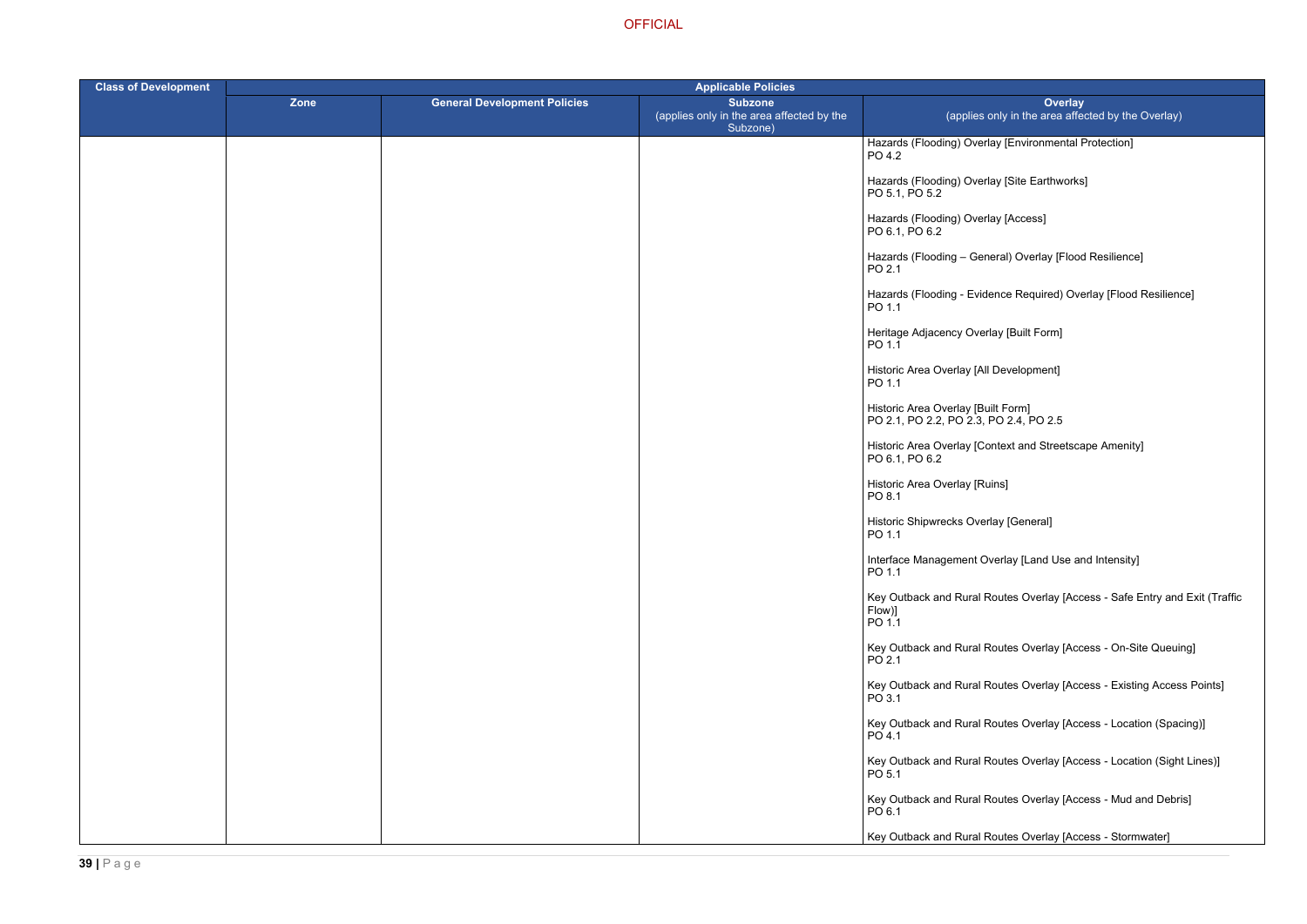- lay [Environmental Protection]
- lay [Site Earthworks]
- lay [Access]
- eral) Overlay [Flood Resilience]
- ence Required) Overlay [Flood Resilience]
- rlay [Built Form]
- I Development]
- 
- ontext and Streetscape Amenity]
- uins]
- rlay [General]
- verlay [Land Use and Intensity]
- Routes Overlay [Access Safe Entry and Exit (Traffic
- Routes Overlay [Access On-Site Queuing]
- Routes Overlay [Access Existing Access Points]
- Routes Overlay [Access Location (Spacing)]
- Routes Overlay [Access Location (Sight Lines)]
- Routes Overlay [Access Mud and Debris]
- Routes Overlay [Access Stormwater]

| <b>Class of Development</b> | <b>Applicable Policies</b> |                                     |                                                                         |                                                                              |
|-----------------------------|----------------------------|-------------------------------------|-------------------------------------------------------------------------|------------------------------------------------------------------------------|
|                             | Zone                       | <b>General Development Policies</b> | <b>Subzone</b><br>(applies only in the area affected by the<br>Subzone) | Ove<br>(applies only in the area                                             |
|                             |                            |                                     |                                                                         | Hazards (Flooding) Overlay [Environmer<br>PO 4.2                             |
|                             |                            |                                     |                                                                         | Hazards (Flooding) Overlay [Site Earthw<br>PO 5.1, PO 5.2                    |
|                             |                            |                                     |                                                                         | Hazards (Flooding) Overlay [Access]<br>PO 6.1, PO 6.2                        |
|                             |                            |                                     |                                                                         | Hazards (Flooding - General) Overlay [F<br>PO 2.1                            |
|                             |                            |                                     |                                                                         | Hazards (Flooding - Evidence Required)<br>PO 1.1                             |
|                             |                            |                                     |                                                                         | Heritage Adjacency Overlay [Built Form]<br>PO 1.1                            |
|                             |                            |                                     |                                                                         | Historic Area Overlay [All Development]<br>PO 1.1                            |
|                             |                            |                                     |                                                                         | Historic Area Overlay [Built Form]<br>PO 2.1, PO 2.2, PO 2.3, PO 2.4, PO 2.5 |
|                             |                            |                                     |                                                                         | Historic Area Overlay [Context and Stree<br>PO 6.1, PO 6.2                   |
|                             |                            |                                     |                                                                         | Historic Area Overlay [Ruins]<br>PO 8.1                                      |
|                             |                            |                                     |                                                                         | Historic Shipwrecks Overlay [General]<br>PO 1.1                              |
|                             |                            |                                     |                                                                         | Interface Management Overlay [Land Us<br>PO 1.1                              |
|                             |                            |                                     |                                                                         | Key Outback and Rural Routes Overlay<br>Flow)]<br>PO 1.1                     |
|                             |                            |                                     |                                                                         | Key Outback and Rural Routes Overlay<br>PO 2.1                               |
|                             |                            |                                     |                                                                         | Key Outback and Rural Routes Overlay<br>PO 3.1                               |
|                             |                            |                                     |                                                                         | Key Outback and Rural Routes Overlay<br>PO 4.1                               |
|                             |                            |                                     |                                                                         | Key Outback and Rural Routes Overlay<br>PO 5.1                               |
|                             |                            |                                     |                                                                         | Key Outback and Rural Routes Overlay<br>PO 6.1                               |
|                             |                            |                                     |                                                                         | Key Outback and Rural Routes Overlay                                         |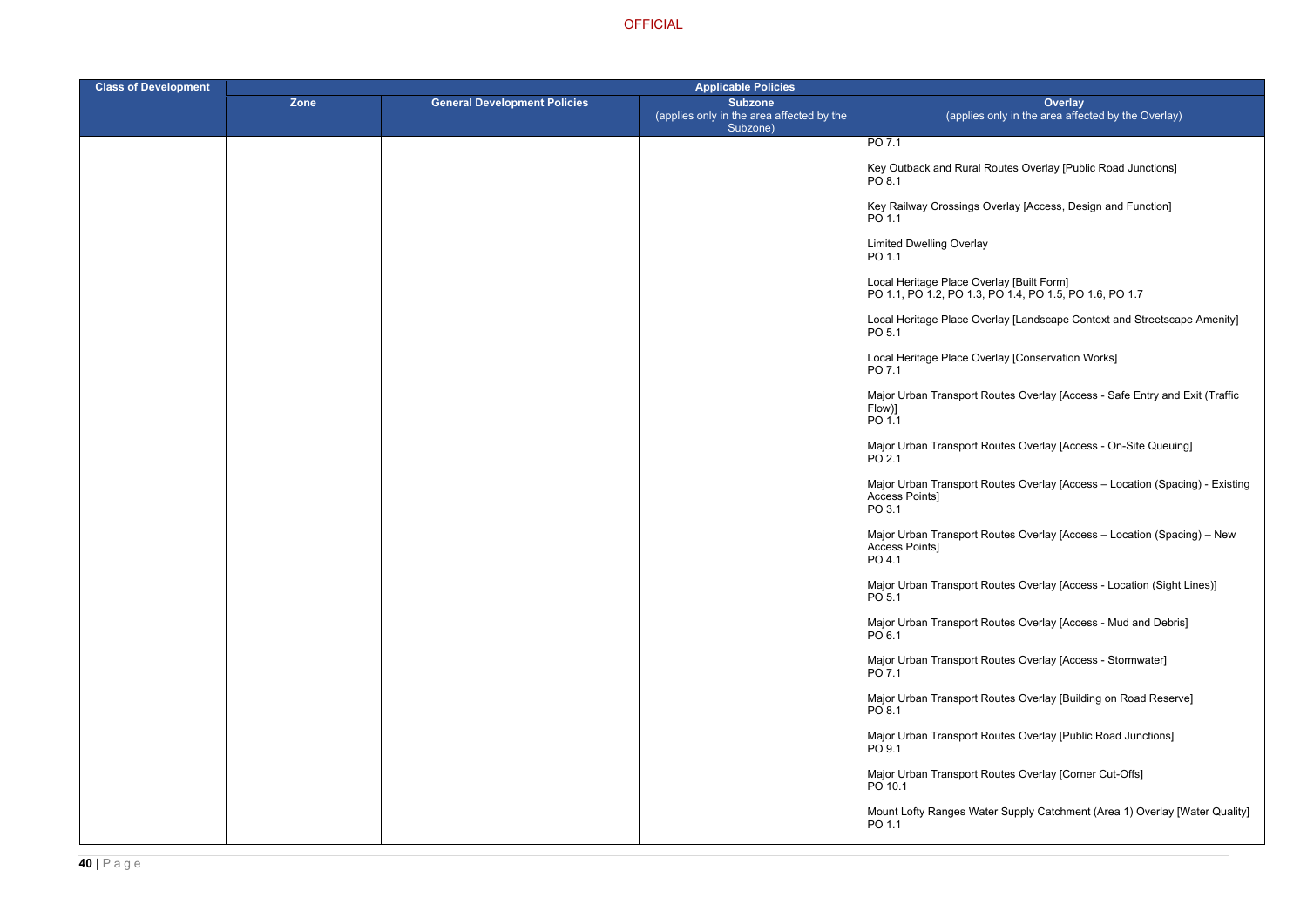Routes Overlay [Public Road Junctions]

)verlay [Access, Design and Function]

PO 1.1, PO 1.2, PO 1.3, PO 1.4, PO 1.5, PO 1.6, PO 1.7

erlay [Landscape Context and Streetscape Amenity]

erlay [Conservation Works]

outes Overlay [Access - Safe Entry and Exit (Traffic

outes Overlay [Access - On-Site Queuing]

outes Overlay [Access – Location (Spacing) - Existing

outes Overlay [Access – Location (Spacing) – New

outes Overlay [Access - Location (Sight Lines)]

outes Overlay [Access - Mud and Debris]

outes Overlay [Access - Stormwater]

outes Overlay [Building on Road Reserve]

outes Overlay [Public Road Junctions]

outes Overlay [Corner Cut-Offs]

er Supply Catchment (Area 1) Overlay [Water Quality]

| <b>Class of Development</b> | <b>Applicable Policies</b> |                                     |                                                                         |                                                                                      |
|-----------------------------|----------------------------|-------------------------------------|-------------------------------------------------------------------------|--------------------------------------------------------------------------------------|
|                             | Zone                       | <b>General Development Policies</b> | <b>Subzone</b><br>(applies only in the area affected by the<br>Subzone) | Over<br>(applies only in the area a                                                  |
|                             |                            |                                     |                                                                         | PO 7.1                                                                               |
|                             |                            |                                     |                                                                         | Key Outback and Rural Routes Overlay [I<br>PO 8.1                                    |
|                             |                            |                                     |                                                                         | Key Railway Crossings Overlay [Access,<br>PO 1.1                                     |
|                             |                            |                                     |                                                                         | <b>Limited Dwelling Overlay</b><br>PO 1.1                                            |
|                             |                            |                                     |                                                                         | Local Heritage Place Overlay [Built Form]<br>PO 1.1, PO 1.2, PO 1.3, PO 1.4, PO 1.5, |
|                             |                            |                                     |                                                                         | Local Heritage Place Overlay [Landscape<br>PO 5.1                                    |
|                             |                            |                                     |                                                                         | Local Heritage Place Overlay [Conservati<br>PO 7.1                                   |
|                             |                            |                                     |                                                                         | Major Urban Transport Routes Overlay [A<br>Flow)]<br>PO 1.1                          |
|                             |                            |                                     |                                                                         | Major Urban Transport Routes Overlay [A<br>PO 2.1                                    |
|                             |                            |                                     |                                                                         | Major Urban Transport Routes Overlay [A<br>Access Points]<br>PO 3.1                  |
|                             |                            |                                     |                                                                         | Major Urban Transport Routes Overlay [A<br>Access Points]<br>PO 4.1                  |
|                             |                            |                                     |                                                                         | Major Urban Transport Routes Overlay [A<br>PO 5.1                                    |
|                             |                            |                                     |                                                                         | Major Urban Transport Routes Overlay [A<br>PO 6.1                                    |
|                             |                            |                                     |                                                                         | Major Urban Transport Routes Overlay [A<br>PO 7.1                                    |
|                             |                            |                                     |                                                                         | Major Urban Transport Routes Overlay [B<br>PO 8.1                                    |
|                             |                            |                                     |                                                                         | Major Urban Transport Routes Overlay [F<br>PO 9.1                                    |
|                             |                            |                                     |                                                                         | Major Urban Transport Routes Overlay [C<br>PO 10.1                                   |
|                             |                            |                                     |                                                                         | Mount Lofty Ranges Water Supply Catch<br>PO 1.1                                      |
|                             |                            |                                     |                                                                         |                                                                                      |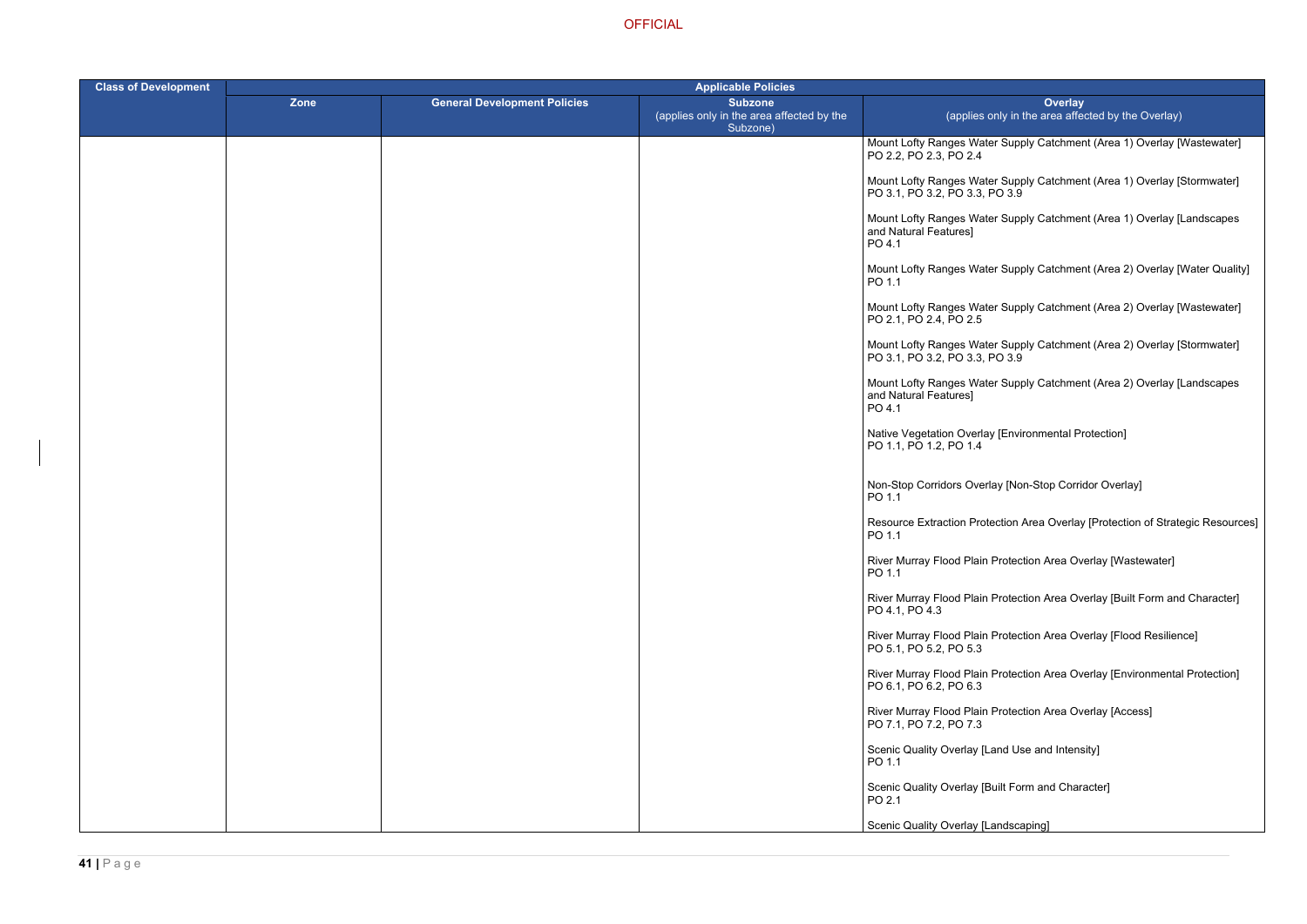ter Supply Catchment (Area 1) Overlay [Wastewater]

ter Supply Catchment (Area 1) Overlay [Stormwater]  $PO<sub>3.9</sub>$ 

ter Supply Catchment (Area 1) Overlay [Landscapes

- ter Supply Catchment (Area 2) Overlay [Water Quality]
- ter Supply Catchment (Area 2) Overlay [Wastewater]
- ter Supply Catchment (Area 2) Overlay [Stormwater] PO 3.9
- ter Supply Catchment (Area 2) Overlay [Landscapes
- ay [Environmental Protection]
- rlay [Non-Stop Corridor Overlay]
- tection Area Overlay [Protection of Strategic Resources]
- **Protection Area Overlay [Wastewater]**
- Protection Area Overlay [Built Form and Character]
- Protection Area Overlay [Flood Resilience]
- **Protection Area Overlay [Environmental Protection]**
- River Murray Thotection Area Overlay [Access]
- Land Use and Intensity]
- Built Form and Character]
- Landscaping]

| <b>Class of Development</b> | <b>Applicable Policies</b> |                                     |                                                                         |                                                            |
|-----------------------------|----------------------------|-------------------------------------|-------------------------------------------------------------------------|------------------------------------------------------------|
|                             | Zone                       | <b>General Development Policies</b> | <b>Subzone</b><br>(applies only in the area affected by the<br>Subzone) | (applies o                                                 |
|                             |                            |                                     |                                                                         | <b>Mount Lofty Ranges Wate</b><br>PO 2.2, PO 2.3, PO 2.4   |
|                             |                            |                                     |                                                                         | Mount Lofty Ranges Wate<br>PO 3.1, PO 3.2, PO 3.3, I       |
|                             |                            |                                     |                                                                         | Mount Lofty Ranges Wate<br>and Natural Features]<br>PO 4.1 |
|                             |                            |                                     |                                                                         | Mount Lofty Ranges Wate<br>PO 1.1                          |
|                             |                            |                                     |                                                                         | Mount Lofty Ranges Wate<br>PO 2.1, PO 2.4, PO 2.5          |
|                             |                            |                                     |                                                                         | Mount Lofty Ranges Wate<br>PO 3.1, PO 3.2, PO 3.3, I       |
|                             |                            |                                     |                                                                         | Mount Lofty Ranges Wate<br>and Natural Features]<br>PO 4.1 |
|                             |                            |                                     |                                                                         | Native Vegetation Overla<br>PO 1.1, PO 1.2, PO 1.4         |
|                             |                            |                                     |                                                                         | Non-Stop Corridors Over<br>PO 1.1                          |
|                             |                            |                                     |                                                                         | <b>Resource Extraction Prot</b><br>PO 1.1                  |
|                             |                            |                                     |                                                                         | <b>River Murray Flood Plain</b><br>PO 1.1                  |
|                             |                            |                                     |                                                                         | <b>River Murray Flood Plain</b><br>PO 4.1, PO 4.3          |
|                             |                            |                                     |                                                                         | River Murray Flood Plain<br>PO 5.1, PO 5.2, PO 5.3         |
|                             |                            |                                     |                                                                         | <b>River Murray Flood Plain</b><br>PO 6.1, PO 6.2, PO 6.3  |
|                             |                            |                                     |                                                                         | <b>River Murray Flood Plain</b><br>PO 7.1, PO 7.2, PO 7.3  |
|                             |                            |                                     |                                                                         | Scenic Quality Overlay [L<br>PO 1.1                        |
|                             |                            |                                     |                                                                         | Scenic Quality Overlay [B<br>PO 2.1                        |
|                             |                            |                                     |                                                                         | <b>Scenic Quality Overlay [L</b>                           |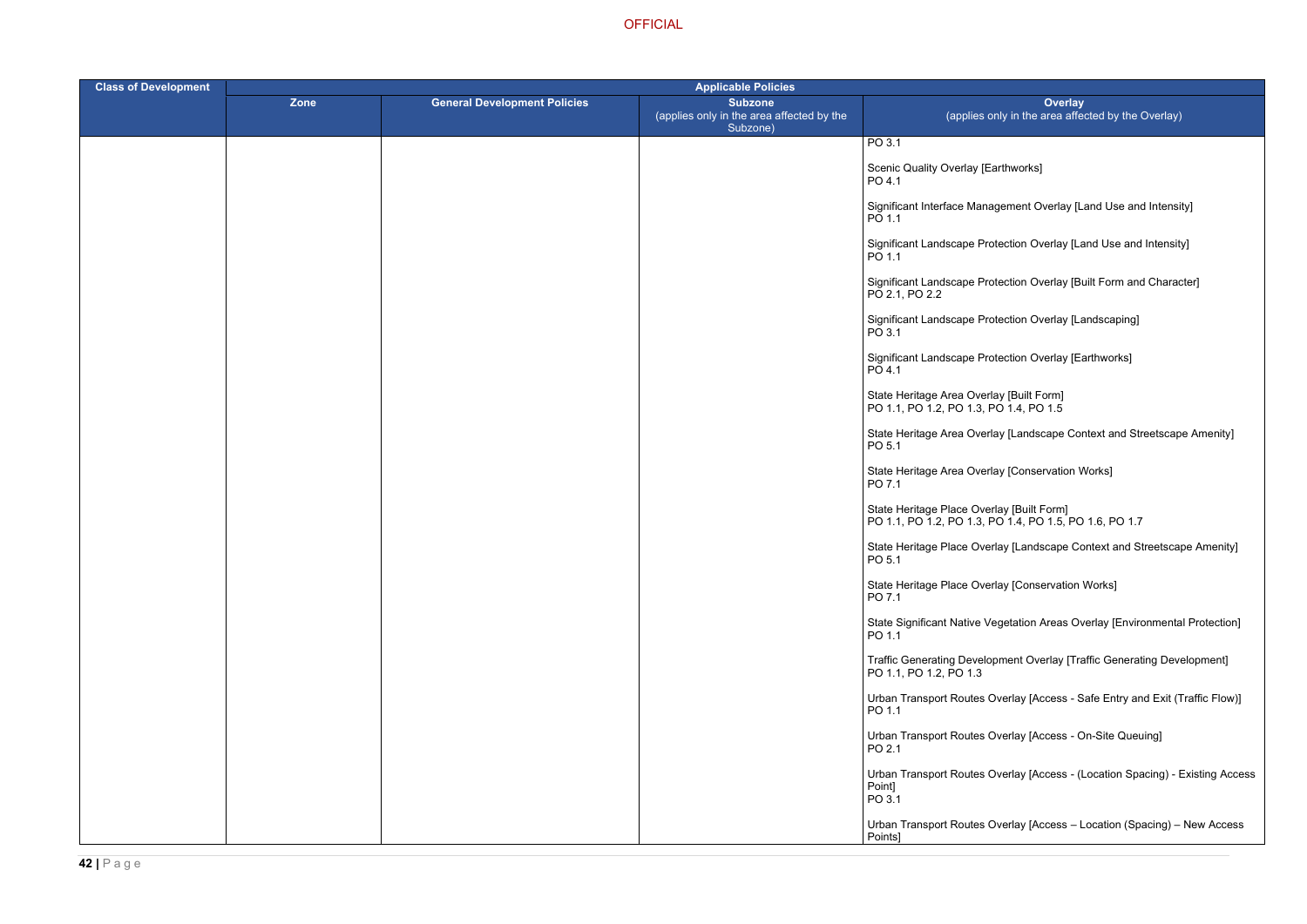## Earthworks]

- agement Overlay [Land Use and Intensity]
- rotection Overlay [Land Use and Intensity]
- otection Overlay [Built Form and Character]
- otection Overlay [Landscaping]
- otection Overlay [Earthworks]
- 
- Iay [Landscape Context and Streetscape Amenity]
- Iay [Conservation Works]
- PO 1.1, PO 1.2, PO 1.3, PO 1.4, PO 1.5, PO 1.6, PO 1.7
	- erlay [Landscape Context and Streetscape Amenity]
	- erlay [Conservation Works]
	- /egetation Areas Overlay [Environmental Protection]
	- opment Overlay [Traffic Generating Development]
	- Overlay [Access Safe Entry and Exit (Traffic Flow)]
	- Overlay [Access On-Site Queuing]
	- Overlay [Access (Location Spacing) Existing Access
	- Overlay [Access Location (Spacing) New Access

| <b>Class of Development</b> | <b>Applicable Policies</b> |                                     |                                                                         |                                                                                      |
|-----------------------------|----------------------------|-------------------------------------|-------------------------------------------------------------------------|--------------------------------------------------------------------------------------|
|                             | Zone                       | <b>General Development Policies</b> | <b>Subzone</b><br>(applies only in the area affected by the<br>Subzone) | Over<br>(applies only in the area                                                    |
|                             |                            |                                     |                                                                         | PO 3.1                                                                               |
|                             |                            |                                     |                                                                         | Scenic Quality Overlay [Earthworks]<br>PO 4.1                                        |
|                             |                            |                                     |                                                                         | Significant Interface Management Overla<br>PO 1.1                                    |
|                             |                            |                                     |                                                                         | Significant Landscape Protection Overlay<br>PO 1.1                                   |
|                             |                            |                                     |                                                                         | Significant Landscape Protection Overlay<br>PO 2.1, PO 2.2                           |
|                             |                            |                                     |                                                                         | Significant Landscape Protection Overlay<br>PO 3.1                                   |
|                             |                            |                                     |                                                                         | Significant Landscape Protection Overlay<br>PO 4.1                                   |
|                             |                            |                                     |                                                                         | State Heritage Area Overlay [Built Form]<br>PO 1.1, PO 1.2, PO 1.3, PO 1.4, PO 1.5   |
|                             |                            |                                     |                                                                         | State Heritage Area Overlay [Landscape<br>PO 5.1                                     |
|                             |                            |                                     |                                                                         | State Heritage Area Overlay [Conservation]<br>PO 7.1                                 |
|                             |                            |                                     |                                                                         | State Heritage Place Overlay [Built Form]<br>PO 1.1, PO 1.2, PO 1.3, PO 1.4, PO 1.5, |
|                             |                            |                                     |                                                                         | State Heritage Place Overlay [Landscape<br>PO 5.1                                    |
|                             |                            |                                     |                                                                         | State Heritage Place Overlay [Conservati<br>PO 7.1                                   |
|                             |                            |                                     |                                                                         | <b>State Significant Native Vegetation Areas</b><br>PO 1.1                           |
|                             |                            |                                     |                                                                         | <b>Traffic Generating Development Overlay</b><br>PO 1.1, PO 1.2, PO 1.3              |
|                             |                            |                                     |                                                                         | <b>Urban Transport Routes Overlay [Access</b><br>PO 1.1                              |
|                             |                            |                                     |                                                                         | Urban Transport Routes Overlay [Access<br>PO 2.1                                     |
|                             |                            |                                     |                                                                         | Urban Transport Routes Overlay [Access<br>Point]<br>PO 3.1                           |
|                             |                            |                                     |                                                                         | Urban Transport Routes Overlay [Access<br>Points]                                    |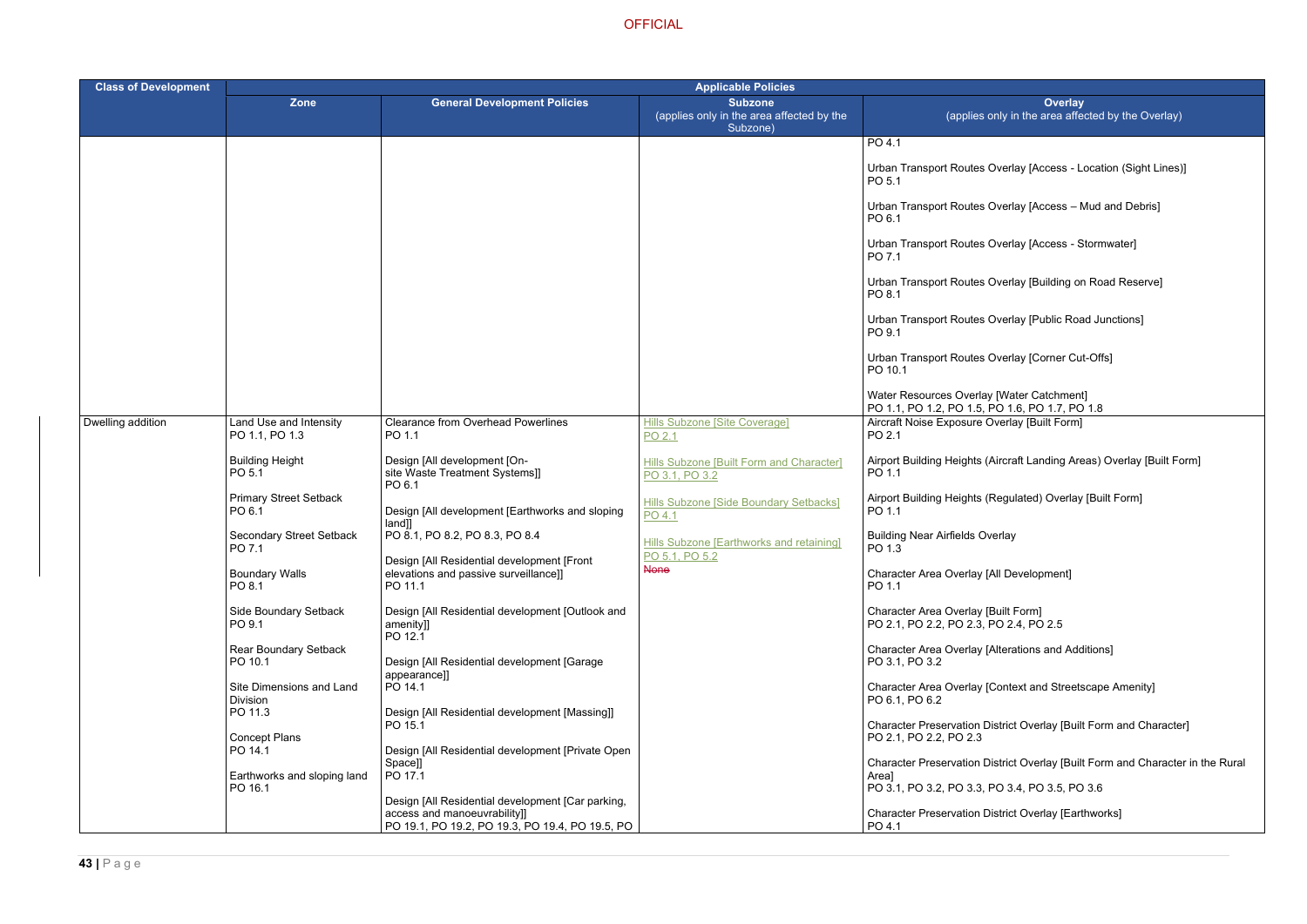- Overlay [Access Location (Sight Lines)]
- Overlay [Access Mud and Debris]
- Overlay [Access Stormwater]
- Overlay [Building on Road Reserve]
- Overlay [Public Road Junctions]
- Overlay [Corner Cut-Offs]

y [Water Catchment]  $PO$  1.6, PO 1.7, PO 1.8 Overlay [Built Form]

- (Aircraft Landing Areas) Overlay [Built Form]
- (Regulated) Overlay [Built Form]
- verlay
- [All Development]
- [Built Form]  $PO$  2.4,  $PO$  2.5
- [Alterations and Additions]
- [Context and Streetscape Amenity]
- District Overlay [Built Form and Character]
- District Overlay [Built Form and Character in the Rural
- PO 3.1, PO 3.2, PO 3.3, PO 3.4, PO 3.5, PO 3.6
- District Overlay [Earthworks]

| <b>Class of Development</b> | <b>Applicable Policies</b>                             |                                                                                                                                      |                                                                         |                                                                       |  |
|-----------------------------|--------------------------------------------------------|--------------------------------------------------------------------------------------------------------------------------------------|-------------------------------------------------------------------------|-----------------------------------------------------------------------|--|
|                             | <b>Zone</b>                                            | <b>General Development Policies</b>                                                                                                  | <b>Subzone</b><br>(applies only in the area affected by the<br>Subzone) | (applies o                                                            |  |
|                             |                                                        |                                                                                                                                      |                                                                         | PO 4.1                                                                |  |
|                             |                                                        |                                                                                                                                      |                                                                         | <b>Urban Transport Routes (</b><br>PO 5.1                             |  |
|                             |                                                        |                                                                                                                                      |                                                                         | <b>Urban Transport Routes (</b><br>PO 6.1                             |  |
|                             |                                                        |                                                                                                                                      |                                                                         | <b>Urban Transport Routes (</b><br>PO 7.1                             |  |
|                             |                                                        |                                                                                                                                      |                                                                         | <b>Urban Transport Routes (</b><br>PO 8.1                             |  |
|                             |                                                        |                                                                                                                                      |                                                                         | <b>Urban Transport Routes (</b><br>PO 9.1                             |  |
|                             |                                                        |                                                                                                                                      |                                                                         | <b>Urban Transport Routes (</b><br>PO 10.1                            |  |
|                             |                                                        |                                                                                                                                      |                                                                         | Water Resources Overlay<br>PO 1.1, PO 1.2, PO 1.5, I                  |  |
| Dwelling addition           | Land Use and Intensity<br>PO 1.1, PO 1.3               | <b>Clearance from Overhead Powerlines</b><br>PO 1.1                                                                                  | <b>Hills Subzone [Site Coverage]</b><br>PO 2.1                          | Aircraft Noise Exposure C<br>PO 2.1                                   |  |
|                             | <b>Building Height</b><br>PO 5.1                       | Design [All development [On-<br>site Waste Treatment Systems]]<br>PO 6.1                                                             | <b>Hills Subzone [Built Form and Character]</b><br>PO 3.1, PO 3.2       | Airport Building Heights (<br>PO 1.1                                  |  |
|                             | <b>Primary Street Setback</b><br>PO 6.1                | Design [All development [Earthworks and sloping<br>land]]                                                                            | Hills Subzone [Side Boundary Setbacks]<br>PO 4.1                        | Airport Building Heights (I<br>PO 1.1                                 |  |
|                             | Secondary Street Setback<br>PO 7.1                     | PO 8.1, PO 8.2, PO 8.3, PO 8.4                                                                                                       | Hills Subzone [Earthworks and retaining]<br>PO 5.1, PO 5.2              | <b>Building Near Airfields Ov</b><br>PO 1.3                           |  |
|                             | <b>Boundary Walls</b><br>PO 8.1                        | Design [All Residential development [Front<br>elevations and passive surveillance]]<br>PO 11.1                                       | <b>None</b>                                                             | Character Area Overlay [<br>PO 1.1                                    |  |
|                             | Side Boundary Setback<br>PO 9.1                        | Design [All Residential development [Outlook and<br>amenity]]<br>PO 12.1                                                             |                                                                         | Character Area Overlay [I<br>PO 2.1, PO 2.2, PO 2.3, R                |  |
|                             | Rear Boundary Setback<br>PO 10.1                       | Design [All Residential development [Garage<br>appearance]]                                                                          |                                                                         | Character Area Overlay [<br>PO 3.1, PO 3.2                            |  |
|                             | Site Dimensions and Land<br><b>Division</b><br>PO 11.3 | PO 14.1<br>Design [All Residential development [Massing]]                                                                            |                                                                         | Character Area Overlay [<br>PO 6.1, PO 6.2                            |  |
|                             | <b>Concept Plans</b>                                   | PO 15.1                                                                                                                              |                                                                         | <b>Character Preservation D</b><br>PO 2.1, PO 2.2, PO 2.3             |  |
|                             | PO 14.1<br>Earthworks and sloping land<br>PO 16.1      | Design [All Residential development [Private Open]<br>Space]]<br>PO 17.1                                                             |                                                                         | <b>Character Preservation D</b><br>Areal<br>PO 3.1, PO 3.2, PO 3.3, I |  |
|                             |                                                        | Design [All Residential development [Car parking,<br>access and manoeuvrability]]<br>PO 19.1, PO 19.2, PO 19.3, PO 19.4, PO 19.5, PO |                                                                         | <b>Character Preservation D</b><br>PO 4.1                             |  |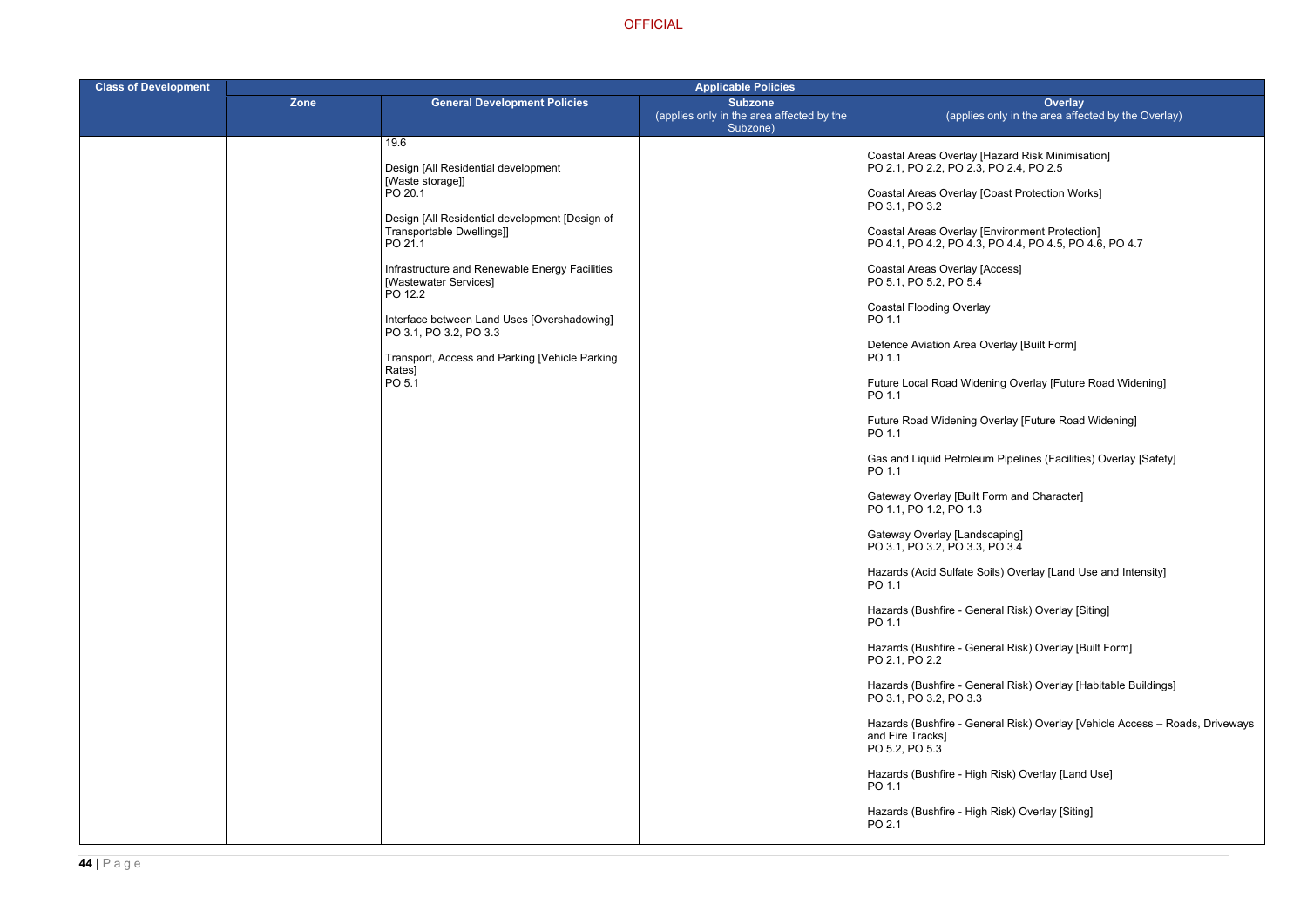> azard Risk Minimisation] PO 2.4, PO 2.5

oast Protection Works]

nvironment Protection] PO 4.1, PO 4.2, PO 4.3, PO 4.4, PO 4.5, PO 4.6, PO 4.7

ccess]

erlay [Built Form]

ing Overlay [Future Road Widening]

rerlay [Future Road Widening]

Pipelines (Facilities) Overlay [Safety]

orm and Character]

ils) Overlay [Land Use and Intensity]

ral Risk) Overlay [Siting]

ral Risk) Overlay [Built Form]

ral Risk) Overlay [Habitable Buildings]

ral Risk) Overlay [Vehicle Access – Roads, Driveways

Risk) Overlay [Land Use]

Risk) Overlay [Siting]

| <b>Class of Development</b> | <b>Applicable Policies</b> |                                                                                        |                                                                         |                                                                       |
|-----------------------------|----------------------------|----------------------------------------------------------------------------------------|-------------------------------------------------------------------------|-----------------------------------------------------------------------|
|                             | Zone                       | <b>General Development Policies</b>                                                    | <b>Subzone</b><br>(applies only in the area affected by the<br>Subzone) | (applies only in                                                      |
|                             |                            | 19.6                                                                                   |                                                                         |                                                                       |
|                             |                            | Design [All Residential development<br>[Waste storage]]                                |                                                                         | Coastal Areas Overlay [Hazard<br>PO 2.1, PO 2.2, PO 2.3, PO 2.4       |
|                             |                            | PO 20.1                                                                                |                                                                         | Coastal Areas Overlay [Coast P<br>PO 3.1, PO 3.2                      |
|                             |                            | Design [All Residential development [Design of<br>Transportable Dwellings]]<br>PO 21.1 |                                                                         | Coastal Areas Overlay [Environ<br>PO 4.1, PO 4.2, PO 4.3, PO 4.4      |
|                             |                            | Infrastructure and Renewable Energy Facilities<br>[Wastewater Services]<br>PO 12.2     |                                                                         | Coastal Areas Overlay [Access]<br>PO 5.1, PO 5.2, PO 5.4              |
|                             |                            | Interface between Land Uses [Overshadowing]<br>PO 3.1, PO 3.2, PO 3.3                  |                                                                         | <b>Coastal Flooding Overlay</b><br>PO 1.1                             |
|                             |                            | Transport, Access and Parking [Vehicle Parking<br>Rates]                               |                                                                         | Defence Aviation Area Overlay<br>PO 1.1                               |
|                             |                            | PO 5.1                                                                                 |                                                                         | Future Local Road Widening Ov<br>PO 1.1                               |
|                             |                            |                                                                                        |                                                                         | Future Road Widening Overlay<br>PO 1.1                                |
|                             |                            |                                                                                        |                                                                         | Gas and Liquid Petroleum Pipel<br>PO 1.1                              |
|                             |                            |                                                                                        |                                                                         | Gateway Overlay [Built Form an<br>PO 1.1, PO 1.2, PO 1.3              |
|                             |                            |                                                                                        |                                                                         | Gateway Overlay [Landscaping]<br>PO 3.1, PO 3.2, PO 3.3, PO 3.4       |
|                             |                            |                                                                                        |                                                                         | Hazards (Acid Sulfate Soils) Ov<br>PO 1.1                             |
|                             |                            |                                                                                        |                                                                         | Hazards (Bushfire - General Ris<br>PO 1.1                             |
|                             |                            |                                                                                        |                                                                         | Hazards (Bushfire - General Ris<br>PO 2.1, PO 2.2                     |
|                             |                            |                                                                                        |                                                                         | Hazards (Bushfire - General Ris<br>PO 3.1, PO 3.2, PO 3.3             |
|                             |                            |                                                                                        |                                                                         | Hazards (Bushfire - General Ris<br>and Fire Tracks]<br>PO 5.2, PO 5.3 |
|                             |                            |                                                                                        |                                                                         | Hazards (Bushfire - High Risk) (<br>PO 1.1                            |
|                             |                            |                                                                                        |                                                                         | Hazards (Bushfire - High Risk) (<br>PO 2.1                            |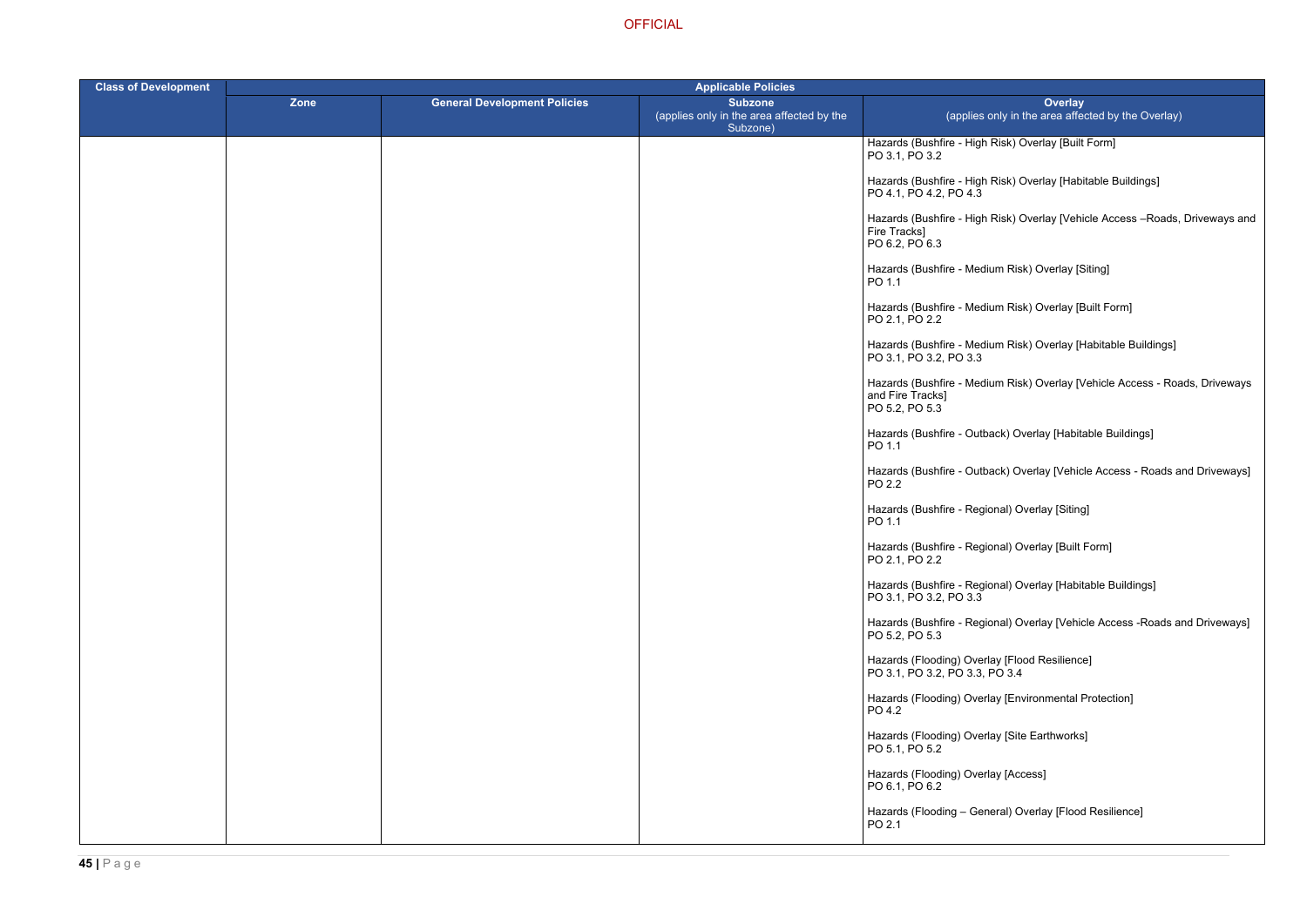- Risk) Overlay [Built Form]
- Risk) Overlay [Habitable Buildings]
- Risk) Overlay [Vehicle Access –Roads, Driveways and
- ium Risk) Overlay [Siting]
- lium Risk) Overlay [Built Form]
- ium Risk) Overlay [Habitable Buildings]
- ium Risk) Overlay [Vehicle Access Roads, Driveways
- back) Overlay [Habitable Buildings]
- )ack) Overlay [Vehicle Access Roads and Driveways]
- ional) Overlay [Siting]
- ional) Overlay [Built Form]
- ional) Overlay [Habitable Buildings]
- ional) Overlay [Vehicle Access -Roads and Driveways]
- 
- lay [Environmental Protection]
- Iay [Site Earthworks]
- lay [Access]
- heral) Overlay [Flood Resilience]

| <b>Class of Development</b> | <b>Applicable Policies</b> |                                     |                                                                         |                                                                                    |
|-----------------------------|----------------------------|-------------------------------------|-------------------------------------------------------------------------|------------------------------------------------------------------------------------|
|                             | Zone                       | <b>General Development Policies</b> | <b>Subzone</b><br>(applies only in the area affected by the<br>Subzone) | <b>Overlay</b><br>(applies only in the area affect                                 |
|                             |                            |                                     |                                                                         | Hazards (Bushfire - High Risk) Overlay [Built F<br>PO 3.1, PO 3.2                  |
|                             |                            |                                     |                                                                         | Hazards (Bushfire - High Risk) Overlay [Habita<br>PO 4.1, PO 4.2, PO 4.3           |
|                             |                            |                                     |                                                                         | Hazards (Bushfire - High Risk) Overlay [Vehic<br>Fire Tracks]<br>PO 6.2, PO 6.3    |
|                             |                            |                                     |                                                                         | Hazards (Bushfire - Medium Risk) Overlay [Sit<br>PO 1.1                            |
|                             |                            |                                     |                                                                         | Hazards (Bushfire - Medium Risk) Overlay [Bu<br>PO 2.1, PO 2.2                     |
|                             |                            |                                     |                                                                         | Hazards (Bushfire - Medium Risk) Overlay [Ha<br>PO 3.1, PO 3.2, PO 3.3             |
|                             |                            |                                     |                                                                         | Hazards (Bushfire - Medium Risk) Overlay [Ve<br>and Fire Tracks]<br>PO 5.2, PO 5.3 |
|                             |                            |                                     |                                                                         | Hazards (Bushfire - Outback) Overlay [Habital<br>PO 1.1                            |
|                             |                            |                                     |                                                                         | Hazards (Bushfire - Outback) Overlay [Vehicle<br>PO 2.2                            |
|                             |                            |                                     |                                                                         | Hazards (Bushfire - Regional) Overlay [Siting]<br>PO 1.1                           |
|                             |                            |                                     |                                                                         | Hazards (Bushfire - Regional) Overlay [Built F<br>PO 2.1, PO 2.2                   |
|                             |                            |                                     |                                                                         | Hazards (Bushfire - Regional) Overlay [Habita<br>PO 3.1, PO 3.2, PO 3.3            |
|                             |                            |                                     |                                                                         | Hazards (Bushfire - Regional) Overlay [Vehicle<br>PO 5.2, PO 5.3                   |
|                             |                            |                                     |                                                                         | Hazards (Flooding) Overlay [Flood Resilience]<br>PO 3.1, PO 3.2, PO 3.3, PO 3.4    |
|                             |                            |                                     |                                                                         | Hazards (Flooding) Overlay [Environmental Pr<br>PO 4.2                             |
|                             |                            |                                     |                                                                         | Hazards (Flooding) Overlay [Site Earthworks]<br>PO 5.1, PO 5.2                     |
|                             |                            |                                     |                                                                         | Hazards (Flooding) Overlay [Access]<br>PO 6.1, PO 6.2                              |
|                             |                            |                                     |                                                                         | Hazards (Flooding - General) Overlay [Flood<br>PO 2.1                              |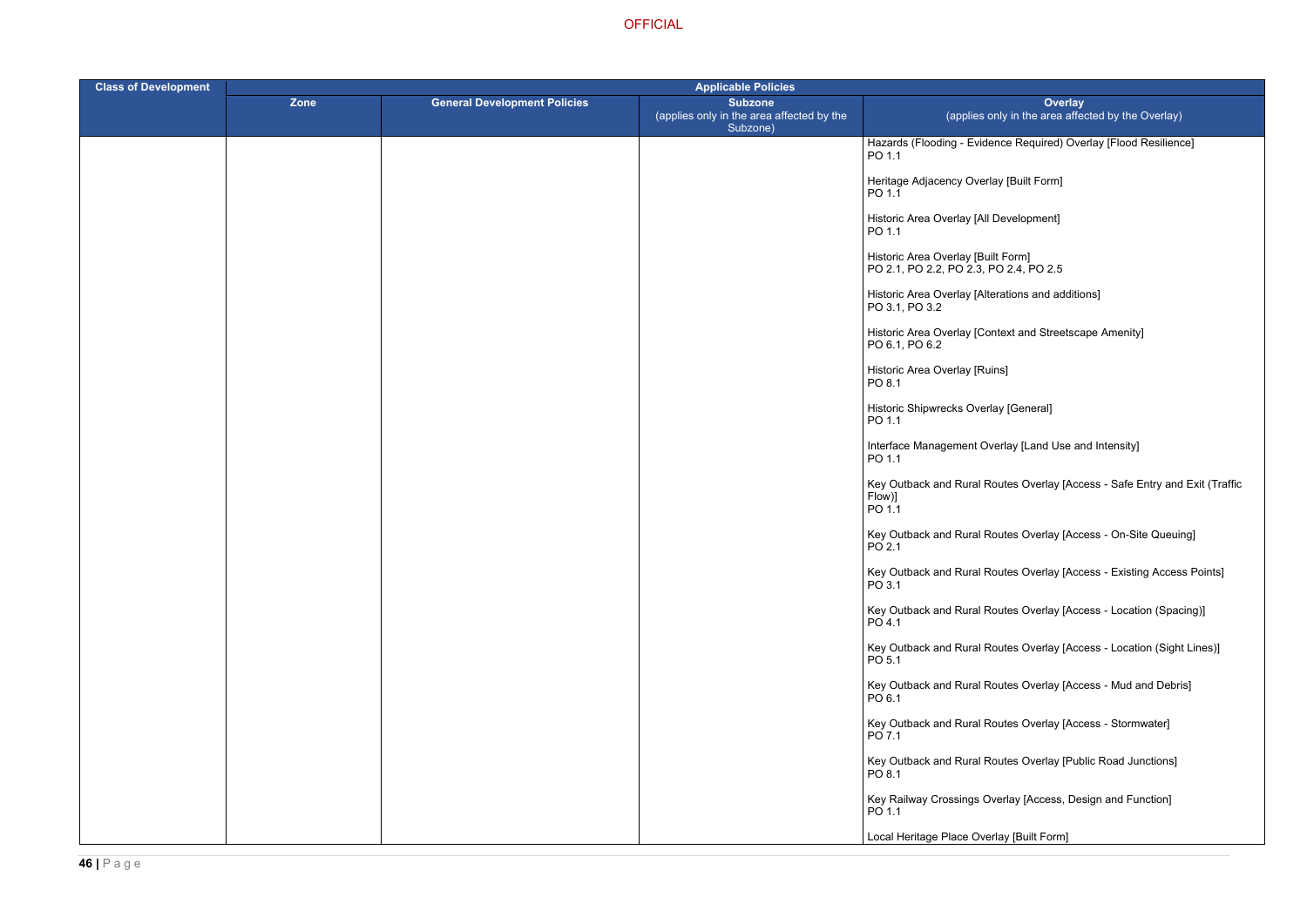ence Required) Overlay [Flood Resilience]

terations and additions]

ontext and Streetscape Amenity]

verlay [Land Use and Intensity]

Routes Overlay [Access - Safe Entry and Exit (Traffic

Routes Overlay [Access - On-Site Queuing]

Routes Overlay [Access - Existing Access Points]

Routes Overlay [Access - Location (Spacing)]

Routes Overlay [Access - Location (Sight Lines)]

Routes Overlay [Access - Mud and Debris]

Routes Overlay [Access - Stormwater]

Routes Overlay [Public Road Junctions]

Verlay [Access, Design and Function]

erlay [Built Form]

| <b>Class of Development</b> | <b>Applicable Policies</b> |                                     |                                                                         |                                                                              |
|-----------------------------|----------------------------|-------------------------------------|-------------------------------------------------------------------------|------------------------------------------------------------------------------|
|                             | Zone                       | <b>General Development Policies</b> | <b>Subzone</b><br>(applies only in the area affected by the<br>Subzone) | Ove<br>(applies only in the area                                             |
|                             |                            |                                     |                                                                         | Hazards (Flooding - Evidence Required)<br>PO 1.1                             |
|                             |                            |                                     |                                                                         | Heritage Adjacency Overlay [Built Form]<br>PO 1.1                            |
|                             |                            |                                     |                                                                         | Historic Area Overlay [All Development]<br>PO 1.1                            |
|                             |                            |                                     |                                                                         | Historic Area Overlay [Built Form]<br>PO 2.1, PO 2.2, PO 2.3, PO 2.4, PO 2.5 |
|                             |                            |                                     |                                                                         | Historic Area Overlay [Alterations and a<br>PO 3.1, PO 3.2                   |
|                             |                            |                                     |                                                                         | Historic Area Overlay [Context and Stree<br>PO 6.1, PO 6.2                   |
|                             |                            |                                     |                                                                         | Historic Area Overlay [Ruins]<br>PO 8.1                                      |
|                             |                            |                                     |                                                                         | Historic Shipwrecks Overlay [General]<br>PO 1.1                              |
|                             |                            |                                     |                                                                         | Interface Management Overlay [Land Us<br>PO 1.1                              |
|                             |                            |                                     |                                                                         | Key Outback and Rural Routes Overlay<br>Flow)]<br>PO 1.1                     |
|                             |                            |                                     |                                                                         | Key Outback and Rural Routes Overlay<br>PO 2.1                               |
|                             |                            |                                     |                                                                         | Key Outback and Rural Routes Overlay<br>PO 3.1                               |
|                             |                            |                                     |                                                                         | Key Outback and Rural Routes Overlay<br>PO 4.1                               |
|                             |                            |                                     |                                                                         | Key Outback and Rural Routes Overlay<br>PO 5.1                               |
|                             |                            |                                     |                                                                         | Key Outback and Rural Routes Overlay<br>PO 6.1                               |
|                             |                            |                                     |                                                                         | Key Outback and Rural Routes Overlay<br>PO 7.1                               |
|                             |                            |                                     |                                                                         | Key Outback and Rural Routes Overlay<br>PO 8.1                               |
|                             |                            |                                     |                                                                         | Key Railway Crossings Overlay [Access<br>PO 1.1                              |
|                             |                            |                                     |                                                                         | Local Heritage Place Overlay [Built Forn                                     |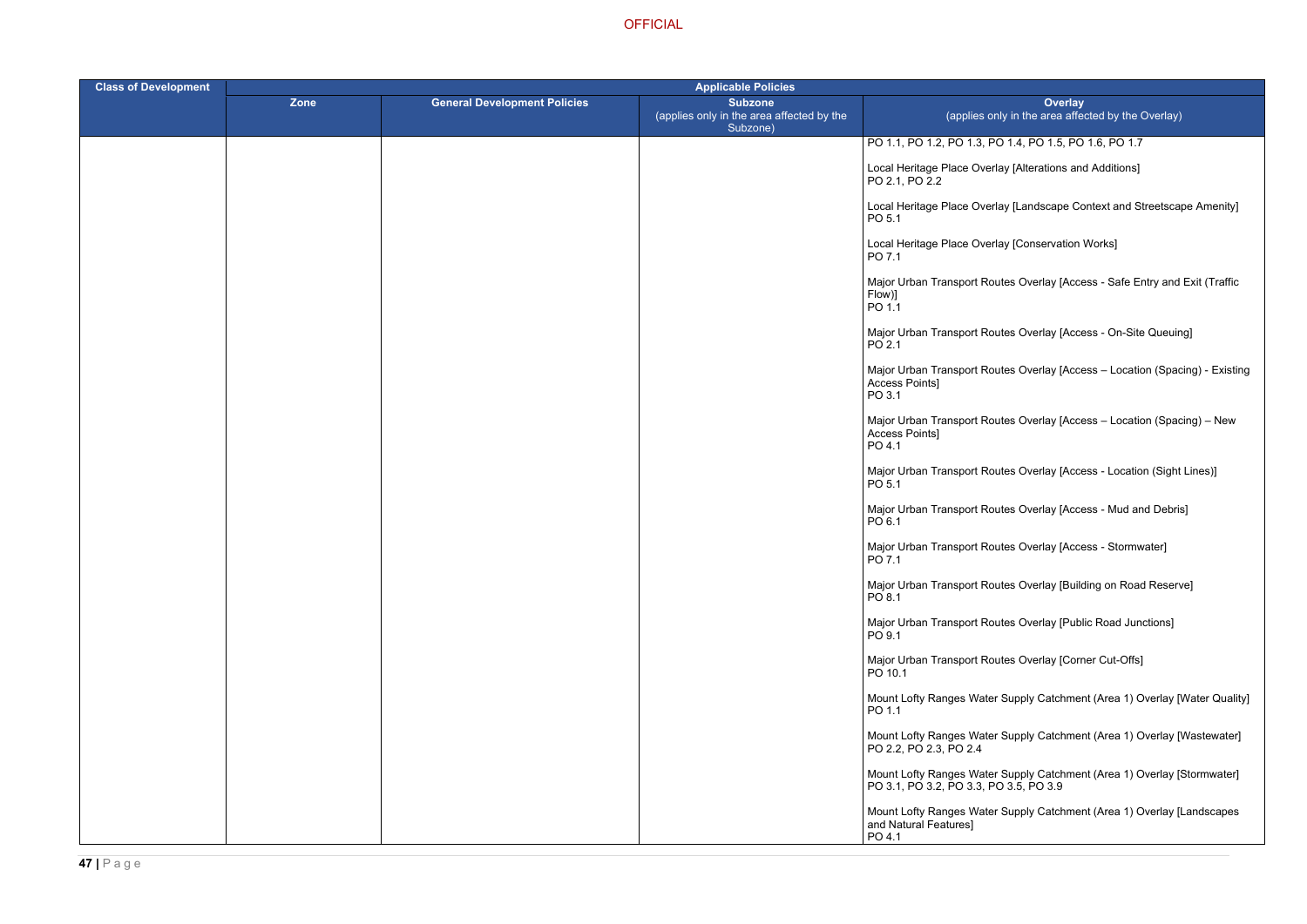| <b>Class of Development</b> | <b>Applicable Policies</b> |                                     |                                                                         |                                                                                                                   |  |
|-----------------------------|----------------------------|-------------------------------------|-------------------------------------------------------------------------|-------------------------------------------------------------------------------------------------------------------|--|
|                             | Zone                       | <b>General Development Policies</b> | <b>Subzone</b><br>(applies only in the area affected by the<br>Subzone) | <b>Overlay</b><br>(applies only in the area affected by the Overlay)                                              |  |
|                             |                            |                                     |                                                                         | PO 1.1, PO 1.2, PO 1.3, PO 1.4, PO 1.5, PO 1.6, PO 1.7                                                            |  |
|                             |                            |                                     |                                                                         | Local Heritage Place Overlay [Alterations and Additions]<br>PO 2.1, PO 2.2                                        |  |
|                             |                            |                                     |                                                                         | Local Heritage Place Overlay [Landscape Context and Streetscape Amenity]<br>PO <sub>5.1</sub>                     |  |
|                             |                            |                                     |                                                                         | Local Heritage Place Overlay [Conservation Works]<br>PO 7.1                                                       |  |
|                             |                            |                                     |                                                                         | Major Urban Transport Routes Overlay [Access - Safe Entry and Exit (Traffic<br>Flow)]<br>PO 1.1                   |  |
|                             |                            |                                     |                                                                         | Major Urban Transport Routes Overlay [Access - On-Site Queuing]<br>PO 2.1                                         |  |
|                             |                            |                                     |                                                                         | Major Urban Transport Routes Overlay [Access – Location (Spacing) - Existing<br>Access Points]<br>PO3.1           |  |
|                             |                            |                                     |                                                                         | Major Urban Transport Routes Overlay [Access - Location (Spacing) - New<br>Access Points]<br>PO 4.1               |  |
|                             |                            |                                     |                                                                         | Major Urban Transport Routes Overlay [Access - Location (Sight Lines)]<br>PO <sub>5.1</sub>                       |  |
|                             |                            |                                     |                                                                         | Major Urban Transport Routes Overlay [Access - Mud and Debris]<br>PO 6.1                                          |  |
|                             |                            |                                     |                                                                         | Major Urban Transport Routes Overlay [Access - Stormwater]<br>PO 7.1                                              |  |
|                             |                            |                                     |                                                                         | Major Urban Transport Routes Overlay [Building on Road Reserve]<br>PO 8.1                                         |  |
|                             |                            |                                     |                                                                         | Major Urban Transport Routes Overlay [Public Road Junctions]<br>PO 9.1                                            |  |
|                             |                            |                                     |                                                                         | Major Urban Transport Routes Overlay [Corner Cut-Offs]<br>PO 10.1                                                 |  |
|                             |                            |                                     |                                                                         | Mount Lofty Ranges Water Supply Catchment (Area 1) Overlay [Water Quality]<br>PO 1.1                              |  |
|                             |                            |                                     |                                                                         | Mount Lofty Ranges Water Supply Catchment (Area 1) Overlay [Wastewater]<br>PO 2.2, PO 2.3, PO 2.4                 |  |
|                             |                            |                                     |                                                                         | Mount Lofty Ranges Water Supply Catchment (Area 1) Overlay [Stormwater]<br>PO 3.1, PO 3.2, PO 3.3, PO 3.5, PO 3.9 |  |
|                             |                            |                                     |                                                                         | Mount Lofty Ranges Water Supply Catchment (Area 1) Overlay [Landscapes<br>and Natural Features]<br>PO 4.1         |  |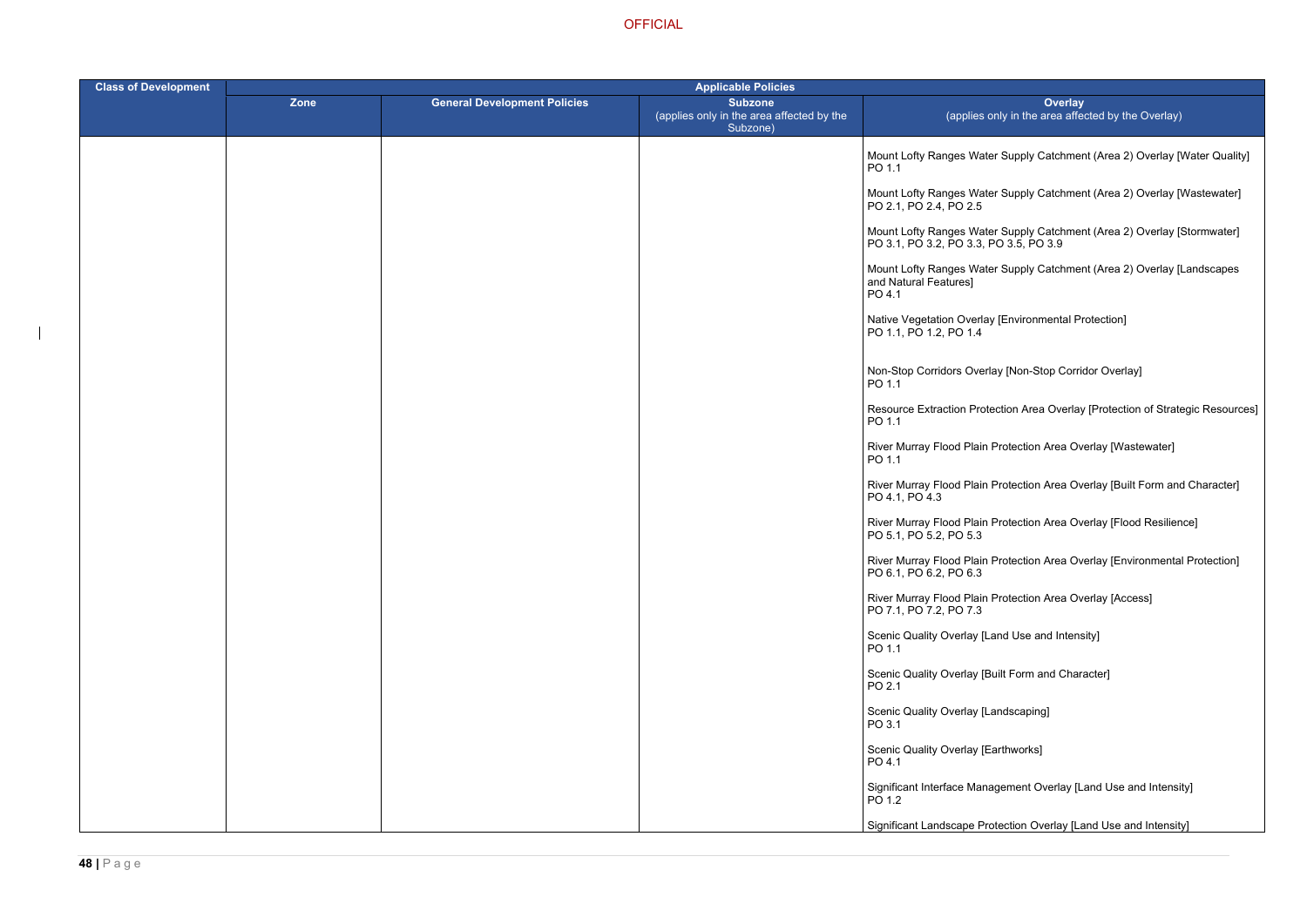- ter Supply Catchment (Area 2) Overlay [Water Quality]
- ter Supply Catchment (Area 2) Overlay [Wastewater]
- ter Supply Catchment (Area 2) Overlay [Stormwater] PO 3.1, PO 3.2, PO 3.3, PO 3.5, PO 3.9
- ter Supply Catchment (Area 2) Overlay [Landscapes
- ay [Environmental Protection]
- rlay [Non-Stop Corridor Overlay]
- tection Area Overlay [Protection of Strategic Resources]
- River Murray Twastewater
- Protection Area Overlay [Built Form and Character]
- Rrotection Area Overlay [Flood Resilience]
- River Murray Flood Protection Area Overlay [Environmental Protection]
- **Protection Area Overlay [Access]**
- Land Use and Intensity]
- Built Form and Character]
- Landscaping]
- Earthworks]
- agement Overlay [Land Use and Intensity]
- otection Overlay [Land Use and Intensity]

| <b>Class of Development</b> |      |                                     | <b>Applicable Policies</b>                                              |                                                            |  |
|-----------------------------|------|-------------------------------------|-------------------------------------------------------------------------|------------------------------------------------------------|--|
|                             | Zone | <b>General Development Policies</b> | <b>Subzone</b><br>(applies only in the area affected by the<br>Subzone) | (applies o                                                 |  |
|                             |      |                                     |                                                                         | Mount Lofty Ranges Wate<br>PO 1.1                          |  |
|                             |      |                                     |                                                                         | Mount Lofty Ranges Wate<br>PO 2.1, PO 2.4, PO 2.5          |  |
|                             |      |                                     |                                                                         | Mount Lofty Ranges Wate<br>PO 3.1, PO 3.2, PO 3.3, I       |  |
|                             |      |                                     |                                                                         | Mount Lofty Ranges Wate<br>and Natural Features]<br>PO 4.1 |  |
|                             |      |                                     |                                                                         | Native Vegetation Overlay<br>PO 1.1, PO 1.2, PO 1.4        |  |
|                             |      |                                     |                                                                         | Non-Stop Corridors Overl<br>PO 1.1                         |  |
|                             |      |                                     |                                                                         | <b>Resource Extraction Prot</b><br>PO 1.1                  |  |
|                             |      |                                     |                                                                         | River Murray Flood Plain<br>PO 1.1                         |  |
|                             |      |                                     |                                                                         | River Murray Flood Plain<br>PO 4.1, PO 4.3                 |  |
|                             |      |                                     |                                                                         | River Murray Flood Plain<br>PO 5.1, PO 5.2, PO 5.3         |  |
|                             |      |                                     |                                                                         | River Murray Flood Plain<br>PO 6.1, PO 6.2, PO 6.3         |  |
|                             |      |                                     |                                                                         | River Murray Flood Plain<br>PO 7.1, PO 7.2, PO 7.3         |  |
|                             |      |                                     |                                                                         | <b>Scenic Quality Overlay [L</b><br>PO 1.1                 |  |
|                             |      |                                     |                                                                         | Scenic Quality Overlay [B<br>PO 2.1                        |  |
|                             |      |                                     |                                                                         | Scenic Quality Overlay [L<br>PO 3.1                        |  |
|                             |      |                                     |                                                                         | Scenic Quality Overlay [E<br>PO 4.1                        |  |
|                             |      |                                     |                                                                         | Significant Interface Mana<br>PO 1.2                       |  |
|                             |      |                                     |                                                                         | Significant Landscape Pro                                  |  |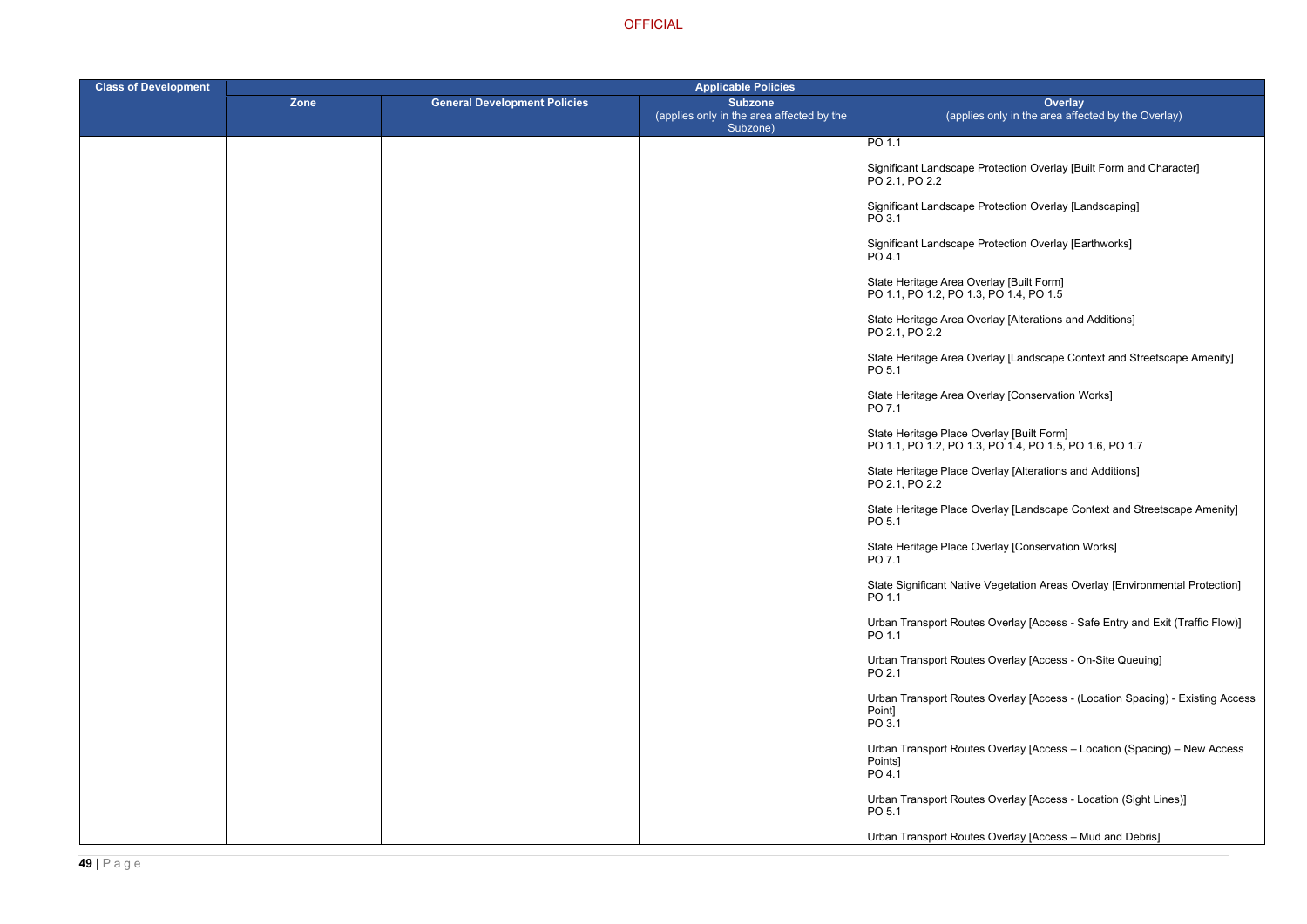otection Overlay [Built Form and Character]

ptection Overlay [Landscaping]

btection Overlay [Earthworks]

lay [Alterations and Additions]

lay [Landscape Context and Streetscape Amenity]

lay [Conservation Works]

**OFFICIAL** 

| <b>Class of Development</b> | <b>Applicable Policies</b> |                                     |                                                                         |                                                                                      |
|-----------------------------|----------------------------|-------------------------------------|-------------------------------------------------------------------------|--------------------------------------------------------------------------------------|
|                             | Zone                       | <b>General Development Policies</b> | <b>Subzone</b><br>(applies only in the area affected by the<br>Subzone) | Over<br>(applies only in the area                                                    |
|                             |                            |                                     |                                                                         | PO 1.1                                                                               |
|                             |                            |                                     |                                                                         | Significant Landscape Protection Overlay<br>PO 2.1, PO 2.2                           |
|                             |                            |                                     |                                                                         | Significant Landscape Protection Overlay<br>PO 3.1                                   |
|                             |                            |                                     |                                                                         | Significant Landscape Protection Overlay<br>PO 4.1                                   |
|                             |                            |                                     |                                                                         | State Heritage Area Overlay [Built Form]<br>PO 1.1, PO 1.2, PO 1.3, PO 1.4, PO 1.5   |
|                             |                            |                                     |                                                                         | State Heritage Area Overlay [Alterations<br>PO 2.1, PO 2.2                           |
|                             |                            |                                     |                                                                         | State Heritage Area Overlay [Landscape<br>PO 5.1                                     |
|                             |                            |                                     |                                                                         | State Heritage Area Overlay [Conservation]<br>PO 7.1                                 |
|                             |                            |                                     |                                                                         | State Heritage Place Overlay [Built Form]<br>PO 1.1, PO 1.2, PO 1.3, PO 1.4, PO 1.5, |
|                             |                            |                                     |                                                                         | State Heritage Place Overlay [Alterations<br>PO 2.1, PO 2.2                          |
|                             |                            |                                     |                                                                         | State Heritage Place Overlay [Landscape<br>PO 5.1                                    |
|                             |                            |                                     |                                                                         | State Heritage Place Overlay [Conservati<br>PO 7.1                                   |
|                             |                            |                                     |                                                                         | <b>State Significant Native Vegetation Areas</b><br>PO 1.1                           |
|                             |                            |                                     |                                                                         | <b>Urban Transport Routes Overlay [Access</b><br>PO 1.1                              |
|                             |                            |                                     |                                                                         | <b>Urban Transport Routes Overlay [Access</b><br>PO 2.1                              |
|                             |                            |                                     |                                                                         | <b>Urban Transport Routes Overlay [Access</b><br>Point]<br>PO 3.1                    |
|                             |                            |                                     |                                                                         | Urban Transport Routes Overlay [Access<br>Points]<br>PO 4.1                          |
|                             |                            |                                     |                                                                         | Urban Transport Routes Overlay [Access<br>PO 5.1                                     |
|                             |                            |                                     |                                                                         | Urban Transport Routes Overlay [Access                                               |

PO 1.1, PO 1.2, PO 1.3, PO 1.4, PO 1.5, PO 1.6, PO 1.7

rlay [Alterations and Additions]

rlay [Landscape Context and Streetscape Amenity]

rlay [Conservation Works]

egetation Areas Overlay [Environmental Protection]

Dverlay [Access - Safe Entry and Exit (Traffic Flow)]

Dverlay [Access - On-Site Queuing]

Dverlay [Access - (Location Spacing) - Existing Access

Dverlay [Access – Location (Spacing) – New Access

Dverlay [Access - Location (Sight Lines)]

Dverlay [Access – Mud and Debris]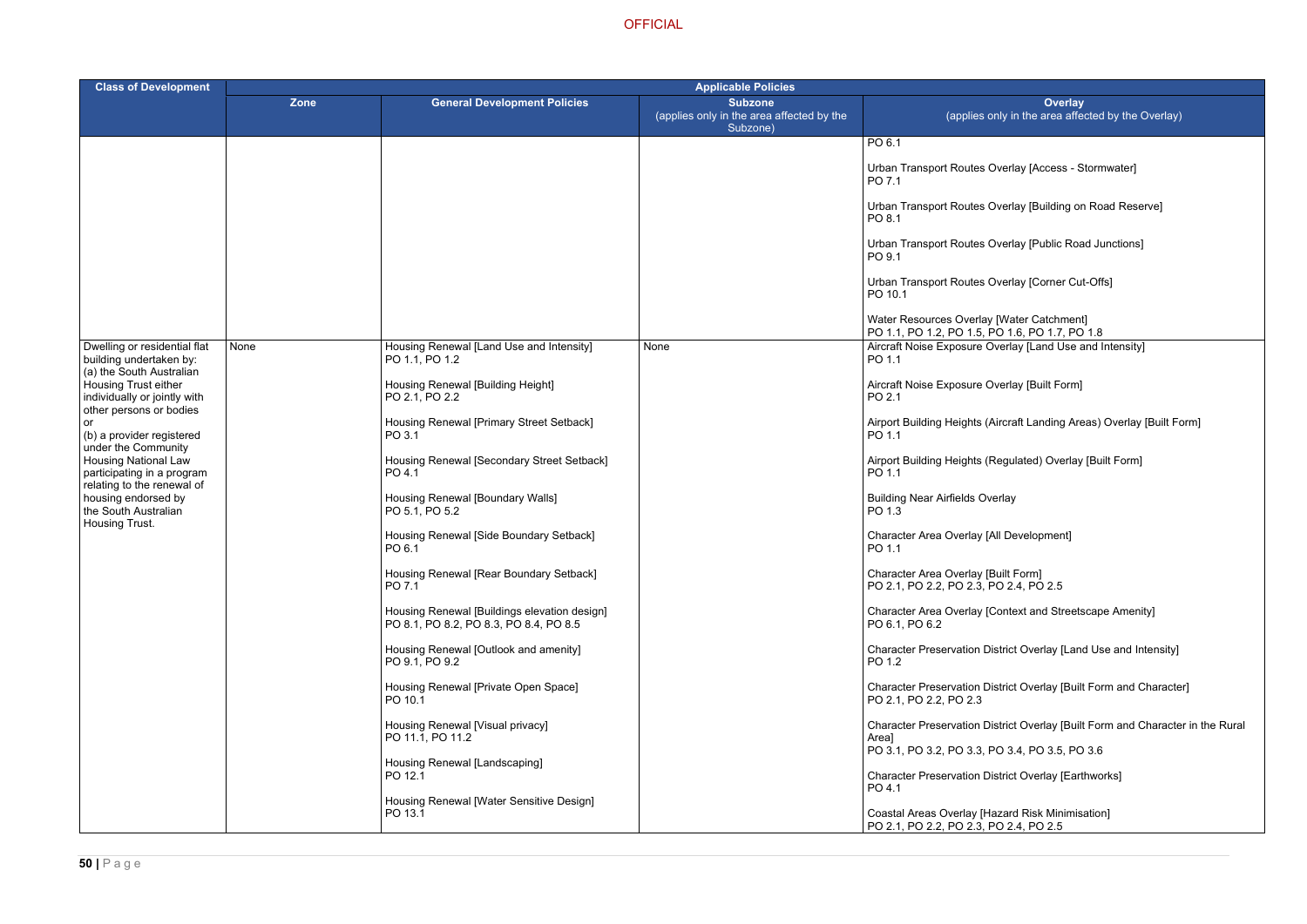- Overlay [Access Stormwater]
- Overlay [Building on Road Reserve]
- Overlay [Public Road Junctions]
- Overlay [Corner Cut-Offs]

Overlay [Land Use and Intensity]

- Overlay [Built Form]
- (Aircraft Landing Areas) Overlay [Built Form]
- (Regulated) Overlay [Built Form]
- verlay
- [All Development]
- [Built Form]  $PO$  2.4,  $PO$  2.5
- [Context and Streetscape Amenity]
- District Overlay [Land Use and Intensity]
- District Overlay [Built Form and Character]
- District Overlay [Built Form and Character in the Rural
- PO 3.1, PO 3.2, PO 3.3, PO 3.4, PO 3.5, PO 3.6
- District Overlay [Earthworks]

Hazard Risk Minimisation] PO 2.4, PO 2.5

| <b>Class of Development</b>                                                                                                                                   |      |                                                                                        | <b>Applicable Policies</b>                                              |                                                                                                               |
|---------------------------------------------------------------------------------------------------------------------------------------------------------------|------|----------------------------------------------------------------------------------------|-------------------------------------------------------------------------|---------------------------------------------------------------------------------------------------------------|
|                                                                                                                                                               | Zone | <b>General Development Policies</b>                                                    | <b>Subzone</b><br>(applies only in the area affected by the<br>Subzone) | Overlay<br>(applies only in the area affected                                                                 |
|                                                                                                                                                               |      |                                                                                        |                                                                         | PO 6.1<br>Urban Transport Routes Overlay [Access - Storr                                                      |
|                                                                                                                                                               |      |                                                                                        |                                                                         | PO 7.1<br>Urban Transport Routes Overlay [Building on Ro                                                      |
|                                                                                                                                                               |      |                                                                                        |                                                                         | PO 8.1<br>Urban Transport Routes Overlay [Public Road Ji<br>PO 9.1                                            |
|                                                                                                                                                               |      |                                                                                        |                                                                         | Urban Transport Routes Overlay [Corner Cut-Of<br>PO 10.1                                                      |
|                                                                                                                                                               |      |                                                                                        |                                                                         | Water Resources Overlay [Water Catchment]<br>PO 1.1, PO 1.2, PO 1.5, PO 1.6, PO 1.7, PO 1.8                   |
| Dwelling or residential flat<br>building undertaken by:<br>(a) the South Australian                                                                           | None | Housing Renewal [Land Use and Intensity]<br>PO 1.1, PO 1.2                             | None                                                                    | Aircraft Noise Exposure Overlay [Land Use and<br>PO 1.1                                                       |
| Housing Trust either<br>individually or jointly with<br>other persons or bodies                                                                               |      | Housing Renewal [Building Height]<br>PO 2.1, PO 2.2                                    |                                                                         | Aircraft Noise Exposure Overlay [Built Form]<br>PO 2.1                                                        |
| or<br>(b) a provider registered                                                                                                                               |      | Housing Renewal [Primary Street Setback]<br>PO 3.1                                     |                                                                         | Airport Building Heights (Aircraft Landing Areas)<br>PO 1.1                                                   |
| under the Community<br><b>Housing National Law</b><br>participating in a program<br>relating to the renewal of<br>housing endorsed by<br>the South Australian |      | Housing Renewal [Secondary Street Setback]<br>PO 4.1                                   |                                                                         | Airport Building Heights (Regulated) Overlay [Bu<br>PO 1.1                                                    |
|                                                                                                                                                               |      | Housing Renewal [Boundary Walls]<br>PO 5.1, PO 5.2                                     |                                                                         | <b>Building Near Airfields Overlay</b><br>PO 1.3                                                              |
| Housing Trust.                                                                                                                                                |      | Housing Renewal [Side Boundary Setback]<br>PO 6.1                                      |                                                                         | Character Area Overlay [All Development]<br>PO 1.1                                                            |
|                                                                                                                                                               |      | Housing Renewal [Rear Boundary Setback]<br>PO 7.1                                      |                                                                         | Character Area Overlay [Built Form]<br>PO 2.1, PO 2.2, PO 2.3, PO 2.4, PO 2.5                                 |
|                                                                                                                                                               |      | Housing Renewal [Buildings elevation design]<br>PO 8.1, PO 8.2, PO 8.3, PO 8.4, PO 8.5 |                                                                         | Character Area Overlay [Context and Streetscap<br>PO 6.1, PO 6.2                                              |
|                                                                                                                                                               |      | Housing Renewal [Outlook and amenity]<br>PO 9.1, PO 9.2                                |                                                                         | Character Preservation District Overlay [Land Us<br>PO 1.2                                                    |
|                                                                                                                                                               |      | Housing Renewal [Private Open Space]<br>PO 10.1                                        |                                                                         | Character Preservation District Overlay [Built Fo<br>PO 2.1, PO 2.2, PO 2.3                                   |
|                                                                                                                                                               |      | Housing Renewal [Visual privacy]<br>PO 11.1, PO 11.2                                   |                                                                         | Character Preservation District Overlay [Built For<br>Areal<br>PO 3.1, PO 3.2, PO 3.3, PO 3.4, PO 3.5, PO 3.6 |
|                                                                                                                                                               |      | Housing Renewal [Landscaping]<br>PO 12.1                                               |                                                                         | <b>Character Preservation District Overlay [Earthwo</b><br>PO 4.1                                             |
|                                                                                                                                                               |      | Housing Renewal [Water Sensitive Design]<br>PO 13.1                                    |                                                                         | Coastal Areas Overlay [Hazard Risk Minimisatio<br>PO 2.1, PO 2.2, PO 2.3, PO 2.4, PO 2.5                      |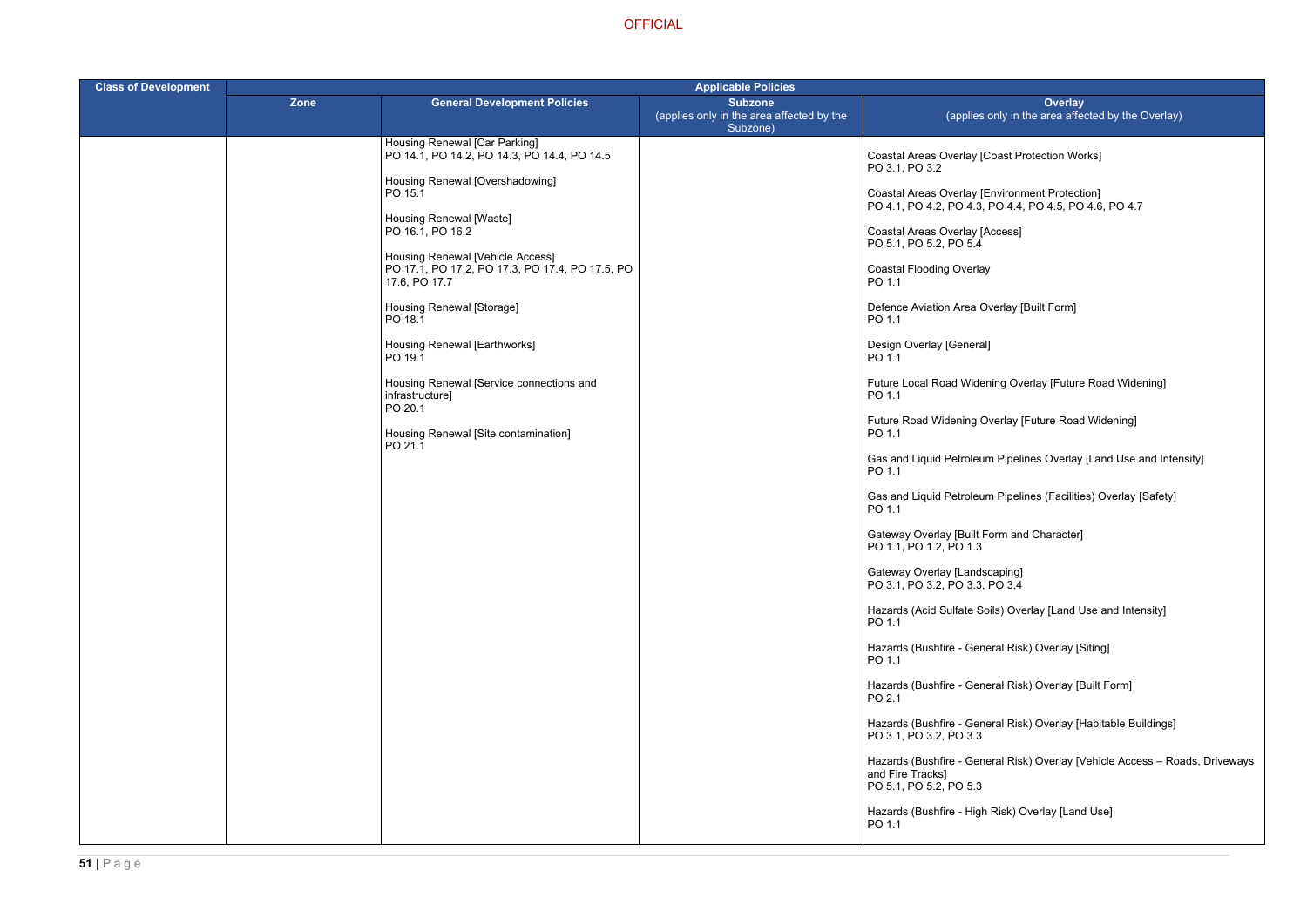PO 4.1, PO 4.2, PO 4.3, PO 4.4, PO 4.5, PO 4.6, PO 4.7

ing Overlay [Future Road Widening]

rerlay [Future Road Widening]

Pipelines Overlay [Land Use and Intensity]

ا Pipelines (Facilities) Overlay [Safety]

ils) Overlay [Land Use and Intensity]

ral Risk) Overlay [Siting]

ral Risk) Overlay [Built Form]

eral Risk) Overlay [Habitable Buildings]

ral Risk) Overlay [Vehicle Access – Roads, Driveways

Risk) Overlay [Land Use]

| <b>Class of Development</b> | <b>Applicable Policies</b> |                                                                              |                                                                         |                                                                                                         |  |
|-----------------------------|----------------------------|------------------------------------------------------------------------------|-------------------------------------------------------------------------|---------------------------------------------------------------------------------------------------------|--|
|                             | <b>Zone</b>                | <b>General Development Policies</b>                                          | <b>Subzone</b><br>(applies only in the area affected by the<br>Subzone) | Overlay<br>(applies only in the area affecte                                                            |  |
|                             |                            | Housing Renewal [Car Parking]<br>PO 14.1, PO 14.2, PO 14.3, PO 14.4, PO 14.5 |                                                                         | Coastal Areas Overlay [Coast Protection Works<br>PO 3.1, PO 3.2                                         |  |
|                             |                            | Housing Renewal [Overshadowing]<br>PO 15.1<br>Housing Renewal [Waste]        |                                                                         | Coastal Areas Overlay [Environment Protection]<br>PO 4.1, PO 4.2, PO 4.3, PO 4.4, PO 4.5, PO 4.6        |  |
|                             |                            | PO 16.1, PO 16.2<br>Housing Renewal [Vehicle Access]                         |                                                                         | Coastal Areas Overlay [Access]<br>PO 5.1, PO 5.2, PO 5.4                                                |  |
|                             |                            | PO 17.1, PO 17.2, PO 17.3, PO 17.4, PO 17.5, PO<br>17.6, PO 17.7             |                                                                         | <b>Coastal Flooding Overlay</b><br>PO 1.1                                                               |  |
|                             |                            | Housing Renewal [Storage]<br>PO 18.1                                         |                                                                         | Defence Aviation Area Overlay [Built Form]<br>PO 1.1                                                    |  |
|                             |                            | Housing Renewal [Earthworks]<br>PO 19.1                                      |                                                                         | Design Overlay [General]<br>PO 1.1                                                                      |  |
|                             |                            | Housing Renewal [Service connections and<br>infrastructure]<br>PO 20.1       |                                                                         | Future Local Road Widening Overlay [Future Ro<br>PO 1.1                                                 |  |
|                             |                            | Housing Renewal [Site contamination]<br>PO 21.1                              |                                                                         | Future Road Widening Overlay [Future Road W<br>PO 1.1                                                   |  |
|                             |                            |                                                                              |                                                                         | Gas and Liquid Petroleum Pipelines Overlay [La<br>PO 1.1                                                |  |
|                             |                            |                                                                              |                                                                         | Gas and Liquid Petroleum Pipelines (Facilities)<br>PO 1.1<br>Gateway Overlay [Built Form and Character] |  |
|                             |                            |                                                                              |                                                                         | PO 1.1, PO 1.2, PO 1.3<br>Gateway Overlay [Landscaping]                                                 |  |
|                             |                            |                                                                              |                                                                         | PO 3.1, PO 3.2, PO 3.3, PO 3.4<br>Hazards (Acid Sulfate Soils) Overlay [Land Use                        |  |
|                             |                            |                                                                              |                                                                         | PO 1.1<br>Hazards (Bushfire - General Risk) Overlay [Sitin                                              |  |
|                             |                            |                                                                              |                                                                         | PO 1.1<br>Hazards (Bushfire - General Risk) Overlay [Built                                              |  |
|                             |                            |                                                                              |                                                                         | PO 2.1<br>Hazards (Bushfire - General Risk) Overlay [Hab<br>PO 3.1, PO 3.2, PO 3.3                      |  |
|                             |                            |                                                                              |                                                                         | Hazards (Bushfire - General Risk) Overlay [Veh<br>and Fire Tracks]<br>PO 5.1, PO 5.2, PO 5.3            |  |
|                             |                            |                                                                              |                                                                         | Hazards (Bushfire - High Risk) Overlay [Land Us<br>PO 1.1                                               |  |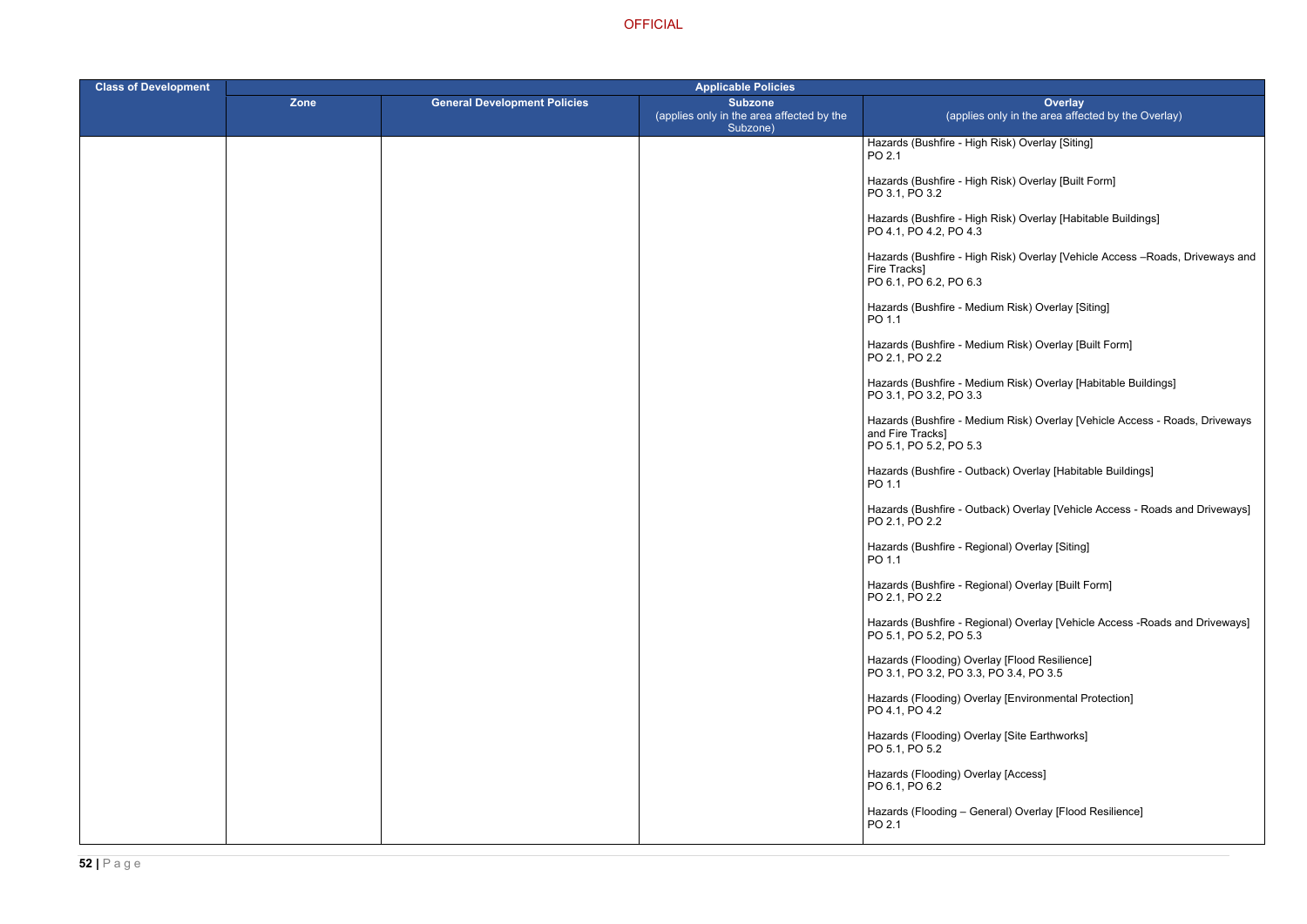- Risk) Overlay [Siting]
- Risk) Overlay [Built Form]
- Risk) Overlay [Habitable Buildings]
- Risk) Overlay [Vehicle Access –Roads, Driveways and
- ium Risk) Overlay [Siting]
- ium Risk) Overlay [Built Form]
- ium Risk) Overlay [Habitable Buildings]
- ium Risk) Overlay [Vehicle Access Roads, Driveways
- ack) Overlay [Habitable Buildings]
- ack) Overlay [Vehicle Access Roads and Driveways]
- onal) Overlay [Siting]
- onal) Overlay [Built Form]
- onal) Overlay [Vehicle Access -Roads and Driveways]
- 
- lay [Environmental Protection]
- Iay [Site Earthworks]
- lay [Access]
- eral) Overlay [Flood Resilience]

| <b>Class of Development</b> | <b>Applicable Policies</b> |                                     |                                                                         |                                                                                            |
|-----------------------------|----------------------------|-------------------------------------|-------------------------------------------------------------------------|--------------------------------------------------------------------------------------------|
|                             | Zone                       | <b>General Development Policies</b> | <b>Subzone</b><br>(applies only in the area affected by the<br>Subzone) | <b>Overlay</b><br>(applies only in the area affect                                         |
|                             |                            |                                     |                                                                         | Hazards (Bushfire - High Risk) Overlay [Siting]<br>PO 2.1                                  |
|                             |                            |                                     |                                                                         | Hazards (Bushfire - High Risk) Overlay [Built F<br>PO 3.1, PO 3.2                          |
|                             |                            |                                     |                                                                         | Hazards (Bushfire - High Risk) Overlay [Habita<br>PO 4.1, PO 4.2, PO 4.3                   |
|                             |                            |                                     |                                                                         | Hazards (Bushfire - High Risk) Overlay [Vehic<br>Fire Tracks]<br>PO 6.1, PO 6.2, PO 6.3    |
|                             |                            |                                     |                                                                         | Hazards (Bushfire - Medium Risk) Overlay [Sit<br>PO 1.1                                    |
|                             |                            |                                     |                                                                         | Hazards (Bushfire - Medium Risk) Overlay [Bu<br>PO 2.1, PO 2.2                             |
|                             |                            |                                     |                                                                         | Hazards (Bushfire - Medium Risk) Overlay [Ha<br>PO 3.1, PO 3.2, PO 3.3                     |
|                             |                            |                                     |                                                                         | Hazards (Bushfire - Medium Risk) Overlay [Ve<br>and Fire Tracks]<br>PO 5.1, PO 5.2, PO 5.3 |
|                             |                            |                                     |                                                                         | Hazards (Bushfire - Outback) Overlay [Habital<br>PO 1.1                                    |
|                             |                            |                                     |                                                                         | Hazards (Bushfire - Outback) Overlay [Vehicle<br>PO 2.1, PO 2.2                            |
|                             |                            |                                     |                                                                         | Hazards (Bushfire - Regional) Overlay [Siting]<br>PO 1.1                                   |
|                             |                            |                                     |                                                                         | Hazards (Bushfire - Regional) Overlay [Built F<br>PO 2.1, PO 2.2                           |
|                             |                            |                                     |                                                                         | Hazards (Bushfire - Regional) Overlay [Vehicle<br>PO 5.1, PO 5.2, PO 5.3                   |
|                             |                            |                                     |                                                                         | Hazards (Flooding) Overlay [Flood Resilience]<br>PO 3.1, PO 3.2, PO 3.3, PO 3.4, PO 3.5    |
|                             |                            |                                     |                                                                         | Hazards (Flooding) Overlay [Environmental Pr<br>PO 4.1, PO 4.2                             |
|                             |                            |                                     |                                                                         | Hazards (Flooding) Overlay [Site Earthworks]<br>PO 5.1, PO 5.2                             |
|                             |                            |                                     |                                                                         | Hazards (Flooding) Overlay [Access]<br>PO 6.1, PO 6.2                                      |
|                             |                            |                                     |                                                                         | Hazards (Flooding - General) Overlay [Flood<br>PO 2.1                                      |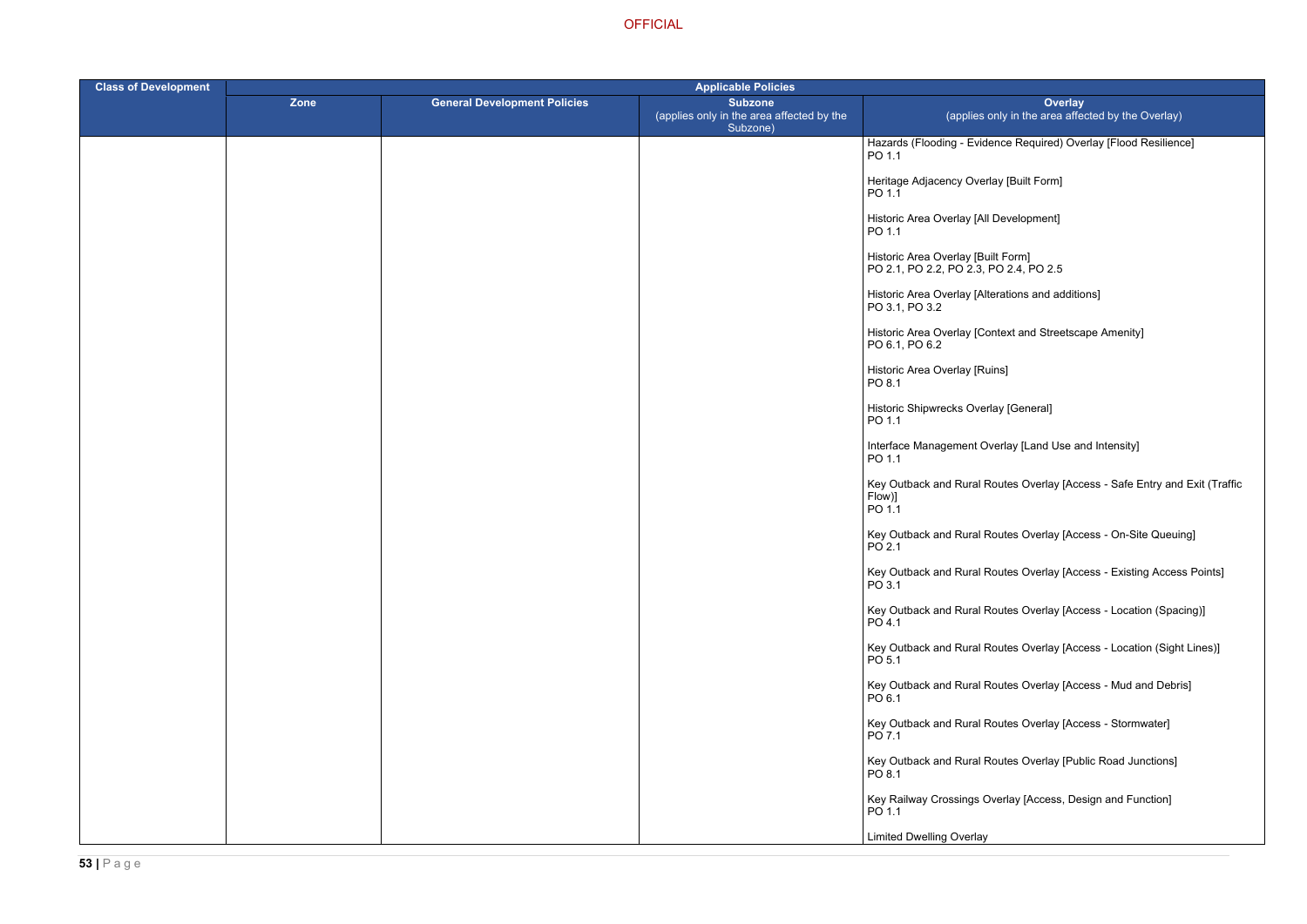lence Required) Overlay [Flood Resilience]

terations and additions]

ontext and Streetscape Amenity]

Iorerlay [Land Use and Intensity]

Routes Overlay [Access - Safe Entry and Exit (Traffic

Routes Overlay [Access - On-Site Queuing]

Routes Overlay [Access - Existing Access Points]

Routes Overlay [Access - Location (Spacing)]

Routes Overlay [Access - Location (Sight Lines)]

Routes Overlay [Access - Mud and Debris]

Routes Overlay [Access - Stormwater]

Routes Overlay [Public Road Junctions]

Dverlay [Access, Design and Function]

| <b>Class of Development</b> | <b>Applicable Policies</b> |                                     |                                                                         |                                                                              |
|-----------------------------|----------------------------|-------------------------------------|-------------------------------------------------------------------------|------------------------------------------------------------------------------|
|                             | Zone                       | <b>General Development Policies</b> | <b>Subzone</b><br>(applies only in the area affected by the<br>Subzone) | Ove<br>(applies only in the area                                             |
|                             |                            |                                     |                                                                         | Hazards (Flooding - Evidence Required)<br>PO 1.1                             |
|                             |                            |                                     |                                                                         | Heritage Adjacency Overlay [Built Form]<br>PO 1.1                            |
|                             |                            |                                     |                                                                         | Historic Area Overlay [All Development]<br>PO 1.1                            |
|                             |                            |                                     |                                                                         | Historic Area Overlay [Built Form]<br>PO 2.1, PO 2.2, PO 2.3, PO 2.4, PO 2.5 |
|                             |                            |                                     |                                                                         | Historic Area Overlay [Alterations and a<br>PO 3.1, PO 3.2                   |
|                             |                            |                                     |                                                                         | Historic Area Overlay [Context and Stree<br>PO 6.1, PO 6.2                   |
|                             |                            |                                     |                                                                         | Historic Area Overlay [Ruins]<br>PO 8.1                                      |
|                             |                            |                                     |                                                                         | Historic Shipwrecks Overlay [General]<br>PO 1.1                              |
|                             |                            |                                     |                                                                         | Interface Management Overlay [Land Us<br>PO 1.1                              |
|                             |                            |                                     |                                                                         | Key Outback and Rural Routes Overlay<br>Flow)]<br>PO 1.1                     |
|                             |                            |                                     |                                                                         | Key Outback and Rural Routes Overlay<br>PO 2.1                               |
|                             |                            |                                     |                                                                         | Key Outback and Rural Routes Overlay<br>PO 3.1                               |
|                             |                            |                                     |                                                                         | Key Outback and Rural Routes Overlay<br>PO 4.1                               |
|                             |                            |                                     |                                                                         | Key Outback and Rural Routes Overlay<br>PO 5.1                               |
|                             |                            |                                     |                                                                         | Key Outback and Rural Routes Overlay<br>PO 6.1                               |
|                             |                            |                                     |                                                                         | Key Outback and Rural Routes Overlay<br>PO 7.1                               |
|                             |                            |                                     |                                                                         | Key Outback and Rural Routes Overlay<br>PO 8.1                               |
|                             |                            |                                     |                                                                         | Key Railway Crossings Overlay [Access<br>PO 1.1                              |
|                             |                            |                                     |                                                                         | <b>Limited Dwelling Overlay</b>                                              |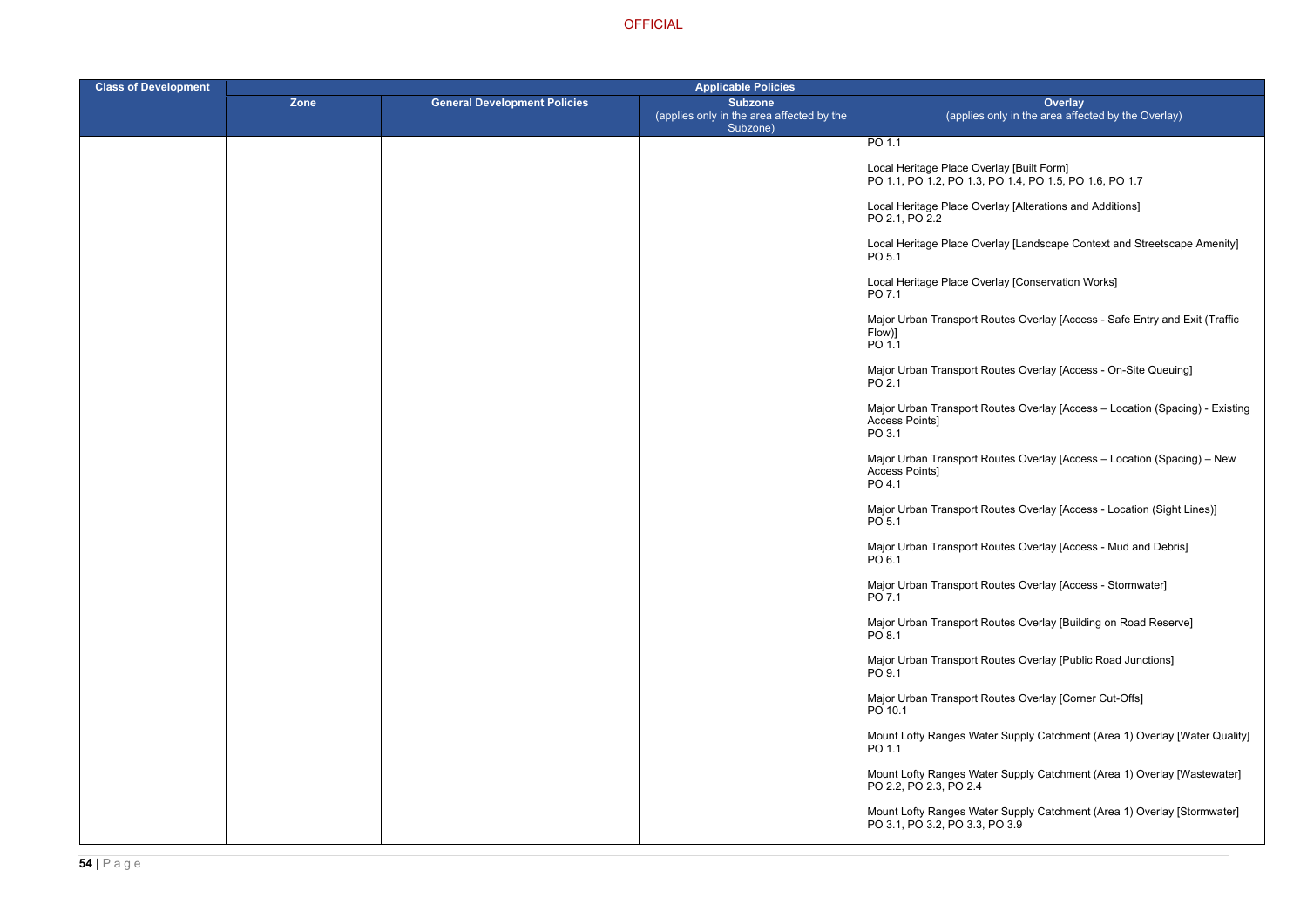PO 1.1, PO 1.2, PO 1.3, PO 1.4, PO 1.5, PO 1.6, PO 1.7

erlay [Alterations and Additions]

erlay [Landscape Context and Streetscape Amenity]

erlay [Conservation Works]

outes Overlay [Access - Safe Entry and Exit (Traffic

outes Overlay [Access - On-Site Queuing]

outes Overlay [Access – Location (Spacing) - Existing

outes Overlay [Access – Location (Spacing) – New

outes Overlay [Access - Location (Sight Lines)]

outes Overlay [Access - Mud and Debris]

outes Overlay [Access - Stormwater]

outes Overlay [Building on Road Reserve]

outes Overlay [Public Road Junctions]

outes Overlay [Corner Cut-Offs]

er Supply Catchment (Area 1) Overlay [Water Quality]

er Supply Catchment (Area 1) Overlay [Wastewater]

**OFFICIAL** 

| <b>Class of Development</b> | <b>Applicable Policies</b> |                                     |                                                                         |                                                                                      |
|-----------------------------|----------------------------|-------------------------------------|-------------------------------------------------------------------------|--------------------------------------------------------------------------------------|
|                             | <b>Zone</b>                | <b>General Development Policies</b> | <b>Subzone</b><br>(applies only in the area affected by the<br>Subzone) | Over<br>(applies only in the area a                                                  |
|                             |                            |                                     |                                                                         | PO 1.1                                                                               |
|                             |                            |                                     |                                                                         | Local Heritage Place Overlay [Built Form]<br>PO 1.1, PO 1.2, PO 1.3, PO 1.4, PO 1.5, |
|                             |                            |                                     |                                                                         | Local Heritage Place Overlay [Alterations<br>PO 2.1, PO 2.2                          |
|                             |                            |                                     |                                                                         | Local Heritage Place Overlay [Landscape<br>PO 5.1                                    |
|                             |                            |                                     |                                                                         | Local Heritage Place Overlay [Conservati<br>PO 7.1                                   |
|                             |                            |                                     |                                                                         | Major Urban Transport Routes Overlay [A<br>Flow)]<br>PO 1.1                          |
|                             |                            |                                     |                                                                         | Major Urban Transport Routes Overlay [A<br>PO 2.1                                    |
|                             |                            |                                     |                                                                         | Major Urban Transport Routes Overlay [A<br>Access Points]<br>PO 3.1                  |
|                             |                            |                                     |                                                                         | Major Urban Transport Routes Overlay [A<br>Access Points]<br>PO 4.1                  |
|                             |                            |                                     |                                                                         | Major Urban Transport Routes Overlay [A<br>PO 5.1                                    |
|                             |                            |                                     |                                                                         | Major Urban Transport Routes Overlay [A<br>PO 6.1                                    |
|                             |                            |                                     |                                                                         | Major Urban Transport Routes Overlay [A<br>PO 7.1                                    |
|                             |                            |                                     |                                                                         | Major Urban Transport Routes Overlay [B<br>PO 8.1                                    |
|                             |                            |                                     |                                                                         | Major Urban Transport Routes Overlay [F<br>PO 9.1                                    |
|                             |                            |                                     |                                                                         | Major Urban Transport Routes Overlay [C<br>PO 10.1                                   |
|                             |                            |                                     |                                                                         | Mount Lofty Ranges Water Supply Catch<br>PO 1.1                                      |
|                             |                            |                                     |                                                                         | Mount Lofty Ranges Water Supply Catch<br>PO 2.2, PO 2.3, PO 2.4                      |
|                             |                            |                                     |                                                                         | Mount Lofty Ranges Water Supply Catch<br>PO 3.1, PO 3.2, PO 3.3, PO 3.9              |

Mount Lofty Ranges Water Supply Catchment (Area 1) Overlay [Stormwater]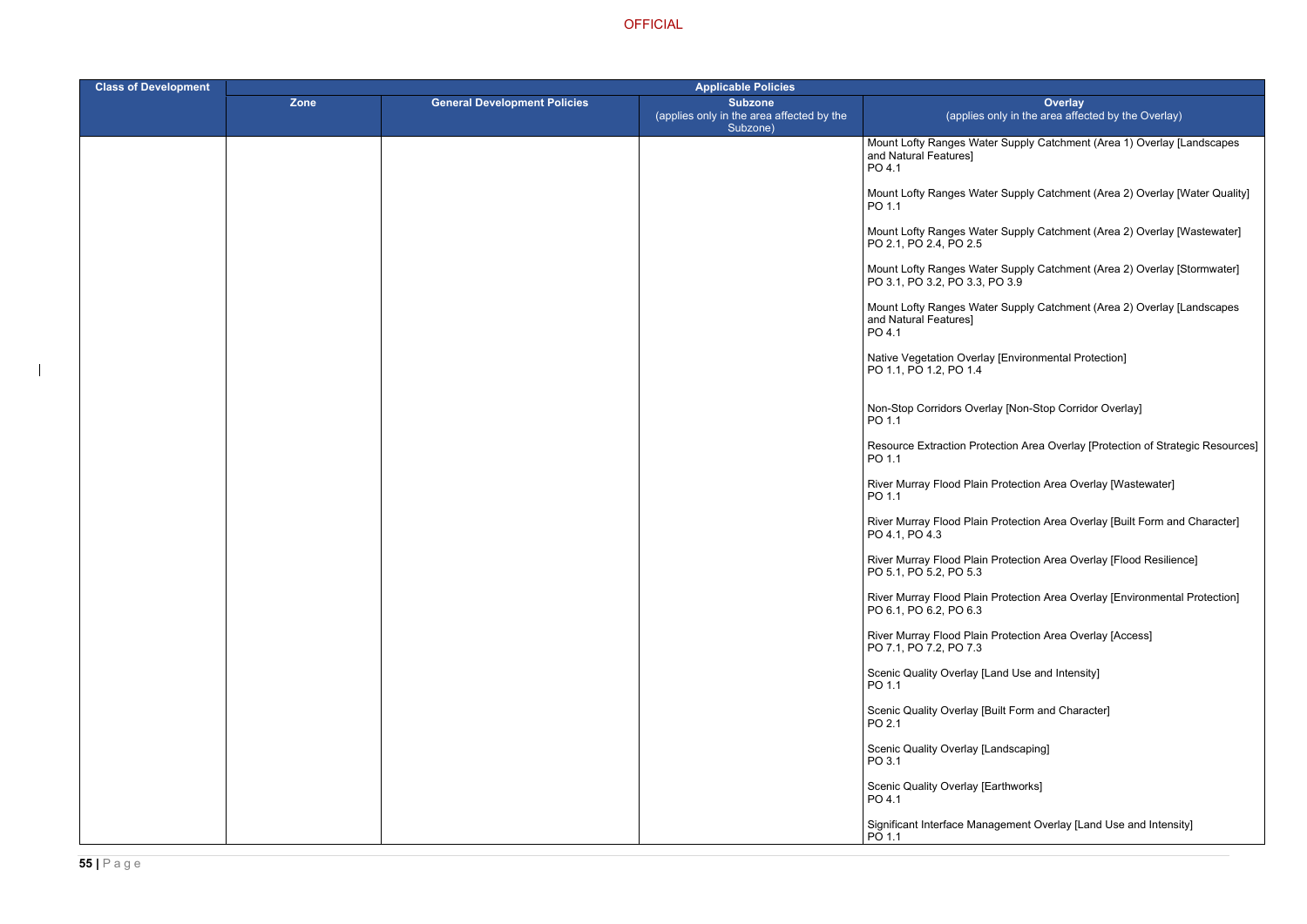er Supply Catchment (Area 1) Overlay [Landscapes

- ter Supply Catchment (Area 2) Overlay [Water Quality]
- ter Supply Catchment (Area 2) Overlay [Wastewater]
- ter Supply Catchment (Area 2) Overlay [Stormwater] PO 3.9
- ter Supply Catchment (Area 2) Overlay [Landscapes
- ay [Environmental Protection]
- rlay [Non-Stop Corridor Overlay]
- tection Area Overlay [Protection of Strategic Resources]
- River Murray Twastewater Protection Area Overlay [Wastewater]
- Protection Area Overlay [Built Form and Character]
- r Protection Area Overlay [Flood Resilience]
- **Protection Area Overlay [Environmental Protection]**
- **Protection Area Overlay [Access]**
- Land Use and Intensity]
- Built Form and Character]
- Landscaping]
- Earthworks]
- agement Overlay [Land Use and Intensity]

| <b>Class of Development</b> | <b>Applicable Policies</b> |                                     |                                                                         |                                                            |
|-----------------------------|----------------------------|-------------------------------------|-------------------------------------------------------------------------|------------------------------------------------------------|
|                             | Zone                       | <b>General Development Policies</b> | <b>Subzone</b><br>(applies only in the area affected by the<br>Subzone) | (applies o                                                 |
|                             |                            |                                     |                                                                         | Mount Lofty Ranges Wate<br>and Natural Features]<br>PO 4.1 |
|                             |                            |                                     |                                                                         | Mount Lofty Ranges Wate<br>PO 1.1                          |
|                             |                            |                                     |                                                                         | Mount Lofty Ranges Wate<br>PO 2.1, PO 2.4, PO 2.5          |
|                             |                            |                                     |                                                                         | Mount Lofty Ranges Wate<br>PO 3.1, PO 3.2, PO 3.3, R       |
|                             |                            |                                     |                                                                         | Mount Lofty Ranges Wate<br>and Natural Features]<br>PO 4.1 |
|                             |                            |                                     |                                                                         | Native Vegetation Overlay<br>PO 1.1, PO 1.2, PO 1.4        |
|                             |                            |                                     |                                                                         | Non-Stop Corridors Overl<br>PO 1.1                         |
|                             |                            |                                     |                                                                         | <b>Resource Extraction Prot</b><br>PO 1.1                  |
|                             |                            |                                     |                                                                         | River Murray Flood Plain<br>PO 1.1                         |
|                             |                            |                                     |                                                                         | River Murray Flood Plain<br>PO 4.1, PO 4.3                 |
|                             |                            |                                     |                                                                         | River Murray Flood Plain<br>PO 5.1, PO 5.2, PO 5.3         |
|                             |                            |                                     |                                                                         | River Murray Flood Plain<br>PO 6.1, PO 6.2, PO 6.3         |
|                             |                            |                                     |                                                                         | River Murray Flood Plain<br>PO 7.1, PO 7.2, PO 7.3         |
|                             |                            |                                     |                                                                         | Scenic Quality Overlay [L<br>PO 1.1                        |
|                             |                            |                                     |                                                                         | Scenic Quality Overlay [B<br>PO 2.1                        |
|                             |                            |                                     |                                                                         | Scenic Quality Overlay [L<br>PO 3.1                        |
|                             |                            |                                     |                                                                         | Scenic Quality Overlay [E<br>PO 4.1                        |
|                             |                            |                                     |                                                                         | Significant Interface Mana<br>PO 1.1                       |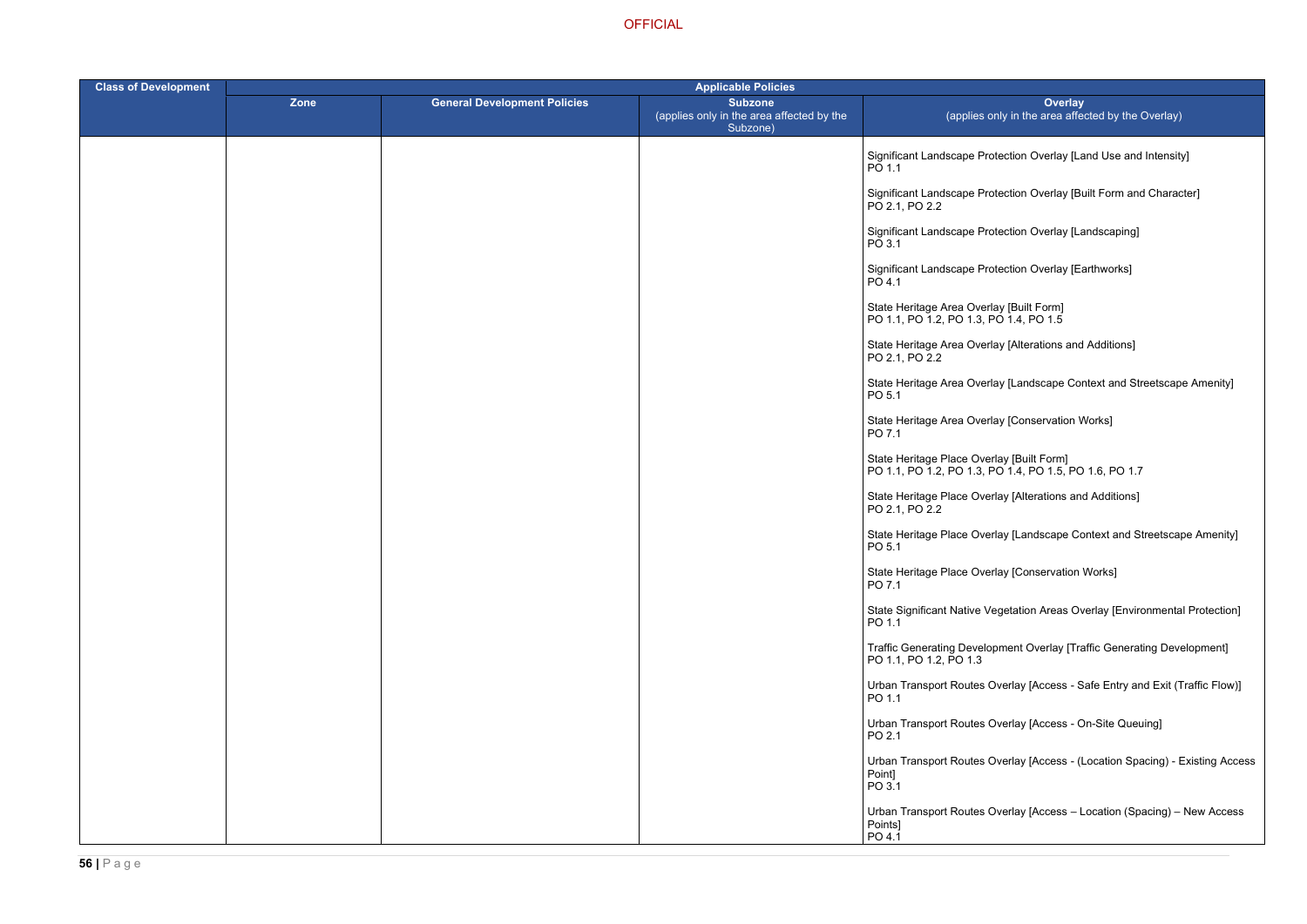rotection Overlay [Land Use and Intensity]

rotection Overlay [Built Form and Character]

rotection Overlay [Landscaping]

rotection Overlay [Earthworks]

rlay [Alterations and Additions]

rlay [Landscape Context and Streetscape Amenity]

rlay [Conservation Works]

erlay [Built Form] PO 1.1, PO 1.2, PO 1.3, PO 1.4, PO 1.5, PO 1.6, PO 1.7

erlay [Alterations and Additions]

erlay [Landscape Context and Streetscape Amenity]

erlay [Conservation Works]

/egetation Areas Overlay [Environmental Protection]

opment Overlay [Traffic Generating Development]

Overlay [Access - Safe Entry and Exit (Traffic Flow)]

Overlay [Access - On-Site Queuing]

Overlay [Access - (Location Spacing) - Existing Access

Overlay [Access – Location (Spacing) – New Access

| <b>Class of Development</b> | <b>Applicable Policies</b> |                                     |                                                                         |                                                                                    |
|-----------------------------|----------------------------|-------------------------------------|-------------------------------------------------------------------------|------------------------------------------------------------------------------------|
|                             | Zone                       | <b>General Development Policies</b> | <b>Subzone</b><br>(applies only in the area affected by the<br>Subzone) | Ove<br>(applies only in the area                                                   |
|                             |                            |                                     |                                                                         | Significant Landscape Protection Overla<br>PO 1.1                                  |
|                             |                            |                                     |                                                                         | Significant Landscape Protection Overla<br>PO 2.1, PO 2.2                          |
|                             |                            |                                     |                                                                         | Significant Landscape Protection Overla<br>PO 3.1                                  |
|                             |                            |                                     |                                                                         | Significant Landscape Protection Overla<br>PO 4.1                                  |
|                             |                            |                                     |                                                                         | State Heritage Area Overlay [Built Form]<br>PO 1.1, PO 1.2, PO 1.3, PO 1.4, PO 1.5 |
|                             |                            |                                     |                                                                         | State Heritage Area Overlay [Alterations<br>PO 2.1, PO 2.2                         |
|                             |                            |                                     |                                                                         | State Heritage Area Overlay [Landscape<br>PO 5.1                                   |
|                             |                            |                                     |                                                                         | State Heritage Area Overlay [Conservati<br>PO 7.1                                  |
|                             |                            |                                     |                                                                         | State Heritage Place Overlay [Built Form<br>PO 1.1, PO 1.2, PO 1.3, PO 1.4, PO 1.5 |
|                             |                            |                                     |                                                                         | State Heritage Place Overlay [Alterations<br>PO 2.1, PO 2.2                        |
|                             |                            |                                     |                                                                         | State Heritage Place Overlay [Landscap<br>PO 5.1                                   |
|                             |                            |                                     |                                                                         | State Heritage Place Overlay [Conserva<br>PO 7.1                                   |
|                             |                            |                                     |                                                                         | State Significant Native Vegetation Area<br>PO 1.1                                 |
|                             |                            |                                     |                                                                         | <b>Traffic Generating Development Overlay</b><br>PO 1.1, PO 1.2, PO 1.3            |
|                             |                            |                                     |                                                                         | Urban Transport Routes Overlay [Acces<br>PO 1.1                                    |
|                             |                            |                                     |                                                                         | <b>Urban Transport Routes Overlay [Acces</b><br>PO 2.1                             |
|                             |                            |                                     |                                                                         | Urban Transport Routes Overlay [Acces<br>Point]<br>PO 3.1                          |
|                             |                            |                                     |                                                                         | Urban Transport Routes Overlay [Acces<br>Points]<br>PO 4.1                         |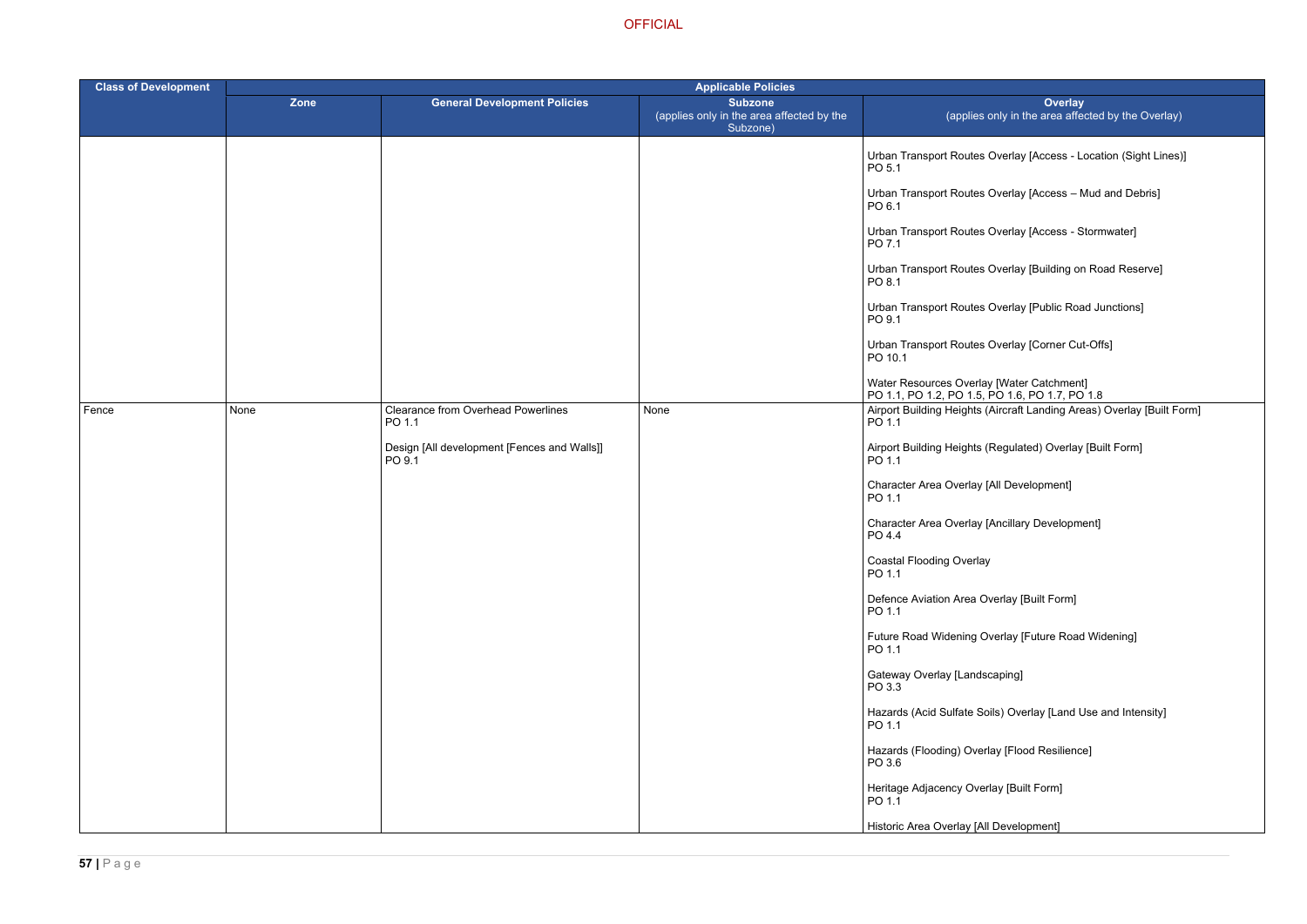- Overlay [Access Location (Sight Lines)]
- Overlay [Access Mud and Debris]
- Overlay [Access Stormwater]
- Overlay [Building on Road Reserve]
- Overlay [Public Road Junctions]
- Overlay [Corner Cut-Offs]

y [Water Catchment] PO 1.6, PO 1.7, PO 1.8 Norma, Airport Building Areas) Overlay [Built Form]

- (Regulated) Overlay [Built Form]
- [All Development]
- [Ancillary Development]
- 
- verlay [Built Form]
- Verlay [Future Road Widening]
- caping]
- $\mathsf{pils})$  Overlay [Land Use and Intensity]
- lay [Flood Resilience]
- rlay [Built Form]
- I Development]

| <b>Class of Development</b> | <b>Applicable Policies</b> |                                                       |                                                                         |                                                    |  |
|-----------------------------|----------------------------|-------------------------------------------------------|-------------------------------------------------------------------------|----------------------------------------------------|--|
|                             | Zone                       | <b>General Development Policies</b>                   | <b>Subzone</b><br>(applies only in the area affected by the<br>Subzone) | (applies                                           |  |
|                             |                            |                                                       |                                                                         | <b>Urban Transport Routes</b><br>PO 5.1            |  |
|                             |                            |                                                       |                                                                         | <b>Urban Transport Routes</b><br>PO 6.1            |  |
|                             |                            |                                                       |                                                                         | <b>Urban Transport Routes</b><br>PO 7.1            |  |
|                             |                            |                                                       |                                                                         | <b>Urban Transport Routes</b><br>PO 8.1            |  |
|                             |                            |                                                       |                                                                         | <b>Urban Transport Routes</b><br>PO 9.1            |  |
|                             |                            |                                                       |                                                                         | <b>Urban Transport Routes</b><br>PO 10.1           |  |
|                             |                            |                                                       |                                                                         | Water Resources Overlay<br>PO 1.1, PO 1.2, PO 1.5, |  |
| Fence                       | None                       | <b>Clearance from Overhead Powerlines</b><br>PO 1.1   | None                                                                    | Airport Building Heights (<br>PO 1.1               |  |
|                             |                            | Design [All development [Fences and Walls]]<br>PO 9.1 |                                                                         | Airport Building Heights (<br>PO 1.1               |  |
|                             |                            |                                                       |                                                                         | Character Area Overlay [<br>PO 1.1                 |  |
|                             |                            |                                                       |                                                                         | Character Area Overlay [<br>PO 4.4                 |  |
|                             |                            |                                                       |                                                                         | <b>Coastal Flooding Overlay</b><br>PO 1.1          |  |
|                             |                            |                                                       |                                                                         | Defence Aviation Area Ov<br>PO 1.1                 |  |
|                             |                            |                                                       |                                                                         | Future Road Widening O<br>PO 1.1                   |  |
|                             |                            |                                                       |                                                                         | Gateway Overlay [Landso<br>PO 3.3                  |  |
|                             |                            |                                                       |                                                                         | Hazards (Acid Sulfate So<br>PO 1.1                 |  |
|                             |                            |                                                       |                                                                         | Hazards (Flooding) Overl<br>PO 3.6                 |  |
|                             |                            |                                                       |                                                                         | Heritage Adjacency Over<br>PO 1.1                  |  |
|                             |                            |                                                       |                                                                         | Historic Area Overlay [All                         |  |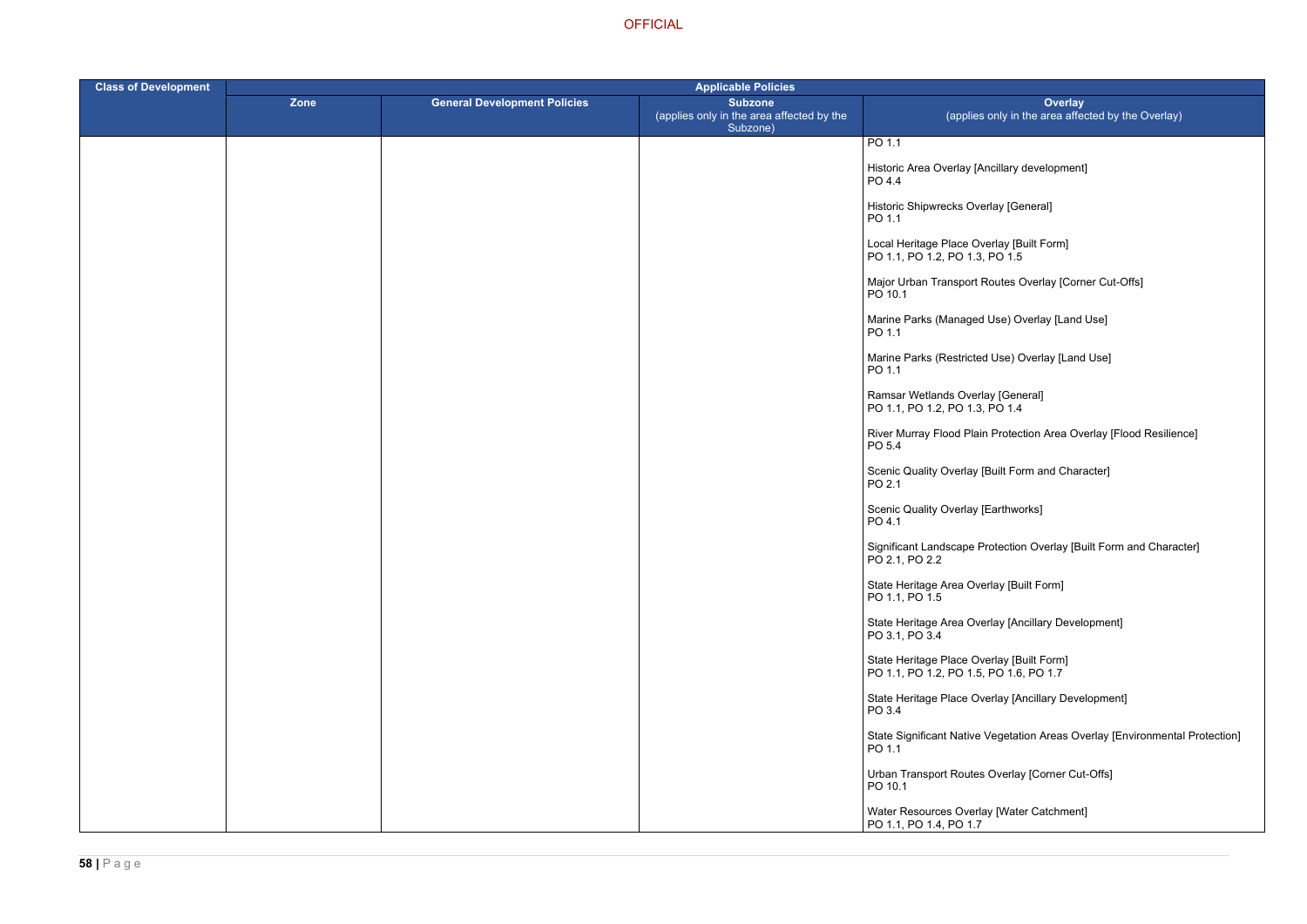icillary development]

outes Overlay [Corner Cut-Offs]

Jse) Overlay [Land Use]

Use) Overlay [Land Use]

Protection Area Overlay [Flood Resilience]

uilt Form and Character]

otection Overlay [Built Form and Character]

lay [Ancillary Development]

rlay [Ancillary Development]

egetation Areas Overlay [Environmental Protection]

Overlay [Corner Cut-Offs]

(Water Catchment]

| <b>Class of Development</b> | <b>Applicable Policies</b> |                                     |                                                                         |                                                                                     |
|-----------------------------|----------------------------|-------------------------------------|-------------------------------------------------------------------------|-------------------------------------------------------------------------------------|
|                             | Zone                       | <b>General Development Policies</b> | <b>Subzone</b><br>(applies only in the area affected by the<br>Subzone) | Over<br>(applies only in the area a                                                 |
|                             |                            |                                     |                                                                         | PO 1.1                                                                              |
|                             |                            |                                     |                                                                         | Historic Area Overlay [Ancillary developm<br>PO 4.4                                 |
|                             |                            |                                     |                                                                         | Historic Shipwrecks Overlay [General]<br>PO 1.1                                     |
|                             |                            |                                     |                                                                         | Local Heritage Place Overlay [Built Form]<br>PO 1.1, PO 1.2, PO 1.3, PO 1.5         |
|                             |                            |                                     |                                                                         | Major Urban Transport Routes Overlay [C<br>PO 10.1                                  |
|                             |                            |                                     |                                                                         | Marine Parks (Managed Use) Overlay [La<br>PO 1.1                                    |
|                             |                            |                                     |                                                                         | Marine Parks (Restricted Use) Overlay [L<br>PO 1.1                                  |
|                             |                            |                                     |                                                                         | Ramsar Wetlands Overlay [General]<br>PO 1.1, PO 1.2, PO 1.3, PO 1.4                 |
|                             |                            |                                     |                                                                         | River Murray Flood Plain Protection Area<br>PO 5.4                                  |
|                             |                            |                                     |                                                                         | Scenic Quality Overlay [Built Form and C<br>PO 2.1                                  |
|                             |                            |                                     |                                                                         | Scenic Quality Overlay [Earthworks]<br>PO 4.1                                       |
|                             |                            |                                     |                                                                         | Significant Landscape Protection Overlay<br>PO 2.1, PO 2.2                          |
|                             |                            |                                     |                                                                         | State Heritage Area Overlay [Built Form]<br>PO 1.1, PO 1.5                          |
|                             |                            |                                     |                                                                         | State Heritage Area Overlay [Ancillary De<br>PO 3.1, PO 3.4                         |
|                             |                            |                                     |                                                                         | State Heritage Place Overlay [Built Form]<br>PO 1.1, PO 1.2, PO 1.5, PO 1.6, PO 1.7 |
|                             |                            |                                     |                                                                         | State Heritage Place Overlay [Ancillary D<br>PO 3.4                                 |
|                             |                            |                                     |                                                                         | <b>State Significant Native Vegetation Areas</b><br>PO 1.1                          |
|                             |                            |                                     |                                                                         | Urban Transport Routes Overlay [Corner<br>PO 10.1                                   |
|                             |                            |                                     |                                                                         | Water Resources Overlay [Water Catchm<br>PO 1.1, PO 1.4, PO 1.7                     |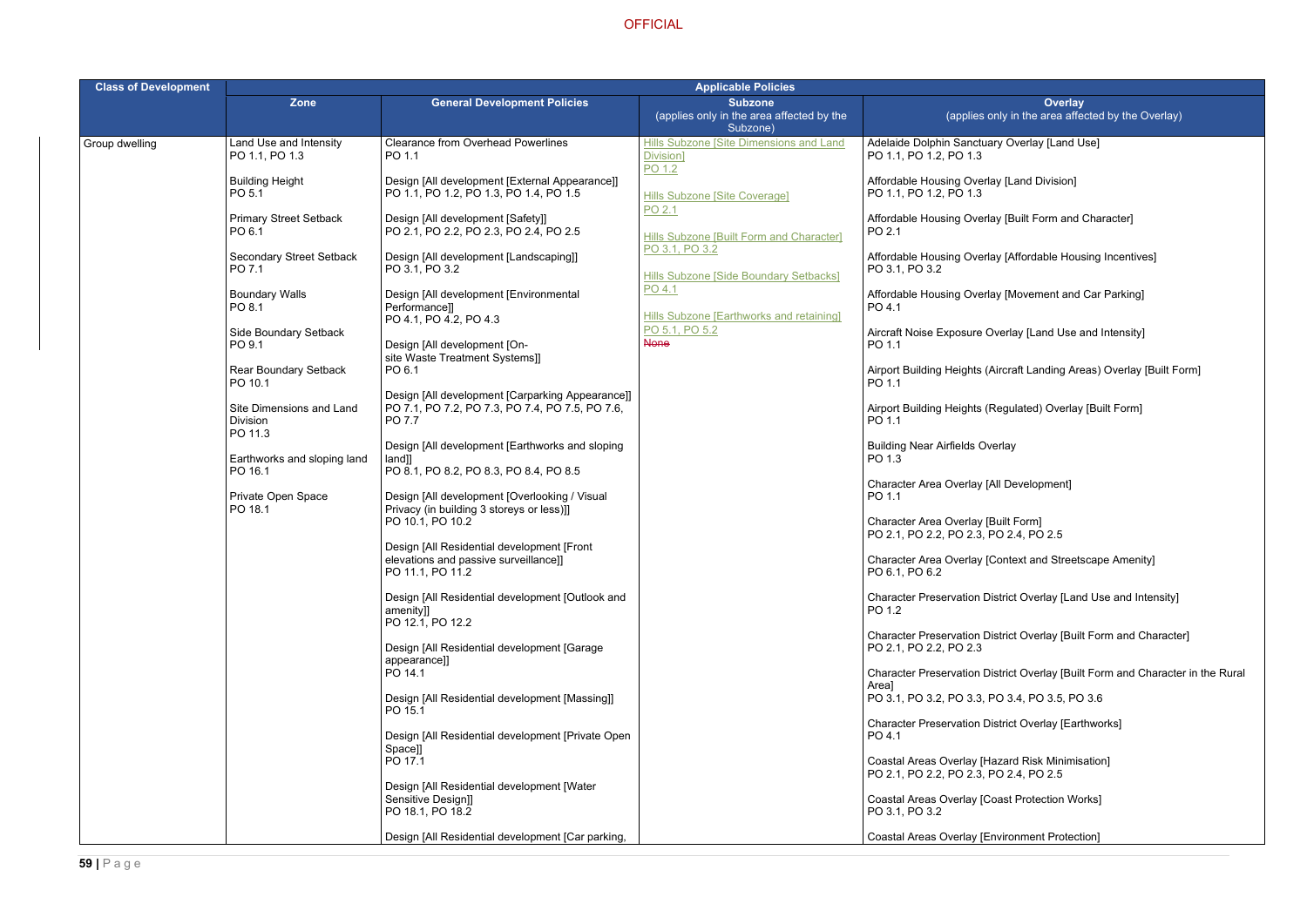- ary Overlay [Land Use]
- Iay [Land Division]
- lay [Built Form and Character]
- lay [Affordable Housing Incentives]
- lay [Movement and Car Parking]
- Overlay [Land Use and Intensity]
- (Aircraft Landing Areas) Overlay [Built Form]
- (Regulated) Overlay [Built Form]
- verlay
- All Development]
- 
- [Context and Streetscape Amenity]
- listrict Overlay [Land Use and Intensity]
- District Overlay [Built Form and Character]
- listrict Overlay [Built Form and Character in the Rural
- PO 3.1, PO 3.2, PO 3.3, PO 3.4, PO 3.5, PO 3.6
- District Overlay [Earthworks]
- Hazard Risk Minimisation] PO 2.4, PO 2.5
- Coast Protection Works]
- Environment Protection]

| <b>Class of Development</b> | <b>Applicable Policies</b>                      |                                                                                                               |                                                                                                              |                                                                                                            |  |
|-----------------------------|-------------------------------------------------|---------------------------------------------------------------------------------------------------------------|--------------------------------------------------------------------------------------------------------------|------------------------------------------------------------------------------------------------------------|--|
|                             | <b>Zone</b>                                     | <b>General Development Policies</b>                                                                           | <b>Subzone</b><br>(applies only in the area affected by the<br>Subzone)                                      | <b>Ove</b><br>(applies only in the area                                                                    |  |
| Group dwelling              | Land Use and Intensity<br>PO 1.1, PO 1.3        | <b>Clearance from Overhead Powerlines</b><br>PO 1.1                                                           | Hills Subzone [Site Dimensions and Land<br>Division]<br>PO 1.2                                               | Adelaide Dolphin Sanctuary Overlay [La<br>PO 1.1, PO 1.2, PO 1.3                                           |  |
|                             | <b>Building Height</b><br>PO 5.1                | Design [All development [External Appearance]]<br>PO 1.1, PO 1.2, PO 1.3, PO 1.4, PO 1.5                      | <b>Hills Subzone [Site Coverage]</b><br>PO 2.1<br>Hills Subzone [Built Form and Character]<br>PO 3.1, PO 3.2 | Affordable Housing Overlay [Land Divisi<br>PO 1.1, PO 1.2, PO 1.3                                          |  |
|                             | <b>Primary Street Setback</b><br>PO 6.1         | Design [All development [Safety]]<br>PO 2.1, PO 2.2, PO 2.3, PO 2.4, PO 2.5                                   |                                                                                                              | Affordable Housing Overlay [Built Form<br>PO 2.1                                                           |  |
|                             | <b>Secondary Street Setback</b><br>PO 7.1       | Design [All development [Landscaping]]<br>PO 3.1, PO 3.2                                                      | Hills Subzone [Side Boundary Setbacks]                                                                       | Affordable Housing Overlay [Affordable<br>PO 3.1, PO 3.2                                                   |  |
|                             | <b>Boundary Walls</b><br>PO 8.1                 | Design [All development [Environmental<br>Performance]]                                                       | PO 4.1<br>Hills Subzone [Earthworks and retaining]                                                           | Affordable Housing Overlay [Movement<br>PO 4.1                                                             |  |
|                             | Side Boundary Setback<br>PO 9.1                 | PO 4.1, PO 4.2, PO 4.3<br>Design [All development [On-                                                        | PO 5.1, PO 5.2<br><b>None</b>                                                                                | Aircraft Noise Exposure Overlay [Land L<br>PO 1.1                                                          |  |
|                             | Rear Boundary Setback<br>PO 10.1                | site Waste Treatment Systems]]<br>PO 6.1                                                                      |                                                                                                              | Airport Building Heights (Aircraft Landing<br>PO 1.1                                                       |  |
|                             | Site Dimensions and Land<br>Division<br>PO 11.3 | Design [All development [Carparking Appearance]]<br>PO 7.1, PO 7.2, PO 7.3, PO 7.4, PO 7.5, PO 7.6,<br>PO 7.7 |                                                                                                              | Airport Building Heights (Regulated) Ove<br>PO 1.1                                                         |  |
|                             | Earthworks and sloping land<br>PO 16.1          | Design [All development [Earthworks and sloping<br>land]]<br>PO 8.1, PO 8.2, PO 8.3, PO 8.4, PO 8.5           |                                                                                                              | <b>Building Near Airfields Overlay</b><br>PO 1.3                                                           |  |
|                             | Private Open Space<br>PO 18.1                   | Design [All development [Overlooking / Visual<br>Privacy (in building 3 storeys or less)]]                    |                                                                                                              | Character Area Overlay [All Developmer<br>PO 1.1                                                           |  |
|                             |                                                 | PO 10.1, PO 10.2<br>Design [All Residential development [Front                                                |                                                                                                              | Character Area Overlay [Built Form]<br>PO 2.1, PO 2.2, PO 2.3, PO 2.4, PO 2.5                              |  |
|                             |                                                 | elevations and passive surveillance]]<br>PO 11.1, PO 11.2                                                     |                                                                                                              | Character Area Overlay [Context and St<br>PO 6.1, PO 6.2                                                   |  |
|                             |                                                 | Design [All Residential development [Outlook and<br>amenity]]<br>PO 12.1, PO 12.2                             |                                                                                                              | <b>Character Preservation District Overlay</b><br>PO 1.2                                                   |  |
|                             |                                                 | Design [All Residential development [Garage<br>appearance]]                                                   |                                                                                                              | <b>Character Preservation District Overlay</b><br>PO 2.1, PO 2.2, PO 2.3                                   |  |
|                             |                                                 | PO 14.1                                                                                                       |                                                                                                              | <b>Character Preservation District Overlay</b><br>Area]                                                    |  |
|                             |                                                 | Design [All Residential development [Massing]]<br>PO 15.1                                                     |                                                                                                              | PO 3.1, PO 3.2, PO 3.3, PO 3.4, PO 3.5<br><b>Character Preservation District Overlay</b>                   |  |
|                             |                                                 | Design [All Residential development [Private Open]<br>Space]]<br>PO 17.1                                      |                                                                                                              | PO 4.1<br>Coastal Areas Overlay [Hazard Risk Mir                                                           |  |
|                             |                                                 | Design [All Residential development [Water<br>Sensitive Design]]<br>PO 18.1, PO 18.2                          |                                                                                                              | PO 2.1, PO 2.2, PO 2.3, PO 2.4, PO 2.5<br><b>Coastal Areas Overlay [Coast Protection</b><br>PO 3.1, PO 3.2 |  |
|                             |                                                 | Design [All Residential development [Car parking,                                                             |                                                                                                              | Coastal Areas Overlay [Environment Pro                                                                     |  |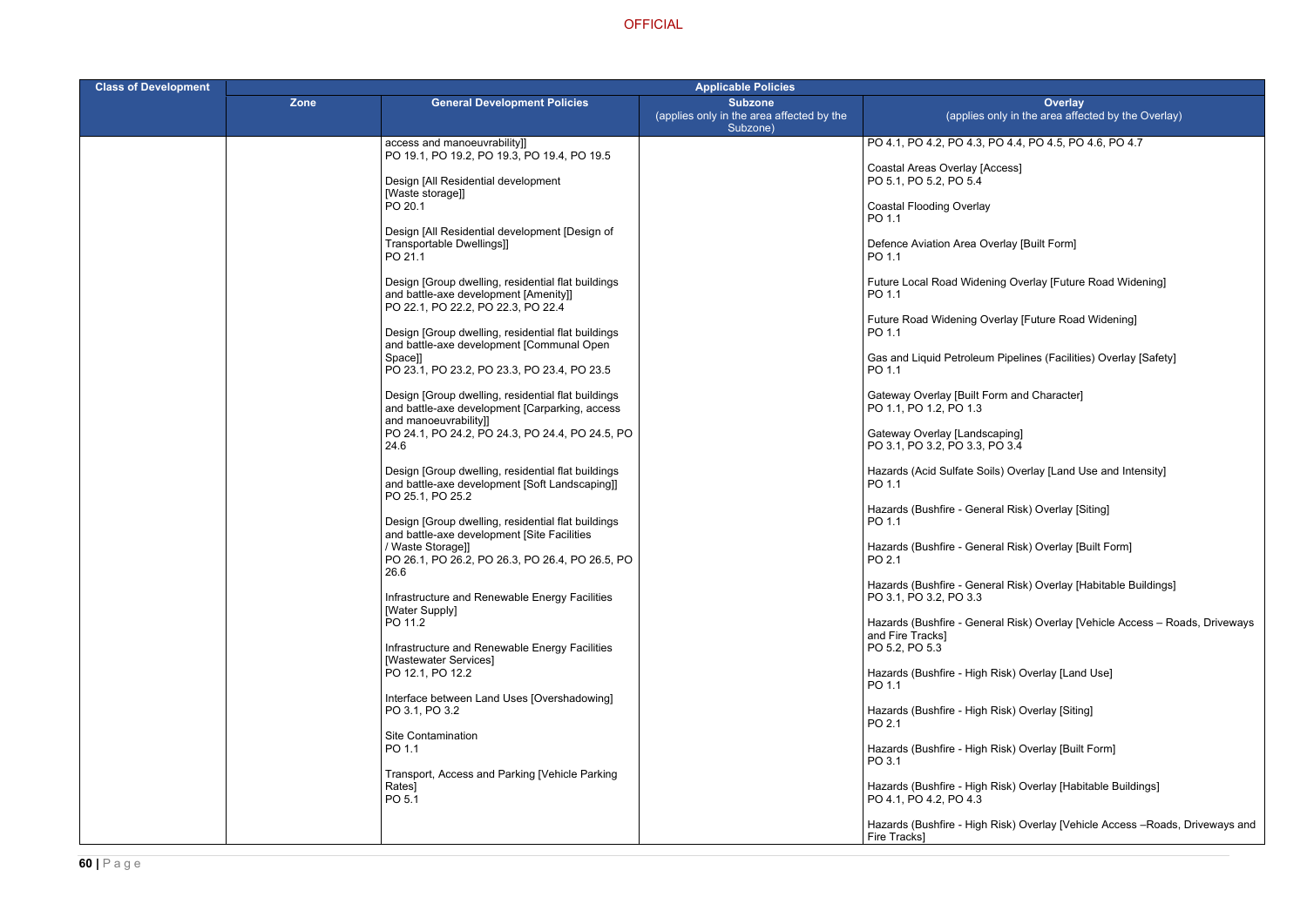- PO 4.1, PO 4.2, PO 4.3, PO 4.4, PO 4.5, PO 4.6, PO 4.7
- ccess]
- 
- verlay [Built Form]
- iing Overlay [Future Road Widening]
- rerlay [Future Road Widening]
- Pipelines (Facilities) Overlay [Safety]
- orm and Character]
- 
- ils) Overlay [Land Use and Intensity]
- eral Risk) Overlay [Siting]
- eral Risk) Overlay [Built Form]
- ral Risk) Overlay [Habitable Buildings]
- ral Risk) Overlay [Vehicle Access Roads, Driveways
- Risk) Overlay [Land Use]
- Risk) Overlay [Siting]
- Risk) Overlay [Built Form]
- Risk) Overlay [Habitable Buildings]
- Risk) Overlay [Vehicle Access –Roads, Driveways and

| <b>Class of Development</b> |      |                                                                                                                                   | <b>Applicable Policies</b>                                              |                                                                       |  |
|-----------------------------|------|-----------------------------------------------------------------------------------------------------------------------------------|-------------------------------------------------------------------------|-----------------------------------------------------------------------|--|
|                             | Zone | <b>General Development Policies</b>                                                                                               | <b>Subzone</b><br>(applies only in the area affected by the<br>Subzone) | (applies only in                                                      |  |
|                             |      | access and manoeuvrability]]<br>PO 19.1, PO 19.2, PO 19.3, PO 19.4, PO 19.5                                                       |                                                                         | PO 4.1, PO 4.2, PO 4.3, PO 4.4                                        |  |
|                             |      | Design [All Residential development<br>[Waste storage]]                                                                           |                                                                         | Coastal Areas Overlay [Access]<br>PO 5.1, PO 5.2, PO 5.4              |  |
|                             |      | PO 20.1                                                                                                                           |                                                                         | <b>Coastal Flooding Overlay</b><br>PO 1.1                             |  |
|                             |      | Design [All Residential development [Design of<br>Transportable Dwellings]]<br>PO 21.1                                            |                                                                         | Defence Aviation Area Overlay<br>PO 1.1                               |  |
|                             |      | Design [Group dwelling, residential flat buildings<br>and battle-axe development [Amenity]]<br>PO 22.1, PO 22.2, PO 22.3, PO 22.4 |                                                                         | Future Local Road Widening Ov<br>PO 1.1                               |  |
|                             |      | Design [Group dwelling, residential flat buildings<br>and battle-axe development [Communal Open                                   |                                                                         | Future Road Widening Overlay<br>PO 1.1                                |  |
|                             |      | Space]]<br>PO 23.1, PO 23.2, PO 23.3, PO 23.4, PO 23.5                                                                            |                                                                         | Gas and Liquid Petroleum Pipel<br>PO 1.1                              |  |
|                             |      | Design [Group dwelling, residential flat buildings<br>and battle-axe development [Carparking, access<br>and manoeuvrability]]     |                                                                         | Gateway Overlay [Built Form an<br>PO 1.1, PO 1.2, PO 1.3              |  |
|                             |      | PO 24.1, PO 24.2, PO 24.3, PO 24.4, PO 24.5, PO<br>24.6                                                                           |                                                                         | Gateway Overlay [Landscaping]<br>PO 3.1, PO 3.2, PO 3.3, PO 3.4       |  |
|                             |      | Design [Group dwelling, residential flat buildings<br>and battle-axe development [Soft Landscaping]]<br>PO 25.1, PO 25.2          |                                                                         | Hazards (Acid Sulfate Soils) Ov<br>PO 1.1                             |  |
|                             |      | Design [Group dwelling, residential flat buildings<br>and battle-axe development [Site Facilities                                 |                                                                         | Hazards (Bushfire - General Ris<br>PO 1.1                             |  |
|                             |      | / Waste Storage]]<br>PO 26.1, PO 26.2, PO 26.3, PO 26.4, PO 26.5, PO<br>26.6                                                      |                                                                         | Hazards (Bushfire - General Ris<br>PO 2.1                             |  |
|                             |      | Infrastructure and Renewable Energy Facilities<br>[Water Supply]                                                                  |                                                                         | Hazards (Bushfire - General Ris<br>PO 3.1, PO 3.2, PO 3.3             |  |
|                             |      | PO 11.2<br>Infrastructure and Renewable Energy Facilities                                                                         |                                                                         | Hazards (Bushfire - General Ris<br>and Fire Tracks]<br>PO 5.2, PO 5.3 |  |
|                             |      | [Wastewater Services]<br>PO 12.1, PO 12.2                                                                                         |                                                                         | Hazards (Bushfire - High Risk) (<br>PO 1.1                            |  |
|                             |      | Interface between Land Uses [Overshadowing]<br>PO 3.1, PO 3.2                                                                     |                                                                         | Hazards (Bushfire - High Risk) (<br>PO 2.1                            |  |
|                             |      | Site Contamination<br>PO 1.1                                                                                                      |                                                                         | Hazards (Bushfire - High Risk) (<br>PO 3.1                            |  |
|                             |      | Transport, Access and Parking [Vehicle Parking<br>Rates]<br>PO 5.1                                                                |                                                                         | Hazards (Bushfire - High Risk) (<br>PO 4.1, PO 4.2, PO 4.3            |  |
|                             |      |                                                                                                                                   |                                                                         | Hazards (Bushfire - High Risk) (<br>Fire Tracks]                      |  |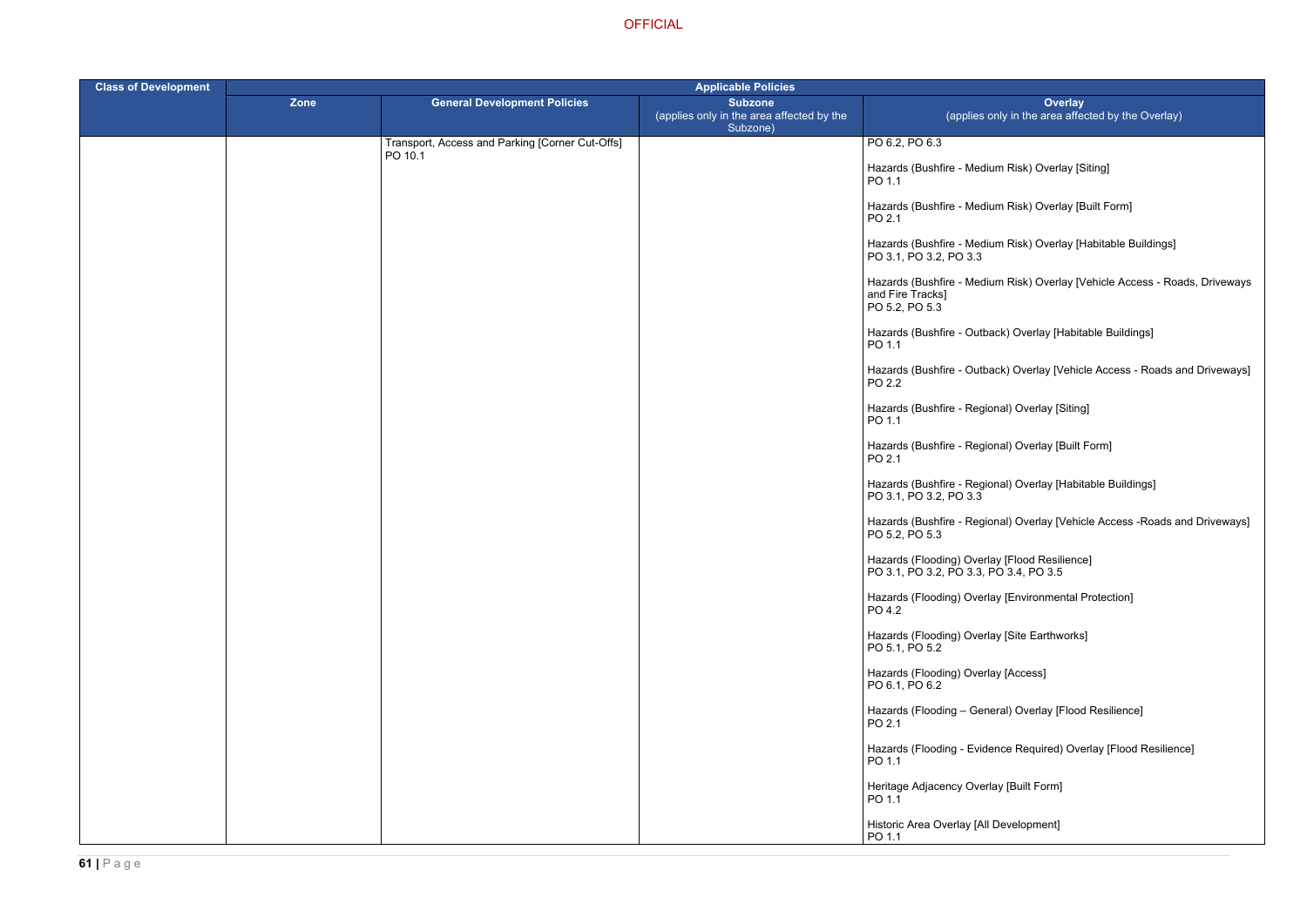- um Risk) Overlay [Siting]
- um Risk) Overlay [Built Form]
- um Risk) Overlay [Habitable Buildings]
- um Risk) Overlay [Vehicle Access Roads, Driveways
- ack) Overlay [Habitable Buildings]
- ack) Overlay [Vehicle Access Roads and Driveways]
- hal) Overlay [Siting]
- ) Dverlay [Built Form]
- bnal) Overlay [Habitable Buildings]
- onal) Overlay [Vehicle Access -Roads and Driveways]
- 
- ay [Environmental Protection]
- ay [Site Earthworks]
- ay [Access]
- eral) Overlay [Flood Resilience]
- ence Required) Overlay [Flood Resilience]
- ay [Built Form]
- Development]

| <b>Class of Development</b> | <b>Applicable Policies</b> |                                                            |                                                                         |                                                                                         |  |
|-----------------------------|----------------------------|------------------------------------------------------------|-------------------------------------------------------------------------|-----------------------------------------------------------------------------------------|--|
|                             | <b>Zone</b>                | <b>General Development Policies</b>                        | <b>Subzone</b><br>(applies only in the area affected by the<br>Subzone) | <b>Overlay</b><br>(applies only in the area affect                                      |  |
|                             |                            | Transport, Access and Parking [Corner Cut-Offs]<br>PO 10.1 |                                                                         | PO 6.2, PO 6.3                                                                          |  |
|                             |                            |                                                            |                                                                         | Hazards (Bushfire - Medium Risk) Overlay [Sit<br>PO 1.1                                 |  |
|                             |                            |                                                            |                                                                         | Hazards (Bushfire - Medium Risk) Overlay [Bu<br>PO 2.1                                  |  |
|                             |                            |                                                            |                                                                         | Hazards (Bushfire - Medium Risk) Overlay [Ha<br>PO 3.1, PO 3.2, PO 3.3                  |  |
|                             |                            |                                                            |                                                                         | Hazards (Bushfire - Medium Risk) Overlay [Ve<br>and Fire Tracks]<br>PO 5.2, PO 5.3      |  |
|                             |                            |                                                            |                                                                         | Hazards (Bushfire - Outback) Overlay [Habital<br>PO 1.1                                 |  |
|                             |                            |                                                            |                                                                         | Hazards (Bushfire - Outback) Overlay [Vehicle<br>PO 2.2                                 |  |
|                             |                            |                                                            |                                                                         | Hazards (Bushfire - Regional) Overlay [Siting]<br>PO 1.1                                |  |
|                             |                            |                                                            |                                                                         | Hazards (Bushfire - Regional) Overlay [Built F<br>PO 2.1                                |  |
|                             |                            |                                                            |                                                                         | Hazards (Bushfire - Regional) Overlay [Habita<br>PO 3.1, PO 3.2, PO 3.3                 |  |
|                             |                            |                                                            |                                                                         | Hazards (Bushfire - Regional) Overlay [Vehicle<br>PO 5.2, PO 5.3                        |  |
|                             |                            |                                                            |                                                                         | Hazards (Flooding) Overlay [Flood Resilience]<br>PO 3.1, PO 3.2, PO 3.3, PO 3.4, PO 3.5 |  |
|                             |                            |                                                            |                                                                         | Hazards (Flooding) Overlay [Environmental Pr<br>PO 4.2                                  |  |
|                             |                            |                                                            |                                                                         | Hazards (Flooding) Overlay [Site Earthworks]<br>PO 5.1, PO 5.2                          |  |
|                             |                            |                                                            |                                                                         | Hazards (Flooding) Overlay [Access]<br>PO 6.1, PO 6.2                                   |  |
|                             |                            |                                                            |                                                                         | Hazards (Flooding - General) Overlay [Flood<br>PO 2.1                                   |  |
|                             |                            |                                                            |                                                                         | Hazards (Flooding - Evidence Required) Over<br>PO 1.1                                   |  |
|                             |                            |                                                            |                                                                         | Heritage Adjacency Overlay [Built Form]<br>PO 1.1                                       |  |
|                             |                            |                                                            |                                                                         | Historic Area Overlay [All Development]<br>PO 1.1                                       |  |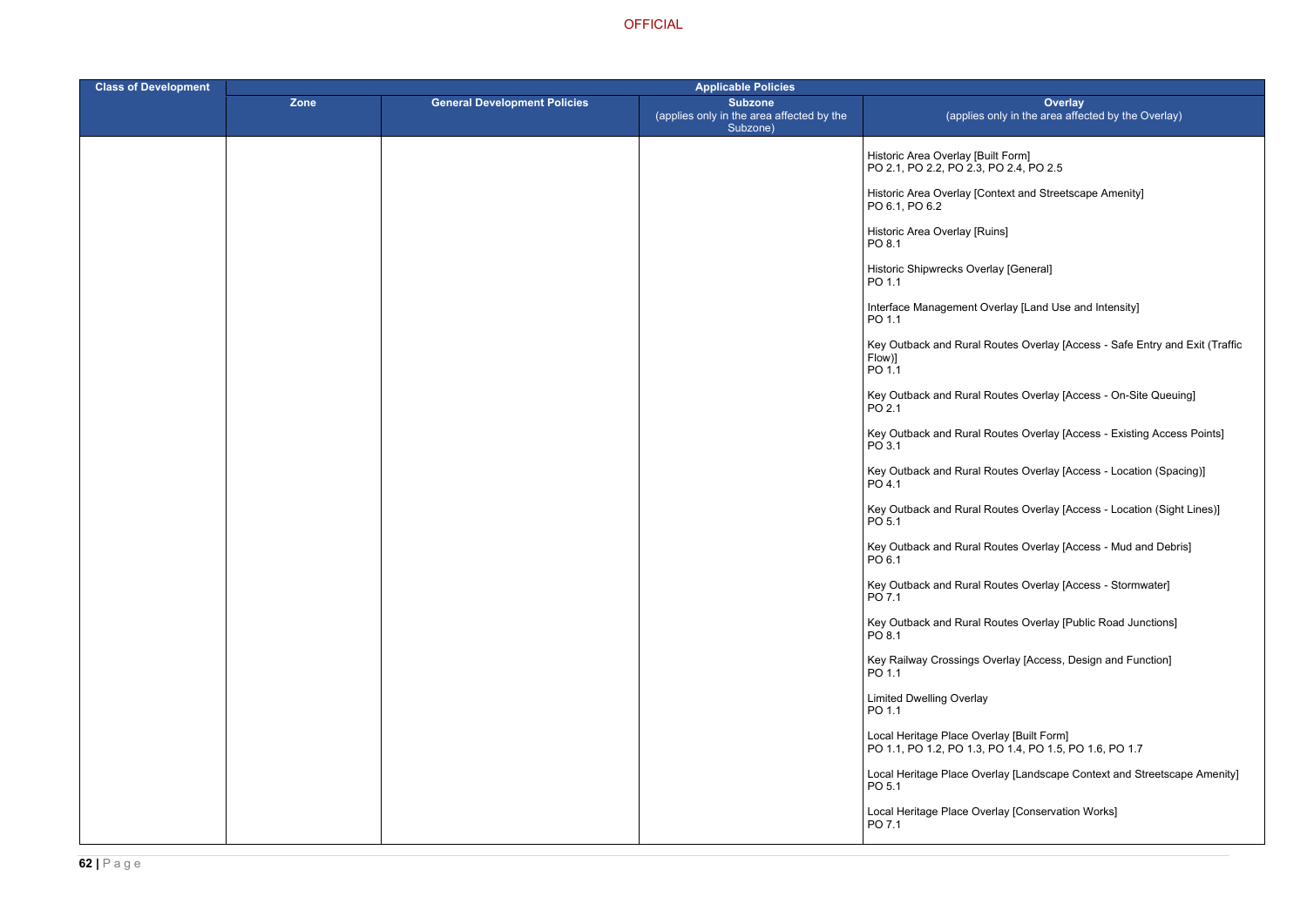ontext and Streetscape Amenity]

verlay [Land Use and Intensity]

Routes Overlay [Access - Safe Entry and Exit (Traffic

Routes Overlay [Access - On-Site Queuing]

Routes Overlay [Access - Existing Access Points]

Routes Overlay [Access - Location (Spacing)]

Routes Overlay [Access - Location (Sight Lines)]

Routes Overlay [Access - Mud and Debris]

Routes Overlay [Access - Stormwater]

Routes Overlay [Public Road Junctions]

Dverlay [Access, Design and Function]

**OFFICIAL** 

| <b>Class of Development</b> | <b>Applicable Policies</b> |                                     |                                                                         |                                                                                      |
|-----------------------------|----------------------------|-------------------------------------|-------------------------------------------------------------------------|--------------------------------------------------------------------------------------|
|                             | Zone                       | <b>General Development Policies</b> | <b>Subzone</b><br>(applies only in the area affected by the<br>Subzone) | Over<br>(applies only in the area a                                                  |
|                             |                            |                                     |                                                                         | Historic Area Overlay [Built Form]<br>PO 2.1, PO 2.2, PO 2.3, PO 2.4, PO 2.5         |
|                             |                            |                                     |                                                                         | Historic Area Overlay [Context and Street<br>PO 6.1, PO 6.2                          |
|                             |                            |                                     |                                                                         | Historic Area Overlay [Ruins]<br>PO 8.1                                              |
|                             |                            |                                     |                                                                         | Historic Shipwrecks Overlay [General]<br>PO 1.1                                      |
|                             |                            |                                     |                                                                         | Interface Management Overlay [Land Use<br>PO 1.1                                     |
|                             |                            |                                     |                                                                         | Key Outback and Rural Routes Overlay [/<br>Flow)]<br>PO 1.1                          |
|                             |                            |                                     |                                                                         | Key Outback and Rural Routes Overlay [<br>PO 2.1                                     |
|                             |                            |                                     |                                                                         | Key Outback and Rural Routes Overlay [<br>PO 3.1                                     |
|                             |                            |                                     |                                                                         | Key Outback and Rural Routes Overlay [<br>PO 4.1                                     |
|                             |                            |                                     |                                                                         | Key Outback and Rural Routes Overlay [<br>PO 5.1                                     |
|                             |                            |                                     |                                                                         | Key Outback and Rural Routes Overlay [<br>PO 6.1                                     |
|                             |                            |                                     |                                                                         | Key Outback and Rural Routes Overlay [<br>PO 7.1                                     |
|                             |                            |                                     |                                                                         | Key Outback and Rural Routes Overlay [I<br>PO 8.1                                    |
|                             |                            |                                     |                                                                         | Key Railway Crossings Overlay [Access,<br>$PO$ 1.1                                   |
|                             |                            |                                     |                                                                         | <b>Limited Dwelling Overlay</b><br>PO 1.1                                            |
|                             |                            |                                     |                                                                         | Local Heritage Place Overlay [Built Form]<br>PO 1.1, PO 1.2, PO 1.3, PO 1.4, PO 1.5, |
|                             |                            |                                     |                                                                         | Local Heritage Place Overlay [Landscape<br>PO 5.1                                    |
|                             |                            |                                     |                                                                         | Local Heritage Place Overlay [Conservati<br>PO 7.1                                   |
|                             |                            |                                     |                                                                         |                                                                                      |

PO 1.1, PO 1.2, PO 1.3, PO 1.4, PO 1.5, PO 1.6, PO 1.7

erlay [Landscape Context and Streetscape Amenity]

erlay [Conservation Works]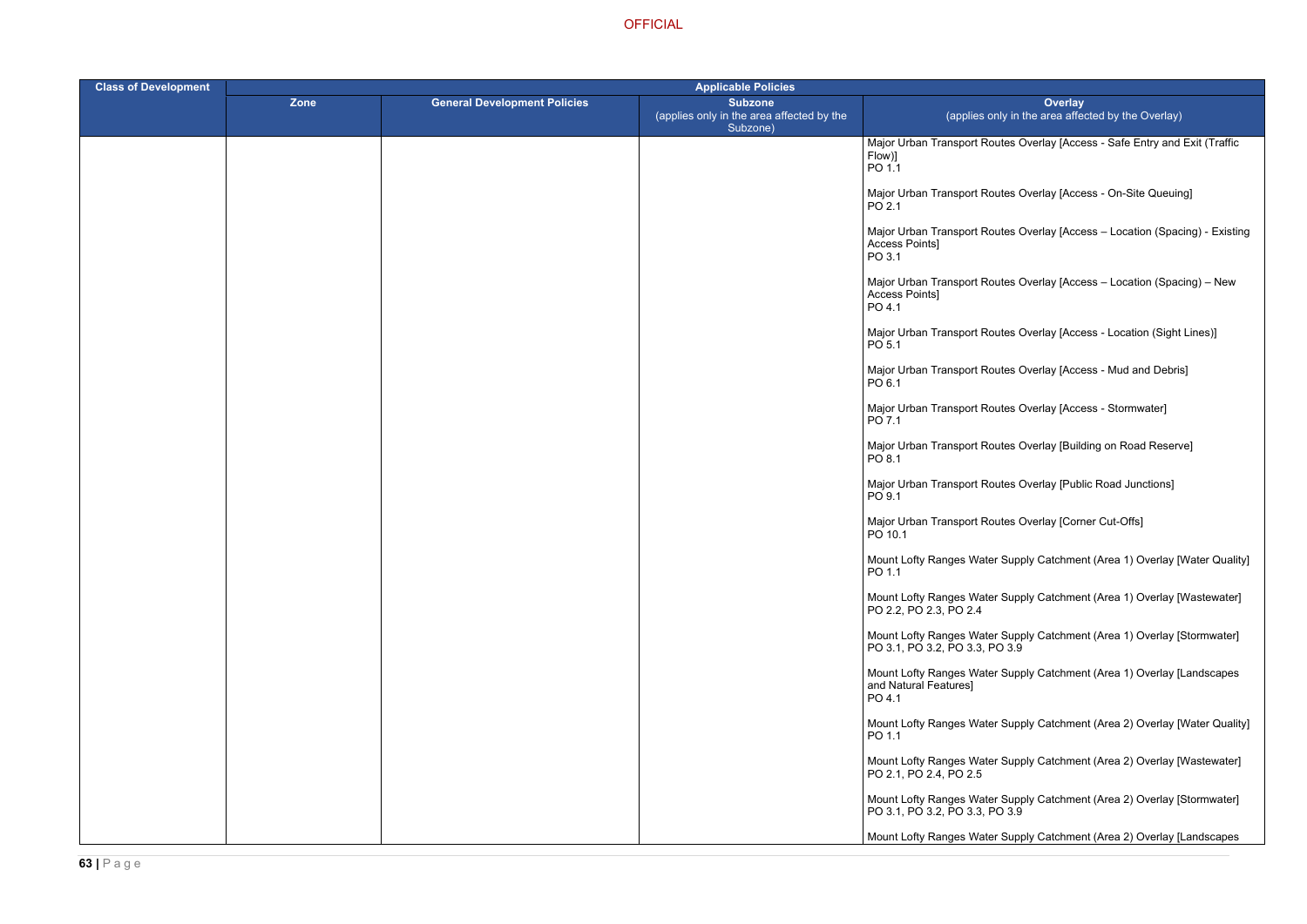Routes Overlay [Access - Safe Entry and Exit (Traffic

Routes Overlay [Access - On-Site Queuing]

Routes Overlay [Access – Location (Spacing) - Existing

Routes Overlay [Access – Location (Spacing) – New

Routes Overlay [Access - Location (Sight Lines)]

Routes Overlay [Access - Mud and Debris]

Routes Overlay [Access - Stormwater]

Routes Overlay [Building on Road Reserve]

Routes Overlay [Public Road Junctions]

Routes Overlay [Corner Cut-Offs]

ter Supply Catchment (Area 1) Overlay [Water Quality]

ter Supply Catchment (Area 1) Overlay [Wastewater]

**OFFICIAL** 

| <b>Class of Development</b> | <b>Applicable Policies</b> |                                     |                                                                         |                                                                 |
|-----------------------------|----------------------------|-------------------------------------|-------------------------------------------------------------------------|-----------------------------------------------------------------|
|                             | Zone                       | <b>General Development Policies</b> | <b>Subzone</b><br>(applies only in the area affected by the<br>Subzone) | (applies only in                                                |
|                             |                            |                                     |                                                                         | Major Urban Transport Routes (<br>Flow)]<br>PO 1.1              |
|                             |                            |                                     |                                                                         | Major Urban Transport Routes (<br>PO 2.1                        |
|                             |                            |                                     |                                                                         | Major Urban Transport Routes (<br>Access Points]<br>PO 3.1      |
|                             |                            |                                     |                                                                         | Major Urban Transport Routes (<br>Access Points]<br>PO 4.1      |
|                             |                            |                                     |                                                                         | Major Urban Transport Routes (<br>PO 5.1                        |
|                             |                            |                                     |                                                                         | Major Urban Transport Routes (<br>PO 6.1                        |
|                             |                            |                                     |                                                                         | Major Urban Transport Routes (<br>PO 7.1                        |
|                             |                            |                                     |                                                                         | Major Urban Transport Routes (<br>PO 8.1                        |
|                             |                            |                                     |                                                                         | Major Urban Transport Routes (<br>PO 9.1                        |
|                             |                            |                                     |                                                                         | Major Urban Transport Routes (<br>PO 10.1                       |
|                             |                            |                                     |                                                                         | Mount Lofty Ranges Water Sup<br>PO 1.1                          |
|                             |                            |                                     |                                                                         | Mount Lofty Ranges Water Sup<br>PO 2.2, PO 2.3, PO 2.4          |
|                             |                            |                                     |                                                                         | Mount Lofty Ranges Water Sup<br>PO 3.1, PO 3.2, PO 3.3, PO 3.9  |
|                             |                            |                                     |                                                                         | Mount Lofty Ranges Water Sup<br>and Natural Features]<br>PO 4.1 |
|                             |                            |                                     |                                                                         | Mount Lofty Ranges Water Sup<br>PO 1.1                          |
|                             |                            |                                     |                                                                         | Mount Lofty Ranges Water Sup<br>PO 2.1, PO 2.4, PO 2.5          |
|                             |                            |                                     |                                                                         | Mount Lofty Ranges Water Sup<br>PO 3.1, PO 3.2, PO 3.3, PO 3.9  |
|                             |                            |                                     |                                                                         | Mount Lofty Ranges Water Sup                                    |

Mount Lofty Ranges Water Supply Catchment (Area 1) Overlay [Stormwater]

ter Supply Catchment (Area 1) Overlay [Landscapes

ter Supply Catchment (Area 2) Overlay [Water Quality]

ter Supply Catchment (Area 2) Overlay [Wastewater]

er Supply Catchment (Area 2) Overlay [Stormwater]  $PO<sub>3.9</sub>$ 

ter Supply Catchment (Area 2) Overlay [Landscapes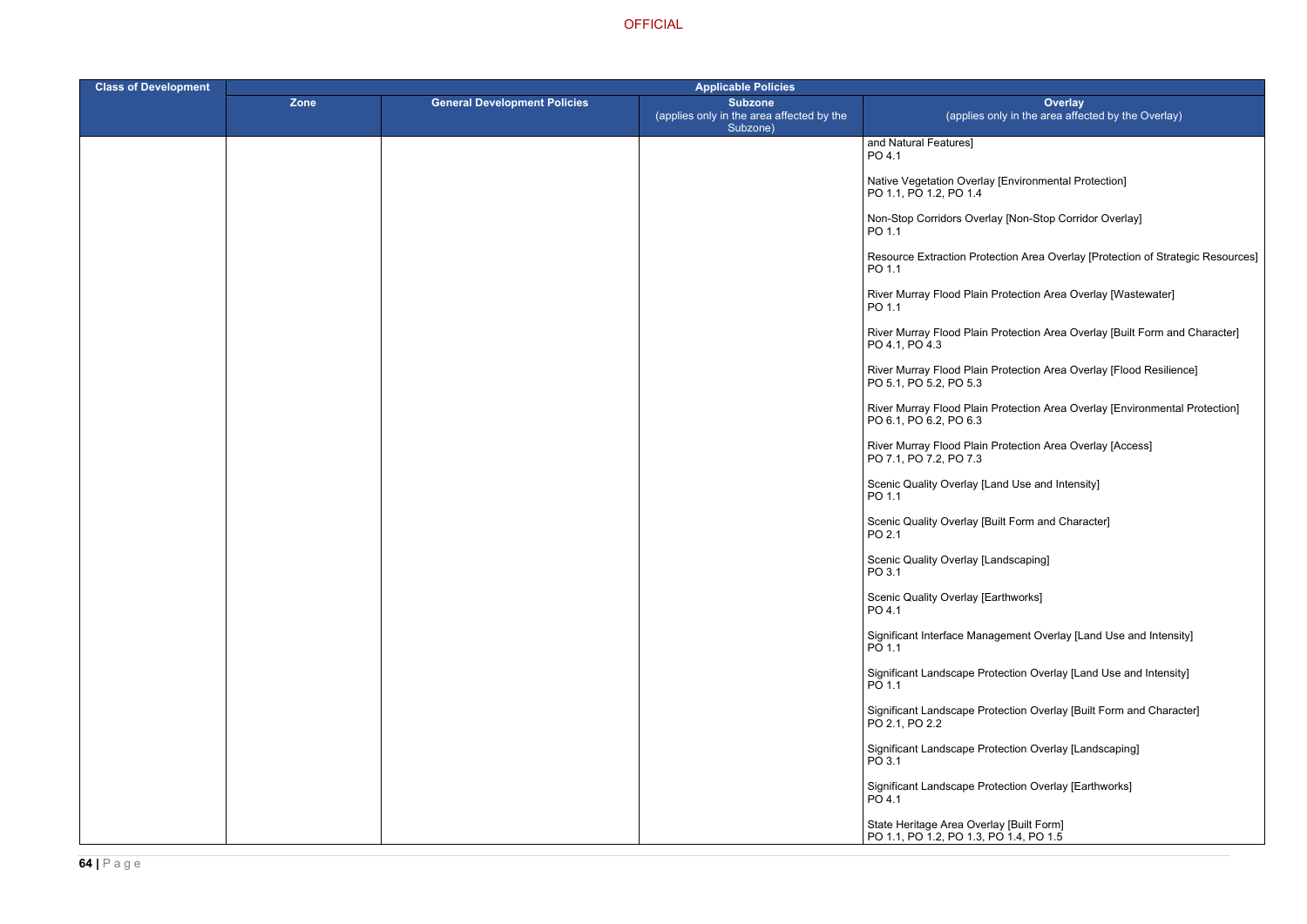- ay [Environmental Protection]
- rlay [Non-Stop Corridor Overlay]
- tection Area Overlay [Protection of Strategic Resources]
- Protection Area Overlay [Wastewater]
- Protection Area Overlay [Built Form and Character]
- r Protection Area Overlay [Flood Resilience]
- Rrotection Area Overlay [Environmental Protection]
- **Protection Area Overlay [Access]**
- Land Use and Intensity]
- Built Form and Character]
- Landscaping]
- Earthworks]
- agement Overlay [Land Use and Intensity]
- rotection Overlay [Land Use and Intensity]
- rotection Overlay [Built Form and Character]
- rotection Overlay [Landscaping]
- rotection Overlay [Earthworks]

| <b>Class of Development</b> | <b>Applicable Policies</b> |                                     |                                                                         |                                                                                    |
|-----------------------------|----------------------------|-------------------------------------|-------------------------------------------------------------------------|------------------------------------------------------------------------------------|
|                             | Zone                       | <b>General Development Policies</b> | <b>Subzone</b><br>(applies only in the area affected by the<br>Subzone) | Ove<br>(applies only in the area                                                   |
|                             |                            |                                     |                                                                         | and Natural Features]<br>PO 4.1                                                    |
|                             |                            |                                     |                                                                         | Native Vegetation Overlay [Environment<br>PO 1.1, PO 1.2, PO 1.4                   |
|                             |                            |                                     |                                                                         | Non-Stop Corridors Overlay [Non-Stop O<br>PO 1.1                                   |
|                             |                            |                                     |                                                                         | Resource Extraction Protection Area Ov<br>PO 1.1                                   |
|                             |                            |                                     |                                                                         | River Murray Flood Plain Protection Area<br>PO 1.1                                 |
|                             |                            |                                     |                                                                         | River Murray Flood Plain Protection Area<br>PO 4.1, PO 4.3                         |
|                             |                            |                                     |                                                                         | River Murray Flood Plain Protection Area<br>PO 5.1, PO 5.2, PO 5.3                 |
|                             |                            |                                     |                                                                         | River Murray Flood Plain Protection Area<br>PO 6.1, PO 6.2, PO 6.3                 |
|                             |                            |                                     |                                                                         | River Murray Flood Plain Protection Area<br>PO 7.1, PO 7.2, PO 7.3                 |
|                             |                            |                                     |                                                                         | Scenic Quality Overlay [Land Use and Ir<br>PO 1.1                                  |
|                             |                            |                                     |                                                                         | Scenic Quality Overlay [Built Form and 0<br>PO 2.1                                 |
|                             |                            |                                     |                                                                         | Scenic Quality Overlay [Landscaping]<br>PO 3.1                                     |
|                             |                            |                                     |                                                                         | Scenic Quality Overlay [Earthworks]<br>PO 4.1                                      |
|                             |                            |                                     |                                                                         | Significant Interface Management Overla<br>PO 1.1                                  |
|                             |                            |                                     |                                                                         | Significant Landscape Protection Overla<br>PO 1.1                                  |
|                             |                            |                                     |                                                                         | Significant Landscape Protection Overla<br>PO 2.1, PO 2.2                          |
|                             |                            |                                     |                                                                         | Significant Landscape Protection Overla<br>PO 3.1                                  |
|                             |                            |                                     |                                                                         | Significant Landscape Protection Overla<br>PO 4.1                                  |
|                             |                            |                                     |                                                                         | State Heritage Area Overlay [Built Form]<br>PO 1.1, PO 1.2, PO 1.3, PO 1.4, PO 1.5 |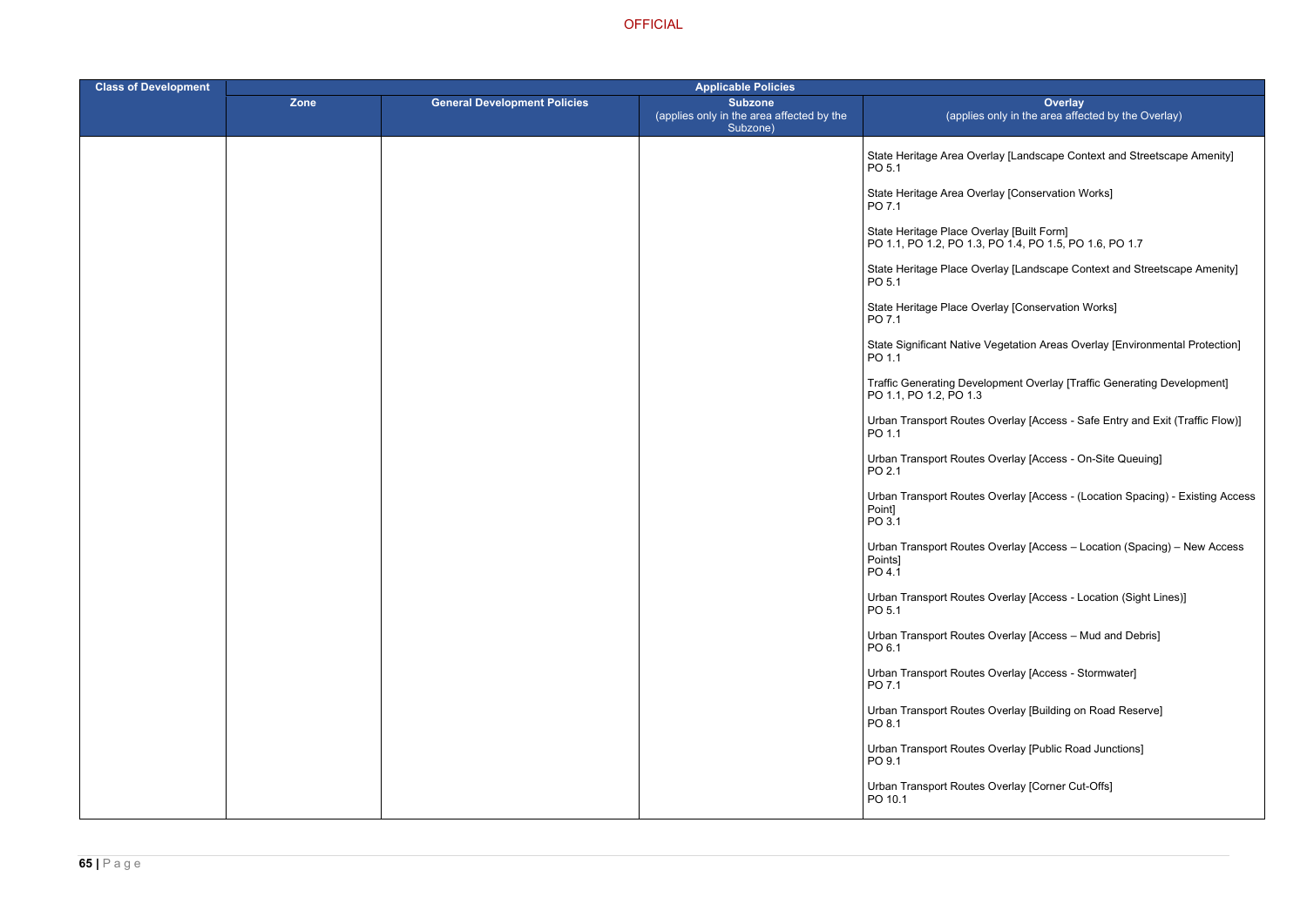- rlay [Landscape Context and Streetscape Amenity]
- rlay [Conservation Works]
- erlay [Built Form] PO 1.1, PO 1.2, PO 1.3, PO 1.4, PO 1.5, PO 1.6, PO 1.7
- erlay [Landscape Context and Streetscape Amenity]
- erlay [Conservation Works]
- Vegetation Areas Overlay [Environmental Protection]
- opment Overlay [Traffic Generating Development]
- Overlay [Access Safe Entry and Exit (Traffic Flow)]
- Overlay [Access On-Site Queuing]
- Overlay [Access (Location Spacing) Existing Access
- Overlay [Access Location (Spacing) New Access
- Overlay [Access Location (Sight Lines)]
- Overlay [Access Mud and Debris]
- Overlay [Access Stormwater]
- Overlay [Building on Road Reserve]
- Overlay [Public Road Junctions]
- Overlay [Corner Cut-Offs]

| <b>Class of Development</b> | <b>Applicable Policies</b> |                                     |                                                                         |                                                            |
|-----------------------------|----------------------------|-------------------------------------|-------------------------------------------------------------------------|------------------------------------------------------------|
|                             | Zone                       | <b>General Development Policies</b> | <b>Subzone</b><br>(applies only in the area affected by the<br>Subzone) | (applies o                                                 |
|                             |                            |                                     |                                                                         | State Heritage Area Over<br>PO 5.1                         |
|                             |                            |                                     |                                                                         | State Heritage Area Over<br>PO 7.1                         |
|                             |                            |                                     |                                                                         | State Heritage Place Ove<br>PO 1.1, PO 1.2, PO 1.3, R      |
|                             |                            |                                     |                                                                         | State Heritage Place Ove<br>PO 5.1                         |
|                             |                            |                                     |                                                                         | State Heritage Place Ove<br>PO 7.1                         |
|                             |                            |                                     |                                                                         | State Significant Native V<br>PO 1.1                       |
|                             |                            |                                     |                                                                         | <b>Traffic Generating Develd</b><br>PO 1.1, PO 1.2, PO 1.3 |
|                             |                            |                                     |                                                                         | <b>Urban Transport Routes (</b><br>PO 1.1                  |
|                             |                            |                                     |                                                                         | <b>Urban Transport Routes (</b><br>PO 2.1                  |
|                             |                            |                                     |                                                                         | <b>Urban Transport Routes (</b><br>Point]<br>PO 3.1        |
|                             |                            |                                     |                                                                         | <b>Urban Transport Routes (</b><br>Points]<br>PO 4.1       |
|                             |                            |                                     |                                                                         | <b>Urban Transport Routes (</b><br>PO 5.1                  |
|                             |                            |                                     |                                                                         | <b>Urban Transport Routes (</b><br>PO 6.1                  |
|                             |                            |                                     |                                                                         | Urban Transport Routes (<br>PO 7.1                         |
|                             |                            |                                     |                                                                         | <b>Urban Transport Routes (</b><br>PO 8.1                  |
|                             |                            |                                     |                                                                         | <b>Urban Transport Routes (</b><br>PO 9.1                  |
|                             |                            |                                     |                                                                         | <b>Urban Transport Routes (</b><br>PO 10.1                 |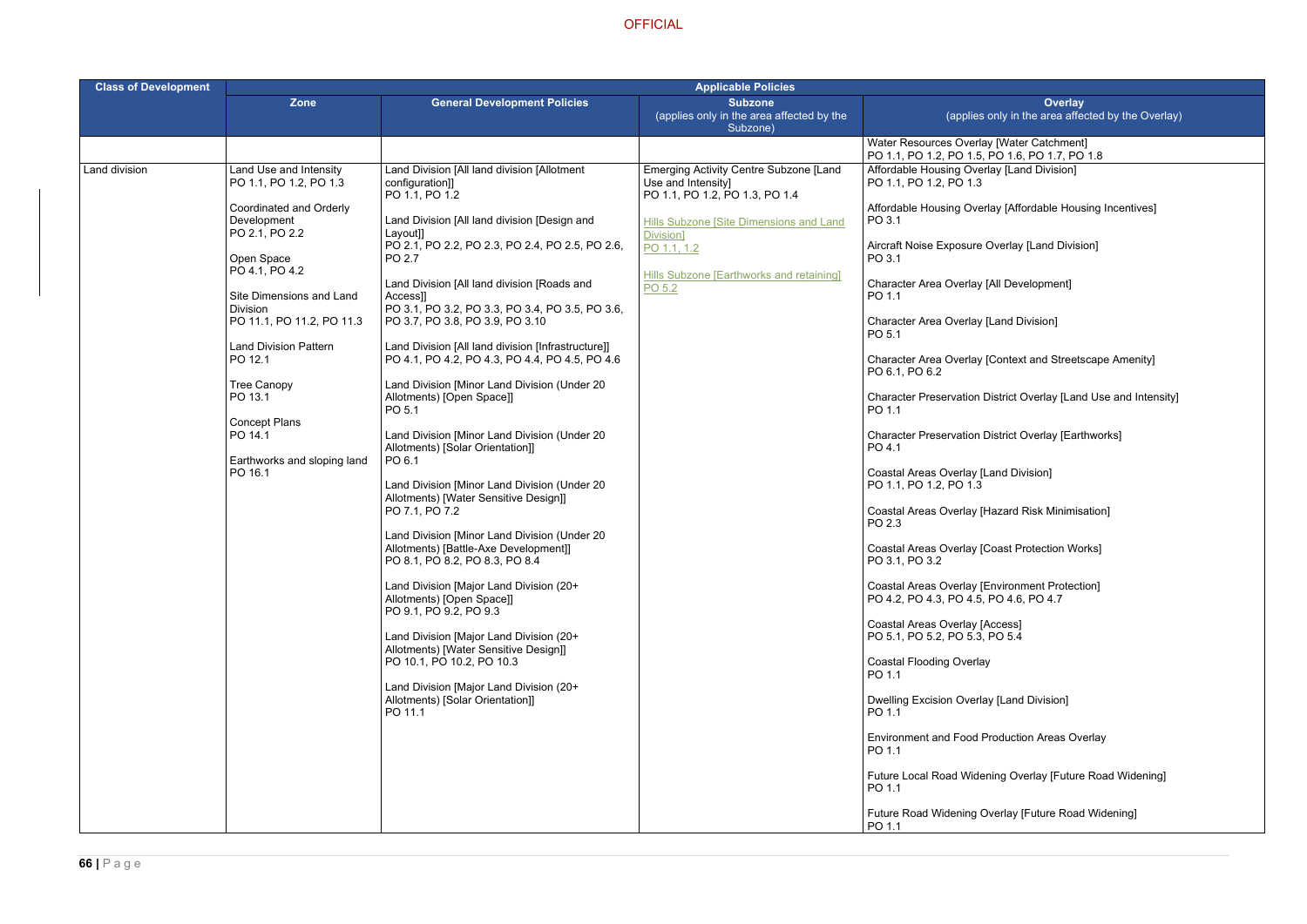ay [Affordable Housing Incentives]

Context and Streetscape Amenity]

istrict Overlay [Land Use and Intensity]

istrict Overlay [Earthworks]

azard Risk Minimisation]

oduction Areas Overlay

iing Overlay [Future Road Widening]

rerlay [Future Road Widening]

| <b>Class of Development</b> | <b>Applicable Policies</b>                               |                                                                                                      |                                                                                                       |                                                                                                 |
|-----------------------------|----------------------------------------------------------|------------------------------------------------------------------------------------------------------|-------------------------------------------------------------------------------------------------------|-------------------------------------------------------------------------------------------------|
|                             | Zone                                                     | <b>General Development Policies</b>                                                                  | <b>Subzone</b><br>(applies only in the area affected by the<br>Subzone)                               | Overlay<br>(applies only in the area affected                                                   |
|                             |                                                          |                                                                                                      |                                                                                                       | Water Resources Overlay [Water Catchment]<br>PO 1.1, PO 1.2, PO 1.5, PO 1.6, PO 1.7, PO 1.8     |
| Land division               | Land Use and Intensity<br>PO 1.1, PO 1.2, PO 1.3         | Land Division [All land division [Allotment<br>configuration]]<br>PO 1.1, PO 1.2                     | <b>Emerging Activity Centre Subzone [Land</b><br>Use and Intensity]<br>PO 1.1, PO 1.2, PO 1.3, PO 1.4 | Affordable Housing Overlay [Land Division]<br>PO 1.1, PO 1.2, PO 1.3                            |
|                             | Coordinated and Orderly<br>Development<br>PO 2.1, PO 2.2 | Land Division [All land division [Design and<br>Layout]]                                             | Hills Subzone [Site Dimensions and Land<br>Division]                                                  | Affordable Housing Overlay [Affordable Housing<br>PO 3.1                                        |
|                             | Open Space<br>PO 4.1, PO 4.2                             | PO 2.1, PO 2.2, PO 2.3, PO 2.4, PO 2.5, PO 2.6,<br>PO 2.7                                            | PO 1.1, 1.2                                                                                           | Aircraft Noise Exposure Overlay [Land Division]<br>PO 3.1                                       |
|                             | Site Dimensions and Land                                 | Land Division [All land division [Roads and<br>Access]]                                              | Hills Subzone [Earthworks and retaining]<br>PO 5.2                                                    | Character Area Overlay [All Development]<br>PO 1.1                                              |
|                             | <b>Division</b><br>PO 11.1, PO 11.2, PO 11.3             | PO 3.1, PO 3.2, PO 3.3, PO 3.4, PO 3.5, PO 3.6,<br>PO 3.7, PO 3.8, PO 3.9, PO 3.10                   |                                                                                                       | Character Area Overlay [Land Division]<br>PO 5.1                                                |
|                             | <b>Land Division Pattern</b><br>PO 12.1                  | Land Division [All land division [Infrastructure]]<br>PO 4.1, PO 4.2, PO 4.3, PO 4.4, PO 4.5, PO 4.6 |                                                                                                       | Character Area Overlay [Context and Streetscap<br>PO 6.1, PO 6.2                                |
|                             | <b>Tree Canopy</b><br>PO 13.1                            | Land Division [Minor Land Division (Under 20<br>Allotments) [Open Space]]<br>PO 5.1                  |                                                                                                       | Character Preservation District Overlay [Land Us<br>PO 1.1                                      |
|                             | <b>Concept Plans</b><br>PO 14.1                          | Land Division [Minor Land Division (Under 20<br>Allotments) [Solar Orientation]]                     |                                                                                                       | <b>Character Preservation District Overlay [Earthwo</b><br>PO 4.1                               |
|                             | Earthworks and sloping land<br>PO 16.1                   | PO 6.1<br>Land Division [Minor Land Division (Under 20<br>Allotments) [Water Sensitive Design]]      |                                                                                                       | Coastal Areas Overlay [Land Division]<br>PO 1.1, PO 1.2, PO 1.3                                 |
|                             |                                                          | PO 7.1, PO 7.2<br>Land Division [Minor Land Division (Under 20                                       |                                                                                                       | Coastal Areas Overlay [Hazard Risk Minimisatio<br>PO 2.3                                        |
|                             |                                                          | Allotments) [Battle-Axe Development]]<br>PO 8.1, PO 8.2, PO 8.3, PO 8.4                              |                                                                                                       | Coastal Areas Overlay [Coast Protection Works]<br>PO 3.1, PO 3.2                                |
|                             |                                                          | Land Division [Major Land Division (20+<br>Allotments) [Open Space]]<br>PO 9.1, PO 9.2, PO 9.3       |                                                                                                       | <b>Coastal Areas Overlay [Environment Protection]</b><br>PO 4.2, PO 4.3, PO 4.5, PO 4.6, PO 4.7 |
|                             |                                                          | Land Division [Major Land Division (20+<br>Allotments) [Water Sensitive Design]]                     |                                                                                                       | Coastal Areas Overlay [Access]<br>PO 5.1, PO 5.2, PO 5.3, PO 5.4                                |
|                             |                                                          | PO 10.1, PO 10.2, PO 10.3<br>Land Division [Major Land Division (20+                                 |                                                                                                       | <b>Coastal Flooding Overlay</b><br>PO 1.1                                                       |
|                             |                                                          | Allotments) [Solar Orientation]]<br>PO 11.1                                                          |                                                                                                       | <b>Dwelling Excision Overlay [Land Division]</b><br>PO 1.1                                      |
|                             |                                                          |                                                                                                      |                                                                                                       | Environment and Food Production Areas Overla<br>PO 1.1                                          |
|                             |                                                          |                                                                                                      |                                                                                                       | Future Local Road Widening Overlay [Future Ro<br>PO 1.1                                         |
|                             |                                                          |                                                                                                      |                                                                                                       | Future Road Widening Overlay [Future Road Wi<br>PO 1.1                                          |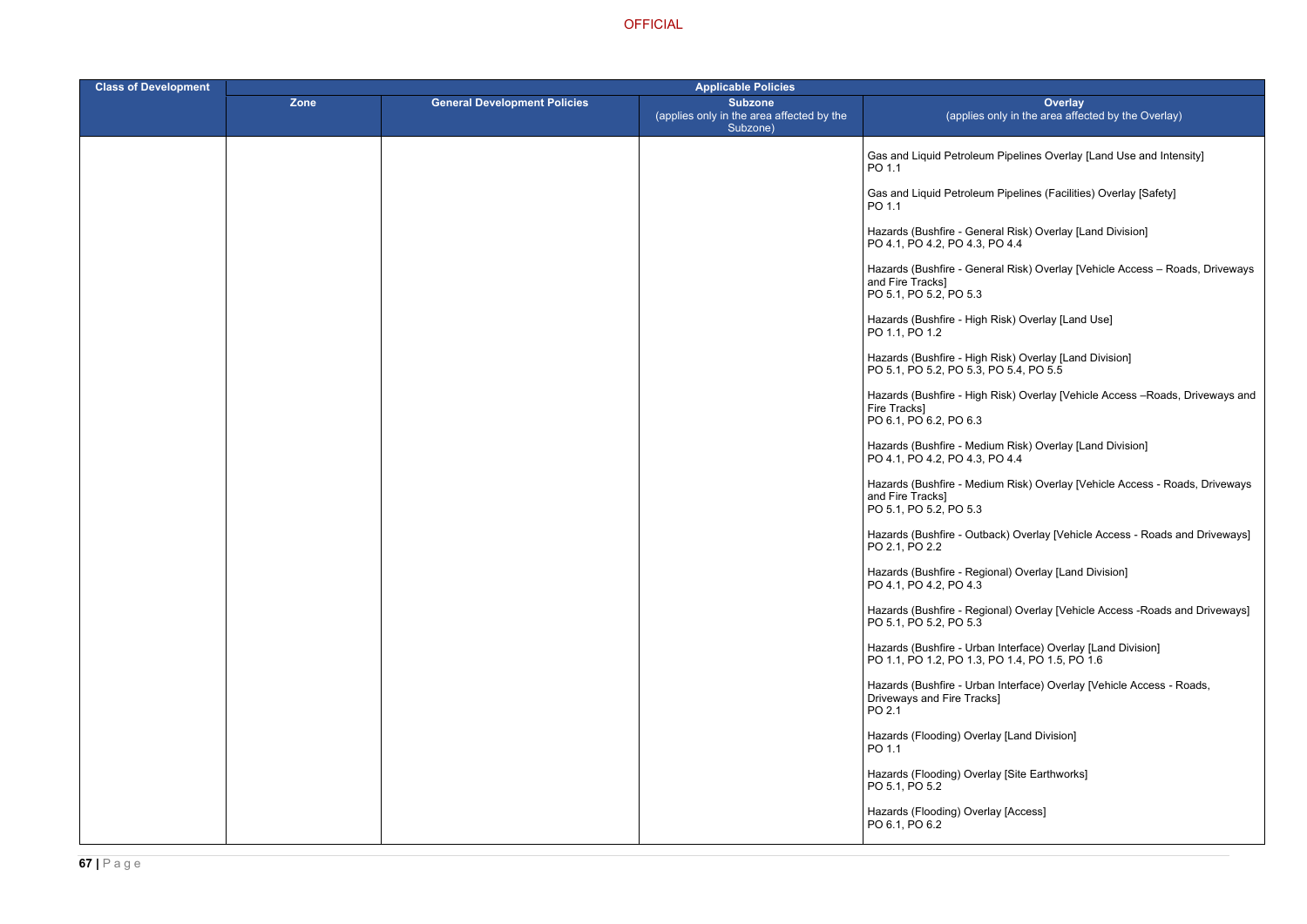m Pipelines Overlay [Land Use and Intensity]

m Pipelines (Facilities) Overlay [Safety]

eral Risk) Overlay [Land Division] PO 4.4

eral Risk) Overlay [Vehicle Access – Roads, Driveways

Risk) Overlay [Land Use]

Hazards (Bushfire - High Risk) Overlay [Land Division]

Risk) Overlay [Vehicle Access –Roads, Driveways and

ium Risk) Overlay [Land Division] PO 4.4

ium Risk) Overlay [Vehicle Access - Roads, Driveways

hack) Overlay [Vehicle Access - Roads and Driveways]

onal) Overlay [Land Division]

ional) Overlay [Vehicle Access -Roads and Driveways]

an Interface) Overlay [Land Division] PO 1.1, PO 1.2, PO 1.3, PO 1.4, PO 1.5, PO 1.6

an Interface) Overlay [Vehicle Access - Roads, ks]

lay [Land Division]

lay [Site Earthworks]

| <b>Class of Development</b> | <b>Applicable Policies</b> |                                     |                                                                         |                                                                                       |
|-----------------------------|----------------------------|-------------------------------------|-------------------------------------------------------------------------|---------------------------------------------------------------------------------------|
|                             | <b>Zone</b>                | <b>General Development Policies</b> | <b>Subzone</b><br>(applies only in the area affected by the<br>Subzone) | <b>Ove</b><br>(applies only in the area                                               |
|                             |                            |                                     |                                                                         | Gas and Liquid Petroleum Pipelines Ove<br>PO 1.1                                      |
|                             |                            |                                     |                                                                         | Gas and Liquid Petroleum Pipelines (Fa<br>PO 1.1                                      |
|                             |                            |                                     |                                                                         | Hazards (Bushfire - General Risk) Overl<br>PO 4.1, PO 4.2, PO 4.3, PO 4.4             |
|                             |                            |                                     |                                                                         | Hazards (Bushfire - General Risk) Overl<br>and Fire Tracks]<br>PO 5.1, PO 5.2, PO 5.3 |
|                             |                            |                                     |                                                                         | Hazards (Bushfire - High Risk) Overlay  <br>PO 1.1, PO 1.2                            |
|                             |                            |                                     |                                                                         | Hazards (Bushfire - High Risk) Overlay  <br>PO 5.1, PO 5.2, PO 5.3, PO 5.4, PO 5.5    |
|                             |                            |                                     |                                                                         | Hazards (Bushfire - High Risk) Overlay  <br>Fire Tracks]<br>PO 6.1, PO 6.2, PO 6.3    |
|                             |                            |                                     |                                                                         | Hazards (Bushfire - Medium Risk) Overl<br>PO 4.1, PO 4.2, PO 4.3, PO 4.4              |
|                             |                            |                                     |                                                                         | Hazards (Bushfire - Medium Risk) Overl<br>and Fire Tracks]<br>PO 5.1, PO 5.2, PO 5.3  |
|                             |                            |                                     |                                                                         | Hazards (Bushfire - Outback) Overlay [V<br>PO 2.1, PO 2.2                             |
|                             |                            |                                     |                                                                         | Hazards (Bushfire - Regional) Overlay [I<br>PO 4.1, PO 4.2, PO 4.3                    |
|                             |                            |                                     |                                                                         | Hazards (Bushfire - Regional) Overlay [\<br>PO 5.1, PO 5.2, PO 5.3                    |
|                             |                            |                                     |                                                                         | Hazards (Bushfire - Urban Interface) Ov<br>PO 1.1, PO 1.2, PO 1.3, PO 1.4, PO 1.5     |
|                             |                            |                                     |                                                                         | Hazards (Bushfire - Urban Interface) Ov<br>Driveways and Fire Tracks]<br>PO 2.1       |
|                             |                            |                                     |                                                                         | Hazards (Flooding) Overlay [Land Divisi<br>PO 1.1                                     |
|                             |                            |                                     |                                                                         | Hazards (Flooding) Overlay [Site Earthw<br>PO 5.1, PO 5.2                             |
|                             |                            |                                     |                                                                         | Hazards (Flooding) Overlay [Access]<br>PO 6.1, PO 6.2                                 |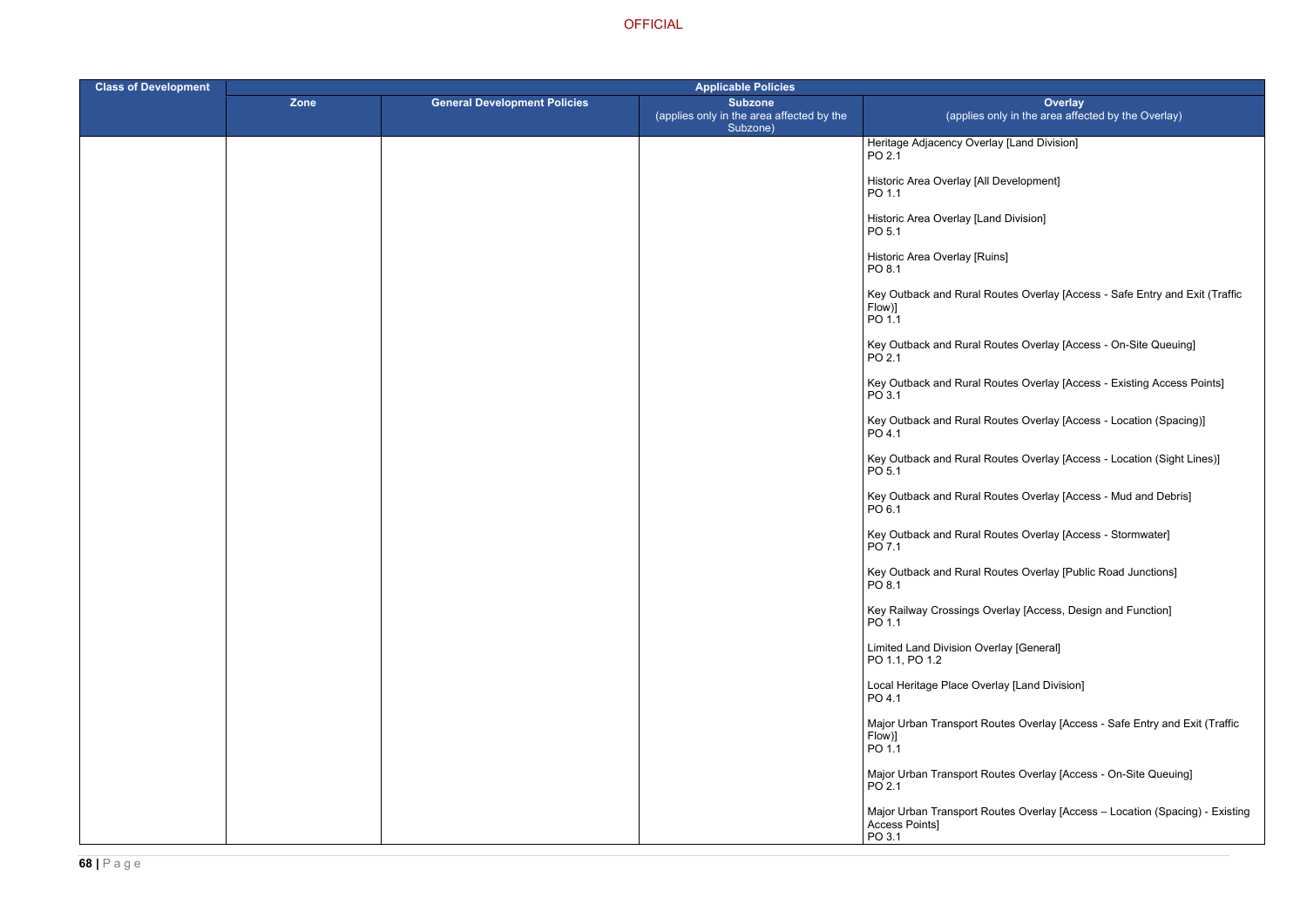rlay [Land Division]

Development]

Ind Division]

uins]

Routes Overlay [Access - Safe Entry and Exit (Traffic

Routes Overlay [Access - On-Site Queuing]

Routes Overlay [Access - Existing Access Points]

Routes Overlay [Access - Location (Spacing)]

Routes Overlay [Access - Location (Sight Lines)]

Routes Overlay [Access - Mud and Debris]

Routes Overlay [Access - Stormwater]

Routes Overlay [Public Road Junctions]

Dverlay [Access, Design and Function]

verlay [General]

erlay [Land Division]

outes Overlay [Access - Safe Entry and Exit (Traffic

outes Overlay [Access - On-Site Queuing]

outes Overlay [Access – Location (Spacing) - Existing

| <b>Class of Development</b> | <b>Applicable Policies</b> |                                     |                                                                         |                                                      |
|-----------------------------|----------------------------|-------------------------------------|-------------------------------------------------------------------------|------------------------------------------------------|
|                             | Zone                       | <b>General Development Policies</b> | <b>Subzone</b><br>(applies only in the area affected by the<br>Subzone) | (applies o                                           |
|                             |                            |                                     |                                                                         | Heritage Adjacency Overl<br>PO 2.1                   |
|                             |                            |                                     |                                                                         | Historic Area Overlay [All<br>PO 1.1                 |
|                             |                            |                                     |                                                                         | Historic Area Overlay [Lar<br>PO 5.1                 |
|                             |                            |                                     |                                                                         | Historic Area Overlay [Ru<br>PO 8.1                  |
|                             |                            |                                     |                                                                         | Key Outback and Rural R<br>Flow)]<br>PO 1.1          |
|                             |                            |                                     |                                                                         | Key Outback and Rural R<br>PO 2.1                    |
|                             |                            |                                     |                                                                         | Key Outback and Rural R<br>PO 3.1                    |
|                             |                            |                                     |                                                                         | Key Outback and Rural R<br>PO 4.1                    |
|                             |                            |                                     |                                                                         | Key Outback and Rural R<br>PO 5.1                    |
|                             |                            |                                     |                                                                         | Key Outback and Rural R<br>PO 6.1                    |
|                             |                            |                                     |                                                                         | Key Outback and Rural R<br>PO 7.1                    |
|                             |                            |                                     |                                                                         | Key Outback and Rural R<br>PO 8.1                    |
|                             |                            |                                     |                                                                         | Key Railway Crossings O<br>PO 1.1                    |
|                             |                            |                                     |                                                                         | Limited Land Division Ove<br>PO 1.1, PO 1.2          |
|                             |                            |                                     |                                                                         | Local Heritage Place Ove<br>PO 4.1                   |
|                             |                            |                                     |                                                                         | Major Urban Transport Ro<br>Flow)]<br>PO 1.1         |
|                             |                            |                                     |                                                                         | Major Urban Transport Ro<br>PO 2.1                   |
|                             |                            |                                     |                                                                         | Major Urban Transport Ro<br>Access Points]<br>PO 3.1 |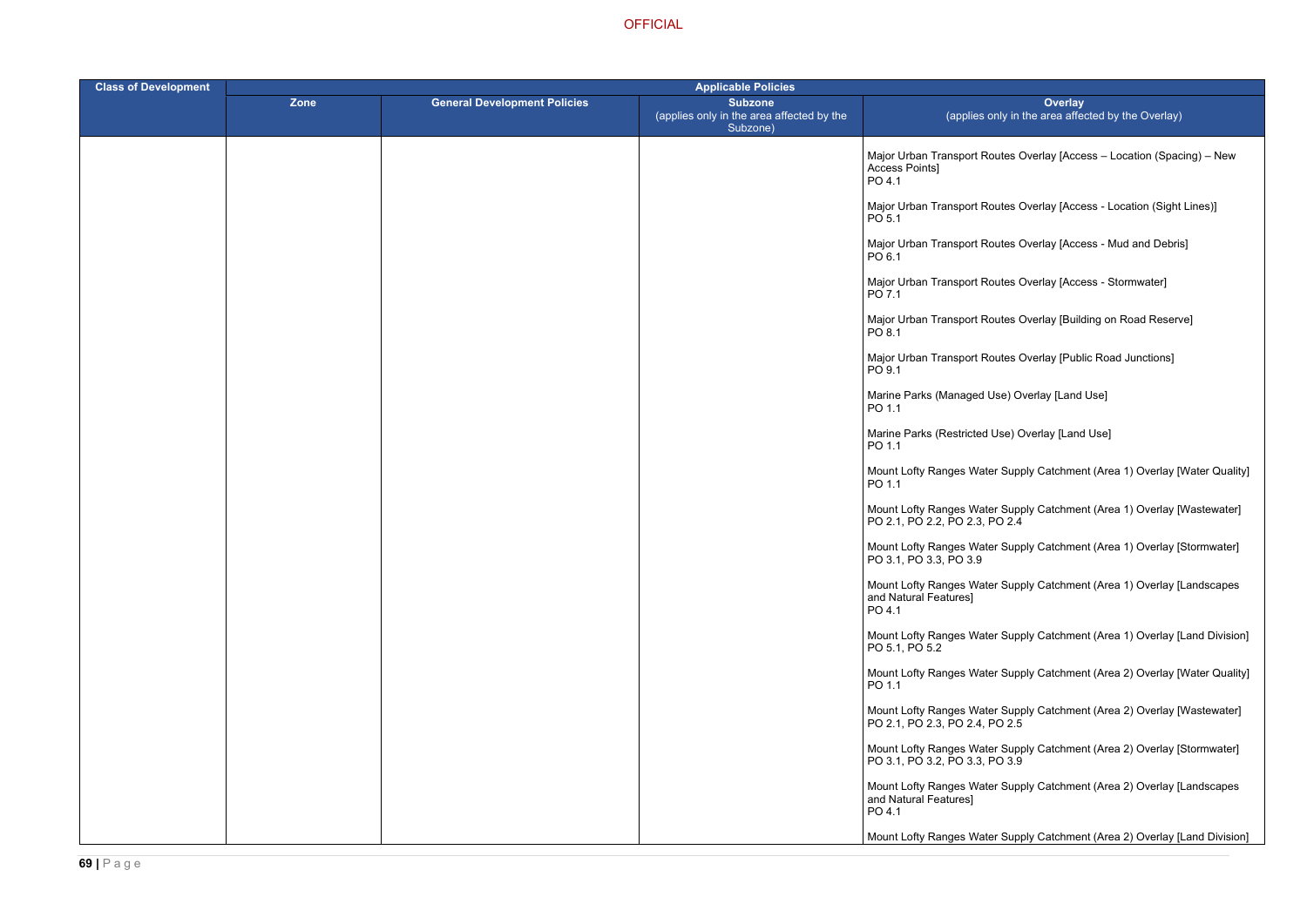outes Overlay [Access – Location (Spacing) – New

- butes Overlay [Access Location (Sight Lines)]
- outes Overlay [Access Mud and Debris]
- outes Overlay [Access Stormwater]
- outes Overlay [Building on Road Reserve]
- outes Overlay [Public Road Junctions]
- Jse) Overlay [Land Use]
- Use) Overlay [Land Use]
- er Supply Catchment (Area 1) Overlay [Water Quality]
- er Supply Catchment (Area 1) Overlay [Wastewater]  $PO 2.4$
- er Supply Catchment (Area 1) Overlay [Stormwater]
- er Supply Catchment (Area 1) Overlay [Landscapes
- er Supply Catchment (Area 1) Overlay [Land Division]
- er Supply Catchment (Area 2) Overlay [Water Quality]
- Mount Lofty Ranges Water Supply Catchment (Area 2) Overlay [Wastewater]
	- er Supply Catchment (Area 2) Overlay [Stormwater]  $P_{\rm O}$  3.9
	- er Supply Catchment (Area 2) Overlay [Landscapes

# er Supply Catchment (Area 2) Overlay [Land Division]

| <b>Class of Development</b> | <b>Applicable Policies</b> |                                     |                                                                         |                                                                 |
|-----------------------------|----------------------------|-------------------------------------|-------------------------------------------------------------------------|-----------------------------------------------------------------|
|                             | Zone                       | <b>General Development Policies</b> | <b>Subzone</b><br>(applies only in the area affected by the<br>Subzone) | (applies only in                                                |
|                             |                            |                                     |                                                                         | Major Urban Transport Routes (<br>Access Points]<br>PO 4.1      |
|                             |                            |                                     |                                                                         | Major Urban Transport Routes (<br>PO 5.1                        |
|                             |                            |                                     |                                                                         | Major Urban Transport Routes (<br>PO 6.1                        |
|                             |                            |                                     |                                                                         | Major Urban Transport Routes (<br>PO 7.1                        |
|                             |                            |                                     |                                                                         | Major Urban Transport Routes (<br>PO 8.1                        |
|                             |                            |                                     |                                                                         | Major Urban Transport Routes (<br>PO 9.1                        |
|                             |                            |                                     |                                                                         | Marine Parks (Managed Use) O<br>PO 1.1                          |
|                             |                            |                                     |                                                                         | Marine Parks (Restricted Use) 0<br>PO 1.1                       |
|                             |                            |                                     |                                                                         | Mount Lofty Ranges Water Sup<br>PO 1.1                          |
|                             |                            |                                     |                                                                         | Mount Lofty Ranges Water Sup<br>PO 2.1, PO 2.2, PO 2.3, PO 2.4  |
|                             |                            |                                     |                                                                         | Mount Lofty Ranges Water Sup<br>PO 3.1, PO 3.3, PO 3.9          |
|                             |                            |                                     |                                                                         | Mount Lofty Ranges Water Sup<br>and Natural Features]<br>PO 4.1 |
|                             |                            |                                     |                                                                         | Mount Lofty Ranges Water Sup<br>PO 5.1, PO 5.2                  |
|                             |                            |                                     |                                                                         | Mount Lofty Ranges Water Sup<br>PO 1.1                          |
|                             |                            |                                     |                                                                         | Mount Lofty Ranges Water Sup<br>PO 2.1, PO 2.3, PO 2.4, PO 2.5  |
|                             |                            |                                     |                                                                         | Mount Lofty Ranges Water Sup<br>PO 3.1, PO 3.2, PO 3.3, PO 3.9  |
|                             |                            |                                     |                                                                         | Mount Lofty Ranges Water Sup<br>and Natural Features]<br>PO 4.1 |
|                             |                            |                                     |                                                                         | Mount Lofty Ranges Water Sup                                    |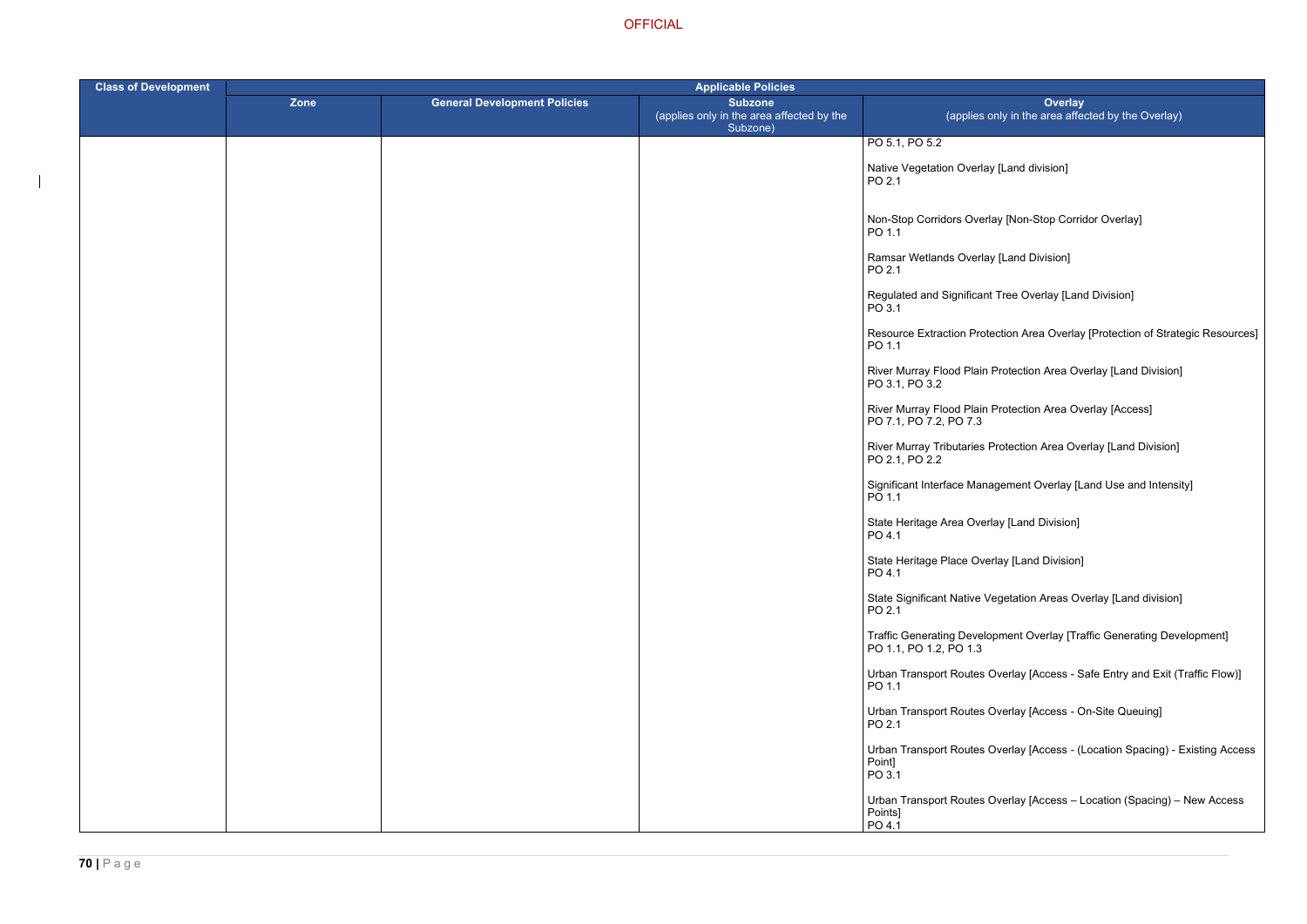- ay [Land division]
- rlay [Non-Stop Corridor Overlay]
- ay [Land Division]
- t Tree Overlay [Land Division]
- tection Area Overlay [Protection of Strategic Resources]
- Rrotection Area Overlay [Land Division]
- Rrotection Area Overlay [Access]
- Protection Area Overlay [Land Division]
- agement Overlay [Land Use and Intensity]
- rlay [Land Division]
- erlay [Land Division]
- Vegetation Areas Overlay [Land division]
- opment Overlay [Traffic Generating Development]
- Overlay [Access Safe Entry and Exit (Traffic Flow)]
- Overlay [Access On-Site Queuing]
- Overlay [Access (Location Spacing) Existing Access
- Overlay [Access Location (Spacing) New Access

| <b>Class of Development</b> | <b>Applicable Policies</b> |                                     |                                                                         |                                                            |
|-----------------------------|----------------------------|-------------------------------------|-------------------------------------------------------------------------|------------------------------------------------------------|
|                             | Zone                       | <b>General Development Policies</b> | <b>Subzone</b><br>(applies only in the area affected by the<br>Subzone) | (applies o                                                 |
|                             |                            |                                     |                                                                         | PO 5.1, PO 5.2                                             |
|                             |                            |                                     |                                                                         | Native Vegetation Overlay<br>PO 2.1                        |
|                             |                            |                                     |                                                                         | Non-Stop Corridors Overl<br>PO 1.1                         |
|                             |                            |                                     |                                                                         | Ramsar Wetlands Overla<br>PO 2.1                           |
|                             |                            |                                     |                                                                         | Regulated and Significant<br>PO 3.1                        |
|                             |                            |                                     |                                                                         | Resource Extraction Prote<br>PO 1.1                        |
|                             |                            |                                     |                                                                         | River Murray Flood Plain<br>PO 3.1, PO 3.2                 |
|                             |                            |                                     |                                                                         | River Murray Flood Plain<br>PO 7.1, PO 7.2, PO 7.3         |
|                             |                            |                                     |                                                                         | <b>River Murray Tributaries I</b><br>PO 2.1, PO 2.2        |
|                             |                            |                                     |                                                                         | Significant Interface Mana<br>PO 1.1                       |
|                             |                            |                                     |                                                                         | State Heritage Area Over<br>PO 4.1                         |
|                             |                            |                                     |                                                                         | State Heritage Place Ove<br>PO 4.1                         |
|                             |                            |                                     |                                                                         | State Significant Native V<br>PO 2.1                       |
|                             |                            |                                     |                                                                         | <b>Traffic Generating Develd</b><br>PO 1.1, PO 1.2, PO 1.3 |
|                             |                            |                                     |                                                                         | <b>Urban Transport Routes (</b><br>PO 1.1                  |
|                             |                            |                                     |                                                                         | <b>Urban Transport Routes (</b><br>PO 2.1                  |
|                             |                            |                                     |                                                                         | <b>Urban Transport Routes (</b><br>Point]<br>PO 3.1        |
|                             |                            |                                     |                                                                         | <b>Urban Transport Routes (</b><br>Points]<br>PO 4.1       |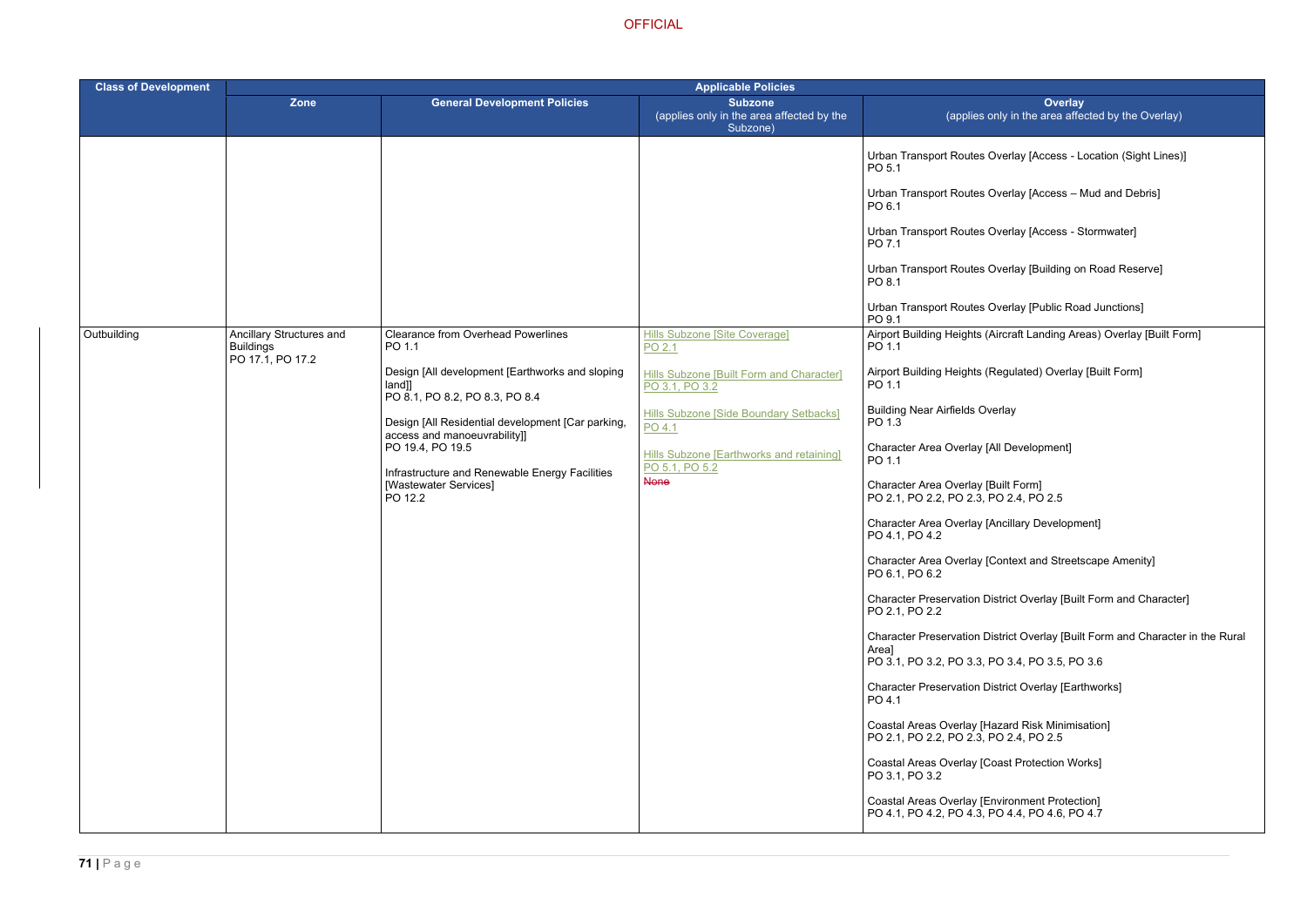- Overlay [Access Location (Sight Lines)]
- Overlay [Access Mud and Debris]
- Overlay [Access Stormwater]
- Overlay [Building on Road Reserve]
- Overlay [Public Road Junctions]
- (Aircraft Landing Areas) Overlay [Built Form]
- (Regulated) Overlay [Built Form]
- verlay
- [All Development]
- 
- [Ancillary Development]
- [Context and Streetscape Amenity]
- District Overlay [Built Form and Character]
- District Overlay [Built Form and Character in the Rural
- PO 3.1, PO 3.2, PO 3.3, PO 3.4, PO 3.5, PO 3.6
- District Overlay [Earthworks]
- Hazard Risk Minimisation] PO 2.4, PO 2.5
- Coast Protection Works]
- Environment Protection] PO 4.4, PO 4.6, PO 4.7

| <b>Class of Development</b> | <b>Applicable Policies</b>                                       |                                                                                                                                                                                                                                                                                                                                                  |                                                                                                                                                                                                                                                             |                                                                                                                                                                                                                                                                                                                                                                                                                                                                                                                                                                                                                                                                                                                                                                                                                                                                                                                                                                                                                                              |
|-----------------------------|------------------------------------------------------------------|--------------------------------------------------------------------------------------------------------------------------------------------------------------------------------------------------------------------------------------------------------------------------------------------------------------------------------------------------|-------------------------------------------------------------------------------------------------------------------------------------------------------------------------------------------------------------------------------------------------------------|----------------------------------------------------------------------------------------------------------------------------------------------------------------------------------------------------------------------------------------------------------------------------------------------------------------------------------------------------------------------------------------------------------------------------------------------------------------------------------------------------------------------------------------------------------------------------------------------------------------------------------------------------------------------------------------------------------------------------------------------------------------------------------------------------------------------------------------------------------------------------------------------------------------------------------------------------------------------------------------------------------------------------------------------|
|                             | Zone                                                             | <b>General Development Policies</b>                                                                                                                                                                                                                                                                                                              | <b>Subzone</b><br>(applies only in the area affected by the<br>Subzone)                                                                                                                                                                                     | <b>Ove</b><br>(applies only in the area                                                                                                                                                                                                                                                                                                                                                                                                                                                                                                                                                                                                                                                                                                                                                                                                                                                                                                                                                                                                      |
| Outbuilding                 | Ancillary Structures and<br><b>Buildings</b><br>PO 17.1, PO 17.2 | <b>Clearance from Overhead Powerlines</b><br>PO 1.1<br>Design [All development [Earthworks and sloping<br>[and]<br>PO 8.1, PO 8.2, PO 8.3, PO 8.4<br>Design [All Residential development [Car parking,<br>access and manoeuvrability]]<br>PO 19.4, PO 19.5<br>Infrastructure and Renewable Energy Facilities<br>[Wastewater Services]<br>PO 12.2 | <b>Hills Subzone [Site Coverage]</b><br>PO 2.1<br>Hills Subzone [Built Form and Character]<br>PO 3.1, PO 3.2<br><b>Hills Subzone [Side Boundary Setbacks]</b><br>PO 4.1<br><b>Hills Subzone [Earthworks and retaining]</b><br>PO 5.1, PO 5.2<br><b>None</b> | <b>Urban Transport Routes Overlay [Acces</b><br>PO 5.1<br><b>Urban Transport Routes Overlay [Acces</b><br>PO 6.1<br><b>Urban Transport Routes Overlay [Acces</b><br>PO 7.1<br>Urban Transport Routes Overlay [Buildir<br>PO 8.1<br>Urban Transport Routes Overlay [Public<br>PO 9.1<br>Airport Building Heights (Aircraft Landing<br>PO 1.1<br>Airport Building Heights (Regulated) Ove<br>PO 1.1<br><b>Building Near Airfields Overlay</b><br>PO 1.3<br>Character Area Overlay [All Developmer<br>PO 1.1<br>Character Area Overlay [Built Form]<br>PO 2.1, PO 2.2, PO 2.3, PO 2.4, PO 2.5<br>Character Area Overlay [Ancillary Devel<br>PO 4.1, PO 4.2<br>Character Area Overlay [Context and St<br>PO 6.1, PO 6.2<br><b>Character Preservation District Overlay</b><br>PO 2.1, PO 2.2<br><b>Character Preservation District Overlay</b><br>Area]<br>PO 3.1, PO 3.2, PO 3.3, PO 3.4, PO 3.5<br><b>Character Preservation District Overlay</b><br>PO 4.1<br>Coastal Areas Overlay [Hazard Risk Mir<br>PO 2.1, PO 2.2, PO 2.3, PO 2.4, PO 2.5 |
|                             |                                                                  |                                                                                                                                                                                                                                                                                                                                                  |                                                                                                                                                                                                                                                             | <b>Coastal Areas Overlay [Coast Protection</b><br>PO 3.1, PO 3.2<br>Coastal Areas Overlay [Environment Pro<br>PO 4.1, PO 4.2, PO 4.3, PO 4.4, PO 4.6                                                                                                                                                                                                                                                                                                                                                                                                                                                                                                                                                                                                                                                                                                                                                                                                                                                                                         |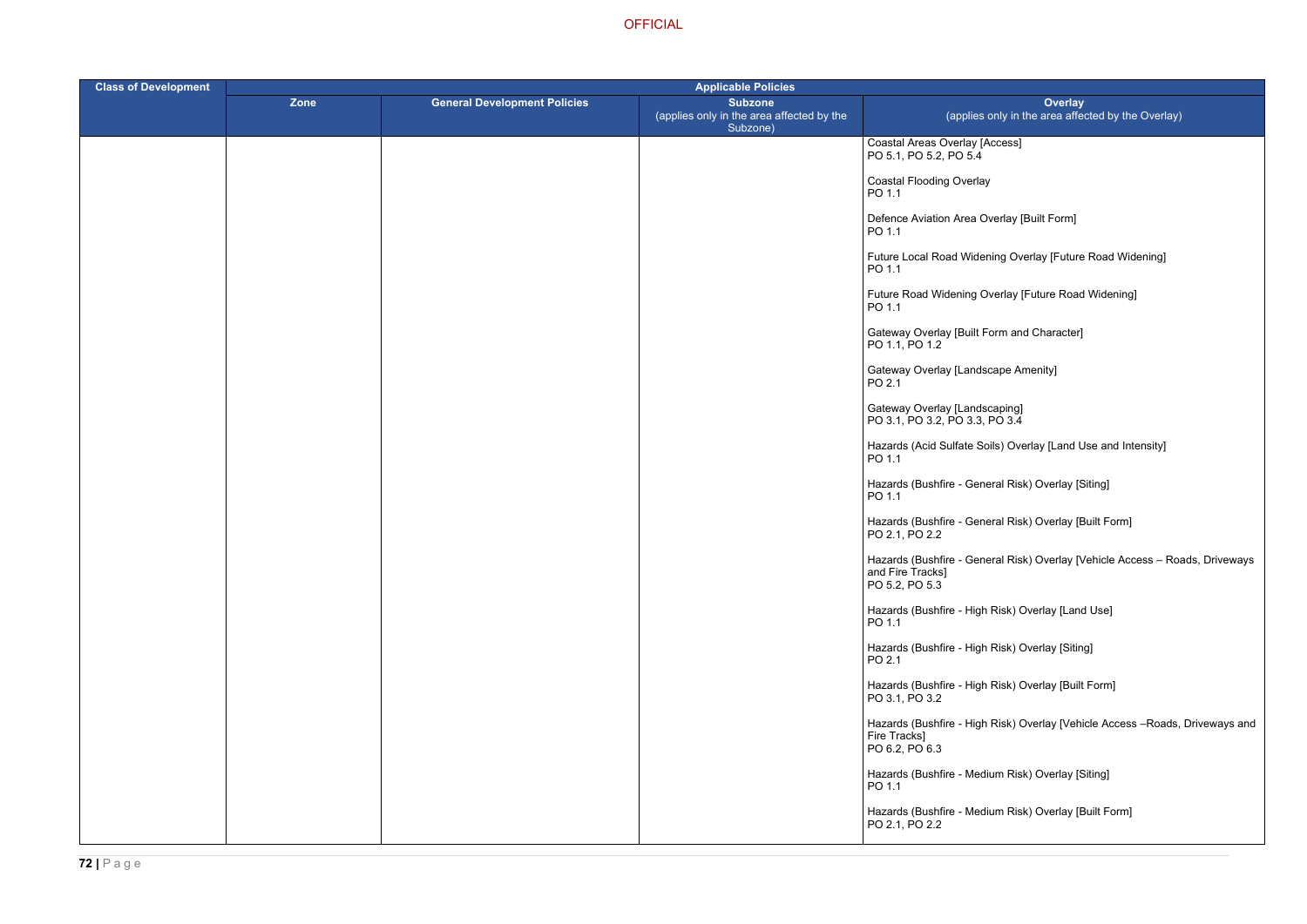Access]

- verlay [Built Form]
- ning Overlay [Future Road Widening]
- Verlay [Future Road Widening]
- Form and Character]
- cape Amenity]
- 
- $\mathsf{pils})$  Overlay [Land Use and Intensity]
- eral Risk) Overlay [Siting]
- eral Risk) Overlay [Built Form]
- eral Risk) Overlay [Vehicle Access Roads, Driveways
- ا Risk) Overlay [Land Use]
- ا Risk) Overlay [Siting]
- ا Risk) Overlay [Built Form]
- ا Risk) Overlay [Vehicle Access –Roads, Driveways and
- lium Risk) Overlay [Siting]
- lium Risk) Overlay [Built Form]

| <b>Class of Development</b> | <b>Applicable Policies</b> |                                     |                                                                         |                                                                       |
|-----------------------------|----------------------------|-------------------------------------|-------------------------------------------------------------------------|-----------------------------------------------------------------------|
|                             | Zone                       | <b>General Development Policies</b> | <b>Subzone</b><br>(applies only in the area affected by the<br>Subzone) | (applies only in                                                      |
|                             |                            |                                     |                                                                         | Coastal Areas Overlay [Access]<br>PO 5.1, PO 5.2, PO 5.4              |
|                             |                            |                                     |                                                                         | <b>Coastal Flooding Overlay</b><br>PO 1.1                             |
|                             |                            |                                     |                                                                         | Defence Aviation Area Overlay  <br>PO 1.1                             |
|                             |                            |                                     |                                                                         | Future Local Road Widening Ov<br>PO 1.1                               |
|                             |                            |                                     |                                                                         | Future Road Widening Overlay<br>PO 1.1                                |
|                             |                            |                                     |                                                                         | Gateway Overlay [Built Form an<br>PO 1.1, PO 1.2                      |
|                             |                            |                                     |                                                                         | Gateway Overlay [Landscape A<br>PO 2.1                                |
|                             |                            |                                     |                                                                         | Gateway Overlay [Landscaping]<br>PO 3.1, PO 3.2, PO 3.3, PO 3.4       |
|                             |                            |                                     |                                                                         | Hazards (Acid Sulfate Soils) Ov<br>PO 1.1                             |
|                             |                            |                                     |                                                                         | Hazards (Bushfire - General Ris<br>PO 1.1                             |
|                             |                            |                                     |                                                                         | Hazards (Bushfire - General Ris<br>PO 2.1, PO 2.2                     |
|                             |                            |                                     |                                                                         | Hazards (Bushfire - General Ris<br>and Fire Tracks]<br>PO 5.2, PO 5.3 |
|                             |                            |                                     |                                                                         | Hazards (Bushfire - High Risk) (<br>PO 1.1                            |
|                             |                            |                                     |                                                                         | Hazards (Bushfire - High Risk) (<br>PO 2.1                            |
|                             |                            |                                     |                                                                         | Hazards (Bushfire - High Risk) (<br>PO 3.1, PO 3.2                    |
|                             |                            |                                     |                                                                         | Hazards (Bushfire - High Risk) (<br>Fire Tracks]<br>PO 6.2, PO 6.3    |
|                             |                            |                                     |                                                                         | Hazards (Bushfire - Medium Ris<br>PO 1.1                              |
|                             |                            |                                     |                                                                         | Hazards (Bushfire - Medium Ris<br>PO 2.1, PO 2.2                      |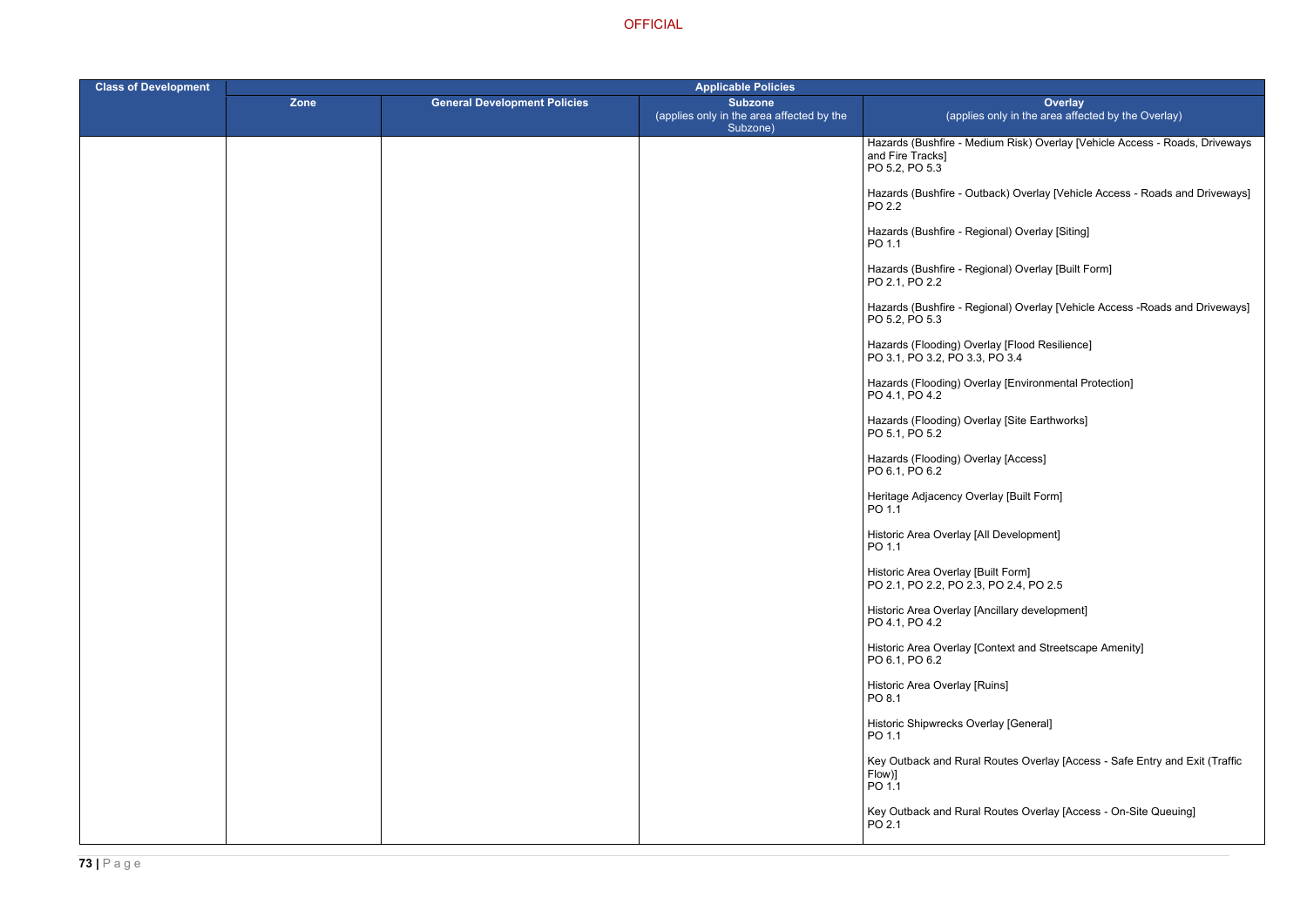ium Risk) Overlay [Vehicle Access - Roads, Driveways

back) Overlay [Vehicle Access - Roads and Driveways]

ional) Overlay [Built Form]

ional) Overlay [Vehicle Access -Roads and Driveways]

lay [Environmental Protection]

ontext and Streetscape Amenity]

Routes Overlay [Access - Safe Entry and Exit (Traffic

Routes Overlay [Access - On-Site Queuing]

| <b>Class of Development</b> | <b>Applicable Policies</b> |                                     |                                                                         |                                                                                    |
|-----------------------------|----------------------------|-------------------------------------|-------------------------------------------------------------------------|------------------------------------------------------------------------------------|
|                             | <b>Zone</b>                | <b>General Development Policies</b> | <b>Subzone</b><br>(applies only in the area affected by the<br>Subzone) | <b>Overlay</b><br>(applies only in the area affect                                 |
|                             |                            |                                     |                                                                         | Hazards (Bushfire - Medium Risk) Overlay [Ve<br>and Fire Tracks]<br>PO 5.2, PO 5.3 |
|                             |                            |                                     |                                                                         | Hazards (Bushfire - Outback) Overlay [Vehicle<br>PO 2.2                            |
|                             |                            |                                     |                                                                         | Hazards (Bushfire - Regional) Overlay [Siting]<br>PO 1.1                           |
|                             |                            |                                     |                                                                         | Hazards (Bushfire - Regional) Overlay [Built F<br>PO 2.1, PO 2.2                   |
|                             |                            |                                     |                                                                         | Hazards (Bushfire - Regional) Overlay [Vehicle<br>PO 5.2, PO 5.3                   |
|                             |                            |                                     |                                                                         | Hazards (Flooding) Overlay [Flood Resilience]<br>PO 3.1, PO 3.2, PO 3.3, PO 3.4    |
|                             |                            |                                     |                                                                         | Hazards (Flooding) Overlay [Environmental Pr<br>PO 4.1, PO 4.2                     |
|                             |                            |                                     |                                                                         | Hazards (Flooding) Overlay [Site Earthworks]<br>PO 5.1, PO 5.2                     |
|                             |                            |                                     |                                                                         | Hazards (Flooding) Overlay [Access]<br>PO 6.1, PO 6.2                              |
|                             |                            |                                     |                                                                         | Heritage Adjacency Overlay [Built Form]<br>PO 1.1                                  |
|                             |                            |                                     |                                                                         | Historic Area Overlay [All Development]<br>PO 1.1                                  |
|                             |                            |                                     |                                                                         | Historic Area Overlay [Built Form]<br>PO 2.1, PO 2.2, PO 2.3, PO 2.4, PO 2.5       |
|                             |                            |                                     |                                                                         | Historic Area Overlay [Ancillary development]<br>PO 4.1, PO 4.2                    |
|                             |                            |                                     |                                                                         | Historic Area Overlay [Context and Streetscap<br>PO 6.1, PO 6.2                    |
|                             |                            |                                     |                                                                         | Historic Area Overlay [Ruins]<br>PO 8.1                                            |
|                             |                            |                                     |                                                                         | Historic Shipwrecks Overlay [General]<br>PO 1.1                                    |
|                             |                            |                                     |                                                                         | Key Outback and Rural Routes Overlay [Acce<br>Flow)]<br>PO 1.1                     |
|                             |                            |                                     |                                                                         | Key Outback and Rural Routes Overlay [Acce<br>PO 2.1                               |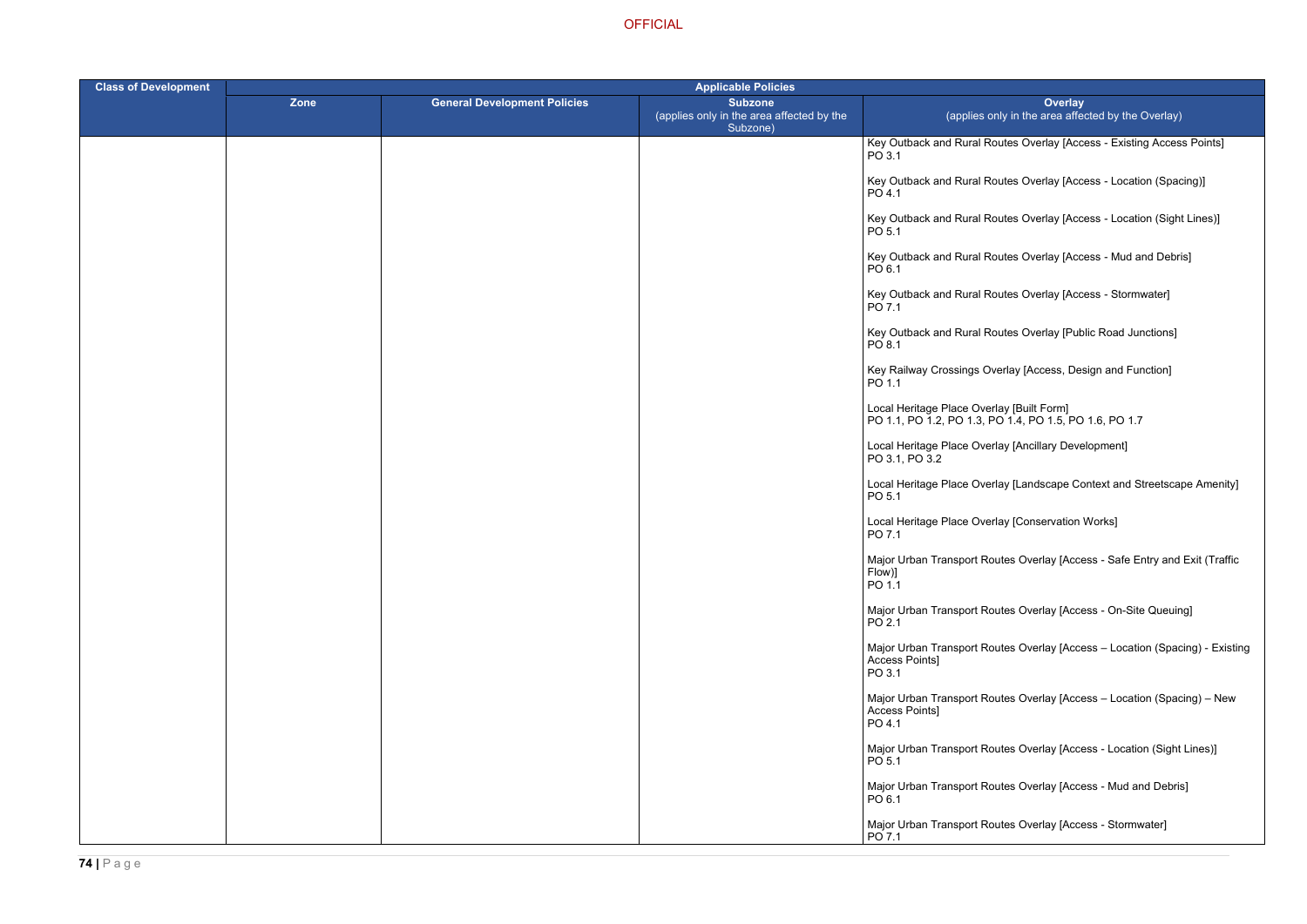Routes Overlay [Access - Existing Access Points]

Routes Overlay [Access - Location (Spacing)]

Routes Overlay [Access - Location (Sight Lines)]

Routes Overlay [Access - Mud and Debris]

Routes Overlay [Access - Stormwater]

Routes Overlay [Public Road Junctions]

Dverlay [Access, Design and Function]

PO 1.1, PO 1.2, PO 1.3, PO 1.4, PO 1.5, PO 1.6, PO 1.7

erlay [Ancillary Development]

erlay [Landscape Context and Streetscape Amenity]

erlay [Conservation Works]

ا Woutes Overlay [Access - Safe Entry and Exit (Traffic

Routes Overlay [Access - On-Site Queuing]

Routes Overlay [Access – Location (Spacing) - Existing

Routes Overlay [Access – Location (Spacing) – New

Routes Overlay [Access - Location (Sight Lines)]

Routes Overlay [Access - Mud and Debris]

Routes Overlay [Access - Stormwater]

| <b>Class of Development</b> | <b>Applicable Policies</b> |                                     |                                                                         |                                                                                      |
|-----------------------------|----------------------------|-------------------------------------|-------------------------------------------------------------------------|--------------------------------------------------------------------------------------|
|                             | Zone                       | <b>General Development Policies</b> | <b>Subzone</b><br>(applies only in the area affected by the<br>Subzone) | Over<br>(applies only in the area a                                                  |
|                             |                            |                                     |                                                                         | Key Outback and Rural Routes Overlay [<br>PO 3.1                                     |
|                             |                            |                                     |                                                                         | Key Outback and Rural Routes Overlay [<br>PO 4.1                                     |
|                             |                            |                                     |                                                                         | Key Outback and Rural Routes Overlay [/<br>PO 5.1                                    |
|                             |                            |                                     |                                                                         | Key Outback and Rural Routes Overlay [<br>PO 6.1                                     |
|                             |                            |                                     |                                                                         | Key Outback and Rural Routes Overlay [/<br>PO 7.1                                    |
|                             |                            |                                     |                                                                         | Key Outback and Rural Routes Overlay [I<br>PO 8.1                                    |
|                             |                            |                                     |                                                                         | Key Railway Crossings Overlay [Access,<br>PO 1.1                                     |
|                             |                            |                                     |                                                                         | Local Heritage Place Overlay [Built Form]<br>PO 1.1, PO 1.2, PO 1.3, PO 1.4, PO 1.5, |
|                             |                            |                                     |                                                                         | Local Heritage Place Overlay [Ancillary D<br>PO 3.1, PO 3.2                          |
|                             |                            |                                     |                                                                         | Local Heritage Place Overlay [Landscape<br>PO 5.1                                    |
|                             |                            |                                     |                                                                         | Local Heritage Place Overlay [Conservati<br>PO 7.1                                   |
|                             |                            |                                     |                                                                         | Major Urban Transport Routes Overlay [A<br>  Flow)]<br>PO 1.1                        |
|                             |                            |                                     |                                                                         | Major Urban Transport Routes Overlay [A<br>PO 2.1                                    |
|                             |                            |                                     |                                                                         | Major Urban Transport Routes Overlay [A<br>Access Points]<br>PO 3.1                  |
|                             |                            |                                     |                                                                         | Major Urban Transport Routes Overlay [A<br>Access Points]<br>PO 4.1                  |
|                             |                            |                                     |                                                                         | Major Urban Transport Routes Overlay [A<br>PO 5.1                                    |
|                             |                            |                                     |                                                                         | Major Urban Transport Routes Overlay [A<br>PO 6.1                                    |
|                             |                            |                                     |                                                                         | Major Urban Transport Routes Overlay [A<br>PO 7.1                                    |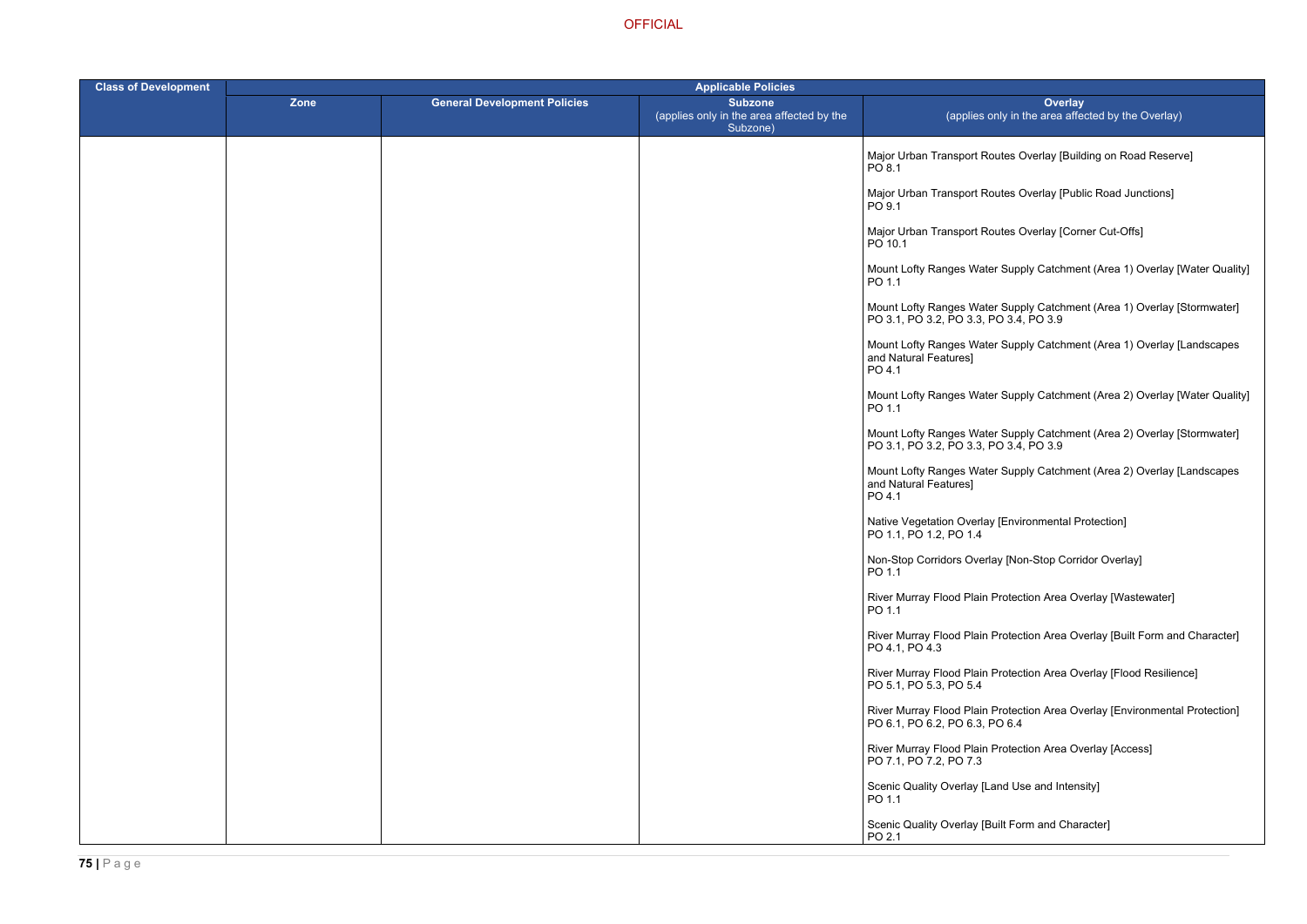- outes Overlay [Building on Road Reserve]
- outes Overlay [Public Road Junctions]
- outes Overlay [Corner Cut-Offs]
- er Supply Catchment (Area 1) Overlay [Water Quality]
- er Supply Catchment (Area 1) Overlay [Stormwater] PO 3.1, PO 3.2, PO 3.3, PO 3.4, PO 3.9
- er Supply Catchment (Area 1) Overlay [Landscapes
- er Supply Catchment (Area 2) Overlay [Water Quality]
- Mount Lofty Ranges Water Supply Catchment (Area 2) Overlay [Stormwater]
	- er Supply Catchment (Area 2) Overlay [Landscapes
	- Ny [Environmental Protection]
	- lay [Non-Stop Corridor Overlay]
	- Protection Area Overlay [Wastewater]
	- Protection Area Overlay [Built Form and Character]
	- Protection Area Overlay [Flood Resilience]
	- Protection Area Overlay [Environmental Protection] PO 6.4
	- Protection Area Overlay [Access]
	- Land Use and Intensity]
	- Suilt Form and Character]

| <b>Class of Development</b> | <b>Applicable Policies</b> |                                     |                                                                         |                                                                                 |
|-----------------------------|----------------------------|-------------------------------------|-------------------------------------------------------------------------|---------------------------------------------------------------------------------|
|                             | <b>Zone</b>                | <b>General Development Policies</b> | <b>Subzone</b><br>(applies only in the area affected by the<br>Subzone) | Ove<br>(applies only in the area                                                |
|                             |                            |                                     |                                                                         | Major Urban Transport Routes Overlay [<br>PO 8.1                                |
|                             |                            |                                     |                                                                         | Major Urban Transport Routes Overlay [<br>PO 9.1                                |
|                             |                            |                                     |                                                                         | Major Urban Transport Routes Overlay [<br>PO 10.1                               |
|                             |                            |                                     |                                                                         | Mount Lofty Ranges Water Supply Catcl<br>PO 1.1                                 |
|                             |                            |                                     |                                                                         | Mount Lofty Ranges Water Supply Catcl<br>PO 3.1, PO 3.2, PO 3.3, PO 3.4, PO 3.9 |
|                             |                            |                                     |                                                                         | Mount Lofty Ranges Water Supply Catcl<br>and Natural Features]<br>PO 4.1        |
|                             |                            |                                     |                                                                         | Mount Lofty Ranges Water Supply Catcl<br>PO 1.1                                 |
|                             |                            |                                     |                                                                         | Mount Lofty Ranges Water Supply Catcl<br>PO 3.1, PO 3.2, PO 3.3, PO 3.4, PO 3.9 |
|                             |                            |                                     |                                                                         | Mount Lofty Ranges Water Supply Catcl<br>and Natural Features]<br>PO 4.1        |
|                             |                            |                                     |                                                                         | Native Vegetation Overlay [Environment<br>PO 1.1, PO 1.2, PO 1.4                |
|                             |                            |                                     |                                                                         | Non-Stop Corridors Overlay [Non-Stop 0<br>PO 1.1                                |
|                             |                            |                                     |                                                                         | River Murray Flood Plain Protection Area<br>PO 1.1                              |
|                             |                            |                                     |                                                                         | River Murray Flood Plain Protection Area<br>PO 4.1, PO 4.3                      |
|                             |                            |                                     |                                                                         | River Murray Flood Plain Protection Area<br>PO 5.1, PO 5.3, PO 5.4              |
|                             |                            |                                     |                                                                         | River Murray Flood Plain Protection Area<br>PO 6.1, PO 6.2, PO 6.3, PO 6.4      |
|                             |                            |                                     |                                                                         | River Murray Flood Plain Protection Area<br>PO 7.1, PO 7.2, PO 7.3              |
|                             |                            |                                     |                                                                         | Scenic Quality Overlay [Land Use and Ir<br>PO 1.1                               |
|                             |                            |                                     |                                                                         | Scenic Quality Overlay [Built Form and (<br>PO 2.1                              |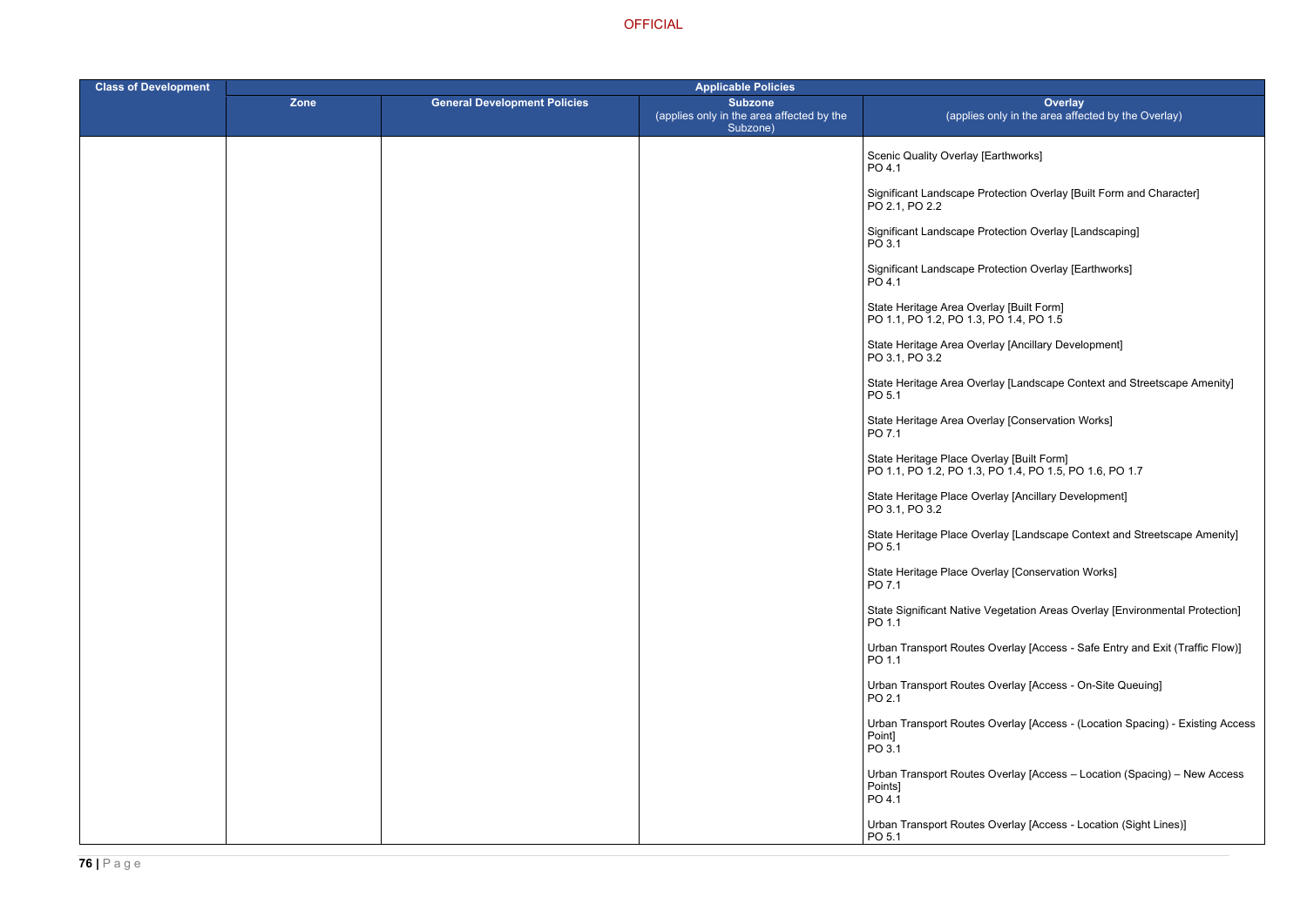## Earthworks]

- rotection Overlay [Built Form and Character]
- rotection Overlay [Landscaping]
- rotection Overlay [Earthworks]
- 
- rlay [Ancillary Development]
- rlay [Landscape Context and Streetscape Amenity]
- rlay [Conservation Works]
- PO 1.1, PO 1.2, PO 1.3, PO 1.4, PO 1.5, PO 1.6, PO 1.7
	- erlay [Ancillary Development]
	- erlay [Landscape Context and Streetscape Amenity]
	- erlay [Conservation Works]
	- /egetation Areas Overlay [Environmental Protection]
	- Overlay [Access Safe Entry and Exit (Traffic Flow)]
	- Overlay [Access On-Site Queuing]
	- Overlay [Access (Location Spacing) Existing Access
	- Overlay [Access Location (Spacing) New Access
	- Overlay [Access Location (Sight Lines)]

| <b>Class of Development</b> | <b>Applicable Policies</b> |                                     |                                                                         |                                                                                      |
|-----------------------------|----------------------------|-------------------------------------|-------------------------------------------------------------------------|--------------------------------------------------------------------------------------|
|                             | Zone                       | <b>General Development Policies</b> | <b>Subzone</b><br>(applies only in the area affected by the<br>Subzone) | Over<br>(applies only in the area                                                    |
|                             |                            |                                     |                                                                         | Scenic Quality Overlay [Earthworks]<br>PO 4.1                                        |
|                             |                            |                                     |                                                                         | Significant Landscape Protection Overlay<br>PO 2.1, PO 2.2                           |
|                             |                            |                                     |                                                                         | Significant Landscape Protection Overlay<br>PO 3.1                                   |
|                             |                            |                                     |                                                                         | Significant Landscape Protection Overlay<br>PO 4.1                                   |
|                             |                            |                                     |                                                                         | State Heritage Area Overlay [Built Form]<br>PO 1.1, PO 1.2, PO 1.3, PO 1.4, PO 1.5   |
|                             |                            |                                     |                                                                         | State Heritage Area Overlay [Ancillary De<br>PO 3.1, PO 3.2                          |
|                             |                            |                                     |                                                                         | State Heritage Area Overlay [Landscape<br>PO 5.1                                     |
|                             |                            |                                     |                                                                         | State Heritage Area Overlay [Conservation]<br>PO 7.1                                 |
|                             |                            |                                     |                                                                         | State Heritage Place Overlay [Built Form]<br>PO 1.1, PO 1.2, PO 1.3, PO 1.4, PO 1.5, |
|                             |                            |                                     |                                                                         | State Heritage Place Overlay [Ancillary D<br>PO 3.1, PO 3.2                          |
|                             |                            |                                     |                                                                         | State Heritage Place Overlay [Landscape<br>PO 5.1                                    |
|                             |                            |                                     |                                                                         | State Heritage Place Overlay [Conservati<br>PO 7.1                                   |
|                             |                            |                                     |                                                                         | <b>State Significant Native Vegetation Areas</b><br>PO 1.1                           |
|                             |                            |                                     |                                                                         | <b>Urban Transport Routes Overlay [Access</b><br>PO 1.1                              |
|                             |                            |                                     |                                                                         | <b>Urban Transport Routes Overlay [Access</b><br>PO 2.1                              |
|                             |                            |                                     |                                                                         | <b>Urban Transport Routes Overlay [Access</b><br>Point]<br>PO 3.1                    |
|                             |                            |                                     |                                                                         | Urban Transport Routes Overlay [Access<br>Points]<br>PO 4.1                          |
|                             |                            |                                     |                                                                         | Urban Transport Routes Overlay [Access<br>PO 5.1                                     |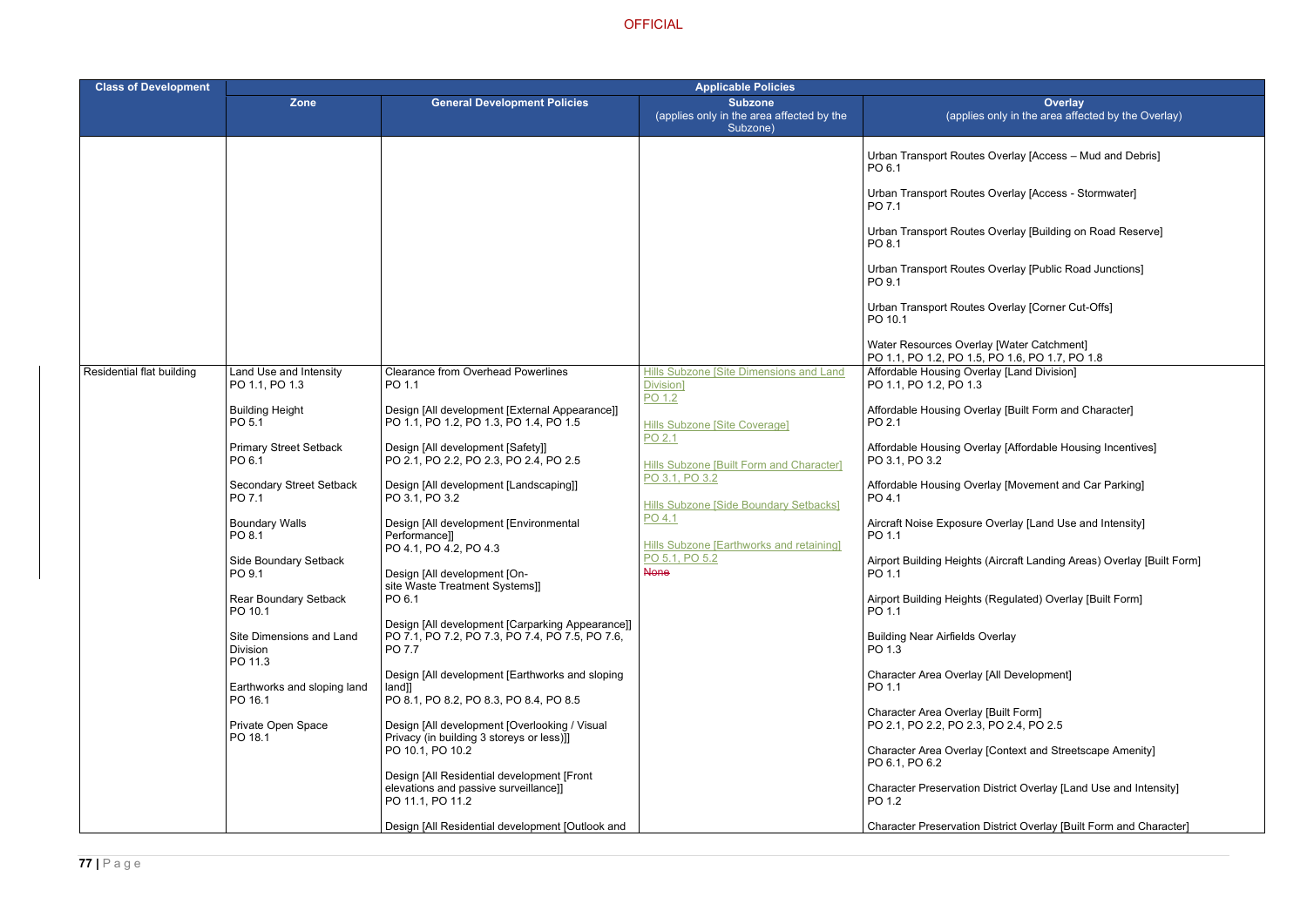- Overlay [Access Mud and Debris]
- Overlay [Access Stormwater]
- Overlay [Building on Road Reserve]
- Overlay [Public Road Junctions]
- Overlay [Corner Cut-Offs]

- lay [Built Form and Character]
- lay [Affordable Housing Incentives]
- lay [Movement and Car Parking]
- Overlay [Land Use and Intensity]
- (Aircraft Landing Areas) Overlay [Built Form]
- (Regulated) Overlay [Built Form]
- verlay
- [All Development]
- [Built Form]  $PO$  2.4,  $PO$  2.5
- [Context and Streetscape Amenity]
- District Overlay [Land Use and Intensity]
- District Overlay [Built Form and Character]

| <b>Class of Development</b> | <b>Applicable Policies</b>                             |                                                                                                               |                                                                         |                                                                                             |
|-----------------------------|--------------------------------------------------------|---------------------------------------------------------------------------------------------------------------|-------------------------------------------------------------------------|---------------------------------------------------------------------------------------------|
|                             | <b>Zone</b>                                            | <b>General Development Policies</b>                                                                           | <b>Subzone</b><br>(applies only in the area affected by the<br>Subzone) | Overlay<br>(applies only in the area affected                                               |
|                             |                                                        |                                                                                                               |                                                                         | Urban Transport Routes Overlay [Access - Mud<br>PO 6.1                                      |
|                             |                                                        |                                                                                                               |                                                                         | Urban Transport Routes Overlay [Access - Storr<br>PO 7.1                                    |
|                             |                                                        |                                                                                                               |                                                                         | Urban Transport Routes Overlay [Building on Ro<br>PO 8.1                                    |
|                             |                                                        |                                                                                                               |                                                                         | Urban Transport Routes Overlay [Public Road Jr<br>PO 9.1                                    |
|                             |                                                        |                                                                                                               |                                                                         | Urban Transport Routes Overlay [Corner Cut-Of<br>PO 10.1                                    |
|                             |                                                        |                                                                                                               |                                                                         | Water Resources Overlay [Water Catchment]<br>PO 1.1, PO 1.2, PO 1.5, PO 1.6, PO 1.7, PO 1.8 |
| Residential flat building   | Land Use and Intensity<br>PO 1.1, PO 1.3               | <b>Clearance from Overhead Powerlines</b><br>PO 1.1                                                           | Hills Subzone [Site Dimensions and Land<br>Division]<br>PO 1.2          | Affordable Housing Overlay [Land Division]<br>PO 1.1, PO 1.2, PO 1.3                        |
|                             | <b>Building Height</b><br>PO 5.1                       | Design [All development [External Appearance]]<br>PO 1.1, PO 1.2, PO 1.3, PO 1.4, PO 1.5                      | <b>Hills Subzone [Site Coverage]</b><br>PO 2.1                          | Affordable Housing Overlay [Built Form and Cha<br>PO 2.1                                    |
|                             | <b>Primary Street Setback</b><br>PO 6.1                | Design [All development [Safety]]<br>PO 2.1, PO 2.2, PO 2.3, PO 2.4, PO 2.5                                   | Hills Subzone [Built Form and Character]                                | Affordable Housing Overlay [Affordable Housing<br>PO 3.1, PO 3.2                            |
|                             | <b>Secondary Street Setback</b><br>PO 7.1              | Design [All development [Landscaping]]<br>PO 3.1, PO 3.2                                                      | PO 3.1, PO 3.2<br>Hills Subzone [Side Boundary Setbacks]                | Affordable Housing Overlay [Movement and Car<br>PO 4.1                                      |
|                             | <b>Boundary Walls</b><br>PO 8.1                        | Design [All development [Environmental<br>Performance]]<br>PO 4.1, PO 4.2, PO 4.3                             | PO 4.1<br>Hills Subzone [Earthworks and retaining]                      | Aircraft Noise Exposure Overlay [Land Use and<br>PO 1.1                                     |
|                             | Side Boundary Setback<br>PO 9.1                        | Design [All development [On-                                                                                  | PO 5.1, PO 5.2<br><b>None</b>                                           | Airport Building Heights (Aircraft Landing Areas)<br>PO 1.1                                 |
|                             | <b>Rear Boundary Setback</b><br>PO 10.1                | site Waste Treatment Systems]]<br>PO 6.1                                                                      |                                                                         | Airport Building Heights (Regulated) Overlay [Bu<br>PO 1.1                                  |
|                             | Site Dimensions and Land<br><b>Division</b><br>PO 11.3 | Design [All development [Carparking Appearance]]<br>PO 7.1, PO 7.2, PO 7.3, PO 7.4, PO 7.5, PO 7.6,<br>PO 7.7 |                                                                         | <b>Building Near Airfields Overlay</b><br>PO 1.3                                            |
|                             | Earthworks and sloping land<br>PO 16.1                 | Design [All development [Earthworks and sloping<br>$land]$ ]<br>PO 8.1, PO 8.2, PO 8.3, PO 8.4, PO 8.5        |                                                                         | Character Area Overlay [All Development]<br>PO 1.1                                          |
|                             | Private Open Space<br>PO 18.1                          | Design [All development [Overlooking / Visual<br>Privacy (in building 3 storeys or less)]]                    |                                                                         | Character Area Overlay [Built Form]<br>PO 2.1, PO 2.2, PO 2.3, PO 2.4, PO 2.5               |
|                             |                                                        | PO 10.1, PO 10.2                                                                                              |                                                                         | Character Area Overlay [Context and Streetscap<br>PO 6.1, PO 6.2                            |
|                             |                                                        | Design [All Residential development [Front<br>elevations and passive surveillance]]<br>PO 11.1, PO 11.2       |                                                                         | Character Preservation District Overlay [Land Us<br>PO 1.2                                  |
|                             |                                                        | Design [All Residential development [Outlook and                                                              |                                                                         | Character Preservation District Overlay [Built Fo                                           |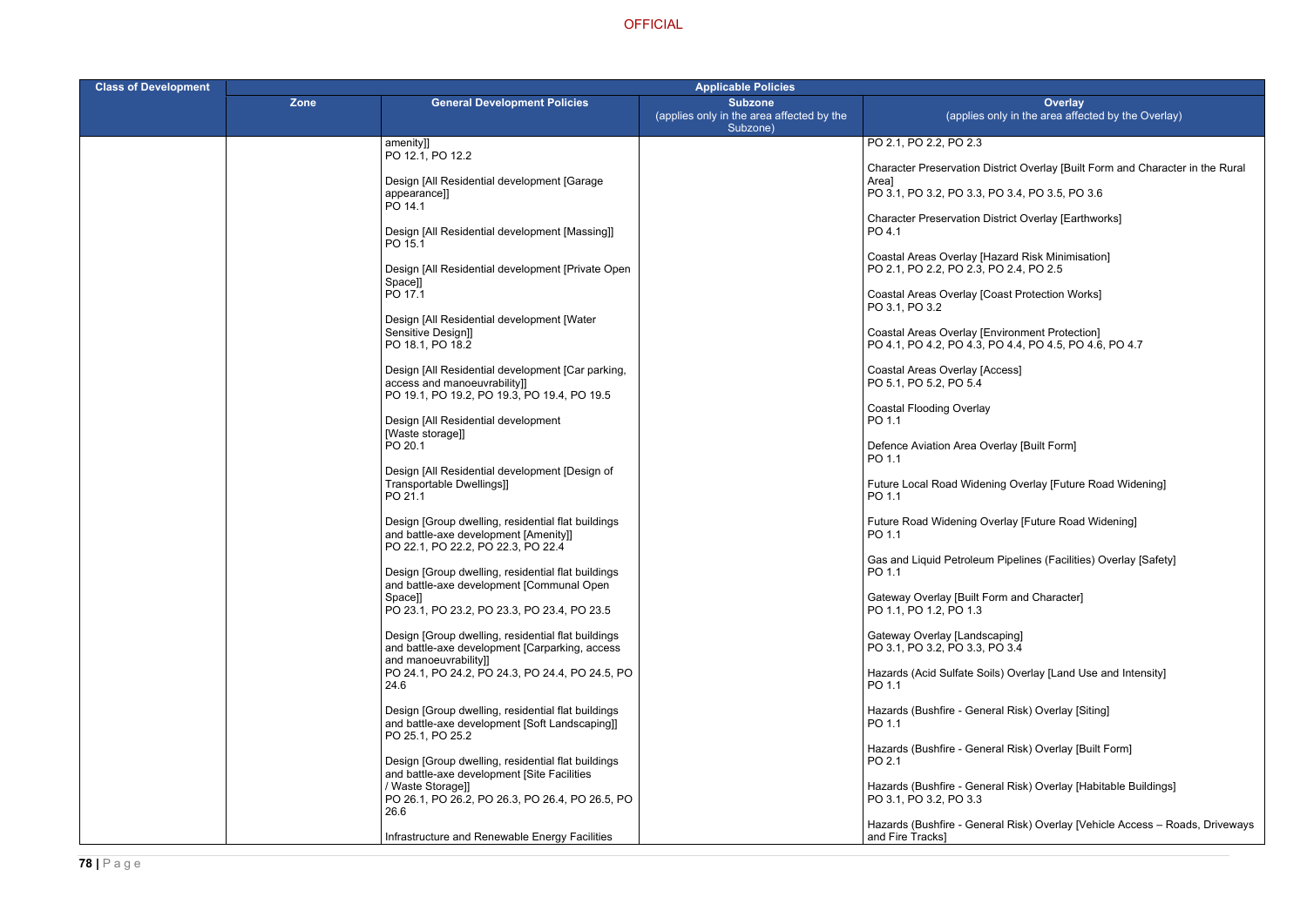$\vec{C}$  istrict Overlay [Built Form and Character in the Rural

| <b>Class of Development</b> | <b>Applicable Policies</b> |                                                                                                                                   |                                                                         |                                                                                                  |
|-----------------------------|----------------------------|-----------------------------------------------------------------------------------------------------------------------------------|-------------------------------------------------------------------------|--------------------------------------------------------------------------------------------------|
|                             | <b>Zone</b>                | <b>General Development Policies</b>                                                                                               | <b>Subzone</b><br>(applies only in the area affected by the<br>Subzone) | Overlay<br>(applies only in the area affecte                                                     |
|                             |                            | amenity]]<br>PO 12.1, PO 12.2                                                                                                     |                                                                         | PO 2.1, PO 2.2, PO 2.3                                                                           |
|                             |                            | Design [All Residential development [Garage                                                                                       |                                                                         | <b>Character Preservation District Overlay [Built Form</b><br>Area]                              |
|                             |                            | appearance]]<br>PO 14.1                                                                                                           |                                                                         | PO 3.1, PO 3.2, PO 3.3, PO 3.4, PO 3.5, PO 3.6                                                   |
|                             |                            | Design [All Residential development [Massing]]<br>PO 15.1                                                                         |                                                                         | Character Preservation District Overlay [Earthw<br>PO 4.1                                        |
|                             |                            | Design [All Residential development [Private Open<br>Space]]                                                                      |                                                                         | Coastal Areas Overlay [Hazard Risk Minimisatic<br>PO 2.1, PO 2.2, PO 2.3, PO 2.4, PO 2.5         |
|                             |                            | PO 17.1                                                                                                                           |                                                                         | Coastal Areas Overlay [Coast Protection Works]<br>PO 3.1, PO 3.2                                 |
|                             |                            | Design [All Residential development [Water<br>Sensitive Design]]<br>PO 18.1, PO 18.2                                              |                                                                         | Coastal Areas Overlay [Environment Protection]<br>PO 4.1, PO 4.2, PO 4.3, PO 4.4, PO 4.5, PO 4.6 |
|                             |                            | Design [All Residential development [Car parking,<br>access and manoeuvrability]]<br>PO 19.1, PO 19.2, PO 19.3, PO 19.4, PO 19.5  |                                                                         | <b>Coastal Areas Overlay [Access]</b><br>PO 5.1, PO 5.2, PO 5.4                                  |
|                             |                            | Design [All Residential development<br>[Waste storage]]                                                                           |                                                                         | <b>Coastal Flooding Overlay</b><br>PO 1.1                                                        |
|                             |                            | PO 20.1                                                                                                                           |                                                                         | Defence Aviation Area Overlay [Built Form]<br>PO 1.1                                             |
|                             |                            | Design [All Residential development [Design of<br>Transportable Dwellings]]<br>PO 21.1                                            |                                                                         | Future Local Road Widening Overlay [Future Ro<br>PO 1.1                                          |
|                             |                            | Design [Group dwelling, residential flat buildings<br>and battle-axe development [Amenity]]<br>PO 22.1, PO 22.2, PO 22.3, PO 22.4 |                                                                         | Future Road Widening Overlay [Future Road W<br>PO 1.1                                            |
|                             |                            | Design [Group dwelling, residential flat buildings<br>and battle-axe development [Communal Open                                   |                                                                         | Gas and Liquid Petroleum Pipelines (Facilities)<br>PO 1.1                                        |
|                             |                            | Space]]<br>PO 23.1, PO 23.2, PO 23.3, PO 23.4, PO 23.5                                                                            |                                                                         | Gateway Overlay [Built Form and Character]<br>PO 1.1, PO 1.2, PO 1.3                             |
|                             |                            | Design [Group dwelling, residential flat buildings<br>and battle-axe development [Carparking, access<br>and manoeuvrability]]     |                                                                         | Gateway Overlay [Landscaping]<br>PO 3.1, PO 3.2, PO 3.3, PO 3.4                                  |
|                             |                            | PO 24.1, PO 24.2, PO 24.3, PO 24.4, PO 24.5, PO<br>24.6                                                                           |                                                                         | Hazards (Acid Sulfate Soils) Overlay [Land Use<br>PO 1.1                                         |
|                             |                            | Design [Group dwelling, residential flat buildings<br>and battle-axe development [Soft Landscaping]]<br>PO 25.1, PO 25.2          |                                                                         | Hazards (Bushfire - General Risk) Overlay [Sitin<br>PO 1.1                                       |
|                             |                            | Design [Group dwelling, residential flat buildings<br>and battle-axe development [Site Facilities                                 |                                                                         | Hazards (Bushfire - General Risk) Overlay [Built<br>PO 2.1                                       |
|                             |                            | / Waste Storage]]<br>PO 26.1, PO 26.2, PO 26.3, PO 26.4, PO 26.5, PO<br>26.6                                                      |                                                                         | Hazards (Bushfire - General Risk) Overlay [Hab<br>PO 3.1, PO 3.2, PO 3.3                         |
|                             |                            | Infrastructure and Renewable Energy Facilities                                                                                    |                                                                         | Hazards (Bushfire - General Risk) Overlay [Veh<br>and Fire Tracks]                               |

PO 3.1, PO 3.2, PO 3.3, PO 3.4, PO 3.5, PO 3.6

istrict Overlay [Earthworks]

azard Risk Minimisation] PO 2.4, PO 2.5

PO 4.1, PO 4.2, PO 4.3, PO 4.4, PO 4.5, PO 4.6, PO 4.7

ing Overlay [Future Road Widening]

rerlay [Future Road Widening]

Pipelines (Facilities) Overlay [Safety]

ils) Overlay [Land Use and Intensity]

ral Risk) Overlay [Siting]

ral Risk) Overlay [Built Form]

ral Risk) Overlay [Habitable Buildings]

eral Risk) Overlay [Vehicle Access – Roads, Driveways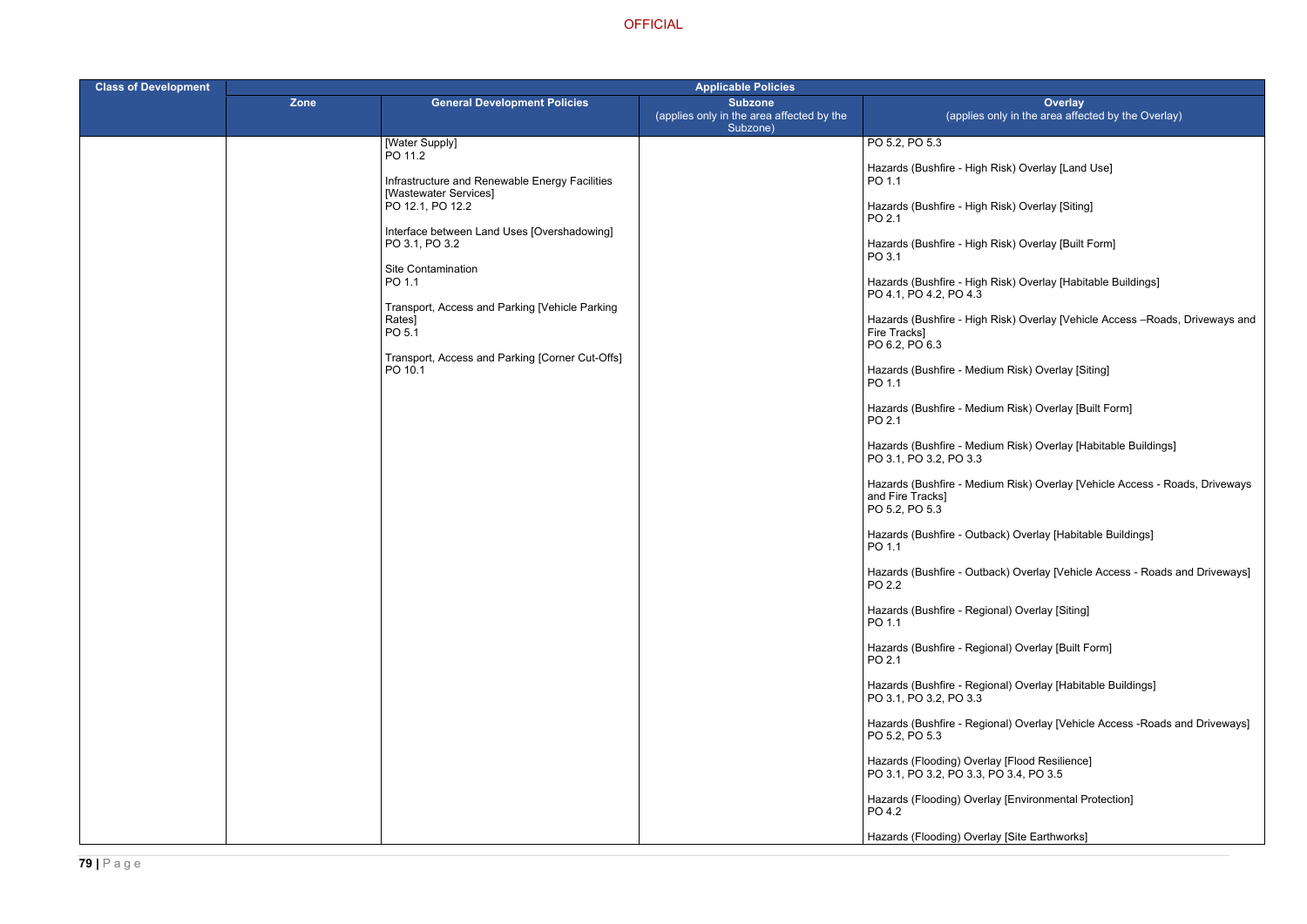- Risk) Overlay [Land Use]
- Risk) Overlay [Siting]
- Risk) Overlay [Built Form]
- Risk) Overlay [Habitable Buildings]
- Risk) Overlay [Vehicle Access –Roads, Driveways and
- um Risk) Overlay [Siting]
- um Risk) Overlay [Built Form]
- um Risk) Overlay [Habitable Buildings]
- um Risk) Overlay [Vehicle Access Roads, Driveways
- ack) Overlay [Habitable Buildings]
- ack) Overlay [Vehicle Access Roads and Driveways]
- mal) Overlay [Siting]
- mal) Overlay [Built Form]
- )nal) Overlay [Habitable Buildings]
- nal) Overlay [Vehicle Access -Roads and Driveways]
- ay [Flood Resilience]  $\overline{PO}$  3.4, PO 3.5
- ay [Environmental Protection]
- ay [Site Earthworks]

| <b>Class of Development</b> |      |                                                                    | <b>Applicable Policies</b>                                              |                                                                 |  |
|-----------------------------|------|--------------------------------------------------------------------|-------------------------------------------------------------------------|-----------------------------------------------------------------|--|
|                             | Zone | <b>General Development Policies</b>                                | <b>Subzone</b><br>(applies only in the area affected by the<br>Subzone) | (applies of                                                     |  |
|                             |      | [Water Supply]                                                     |                                                                         | PO 5.2, PO 5.3                                                  |  |
|                             |      | PO 11.2<br>Infrastructure and Renewable Energy Facilities          |                                                                         | Hazards (Bushfire - High F<br>PO 1.1                            |  |
|                             |      | [Wastewater Services]<br>PO 12.1, PO 12.2                          |                                                                         | Hazards (Bushfire - High F<br>PO 2.1                            |  |
|                             |      | Interface between Land Uses [Overshadowing]<br>PO 3.1, PO 3.2      |                                                                         | Hazards (Bushfire - High F<br>PO 3.1                            |  |
|                             |      | Site Contamination<br>PO 1.1                                       |                                                                         | Hazards (Bushfire - High F<br>PO 4.1, PO 4.2, PO 4.3            |  |
|                             |      | Transport, Access and Parking [Vehicle Parking<br>Rates]<br>PO 5.1 |                                                                         | Hazards (Bushfire - High F<br>Fire Tracks]<br>PO 6.2, PO 6.3    |  |
|                             |      | Transport, Access and Parking [Corner Cut-Offs]<br>PO 10.1         |                                                                         | Hazards (Bushfire - Mediu<br>PO 1.1                             |  |
|                             |      |                                                                    |                                                                         | Hazards (Bushfire - Mediu<br>PO 2.1                             |  |
|                             |      |                                                                    |                                                                         | Hazards (Bushfire - Mediu<br>PO 3.1, PO 3.2, PO 3.3             |  |
|                             |      |                                                                    |                                                                         | Hazards (Bushfire - Mediu<br>and Fire Tracks]<br>PO 5.2, PO 5.3 |  |
|                             |      |                                                                    |                                                                         | Hazards (Bushfire - Outba<br>PO 1.1                             |  |
|                             |      |                                                                    |                                                                         | Hazards (Bushfire - Outba<br>PO 2.2                             |  |
|                             |      |                                                                    |                                                                         | Hazards (Bushfire - Regior<br>PO 1.1                            |  |
|                             |      |                                                                    |                                                                         | Hazards (Bushfire - Regior<br>PO 2.1                            |  |
|                             |      |                                                                    |                                                                         | Hazards (Bushfire - Regio<br>PO 3.1, PO 3.2, PO 3.3             |  |
|                             |      |                                                                    |                                                                         | Hazards (Bushfire - Regio<br>PO 5.2, PO 5.3                     |  |
|                             |      |                                                                    |                                                                         | Hazards (Flooding) Overla<br>PO 3.1, PO 3.2, PO 3.3, P          |  |
|                             |      |                                                                    |                                                                         | Hazards (Flooding) Overla<br>PO 4.2                             |  |
|                             |      |                                                                    |                                                                         | Hazards (Flooding) Overla                                       |  |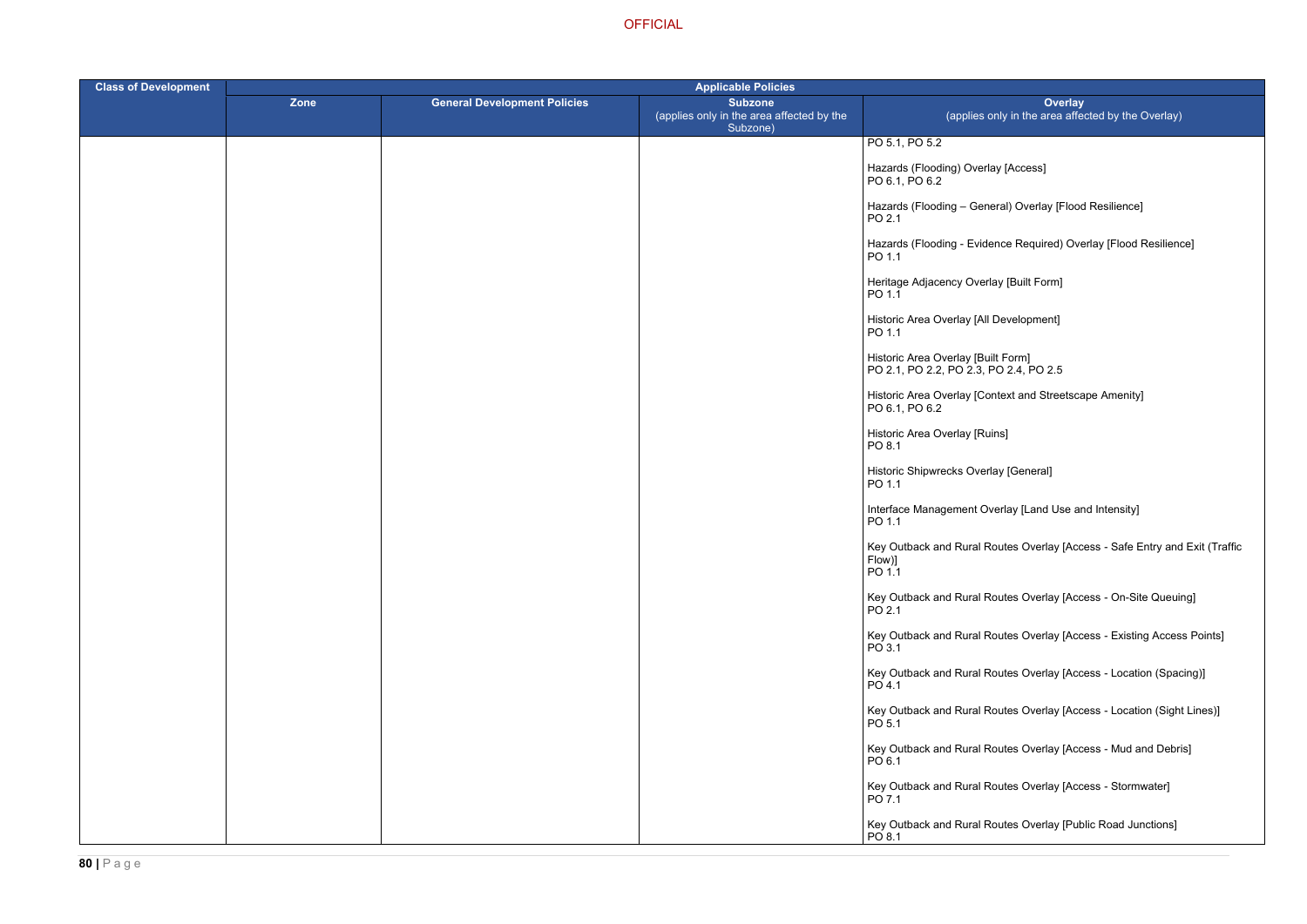heral) Overlay [Flood Resilience]

lence Required) Overlay [Flood Resilience]

ontext and Streetscape Amenity]

Iorthay [Land Use and Intensity]

Routes Overlay [Access - Safe Entry and Exit (Traffic

Routes Overlay [Access - On-Site Queuing]

Routes Overlay [Access - Existing Access Points]

Routes Overlay [Access - Location (Spacing)]

Routes Overlay [Access - Location (Sight Lines)]

Routes Overlay [Access - Mud and Debris]

Routes Overlay [Access - Stormwater]

Routes Overlay [Public Road Junctions]

| <b>Class of Development</b> | <b>Applicable Policies</b> |                                     |                                                                         |                                                                              |
|-----------------------------|----------------------------|-------------------------------------|-------------------------------------------------------------------------|------------------------------------------------------------------------------|
|                             | <b>Zone</b>                | <b>General Development Policies</b> | <b>Subzone</b><br>(applies only in the area affected by the<br>Subzone) | Ove<br>(applies only in the area                                             |
|                             |                            |                                     |                                                                         | PO 5.1, PO 5.2                                                               |
|                             |                            |                                     |                                                                         | Hazards (Flooding) Overlay [Access]<br>PO 6.1, PO 6.2                        |
|                             |                            |                                     |                                                                         | Hazards (Flooding - General) Overlay [I<br>PO 2.1                            |
|                             |                            |                                     |                                                                         | Hazards (Flooding - Evidence Required)<br>PO 1.1                             |
|                             |                            |                                     |                                                                         | Heritage Adjacency Overlay [Built Form]<br>PO 1.1                            |
|                             |                            |                                     |                                                                         | Historic Area Overlay [All Development]<br>PO 1.1                            |
|                             |                            |                                     |                                                                         | Historic Area Overlay [Built Form]<br>PO 2.1, PO 2.2, PO 2.3, PO 2.4, PO 2.5 |
|                             |                            |                                     |                                                                         | Historic Area Overlay [Context and Stree<br>PO 6.1, PO 6.2                   |
|                             |                            |                                     |                                                                         | Historic Area Overlay [Ruins]<br>PO 8.1                                      |
|                             |                            |                                     |                                                                         | Historic Shipwrecks Overlay [General]<br>PO 1.1                              |
|                             |                            |                                     |                                                                         | Interface Management Overlay [Land Us<br>PO 1.1                              |
|                             |                            |                                     |                                                                         | Key Outback and Rural Routes Overlay<br>Flow)]<br>PO 1.1                     |
|                             |                            |                                     |                                                                         | Key Outback and Rural Routes Overlay<br>PO 2.1                               |
|                             |                            |                                     |                                                                         | Key Outback and Rural Routes Overlay<br>PO 3.1                               |
|                             |                            |                                     |                                                                         | Key Outback and Rural Routes Overlay<br>PO 4.1                               |
|                             |                            |                                     |                                                                         | Key Outback and Rural Routes Overlay<br>PO 5.1                               |
|                             |                            |                                     |                                                                         | Key Outback and Rural Routes Overlay<br>PO 6.1                               |
|                             |                            |                                     |                                                                         | Key Outback and Rural Routes Overlay<br>PO 7.1                               |
|                             |                            |                                     |                                                                         | Key Outback and Rural Routes Overlay<br>PO 8.1                               |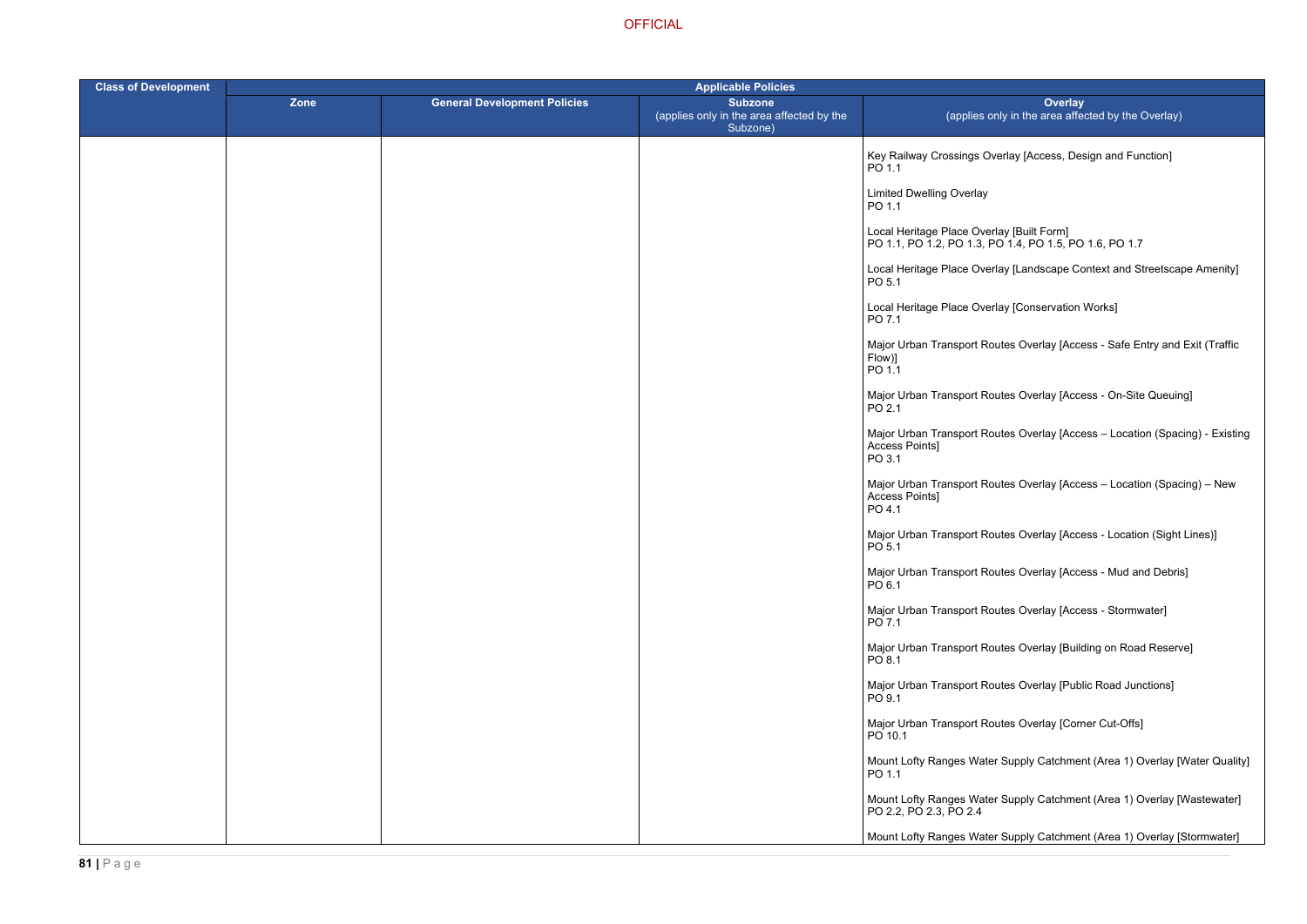Dverlay [Access, Design and Function]

- erlay [Built Form] PO 1.1, PO 1.2, PO 1.3, PO 1.4, PO 1.5, PO 1.6, PO 1.7
- erlay [Landscape Context and Streetscape Amenity]
- erlay [Conservation Works]
- outes Overlay [Access Safe Entry and Exit (Traffic

Routes Overlay [Access - On-Site Queuing]

- Routes Overlay [Access Location (Spacing) Existing
- Routes Overlay [Access Location (Spacing) New
- outes Overlay [Access Location (Sight Lines)]
- Routes Overlay [Access Mud and Debris]
- Routes Overlay [Access Stormwater]
- Routes Overlay [Building on Road Reserve]
- Routes Overlay [Public Road Junctions]
- Routes Overlay [Corner Cut-Offs]
- ter Supply Catchment (Area 1) Overlay [Water Quality]
- ter Supply Catchment (Area 1) Overlay [Wastewater]
- ter Supply Catchment (Area 1) Overlay [Stormwater]

| <b>Class of Development</b> |             |                                     | <b>Applicable Policies</b>                                              |                                                       |  |
|-----------------------------|-------------|-------------------------------------|-------------------------------------------------------------------------|-------------------------------------------------------|--|
|                             | <b>Zone</b> | <b>General Development Policies</b> | <b>Subzone</b><br>(applies only in the area affected by the<br>Subzone) | (applies o                                            |  |
|                             |             |                                     |                                                                         | Key Railway Crossings O<br>PO 1.1                     |  |
|                             |             |                                     |                                                                         | <b>Limited Dwelling Overlay</b><br>PO 1.1             |  |
|                             |             |                                     |                                                                         | Local Heritage Place Ove<br>PO 1.1, PO 1.2, PO 1.3, R |  |
|                             |             |                                     |                                                                         | Local Heritage Place Ove<br>PO 5.1                    |  |
|                             |             |                                     |                                                                         | Local Heritage Place Ove<br>PO 7.1                    |  |
|                             |             |                                     |                                                                         | Major Urban Transport Ro<br>Flow)]<br>PO 1.1          |  |
|                             |             |                                     |                                                                         | Major Urban Transport Ro<br>PO 2.1                    |  |
|                             |             |                                     |                                                                         | Major Urban Transport Ro<br>Access Points]<br>PO 3.1  |  |
|                             |             |                                     |                                                                         | Major Urban Transport Ro<br>Access Points]<br>PO 4.1  |  |
|                             |             |                                     |                                                                         | Major Urban Transport Ro<br>PO 5.1                    |  |
|                             |             |                                     |                                                                         | Major Urban Transport Ro<br>PO 6.1                    |  |
|                             |             |                                     |                                                                         | Major Urban Transport Ro<br>PO 7.1                    |  |
|                             |             |                                     |                                                                         | Major Urban Transport Ro<br>PO 8.1                    |  |
|                             |             |                                     |                                                                         | Major Urban Transport Ro<br>PO 9.1                    |  |
|                             |             |                                     |                                                                         | Major Urban Transport Ro<br>PO 10.1                   |  |
|                             |             |                                     |                                                                         | Mount Lofty Ranges Wate<br>PO 1.1                     |  |
|                             |             |                                     |                                                                         | Mount Lofty Ranges Wate<br>PO 2.2, PO 2.3, PO 2.4     |  |
|                             |             |                                     |                                                                         | Mount Lofty Ranges Wate                               |  |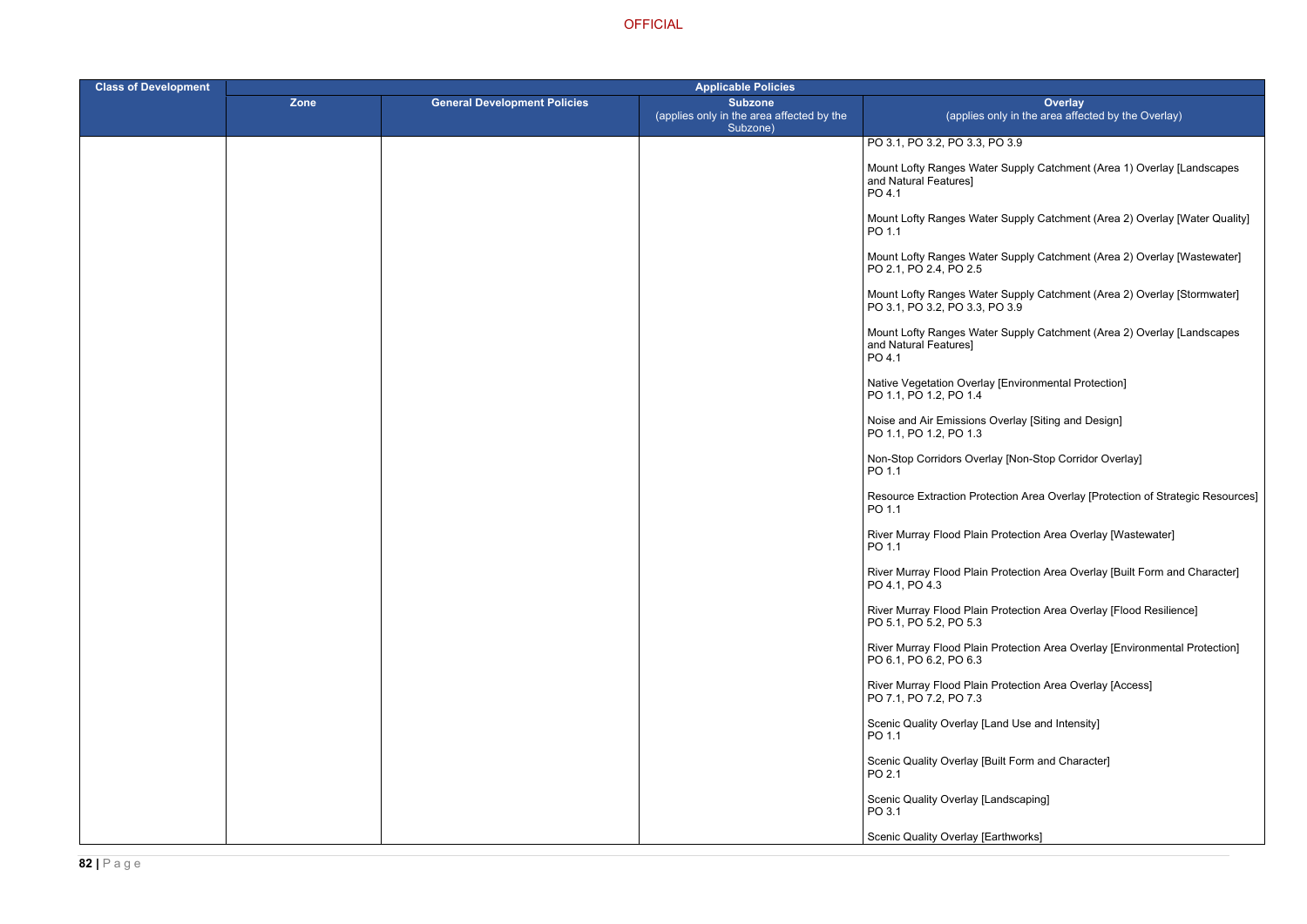# $PO$  3.9

ter Supply Catchment (Area 1) Overlay [Landscapes

- ter Supply Catchment (Area 2) Overlay [Water Quality]
- ter Supply Catchment (Area 2) Overlay [Wastewater]
- ter Supply Catchment (Area 2) Overlay [Stormwater]  $PO<sub>3.9</sub>$
- ter Supply Catchment (Area 2) Overlay [Landscapes
- ay [Environmental Protection]
- Overlay [Siting and Design]
- rlay [Non-Stop Corridor Overlay]
- tection Area Overlay [Protection of Strategic Resources]
- River Murray Thotection Area Overlay [Wastewater]
- r Protection Area Overlay [Built Form and Character]
- Protection Area Overlay [Flood Resilience]
- Rrotection Area Overlay [Environmental Protection]
- **Protection Area Overlay [Access]**
- Land Use and Intensity]
- Built Form and Character]
- \_andscaping]
- Earthworks]

| <b>Class of Development</b> | <b>Applicable Policies</b> |                                     |                                                                         |                                                            |
|-----------------------------|----------------------------|-------------------------------------|-------------------------------------------------------------------------|------------------------------------------------------------|
|                             | Zone                       | <b>General Development Policies</b> | <b>Subzone</b><br>(applies only in the area affected by the<br>Subzone) | (applies                                                   |
|                             |                            |                                     |                                                                         | PO 3.1, PO 3.2, PO 3.3, I                                  |
|                             |                            |                                     |                                                                         | Mount Lofty Ranges Wate<br>and Natural Features]<br>PO 4.1 |
|                             |                            |                                     |                                                                         | Mount Lofty Ranges Wate<br>PO 1.1                          |
|                             |                            |                                     |                                                                         | Mount Lofty Ranges Wate<br>PO 2.1, PO 2.4, PO 2.5          |
|                             |                            |                                     |                                                                         | Mount Lofty Ranges Wate<br>PO 3.1, PO 3.2, PO 3.3, I       |
|                             |                            |                                     |                                                                         | Mount Lofty Ranges Wate<br>and Natural Features]<br>PO 4.1 |
|                             |                            |                                     |                                                                         | Native Vegetation Overla<br>PO 1.1, PO 1.2, PO 1.4         |
|                             |                            |                                     |                                                                         | Noise and Air Emissions<br>PO 1.1, PO 1.2, PO 1.3          |
|                             |                            |                                     |                                                                         | Non-Stop Corridors Over<br>PO 1.1                          |
|                             |                            |                                     |                                                                         | <b>Resource Extraction Prot</b><br>PO 1.1                  |
|                             |                            |                                     |                                                                         | <b>River Murray Flood Plain</b><br>PO 1.1                  |
|                             |                            |                                     |                                                                         | River Murray Flood Plain<br>PO 4.1, PO 4.3                 |
|                             |                            |                                     |                                                                         | River Murray Flood Plain<br>PO 5.1, PO 5.2, PO 5.3         |
|                             |                            |                                     |                                                                         | River Murray Flood Plain<br>PO 6.1, PO 6.2, PO 6.3         |
|                             |                            |                                     |                                                                         | River Murray Flood Plain<br>PO 7.1, PO 7.2, PO 7.3         |
|                             |                            |                                     |                                                                         | Scenic Quality Overlay [L<br>PO 1.1                        |
|                             |                            |                                     |                                                                         | Scenic Quality Overlay [B<br>PO 2.1                        |
|                             |                            |                                     |                                                                         | Scenic Quality Overlay [L<br>PO 3.1                        |
|                             |                            |                                     |                                                                         | Scenic Quality Overlay [E                                  |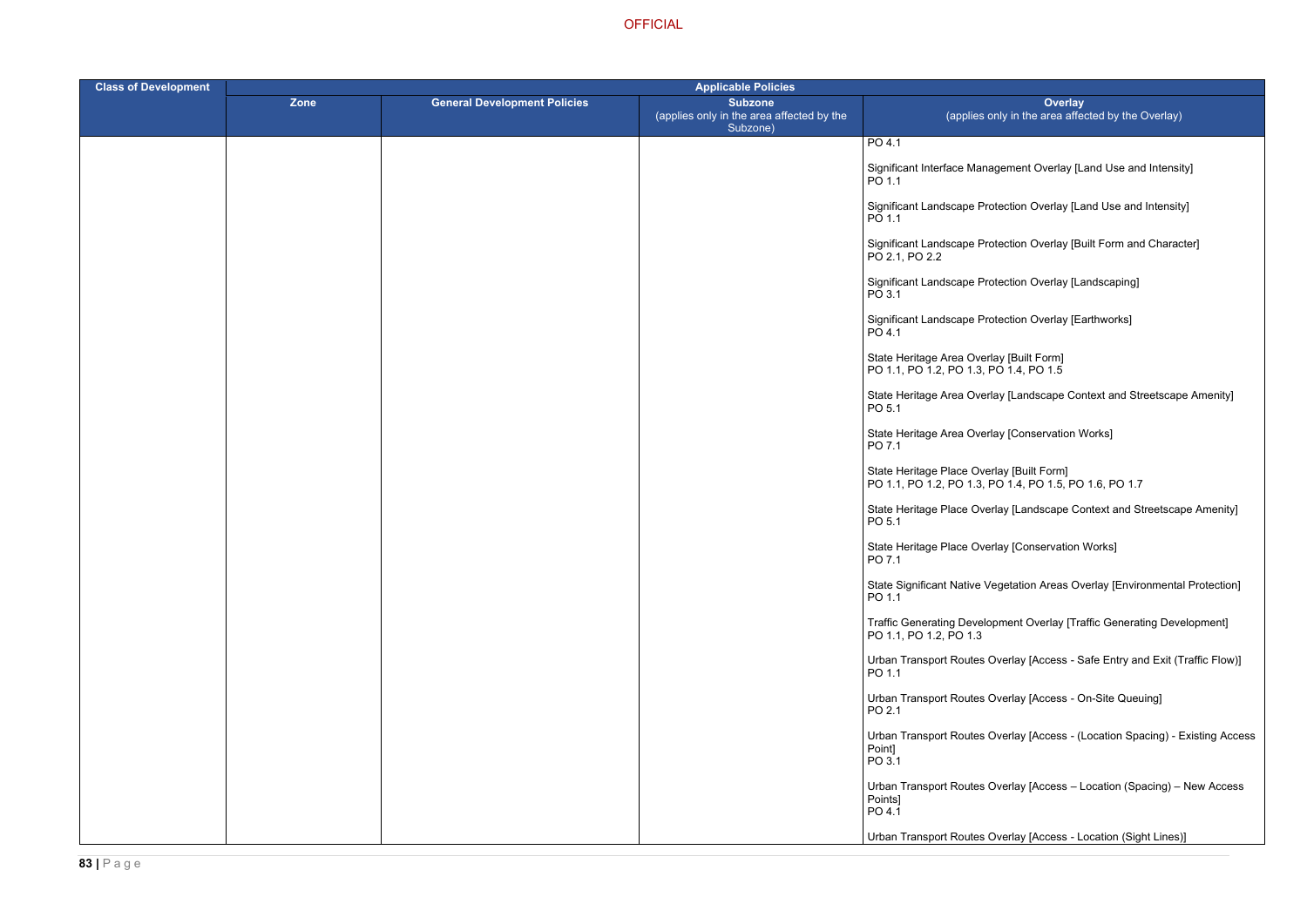agement Overlay [Land Use and Intensity]

otection Overlay [Land Use and Intensity]

rotection Overlay [Built Form and Character]

otection Overlay [Landscaping]

otection Overlay [Earthworks]

Iay [Landscape Context and Streetscape Amenity]

Iay [Conservation Works]

**OFFICIAL** 

| <b>Class of Development</b> | <b>Applicable Policies</b> |                                     |                                                                         |                                                                                      |
|-----------------------------|----------------------------|-------------------------------------|-------------------------------------------------------------------------|--------------------------------------------------------------------------------------|
|                             | Zone                       | <b>General Development Policies</b> | <b>Subzone</b><br>(applies only in the area affected by the<br>Subzone) | Over<br>(applies only in the area                                                    |
|                             |                            |                                     |                                                                         | PO 4.1                                                                               |
|                             |                            |                                     |                                                                         | Significant Interface Management Overla<br>PO 1.1                                    |
|                             |                            |                                     |                                                                         | Significant Landscape Protection Overlay<br>PO 1.1                                   |
|                             |                            |                                     |                                                                         | Significant Landscape Protection Overlay<br>PO 2.1, PO 2.2                           |
|                             |                            |                                     |                                                                         | Significant Landscape Protection Overlay<br>PO 3.1                                   |
|                             |                            |                                     |                                                                         | Significant Landscape Protection Overlay<br>PO 4.1                                   |
|                             |                            |                                     |                                                                         | State Heritage Area Overlay [Built Form]<br>PO 1.1, PO 1.2, PO 1.3, PO 1.4, PO 1.5   |
|                             |                            |                                     |                                                                         | State Heritage Area Overlay [Landscape<br>PO 5.1                                     |
|                             |                            |                                     |                                                                         | State Heritage Area Overlay [Conservation]<br>PO 7.1                                 |
|                             |                            |                                     |                                                                         | State Heritage Place Overlay [Built Form]<br>PO 1.1, PO 1.2, PO 1.3, PO 1.4, PO 1.5, |
|                             |                            |                                     |                                                                         | State Heritage Place Overlay [Landscape<br>PO 5.1                                    |
|                             |                            |                                     |                                                                         | State Heritage Place Overlay [Conservati<br>PO 7.1                                   |
|                             |                            |                                     |                                                                         | <b>State Significant Native Vegetation Areas</b><br>PO 1.1                           |
|                             |                            |                                     |                                                                         | <b>Traffic Generating Development Overlay</b><br>PO 1.1, PO 1.2, PO 1.3              |
|                             |                            |                                     |                                                                         | <b>Urban Transport Routes Overlay [Access</b><br>PO 1.1                              |
|                             |                            |                                     |                                                                         | <b>Urban Transport Routes Overlay [Access</b><br>PO 2.1                              |
|                             |                            |                                     |                                                                         | <b>Urban Transport Routes Overlay [Access</b><br>Point]<br>PO 3.1                    |
|                             |                            |                                     |                                                                         | Urban Transport Routes Overlay [Access<br>Points]<br>PO 4.1                          |
|                             |                            |                                     |                                                                         | Urban Transport Routes Overlay [Access                                               |

PO 1.1, PO 1.2, PO 1.3, PO 1.4, PO 1.5, PO 1.6, PO 1.7

erlay [Landscape Context and Streetscape Amenity]

erlay [Conservation Works]

/egetation Areas Overlay [Environmental Protection]

opment Overlay [Traffic Generating Development]

Overlay [Access - Safe Entry and Exit (Traffic Flow)]

Overlay [Access - On-Site Queuing]

Overlay [Access - (Location Spacing) - Existing Access

Overlay [Access – Location (Spacing) – New Access

Overlay [Access - Location (Sight Lines)]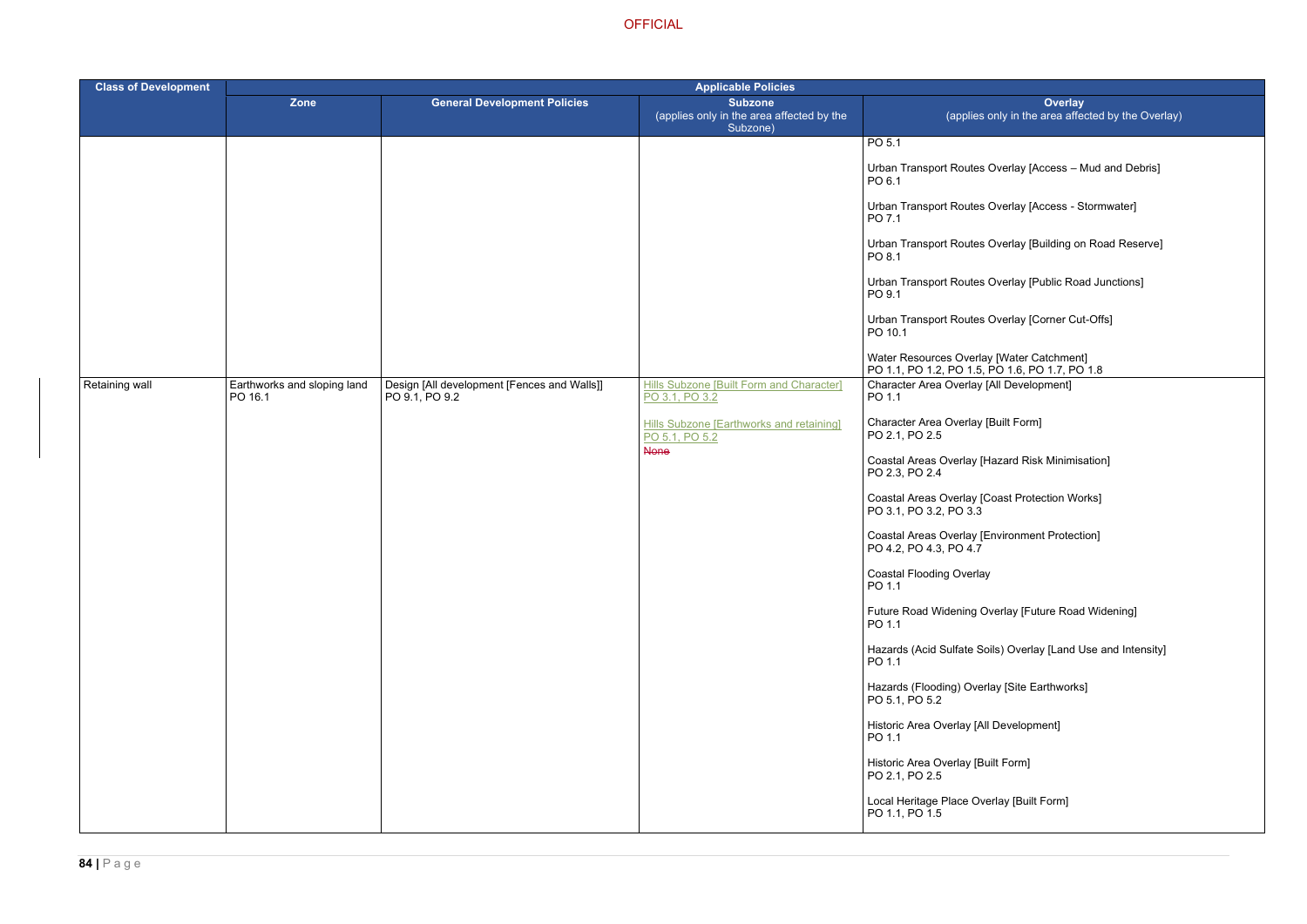- Overlay [Access Mud and Debris]
- Overlay [Access Stormwater]
- Overlay [Building on Road Reserve]
- Overlay [Public Road Junctions]
- Overlay [Corner Cut-Offs]

- [Built Form]
- Hazard Risk Minimisation]
- Coast Protection Works]
- Environment Protection]

- verlay [Future Road Widening]
- bils) Overlay [Land Use and Intensity]
- lay [Site Earthworks]
- I Development]
- uilt Form]
- erlay [Built Form]

| <b>Class of Development</b> | <b>Applicable Policies</b>             |                                                               |                                                                         |                                                                                             |
|-----------------------------|----------------------------------------|---------------------------------------------------------------|-------------------------------------------------------------------------|---------------------------------------------------------------------------------------------|
|                             | Zone                                   | <b>General Development Policies</b>                           | <b>Subzone</b><br>(applies only in the area affected by the<br>Subzone) | Overlay<br>(applies only in the area affected                                               |
|                             |                                        |                                                               |                                                                         | PO <sub>5.1</sub><br>Urban Transport Routes Overlay [Access - Mud<br>PO 6.1                 |
|                             |                                        |                                                               |                                                                         | Urban Transport Routes Overlay [Access - Storr<br>PO 7.1                                    |
|                             |                                        |                                                               |                                                                         | Urban Transport Routes Overlay [Building on Ro<br>PO 8.1                                    |
|                             |                                        |                                                               |                                                                         | Urban Transport Routes Overlay [Public Road Ji<br>PO 9.1                                    |
|                             |                                        |                                                               |                                                                         | Urban Transport Routes Overlay [Corner Cut-Of<br>PO 10.1                                    |
|                             |                                        |                                                               |                                                                         | Water Resources Overlay [Water Catchment]<br>PO 1.1, PO 1.2, PO 1.5, PO 1.6, PO 1.7, PO 1.8 |
| Retaining wall              | Earthworks and sloping land<br>PO 16.1 | Design [All development [Fences and Walls]]<br>PO 9.1, PO 9.2 | <b>Hills Subzone [Built Form and Character]</b><br>PO 3.1, PO 3.2       | Character Area Overlay [All Development]<br>PO 1.1                                          |
|                             |                                        |                                                               | <b>Hills Subzone [Earthworks and retaining]</b><br>PO 5.1, PO 5.2       | Character Area Overlay [Built Form]<br>PO 2.1, PO 2.5                                       |
|                             |                                        |                                                               | <b>None</b>                                                             | Coastal Areas Overlay [Hazard Risk Minimisatio<br>PO 2.3, PO 2.4                            |
|                             |                                        |                                                               |                                                                         | Coastal Areas Overlay [Coast Protection Works]<br>PO 3.1, PO 3.2, PO 3.3                    |
|                             |                                        |                                                               |                                                                         | <b>Coastal Areas Overlay [Environment Protection]</b><br>PO 4.2, PO 4.3, PO 4.7             |
|                             |                                        |                                                               |                                                                         | <b>Coastal Flooding Overlay</b><br>PO 1.1                                                   |
|                             |                                        |                                                               |                                                                         | Future Road Widening Overlay [Future Road Wi<br>PO 1.1                                      |
|                             |                                        |                                                               |                                                                         | Hazards (Acid Sulfate Soils) Overlay [Land Use<br>PO 1.1                                    |
|                             |                                        |                                                               |                                                                         | Hazards (Flooding) Overlay [Site Earthworks]<br>PO 5.1, PO 5.2                              |
|                             |                                        |                                                               |                                                                         | Historic Area Overlay [All Development]<br>PO 1.1                                           |
|                             |                                        |                                                               |                                                                         | Historic Area Overlay [Built Form]<br>PO 2.1, PO 2.5                                        |
|                             |                                        |                                                               |                                                                         | Local Heritage Place Overlay [Built Form]<br>PO 1.1, PO 1.5                                 |
|                             |                                        |                                                               |                                                                         |                                                                                             |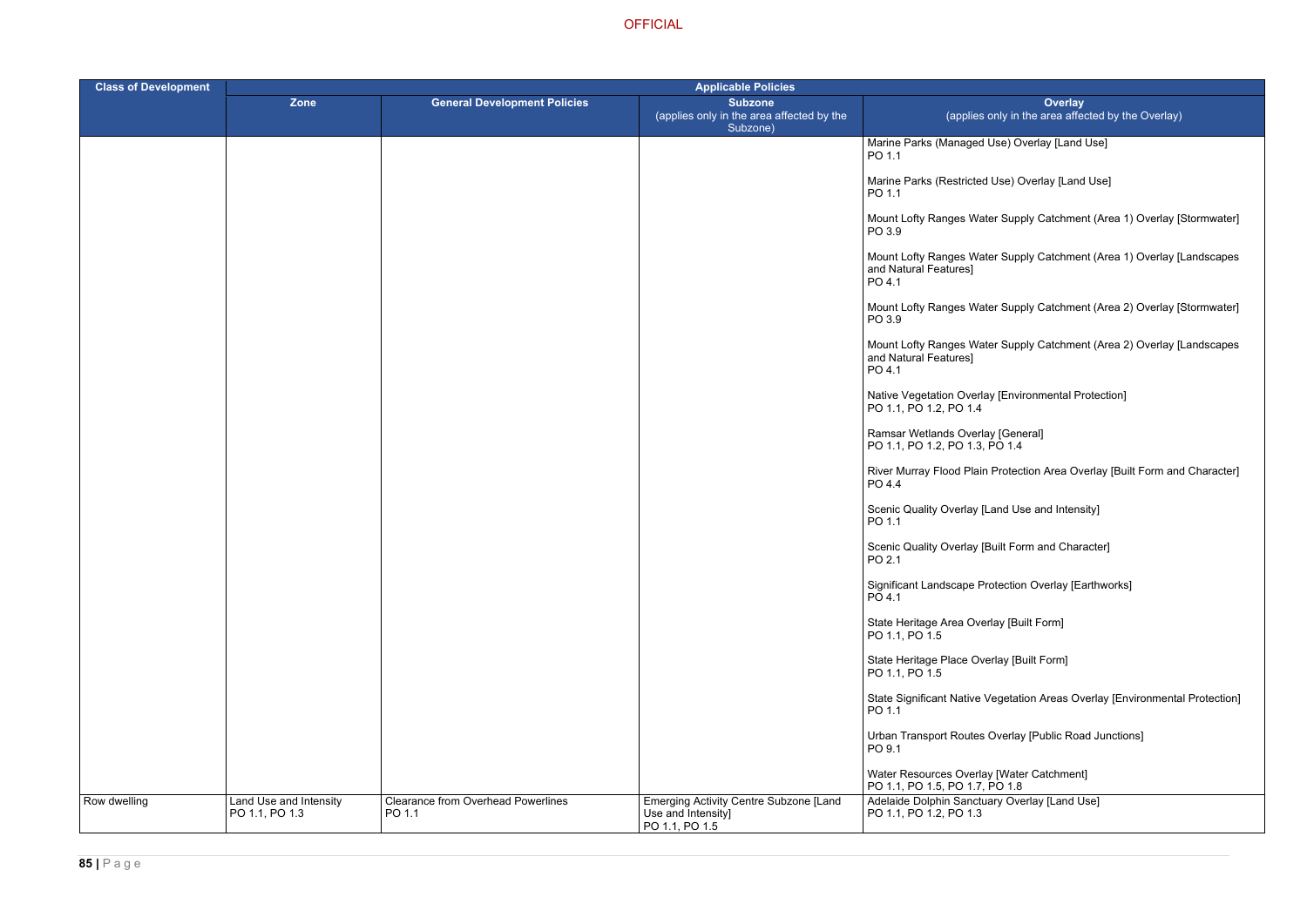Use) Overlay [Land Use]

Use) Overlay [Land Use]

ter Supply Catchment (Area 1) Overlay [Stormwater]

ter Supply Catchment (Area 1) Overlay [Landscapes

ter Supply Catchment (Area 2) Overlay [Stormwater]

ter Supply Catchment (Area 2) Overlay [Landscapes

ay [Environmental Protection]

River Murray Term and Character Protection Area Overlay [Built Form and Character]

Land Use and Intensity]

Built Form and Character]

rotection Overlay [Earthworks]

rlay [Built Form]

erlay [Built Form]

Vegetation Areas Overlay [Environmental Protection]

Overlay [Public Road Junctions]

y [Water Catchment]  $P<sub>O</sub>$  1.8 ary Overlay [Land Use]

| <b>Class of Development</b> | <b>Applicable Policies</b>               |                                                     |                                                                                |                                                                      |
|-----------------------------|------------------------------------------|-----------------------------------------------------|--------------------------------------------------------------------------------|----------------------------------------------------------------------|
|                             | Zone                                     | <b>General Development Policies</b>                 | <b>Subzone</b><br>(applies only in the area affected by the<br>Subzone)        | (applies only in the a                                               |
|                             |                                          |                                                     |                                                                                | Marine Parks (Managed Use) Overla<br>PO 1.1                          |
|                             |                                          |                                                     |                                                                                | Marine Parks (Restricted Use) Over<br>PO 1.1                         |
|                             |                                          |                                                     |                                                                                | Mount Lofty Ranges Water Supply C<br>PO 3.9                          |
|                             |                                          |                                                     |                                                                                | Mount Lofty Ranges Water Supply C<br>and Natural Features]<br>PO 4.1 |
|                             |                                          |                                                     |                                                                                | Mount Lofty Ranges Water Supply C<br>PO 3.9                          |
|                             |                                          |                                                     |                                                                                | Mount Lofty Ranges Water Supply C<br>and Natural Features]<br>PO 4.1 |
|                             |                                          |                                                     |                                                                                | Native Vegetation Overlay [Environn<br>PO 1.1, PO 1.2, PO 1.4        |
|                             |                                          |                                                     |                                                                                | Ramsar Wetlands Overlay [General]<br>PO 1.1, PO 1.2, PO 1.3, PO 1.4  |
|                             |                                          |                                                     |                                                                                | River Murray Flood Plain Protection<br>PO 4.4                        |
|                             |                                          |                                                     |                                                                                | Scenic Quality Overlay [Land Use ar<br>PO 1.1                        |
|                             |                                          |                                                     |                                                                                | Scenic Quality Overlay [Built Form a<br>PO 2.1                       |
|                             |                                          |                                                     |                                                                                | Significant Landscape Protection Ov<br>PO 4.1                        |
|                             |                                          |                                                     |                                                                                | State Heritage Area Overlay [Built F<br>PO 1.1, PO 1.5               |
|                             |                                          |                                                     |                                                                                | State Heritage Place Overlay [Built F<br>PO 1.1, PO 1.5              |
|                             |                                          |                                                     |                                                                                | State Significant Native Vegetation /<br>PO 1.1                      |
|                             |                                          |                                                     |                                                                                | Urban Transport Routes Overlay [Pu<br>PO 9.1                         |
|                             |                                          |                                                     |                                                                                | Water Resources Overlay [Water Ca<br>PO 1.1, PO 1.5, PO 1.7, PO 1.8  |
| Row dwelling                | Land Use and Intensity<br>PO 1.1, PO 1.3 | <b>Clearance from Overhead Powerlines</b><br>PO 1.1 | Emerging Activity Centre Subzone [Land<br>Use and Intensity]<br>PO 1.1, PO 1.5 | Adelaide Dolphin Sanctuary Overlay<br>PO 1.1, PO 1.2, PO 1.3         |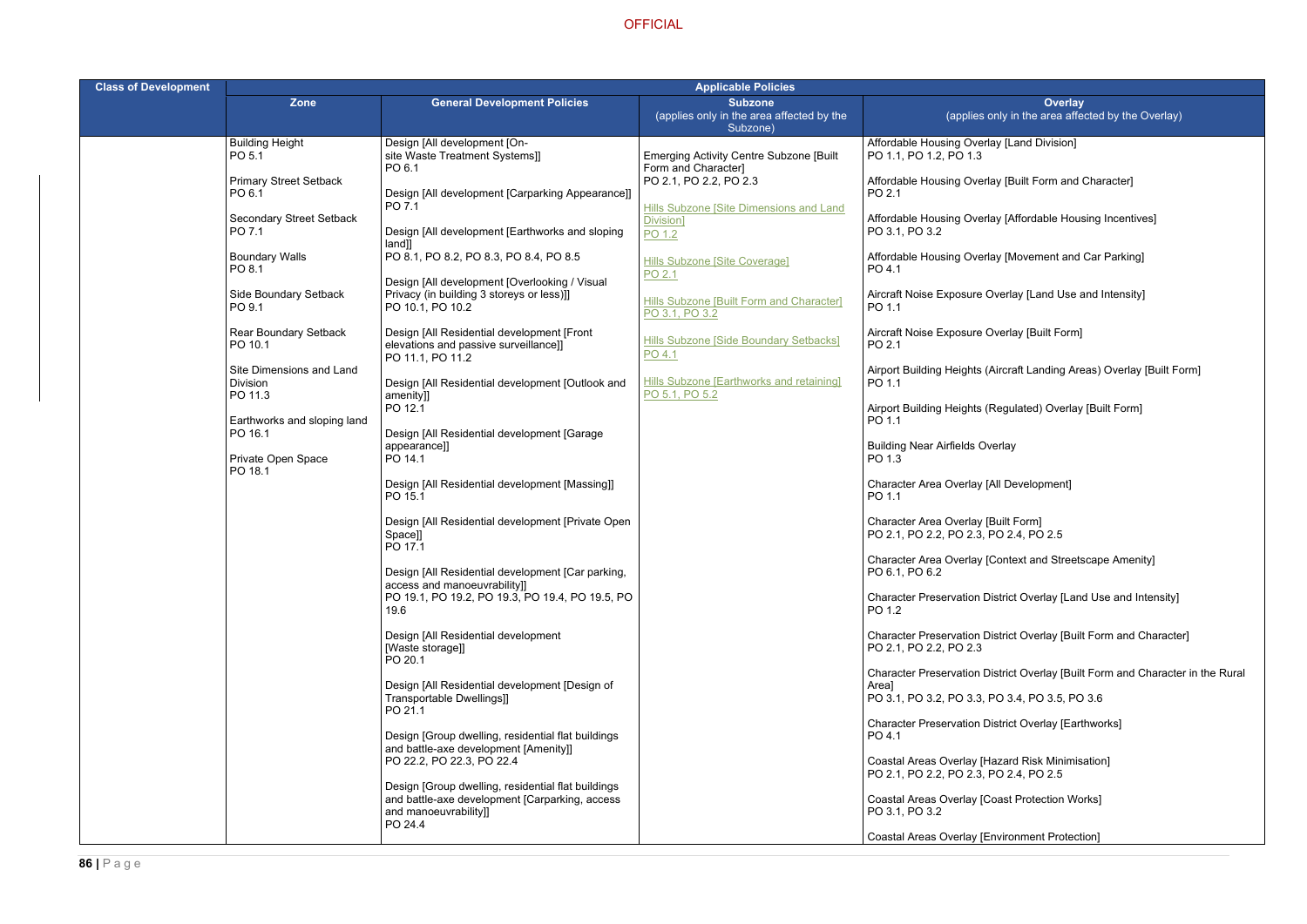**Hay [Land Division]** 

lay [Built Form and Character]

lay [Affordable Housing Incentives]

lay [Movement and Car Parking]

Overlay [Land Use and Intensity]

Overlay [Built Form]

(Aircraft Landing Areas) Overlay [Built Form]

(Regulated) Overlay [Built Form]

[All Development]

[Context and Streetscape Amenity]

District Overlay [Land Use and Intensity]

District Overlay [Built Form and Character]

District Overlay [Built Form and Character in the Rural

| <b>Class of Development</b> |                                                              |                                                                                                                                      | <b>Applicable Policies</b>                                              |                                                                                                            |  |
|-----------------------------|--------------------------------------------------------------|--------------------------------------------------------------------------------------------------------------------------------------|-------------------------------------------------------------------------|------------------------------------------------------------------------------------------------------------|--|
|                             | <b>Zone</b>                                                  | <b>General Development Policies</b>                                                                                                  | <b>Subzone</b><br>(applies only in the area affected by the<br>Subzone) | <b>Ove</b><br>(applies only in the area                                                                    |  |
|                             | <b>Building Height</b><br>PO 5.1                             | Design [All development [On-<br>site Waste Treatment Systems]]<br>PO 6.1                                                             | <b>Emerging Activity Centre Subzone [Built</b><br>Form and Character]   | Affordable Housing Overlay [Land Divisi<br>PO 1.1, PO 1.2, PO 1.3                                          |  |
|                             | <b>Primary Street Setback</b><br>PO 6.1                      | Design [All development [Carparking Appearance]]<br>PO 7.1                                                                           | PO 2.1, PO 2.2, PO 2.3<br>Hills Subzone [Site Dimensions and Land       | Affordable Housing Overlay [Built Form<br>PO 2.1                                                           |  |
|                             | <b>Secondary Street Setback</b><br>PO 7.1                    | Design [All development [Earthworks and sloping<br>[and]                                                                             | Division]<br>PO 1.2                                                     | Affordable Housing Overlay [Affordable<br>PO 3.1, PO 3.2                                                   |  |
|                             | <b>Boundary Walls</b><br>PO 8.1                              | PO 8.1, PO 8.2, PO 8.3, PO 8.4, PO 8.5<br>Design [All development [Overlooking / Visual                                              | <b>Hills Subzone [Site Coverage]</b><br>PO 2.1                          | Affordable Housing Overlay [Movement<br>PO 4.1                                                             |  |
|                             | Side Boundary Setback<br>PO 9.1                              | Privacy (in building 3 storeys or less)]]<br>PO 10.1, PO 10.2                                                                        | Hills Subzone [Built Form and Character]<br>PO 3.1, PO 3.2              | Aircraft Noise Exposure Overlay [Land L<br>PO 1.1                                                          |  |
|                             | <b>Rear Boundary Setback</b><br>PO 10.1                      | Design [All Residential development [Front<br>elevations and passive surveillance]]<br>PO 11.1, PO 11.2                              | Hills Subzone [Side Boundary Setbacks]<br>PO 4.1                        | Aircraft Noise Exposure Overlay [Built F<br>PO 2.1                                                         |  |
|                             | Site Dimensions and Land<br>Division<br>PO 11.3              | Design [All Residential development [Outlook and<br>amenity]]                                                                        | Hills Subzone [Earthworks and retaining]<br>PO 5.1, PO 5.2              | Airport Building Heights (Aircraft Landing<br>PO 1.1                                                       |  |
|                             | Earthworks and sloping land<br>PO 16.1<br>Private Open Space | PO 12.1<br>Design [All Residential development [Garage<br>appearance]]<br>PO 14.1                                                    |                                                                         | Airport Building Heights (Regulated) Ove<br>PO 1.1<br><b>Building Near Airfields Overlay</b><br>PO 1.3     |  |
|                             | PO 18.1                                                      | Design [All Residential development [Massing]]<br>PO 15.1                                                                            |                                                                         | Character Area Overlay [All Developmer<br>PO 1.1                                                           |  |
|                             |                                                              | Design [All Residential development [Private Open<br>Space]]<br>PO 17.1                                                              |                                                                         | Character Area Overlay [Built Form]<br>PO 2.1, PO 2.2, PO 2.3, PO 2.4, PO 2.5                              |  |
|                             |                                                              | Design [All Residential development [Car parking,<br>access and manoeuvrability]]<br>PO 19.1, PO 19.2, PO 19.3, PO 19.4, PO 19.5, PO |                                                                         | Character Area Overlay [Context and St<br>PO 6.1, PO 6.2<br><b>Character Preservation District Overlay</b> |  |
|                             |                                                              | 19.6<br>Design [All Residential development                                                                                          |                                                                         | PO 1.2<br><b>Character Preservation District Overlay</b>                                                   |  |
|                             |                                                              | [Waste storage]]<br>PO 20.1                                                                                                          |                                                                         | PO 2.1, PO 2.2, PO 2.3<br><b>Character Preservation District Overlay</b>                                   |  |
|                             |                                                              | Design [All Residential development [Design of<br>Transportable Dwellings]]<br>PO 21.1                                               |                                                                         | Area]<br>PO 3.1, PO 3.2, PO 3.3, PO 3.4, PO 3.5                                                            |  |
|                             |                                                              | Design [Group dwelling, residential flat buildings<br>and battle-axe development [Amenity]]                                          |                                                                         | Character Preservation District Overlay<br>PO 4.1                                                          |  |
|                             |                                                              | PO 22.2, PO 22.3, PO 22.4<br>Design [Group dwelling, residential flat buildings                                                      |                                                                         | Coastal Areas Overlay [Hazard Risk Mir<br>PO 2.1, PO 2.2, PO 2.3, PO 2.4, PO 2.5                           |  |
|                             |                                                              | and battle-axe development [Carparking, access<br>and manoeuvrability]]<br>PO 24.4                                                   |                                                                         | <b>Coastal Areas Overlay [Coast Protection</b><br>PO 3.1, PO 3.2                                           |  |
|                             |                                                              |                                                                                                                                      |                                                                         | Coastal Areas Overlay [Environment Pro                                                                     |  |

PO 3.1, PO 3.2, PO 3.3, PO 3.4, PO 3.5, PO 3.6

District Overlay [Earthworks]

Hazard Risk Minimisation] PO 2.4, PO 2.5

Coast Protection Works]

Environment Protection]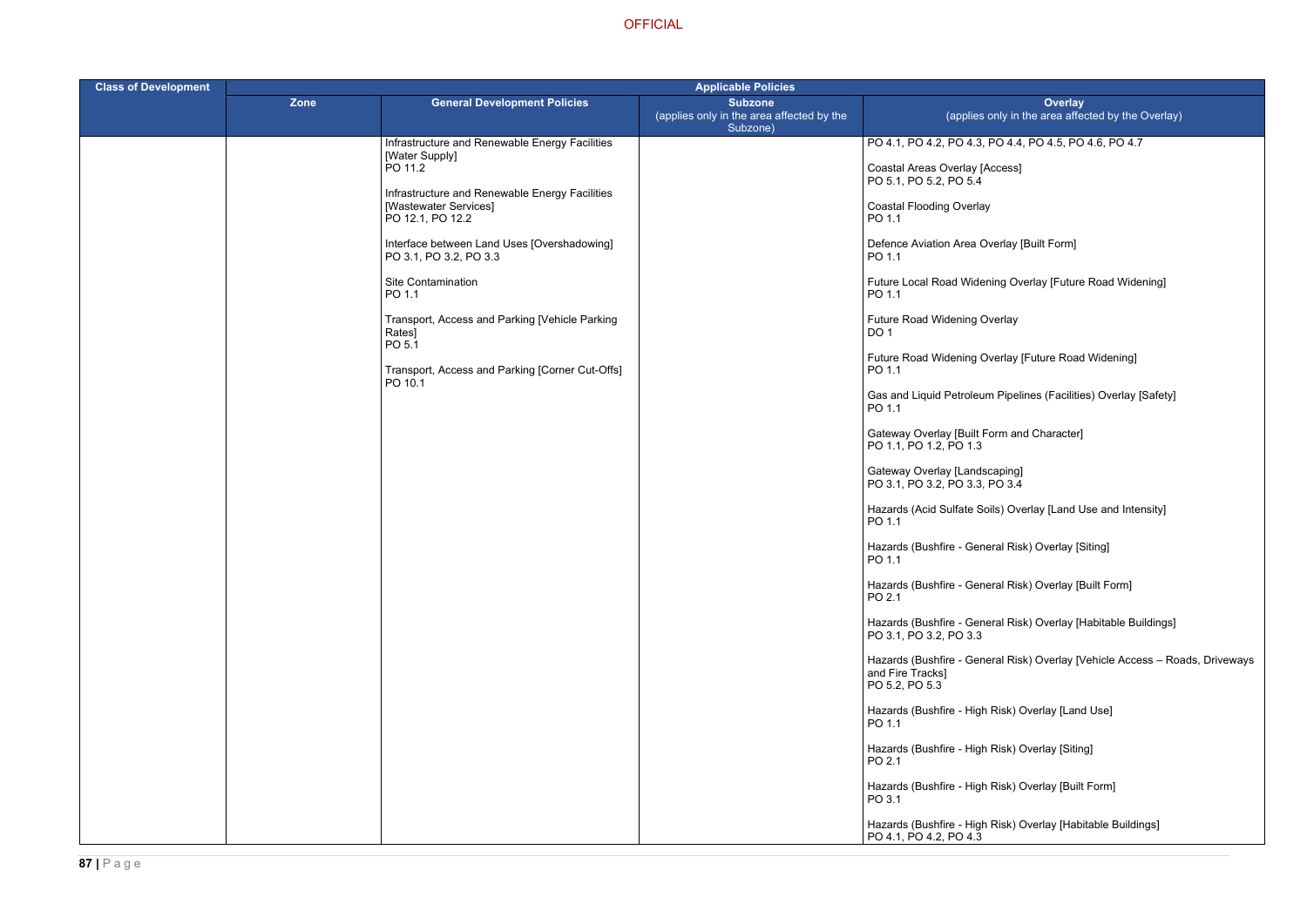- PO 4.1, PO 4.2, PO 4.3, PO 4.4, PO 4.5, PO 4.6, PO 4.7
- ccess]
- 
- verlay [Built Form]
- iing Overlay [Future Road Widening]
- /erlay
- rerlay [Future Road Widening]
- Pipelines (Facilities) Overlay [Safety]
- orm and Character]
- 
- ils) Overlay [Land Use and Intensity]
- eral Risk) Overlay <mark>[Siting]</mark>
- eral Risk) Overlay [Built Form]
- ral Risk) Overlay [Habitable Buildings]
- eral Risk) Overlay [Vehicle Access Roads, Driveways
- Risk) Overlay [Land Use]
- Risk) Overlay [Siting]
- Risk) Overlay [Built Form]
- Risk) Overlay [Habitable Buildings]

| <b>Class of Development</b> | <b>Applicable Policies</b> |                                                                                             |                                                                         |                                                                       |  |
|-----------------------------|----------------------------|---------------------------------------------------------------------------------------------|-------------------------------------------------------------------------|-----------------------------------------------------------------------|--|
|                             | Zone                       | <b>General Development Policies</b>                                                         | <b>Subzone</b><br>(applies only in the area affected by the<br>Subzone) | (applies only in                                                      |  |
|                             |                            | Infrastructure and Renewable Energy Facilities                                              |                                                                         | PO 4.1, PO 4.2, PO 4.3, PO 4.4                                        |  |
|                             |                            | [Water Supply]<br>PO 11.2                                                                   |                                                                         | Coastal Areas Overlay [Access]<br>PO 5.1, PO 5.2, PO 5.4              |  |
|                             |                            | Infrastructure and Renewable Energy Facilities<br>[Wastewater Services]<br>PO 12.1, PO 12.2 |                                                                         | <b>Coastal Flooding Overlay</b><br>PO 1.1                             |  |
|                             |                            | Interface between Land Uses [Overshadowing]<br>PO 3.1, PO 3.2, PO 3.3                       |                                                                         | Defence Aviation Area Overlay<br>PO 1.1                               |  |
|                             |                            | Site Contamination<br>PO 1.1                                                                |                                                                         | Future Local Road Widening Ov<br>PO 1.1                               |  |
|                             |                            | Transport, Access and Parking [Vehicle Parking<br>Rates]<br>PO 5.1                          |                                                                         | Future Road Widening Overlay<br>DO <sub>1</sub>                       |  |
|                             |                            | Transport, Access and Parking [Corner Cut-Offs]<br>PO 10.1                                  |                                                                         | Future Road Widening Overlay<br>PO 1.1                                |  |
|                             |                            |                                                                                             |                                                                         | Gas and Liquid Petroleum Pipel<br>PO 1.1                              |  |
|                             |                            |                                                                                             |                                                                         | Gateway Overlay [Built Form an<br>PO 1.1, PO 1.2, PO 1.3              |  |
|                             |                            |                                                                                             |                                                                         | Gateway Overlay [Landscaping]<br>PO 3.1, PO 3.2, PO 3.3, PO 3.4       |  |
|                             |                            |                                                                                             |                                                                         | Hazards (Acid Sulfate Soils) Ov<br>PO 1.1                             |  |
|                             |                            |                                                                                             |                                                                         | Hazards (Bushfire - General Ris<br>PO 1.1                             |  |
|                             |                            |                                                                                             |                                                                         | Hazards (Bushfire - General Ris<br>PO 2.1                             |  |
|                             |                            |                                                                                             |                                                                         | Hazards (Bushfire - General Ris<br>PO 3.1, PO 3.2, PO 3.3             |  |
|                             |                            |                                                                                             |                                                                         | Hazards (Bushfire - General Ris<br>and Fire Tracks]<br>PO 5.2, PO 5.3 |  |
|                             |                            |                                                                                             |                                                                         | Hazards (Bushfire - High Risk) (<br>PO 1.1                            |  |
|                             |                            |                                                                                             |                                                                         | Hazards (Bushfire - High Risk) (<br>PO 2.1                            |  |
|                             |                            |                                                                                             |                                                                         | Hazards (Bushfire - High Risk) (<br>PO 3.1                            |  |
|                             |                            |                                                                                             |                                                                         | Hazards (Bushfire - High Risk) (<br>PO 4.1, PO 4.2, PO 4.3            |  |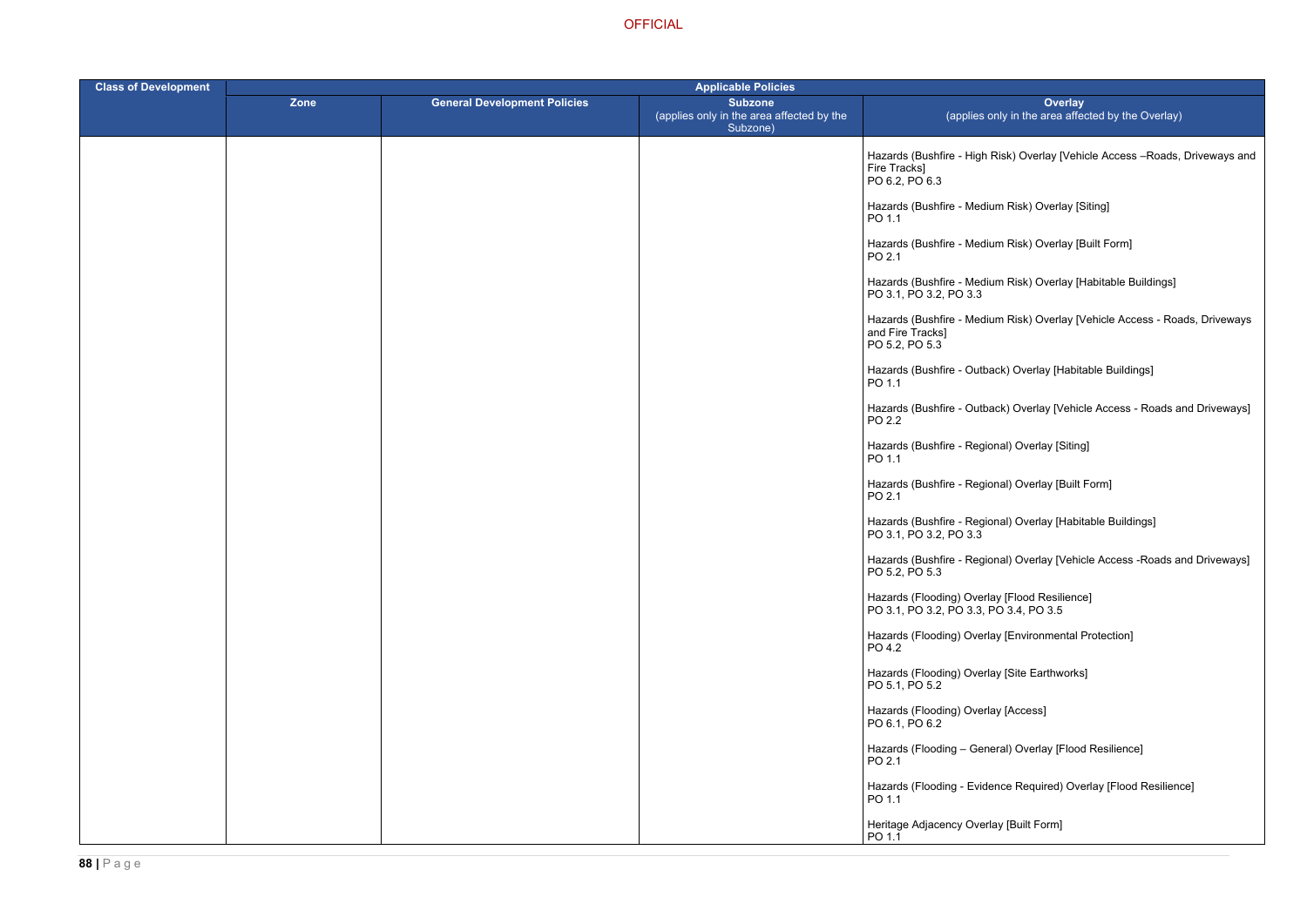Risk) Overlay [Vehicle Access –Roads, Driveways and

- um Risk) Overlay [Siting]
- um Risk) Overlay [Built Form]
- um Risk) Overlay [Habitable Buildings]
- um Risk) Overlay [Vehicle Access Roads, Driveways
- ack) Overlay [Habitable Buildings]
- ack) Overlay [Vehicle Access Roads and Driveways]
- ) Dverlay [Siting]
- ) Dverlay [Built Form]
- hal) Overlay [Habitable Buildings]
- onal) Overlay [Vehicle Access -Roads and Driveways]
- 
- ay [Environmental Protection]
- ay [Site Earthworks]
- ay [Access]
- eral) Overlay [Flood Resilience]
- ence Required) Overlay [Flood Resilience]
- lay [Built Form]

| <b>Class of Development</b> | <b>Applicable Policies</b> |                                     |                                                                         |                                                                                         |
|-----------------------------|----------------------------|-------------------------------------|-------------------------------------------------------------------------|-----------------------------------------------------------------------------------------|
|                             | <b>Zone</b>                | <b>General Development Policies</b> | <b>Subzone</b><br>(applies only in the area affected by the<br>Subzone) | <b>Overlay</b><br>(applies only in the area affect                                      |
|                             |                            |                                     |                                                                         | Hazards (Bushfire - High Risk) Overlay [Vehic<br>Fire Tracks]<br>PO 6.2, PO 6.3         |
|                             |                            |                                     |                                                                         | Hazards (Bushfire - Medium Risk) Overlay [Sit<br>PO 1.1                                 |
|                             |                            |                                     |                                                                         | Hazards (Bushfire - Medium Risk) Overlay [Bu<br>PO 2.1                                  |
|                             |                            |                                     |                                                                         | Hazards (Bushfire - Medium Risk) Overlay [Ha<br>PO 3.1, PO 3.2, PO 3.3                  |
|                             |                            |                                     |                                                                         | Hazards (Bushfire - Medium Risk) Overlay [Ve<br>and Fire Tracks]<br>PO 5.2, PO 5.3      |
|                             |                            |                                     |                                                                         | Hazards (Bushfire - Outback) Overlay [Habital<br>PO 1.1                                 |
|                             |                            |                                     |                                                                         | Hazards (Bushfire - Outback) Overlay [Vehicle<br>PO 2.2                                 |
|                             |                            |                                     |                                                                         | Hazards (Bushfire - Regional) Overlay [Siting]<br>PO 1.1                                |
|                             |                            |                                     |                                                                         | Hazards (Bushfire - Regional) Overlay [Built F<br>PO 2.1                                |
|                             |                            |                                     |                                                                         | Hazards (Bushfire - Regional) Overlay [Habita<br>PO 3.1, PO 3.2, PO 3.3                 |
|                             |                            |                                     |                                                                         | Hazards (Bushfire - Regional) Overlay [Vehicle<br>PO 5.2, PO 5.3                        |
|                             |                            |                                     |                                                                         | Hazards (Flooding) Overlay [Flood Resilience]<br>PO 3.1, PO 3.2, PO 3.3, PO 3.4, PO 3.5 |
|                             |                            |                                     |                                                                         | Hazards (Flooding) Overlay [Environmental Pr<br>PO 4.2                                  |
|                             |                            |                                     |                                                                         | Hazards (Flooding) Overlay [Site Earthworks]<br>PO 5.1, PO 5.2                          |
|                             |                            |                                     |                                                                         | Hazards (Flooding) Overlay [Access]<br>PO 6.1, PO 6.2                                   |
|                             |                            |                                     |                                                                         | Hazards (Flooding - General) Overlay [Flood<br>PO 2.1                                   |
|                             |                            |                                     |                                                                         | Hazards (Flooding - Evidence Required) Over<br>PO 1.1                                   |
|                             |                            |                                     |                                                                         | Heritage Adjacency Overlay [Built Form]<br>PO 1.1                                       |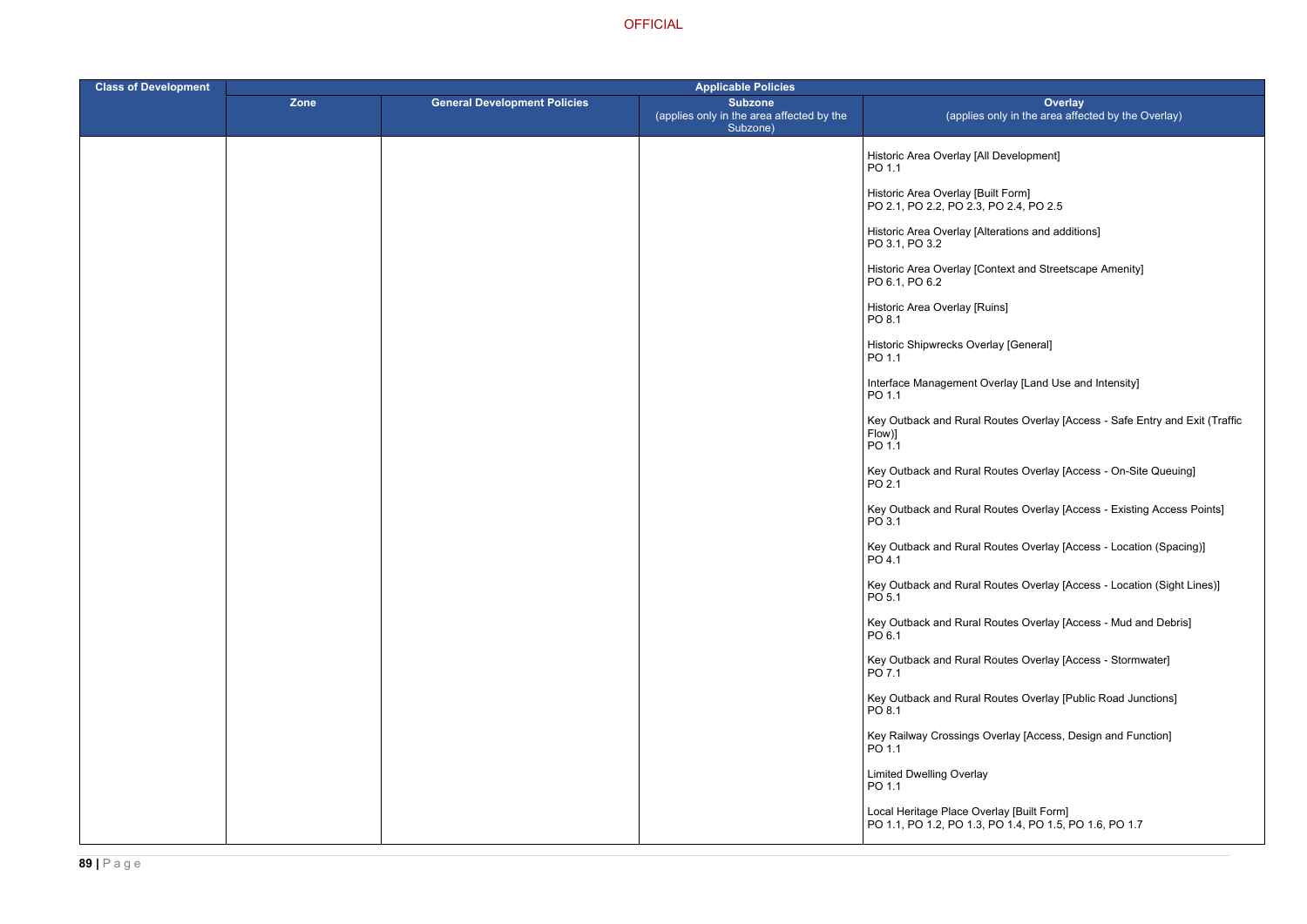terations and additions]

ontext and Streetscape Amenity]

Ioterlay [Land Use and Intensity]

Routes Overlay [Access - Safe Entry and Exit (Traffic

Routes Overlay [Access - On-Site Queuing]

Routes Overlay [Access - Existing Access Points]

Routes Overlay [Access - Location (Spacing)]

Routes Overlay [Access - Location (Sight Lines)]

Routes Overlay [Access - Mud and Debris]

Routes Overlay [Access - Stormwater]

Routes Overlay [Public Road Junctions]

Dverlay [Access, Design and Function]

**OFFICIAL** 

| <b>Class of Development</b> | <b>Applicable Policies</b> |                                     |                                                                         |                                                                                      |
|-----------------------------|----------------------------|-------------------------------------|-------------------------------------------------------------------------|--------------------------------------------------------------------------------------|
|                             | Zone                       | <b>General Development Policies</b> | <b>Subzone</b><br>(applies only in the area affected by the<br>Subzone) | Over<br>(applies only in the area a                                                  |
|                             |                            |                                     |                                                                         | Historic Area Overlay [All Development]<br>PO 1.1                                    |
|                             |                            |                                     |                                                                         | Historic Area Overlay [Built Form]<br>PO 2.1, PO 2.2, PO 2.3, PO 2.4, PO 2.5         |
|                             |                            |                                     |                                                                         | Historic Area Overlay [Alterations and add<br>PO 3.1, PO 3.2                         |
|                             |                            |                                     |                                                                         | Historic Area Overlay [Context and Street<br>PO 6.1, PO 6.2                          |
|                             |                            |                                     |                                                                         | Historic Area Overlay [Ruins]<br>PO 8.1                                              |
|                             |                            |                                     |                                                                         | Historic Shipwrecks Overlay [General]<br>PO 1.1                                      |
|                             |                            |                                     |                                                                         | Interface Management Overlay [Land Use<br>PO 1.1                                     |
|                             |                            |                                     |                                                                         | Key Outback and Rural Routes Overlay [<br>Flow)]<br>PO 1.1                           |
|                             |                            |                                     |                                                                         | Key Outback and Rural Routes Overlay [<br>PO 2.1                                     |
|                             |                            |                                     |                                                                         | Key Outback and Rural Routes Overlay [/<br>PO 3.1                                    |
|                             |                            |                                     |                                                                         | Key Outback and Rural Routes Overlay [/<br>PO 4.1                                    |
|                             |                            |                                     |                                                                         | Key Outback and Rural Routes Overlay [<br>PO <sub>5.1</sub>                          |
|                             |                            |                                     |                                                                         | Key Outback and Rural Routes Overlay [<br>PO 6.1                                     |
|                             |                            |                                     |                                                                         | Key Outback and Rural Routes Overlay [<br>PO 7.1                                     |
|                             |                            |                                     |                                                                         | Key Outback and Rural Routes Overlay [I<br>PO 8.1                                    |
|                             |                            |                                     |                                                                         | Key Railway Crossings Overlay [Access,<br>PO 1.1                                     |
|                             |                            |                                     |                                                                         | <b>Limited Dwelling Overlay</b><br>PO 1.1                                            |
|                             |                            |                                     |                                                                         | Local Heritage Place Overlay [Built Form]<br>PO 1.1, PO 1.2, PO 1.3, PO 1.4, PO 1.5, |

PO 1.1, PO 1.2, PO 1.3, PO 1.4, PO 1.5, PO 1.6, PO 1.7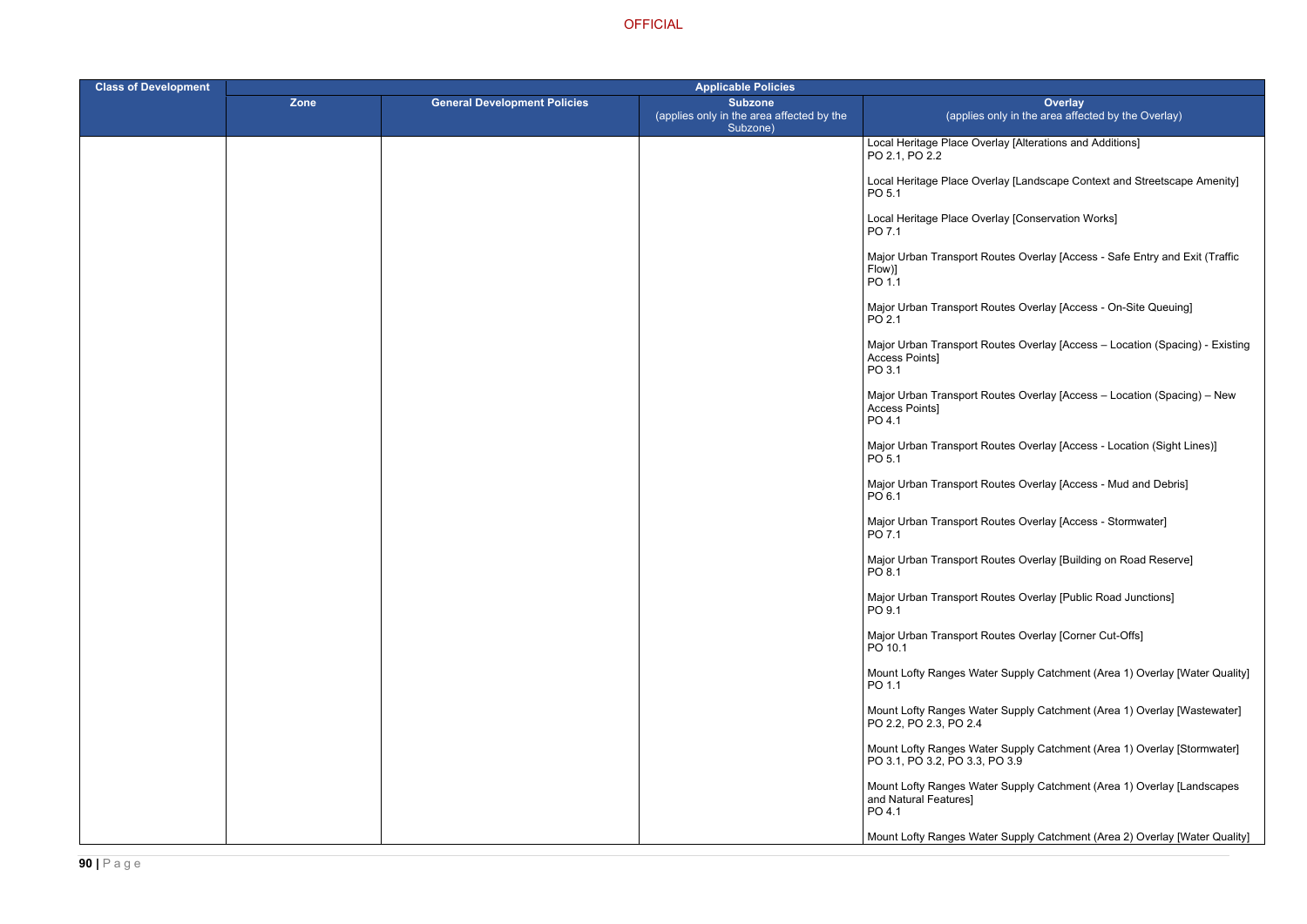erlay [Alterations and Additions]

erlay [Landscape Context and Streetscape Amenity]

erlay [Conservation Works]

outes Overlay [Access - Safe Entry and Exit (Traffic

Routes Overlay [Access - On-Site Queuing]

Routes Overlay [Access – Location (Spacing) - Existing

Routes Overlay [Access – Location (Spacing) – New

Routes Overlay [Access - Location (Sight Lines)]

Routes Overlay [Access - Mud and Debris]

outes Overlay [Access - Stormwater]

Routes Overlay [Building on Road Reserve]

Routes Overlay [Public Road Junctions]

Routes Overlay [Corner Cut-Offs]

ter Supply Catchment (Area 1) Overlay [Water Quality]

ter Supply Catchment (Area 1) Overlay [Wastewater]

ter Supply Catchment (Area 1) Overlay [Stormwater]  $PO<sub>3.9</sub>$ 

ter Supply Catchment (Area 1) Overlay [Landscapes

ter Supply Catchment (Area 2) Overlay [Water Quality]

| <b>Class of Development</b> | <b>Applicable Policies</b> |                                     |                                                                         |                                                            |
|-----------------------------|----------------------------|-------------------------------------|-------------------------------------------------------------------------|------------------------------------------------------------|
|                             | <b>Zone</b>                | <b>General Development Policies</b> | <b>Subzone</b><br>(applies only in the area affected by the<br>Subzone) | (applies o                                                 |
|                             |                            |                                     |                                                                         | Local Heritage Place Ove<br>PO 2.1, PO 2.2                 |
|                             |                            |                                     |                                                                         | Local Heritage Place Ove<br>PO 5.1                         |
|                             |                            |                                     |                                                                         | Local Heritage Place Ove<br>PO 7.1                         |
|                             |                            |                                     |                                                                         | Major Urban Transport Ro<br>Flow)]<br>PO 1.1               |
|                             |                            |                                     |                                                                         | Major Urban Transport Ro<br>PO 2.1                         |
|                             |                            |                                     |                                                                         | Major Urban Transport Ro<br>Access Points]<br>PO 3.1       |
|                             |                            |                                     |                                                                         | Major Urban Transport Ro<br>Access Points]<br>PO 4.1       |
|                             |                            |                                     |                                                                         | Major Urban Transport Ro<br>PO 5.1                         |
|                             |                            |                                     |                                                                         | Major Urban Transport Ro<br>PO 6.1                         |
|                             |                            |                                     |                                                                         | Major Urban Transport Ro<br>PO 7.1                         |
|                             |                            |                                     |                                                                         | Major Urban Transport Ro<br>PO 8.1                         |
|                             |                            |                                     |                                                                         | Major Urban Transport Ro<br>PO 9.1                         |
|                             |                            |                                     |                                                                         | Major Urban Transport Ro<br>PO 10.1                        |
|                             |                            |                                     |                                                                         | Mount Lofty Ranges Wate<br>PO 1.1                          |
|                             |                            |                                     |                                                                         | Mount Lofty Ranges Wate<br>PO 2.2, PO 2.3, PO 2.4          |
|                             |                            |                                     |                                                                         | Mount Lofty Ranges Wate<br>PO 3.1, PO 3.2, PO 3.3, R       |
|                             |                            |                                     |                                                                         | Mount Lofty Ranges Wate<br>and Natural Features]<br>PO 4.1 |
|                             |                            |                                     |                                                                         | Mount Lofty Ranges Wate                                    |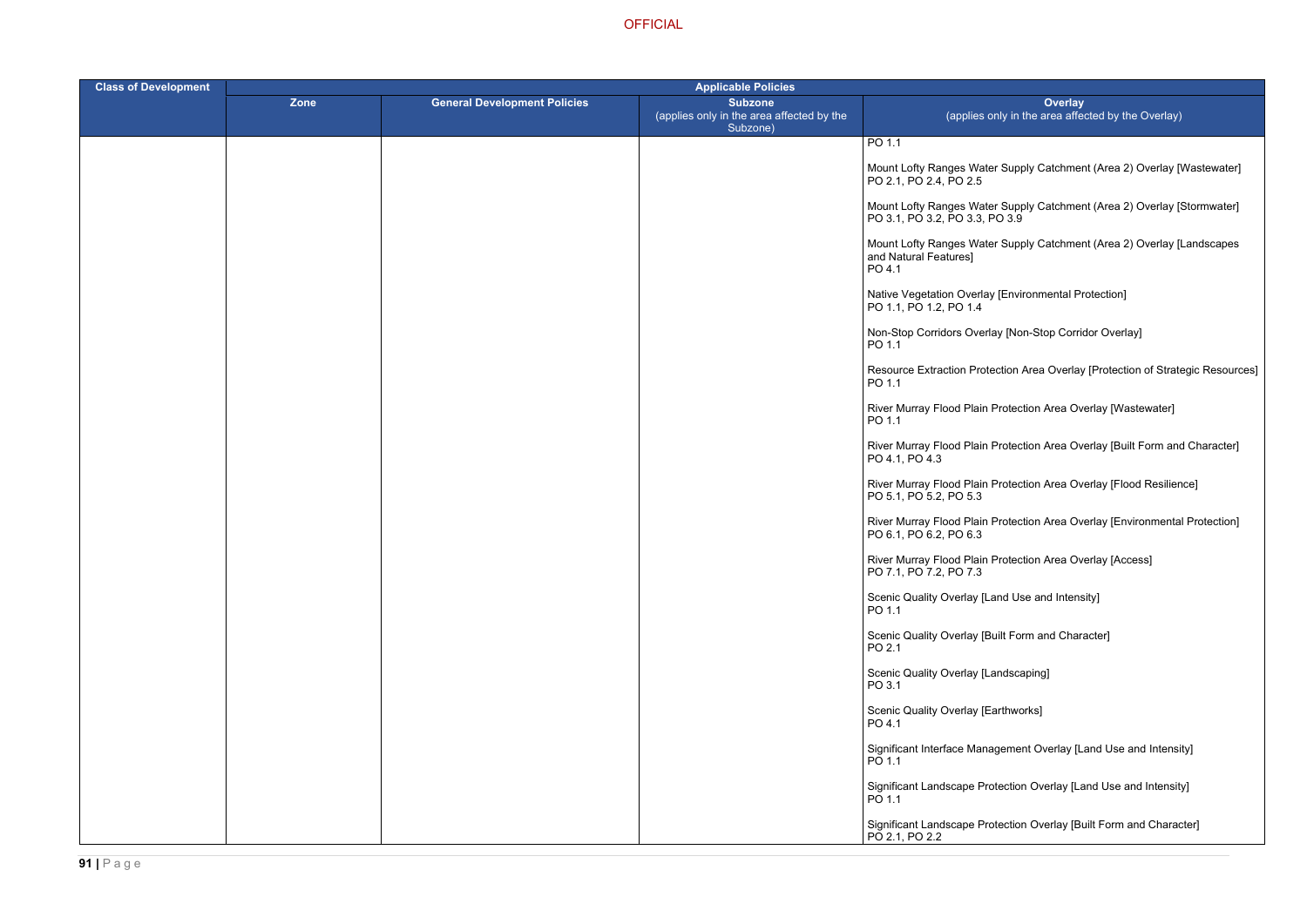- ter Supply Catchment (Area 2) Overlay [Wastewater]
- ter Supply Catchment (Area 2) Overlay [Stormwater] PO 3.9
- ter Supply Catchment (Area 2) Overlay [Landscapes
- ay [Environmental Protection]
- rlay [Non-Stop Corridor Overlay]
- tection Area Overlay [Protection of Strategic Resources]
- Protection Area Overlay [Wastewater]
- Protection Area Overlay [Built Form and Character]
- ا Protection Area Overlay [Flood Resilience]
- **Protection Area Overlay [Environmental Protection]**
- **Protection Area Overlay [Access]**
- Land Use and Intensity]
- Built Form and Character]
- Landscaping]
- Earthworks]
- agement Overlay [Land Use and Intensity]
- rotection Overlay [Land Use and Intensity]
- rotection Overlay [Built Form and Character]

| <b>Class of Development</b> | <b>Applicable Policies</b> |                                     |                                                                         |                                                            |
|-----------------------------|----------------------------|-------------------------------------|-------------------------------------------------------------------------|------------------------------------------------------------|
|                             | <b>Zone</b>                | <b>General Development Policies</b> | <b>Subzone</b><br>(applies only in the area affected by the<br>Subzone) | (applies o                                                 |
|                             |                            |                                     |                                                                         | PO 1.1                                                     |
|                             |                            |                                     |                                                                         | Mount Lofty Ranges Wate<br>PO 2.1, PO 2.4, PO 2.5          |
|                             |                            |                                     |                                                                         | Mount Lofty Ranges Wate<br>PO 3.1, PO 3.2, PO 3.3, R       |
|                             |                            |                                     |                                                                         | Mount Lofty Ranges Wate<br>and Natural Features]<br>PO 4.1 |
|                             |                            |                                     |                                                                         | Native Vegetation Overlay<br>PO 1.1, PO 1.2, PO 1.4        |
|                             |                            |                                     |                                                                         | Non-Stop Corridors Overl<br>PO 1.1                         |
|                             |                            |                                     |                                                                         | <b>Resource Extraction Prot</b><br>PO 1.1                  |
|                             |                            |                                     |                                                                         | River Murray Flood Plain<br>PO 1.1                         |
|                             |                            |                                     |                                                                         | River Murray Flood Plain<br>PO 4.1, PO 4.3                 |
|                             |                            |                                     |                                                                         | River Murray Flood Plain<br>PO 5.1, PO 5.2, PO 5.3         |
|                             |                            |                                     |                                                                         | River Murray Flood Plain<br>PO 6.1, PO 6.2, PO 6.3         |
|                             |                            |                                     |                                                                         | <b>River Murray Flood Plain</b><br>PO 7.1, PO 7.2, PO 7.3  |
|                             |                            |                                     |                                                                         | Scenic Quality Overlay [L<br>PO 1.1                        |
|                             |                            |                                     |                                                                         | <b>Scenic Quality Overlay [B</b><br>PO 2.1                 |
|                             |                            |                                     |                                                                         | Scenic Quality Overlay [L<br>PO 3.1                        |
|                             |                            |                                     |                                                                         | Scenic Quality Overlay [E<br>PO 4.1                        |
|                             |                            |                                     |                                                                         | Significant Interface Mana<br>PO 1.1                       |
|                             |                            |                                     |                                                                         | Significant Landscape Pro<br>PO 1.1                        |
|                             |                            |                                     |                                                                         | Significant Landscape Pro<br>PO 2.1, PO 2.2                |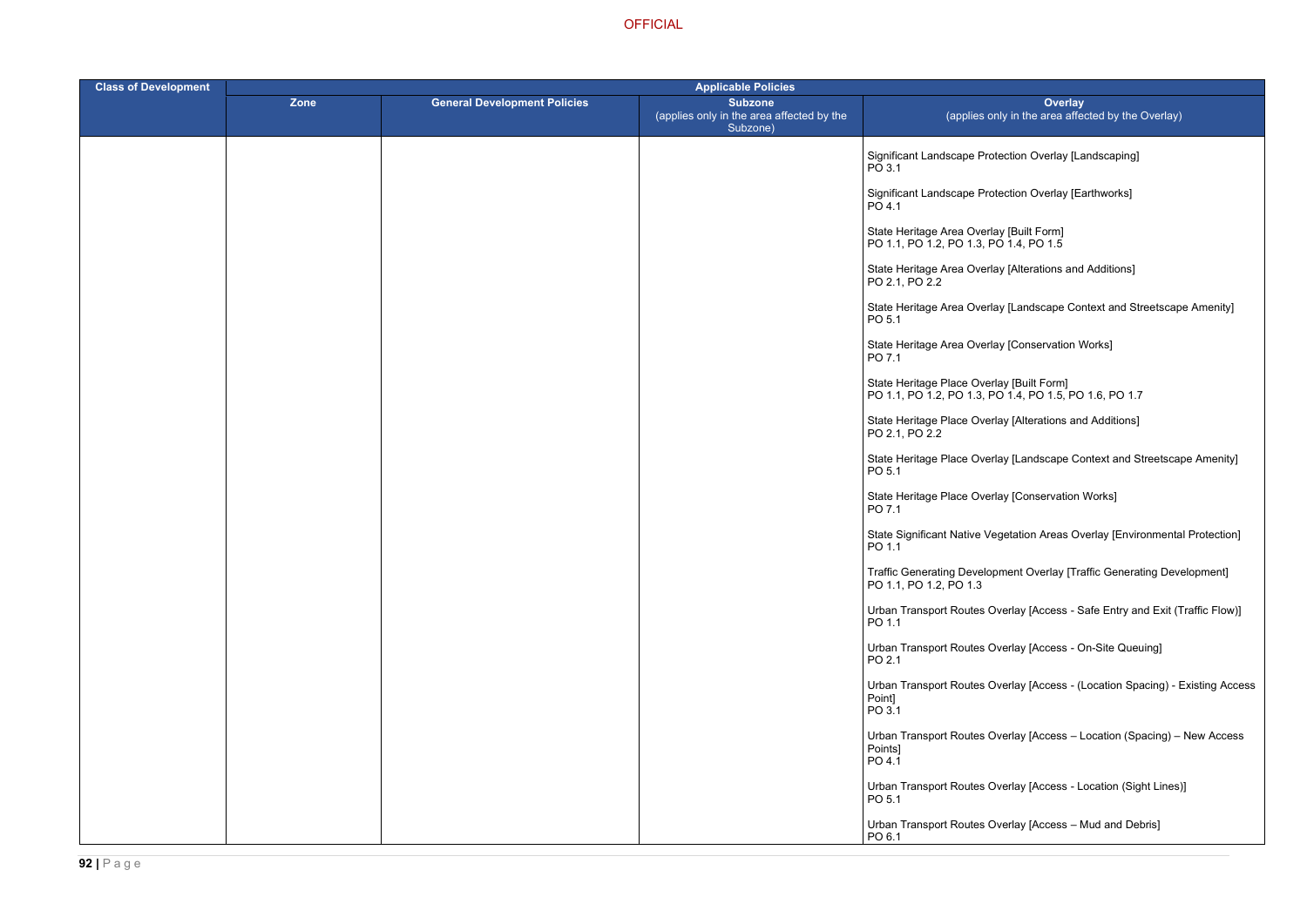otection Overlay [Landscaping]

otection Overlay [Earthworks]

Iay [Built Form]  $PO$  1.4, PO 1.5

rlay [Alterations and Additions]

lay [Landscape Context and Streetscape Amenity]

lay [Conservation Works]

erlay [Built Form] PO 1.1, PO 1.2, PO 1.3, PO 1.4, PO 1.5, PO 1.6, PO 1.7

erlay [Alterations and Additions]

erlay [Landscape Context and Streetscape Amenity]

erlay [Conservation Works]

/egetation Areas Overlay [Environmental Protection]

opment Overlay [Traffic Generating Development]

Overlay [Access - Safe Entry and Exit (Traffic Flow)]

Overlay [Access - On-Site Queuing]

Overlay [Access - (Location Spacing) - Existing Access

Overlay [Access – Location (Spacing) – New Access

Overlay [Access - Location (Sight Lines)]

Overlay [Access – Mud and Debris]

| <b>Class of Development</b> | <b>Applicable Policies</b> |                                     |                                                                         |                                                            |
|-----------------------------|----------------------------|-------------------------------------|-------------------------------------------------------------------------|------------------------------------------------------------|
|                             | Zone                       | <b>General Development Policies</b> | <b>Subzone</b><br>(applies only in the area affected by the<br>Subzone) | (applies c                                                 |
|                             |                            |                                     |                                                                         | Significant Landscape Pro<br>PO 3.1                        |
|                             |                            |                                     |                                                                         | Significant Landscape Pro<br>PO 4.1                        |
|                             |                            |                                     |                                                                         | State Heritage Area Overl<br>PO 1.1, PO 1.2, PO 1.3, F     |
|                             |                            |                                     |                                                                         | State Heritage Area Overl<br>PO 2.1, PO 2.2                |
|                             |                            |                                     |                                                                         | State Heritage Area Overl<br>PO 5.1                        |
|                             |                            |                                     |                                                                         | State Heritage Area Overl<br>PO 7.1                        |
|                             |                            |                                     |                                                                         | State Heritage Place Ove<br>PO 1.1, PO 1.2, PO 1.3, F      |
|                             |                            |                                     |                                                                         | State Heritage Place Ove<br>PO 2.1, PO 2.2                 |
|                             |                            |                                     |                                                                         | State Heritage Place Ove<br>PO 5.1                         |
|                             |                            |                                     |                                                                         | State Heritage Place Ove<br>PO 7.1                         |
|                             |                            |                                     |                                                                         | State Significant Native V<br>PO 1.1                       |
|                             |                            |                                     |                                                                         | <b>Traffic Generating Develo</b><br>PO 1.1, PO 1.2, PO 1.3 |
|                             |                            |                                     |                                                                         | <b>Urban Transport Routes 0</b><br>PO 1.1                  |
|                             |                            |                                     |                                                                         | <b>Urban Transport Routes 0</b><br>PO 2.1                  |
|                             |                            |                                     |                                                                         | <b>Urban Transport Routes 0</b><br>Point]<br>PO 3.1        |
|                             |                            |                                     |                                                                         | Urban Transport Routes (<br>Points]<br>PO 4.1              |
|                             |                            |                                     |                                                                         | <b>Urban Transport Routes 0</b><br>PO 5.1                  |
|                             |                            |                                     |                                                                         | <b>Urban Transport Routes 0</b><br>PO 6.1                  |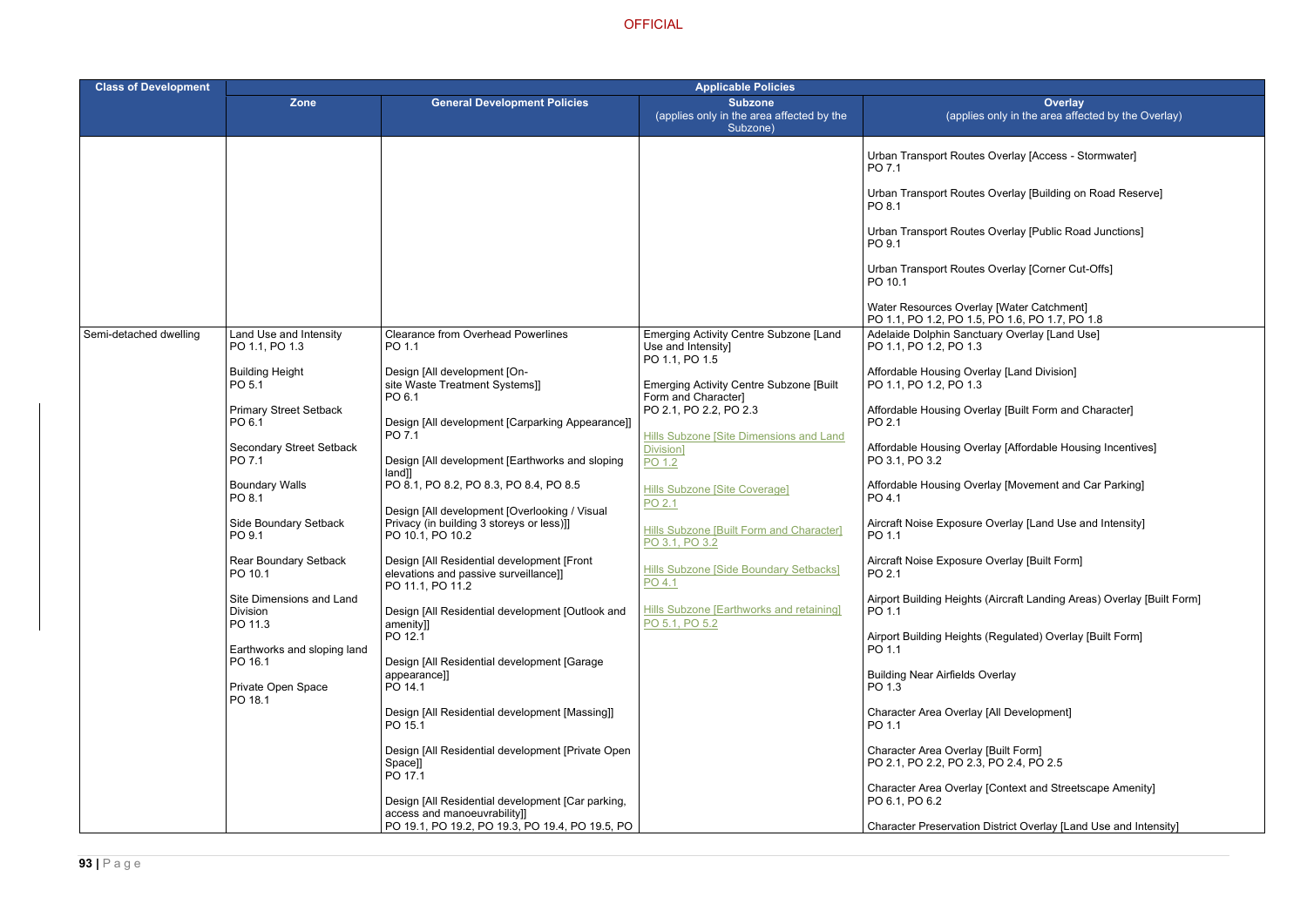- Overlay [Access Stormwater]
- Overlay [Building on Road Reserve]
- Overlay [Public Road Junctions]
- Overlay [Corner Cut-Offs]

- Iay [Land Division]
- lay [Built Form and Character]
- lay [Affordable Housing Incentives]
- rlay [Movement and Car Parking]
- Overlay [Land Use and Intensity]
- Overlay [Built Form]
- (Aircraft Landing Areas) Overlay [Built Form]
- (Regulated) Overlay [Built Form]
- verlay
- [All Development]
- 
- [Context and Streetscape Amenity]

District Overlay [Land Use and Intensity]

| <b>Class of Development</b> | <b>Applicable Policies</b>                      |                                                                                                                |                                                                                       |                                                                                             |
|-----------------------------|-------------------------------------------------|----------------------------------------------------------------------------------------------------------------|---------------------------------------------------------------------------------------|---------------------------------------------------------------------------------------------|
|                             | Zone                                            | <b>General Development Policies</b>                                                                            | <b>Subzone</b><br>(applies only in the area affected by the<br>Subzone)               | Overlay<br>(applies only in the area affected                                               |
|                             |                                                 |                                                                                                                |                                                                                       | Urban Transport Routes Overlay [Access - Storr<br>PO 7.1                                    |
|                             |                                                 |                                                                                                                |                                                                                       | Urban Transport Routes Overlay [Building on Ro<br>PO 8.1                                    |
|                             |                                                 |                                                                                                                |                                                                                       | Urban Transport Routes Overlay [Public Road Jr<br>PO 9.1                                    |
|                             |                                                 |                                                                                                                |                                                                                       | Urban Transport Routes Overlay [Corner Cut-Of<br>PO 10.1                                    |
|                             |                                                 |                                                                                                                |                                                                                       | Water Resources Overlay [Water Catchment]<br>PO 1.1, PO 1.2, PO 1.5, PO 1.6, PO 1.7, PO 1.8 |
| Semi-detached dwelling      | Land Use and Intensity<br>PO 1.1, PO 1.3        | <b>Clearance from Overhead Powerlines</b><br>PO 1.1                                                            | <b>Emerging Activity Centre Subzone [Land</b><br>Use and Intensity]<br>PO 1.1, PO 1.5 | Adelaide Dolphin Sanctuary Overlay [Land Use]<br>PO 1.1, PO 1.2, PO 1.3                     |
|                             | <b>Building Height</b><br>PO 5.1                | Design [All development [On-<br>site Waste Treatment Systems]]<br>PO 6.1                                       | <b>Emerging Activity Centre Subzone [Built</b><br>Form and Character]                 | Affordable Housing Overlay [Land Division]<br>PO 1.1, PO 1.2, PO 1.3                        |
|                             | <b>Primary Street Setback</b><br>PO 6.1         | Design [All development [Carparking Appearance]]<br>PO 7.1                                                     | PO 2.1, PO 2.2, PO 2.3                                                                | Affordable Housing Overlay [Built Form and Cha<br>PO 2.1                                    |
| PO 7.1                      | <b>Secondary Street Setback</b>                 | Design [All development [Earthworks and sloping                                                                | Hills Subzone [Site Dimensions and Land<br>Division]<br>PO 1.2                        | Affordable Housing Overlay [Affordable Housing<br>PO 3.1, PO 3.2                            |
|                             | <b>Boundary Walls</b><br>PO 8.1                 | land]]<br>PO 8.1, PO 8.2, PO 8.3, PO 8.4, PO 8.5                                                               | Hills Subzone [Site Coverage]<br>PO 2.1                                               | Affordable Housing Overlay [Movement and Car<br>PO 4.1                                      |
|                             | Side Boundary Setback<br>PO 9.1                 | Design [All development [Overlooking / Visual<br>Privacy (in building 3 storeys or less)]]<br>PO 10.1, PO 10.2 | Hills Subzone [Built Form and Character]<br>PO 3.1, PO 3.2                            | Aircraft Noise Exposure Overlay [Land Use and<br>PO 1.1                                     |
|                             | <b>Rear Boundary Setback</b><br>PO 10.1         | Design [All Residential development [Front<br>elevations and passive surveillance]]<br>PO 11.1, PO 11.2        | <b>Hills Subzone [Side Boundary Setbacks]</b><br>PO 4.1                               | Aircraft Noise Exposure Overlay [Built Form]<br>PO 2.1                                      |
|                             | Site Dimensions and Land<br>Division<br>PO 11.3 | Design [All Residential development [Outlook and<br>amenity]]                                                  | Hills Subzone [Earthworks and retaining]<br>PO 5.1, PO 5.2                            | Airport Building Heights (Aircraft Landing Areas)<br>PO 1.1                                 |
|                             | Earthworks and sloping land<br>PO 16.1          | PO 12.1<br>Design [All Residential development [Garage                                                         |                                                                                       | Airport Building Heights (Regulated) Overlay [Bu<br>PO 1.1                                  |
|                             | Private Open Space<br>PO 18.1                   | appearance]]<br>PO 14.1                                                                                        |                                                                                       | <b>Building Near Airfields Overlay</b><br>PO 1.3                                            |
|                             |                                                 | Design [All Residential development [Massing]]<br>PO 15.1                                                      |                                                                                       | Character Area Overlay [All Development]<br>PO 1.1                                          |
|                             |                                                 | Design [All Residential development [Private Open<br>Space]]<br>PO 17.1                                        |                                                                                       | Character Area Overlay [Built Form]<br>PO 2.1, PO 2.2, PO 2.3, PO 2.4, PO 2.5               |
|                             |                                                 | Design [All Residential development [Car parking,<br>access and manoeuvrability]]                              |                                                                                       | <b>Character Area Overlay [Context and Streetscap</b><br>PO 6.1, PO 6.2                     |
|                             |                                                 | PO 19.1, PO 19.2, PO 19.3, PO 19.4, PO 19.5, PO                                                                |                                                                                       | Character Preservation District Overlay [Land Us                                            |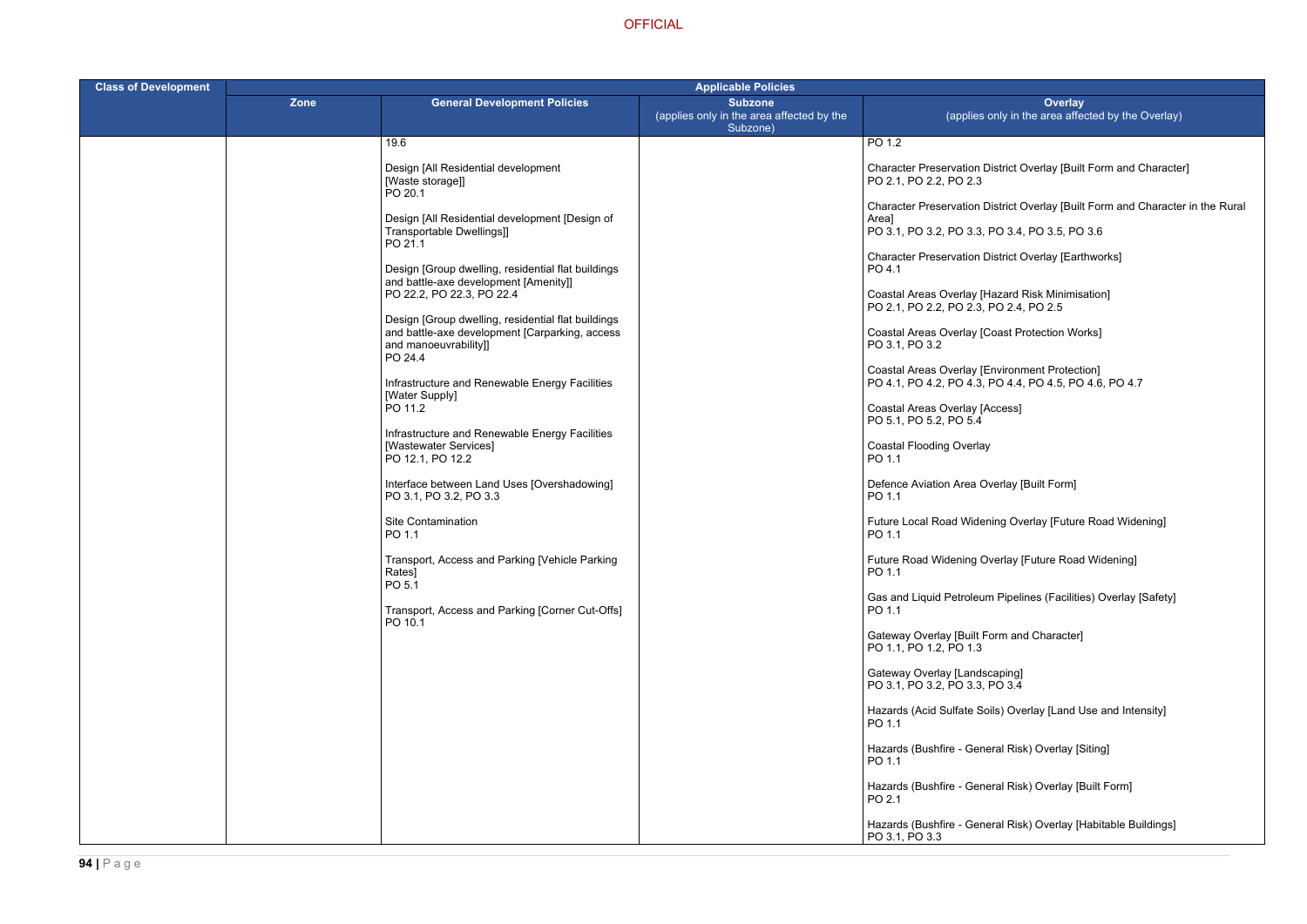listrict Overlay [Built Form and Character]

istrict Overlay [Built Form and Character in the Rural

| <b>Class of Development</b> | <b>Applicable Policies</b> |                                                                                                                                                                                                                                                                                                                                                                |                                                                         |                                                                                                                                                                                                                                                                                                                                                                                                        |  |
|-----------------------------|----------------------------|----------------------------------------------------------------------------------------------------------------------------------------------------------------------------------------------------------------------------------------------------------------------------------------------------------------------------------------------------------------|-------------------------------------------------------------------------|--------------------------------------------------------------------------------------------------------------------------------------------------------------------------------------------------------------------------------------------------------------------------------------------------------------------------------------------------------------------------------------------------------|--|
|                             | <b>Zone</b>                | <b>General Development Policies</b>                                                                                                                                                                                                                                                                                                                            | <b>Subzone</b><br>(applies only in the area affected by the<br>Subzone) | Overlay<br>(applies only in the area affecte                                                                                                                                                                                                                                                                                                                                                           |  |
|                             |                            | 19.6                                                                                                                                                                                                                                                                                                                                                           |                                                                         | PO 1.2                                                                                                                                                                                                                                                                                                                                                                                                 |  |
|                             |                            | Design [All Residential development<br>[Waste storage]]<br>PO 20.1                                                                                                                                                                                                                                                                                             |                                                                         | <b>Character Preservation District Overlay [Built Form</b><br>PO 2.1, PO 2.2, PO 2.3                                                                                                                                                                                                                                                                                                                   |  |
|                             |                            | Design [All Residential development [Design of<br>Transportable Dwellings]]                                                                                                                                                                                                                                                                                    |                                                                         | <b>Character Preservation District Overlay [Built Form</b><br>Areal<br>PO 3.1, PO 3.2, PO 3.3, PO 3.4, PO 3.5, PO 3.6                                                                                                                                                                                                                                                                                  |  |
|                             |                            | PO 21.1<br>Design [Group dwelling, residential flat buildings<br>and battle-axe development [Amenity]]<br>PO 22.2, PO 22.3, PO 22.4<br>Design [Group dwelling, residential flat buildings<br>and battle-axe development [Carparking, access<br>and manoeuvrability]]<br>PO 24.4<br>Infrastructure and Renewable Energy Facilities<br>[Water Supply]<br>PO 11.2 |                                                                         | <b>Character Preservation District Overlay [Earthw</b><br>PO 4.1<br>Coastal Areas Overlay [Hazard Risk Minimisatic<br>PO 2.1, PO 2.2, PO 2.3, PO 2.4, PO 2.5<br><b>Coastal Areas Overlay [Coast Protection Works</b><br>PO 3.1, PO 3.2<br>Coastal Areas Overlay [Environment Protection]<br>PO 4.1, PO 4.2, PO 4.3, PO 4.4, PO 4.5, PO 4.6<br>Coastal Areas Overlay [Access]<br>PO 5.1, PO 5.2, PO 5.4 |  |
|                             |                            | Infrastructure and Renewable Energy Facilities<br>[Wastewater Services]<br>PO 12.1, PO 12.2                                                                                                                                                                                                                                                                    |                                                                         | <b>Coastal Flooding Overlay</b><br>PO 1.1                                                                                                                                                                                                                                                                                                                                                              |  |
|                             |                            | Interface between Land Uses [Overshadowing]<br>PO 3.1, PO 3.2, PO 3.3                                                                                                                                                                                                                                                                                          |                                                                         | Defence Aviation Area Overlay [Built Form]<br>PO 1.1                                                                                                                                                                                                                                                                                                                                                   |  |
|                             |                            | <b>Site Contamination</b><br>PO 1.1                                                                                                                                                                                                                                                                                                                            |                                                                         | Future Local Road Widening Overlay [Future Ro<br>PO 1.1                                                                                                                                                                                                                                                                                                                                                |  |
|                             |                            | Transport, Access and Parking [Vehicle Parking<br>Rates]<br>PO 5.1                                                                                                                                                                                                                                                                                             |                                                                         | Future Road Widening Overlay [Future Road W<br>PO 1.1                                                                                                                                                                                                                                                                                                                                                  |  |
|                             |                            | Transport, Access and Parking [Corner Cut-Offs]<br>PO 10.1                                                                                                                                                                                                                                                                                                     |                                                                         | Gas and Liquid Petroleum Pipelines (Facilities)<br>PO 1.1                                                                                                                                                                                                                                                                                                                                              |  |
|                             |                            |                                                                                                                                                                                                                                                                                                                                                                |                                                                         | Gateway Overlay [Built Form and Character]<br>PO 1.1, PO 1.2, PO 1.3                                                                                                                                                                                                                                                                                                                                   |  |
|                             |                            |                                                                                                                                                                                                                                                                                                                                                                |                                                                         | Gateway Overlay [Landscaping]<br>PO 3.1, PO 3.2, PO 3.3, PO 3.4                                                                                                                                                                                                                                                                                                                                        |  |
|                             |                            |                                                                                                                                                                                                                                                                                                                                                                |                                                                         | Hazards (Acid Sulfate Soils) Overlay [Land Use<br>PO 1.1                                                                                                                                                                                                                                                                                                                                               |  |
|                             |                            |                                                                                                                                                                                                                                                                                                                                                                |                                                                         | Hazards (Bushfire - General Risk) Overlay [Sitin<br>PO 1.1                                                                                                                                                                                                                                                                                                                                             |  |
|                             |                            |                                                                                                                                                                                                                                                                                                                                                                |                                                                         | Hazards (Bushfire - General Risk) Overlay [Built<br>PO 2.1                                                                                                                                                                                                                                                                                                                                             |  |
|                             |                            |                                                                                                                                                                                                                                                                                                                                                                |                                                                         | Hazards (Bushfire - General Risk) Overlay [Hab<br>PO 3.1, PO 3.3                                                                                                                                                                                                                                                                                                                                       |  |

PO 3.1, PO 3.2, PO 3.3, PO 3.4, PO 3.5, PO 3.6

istrict Overlay [Earthworks]

azard Risk Minimisation] PO 2.4, PO 2.5

PO 4.1, PO 4.2, PO 4.3, PO 4.4, PO 4.5, PO 4.6, PO 4.7

ing Overlay [Future Road Widening]

verlay [Future Road Widening]

Pipelines (Facilities) Overlay [Safety]

ils) Overlay [Land Use and Intensity]

ral Risk) Overlay [Siting]

eral Risk) Overlay [Built Form]

eral Risk) Overlay [Habitable Buildings]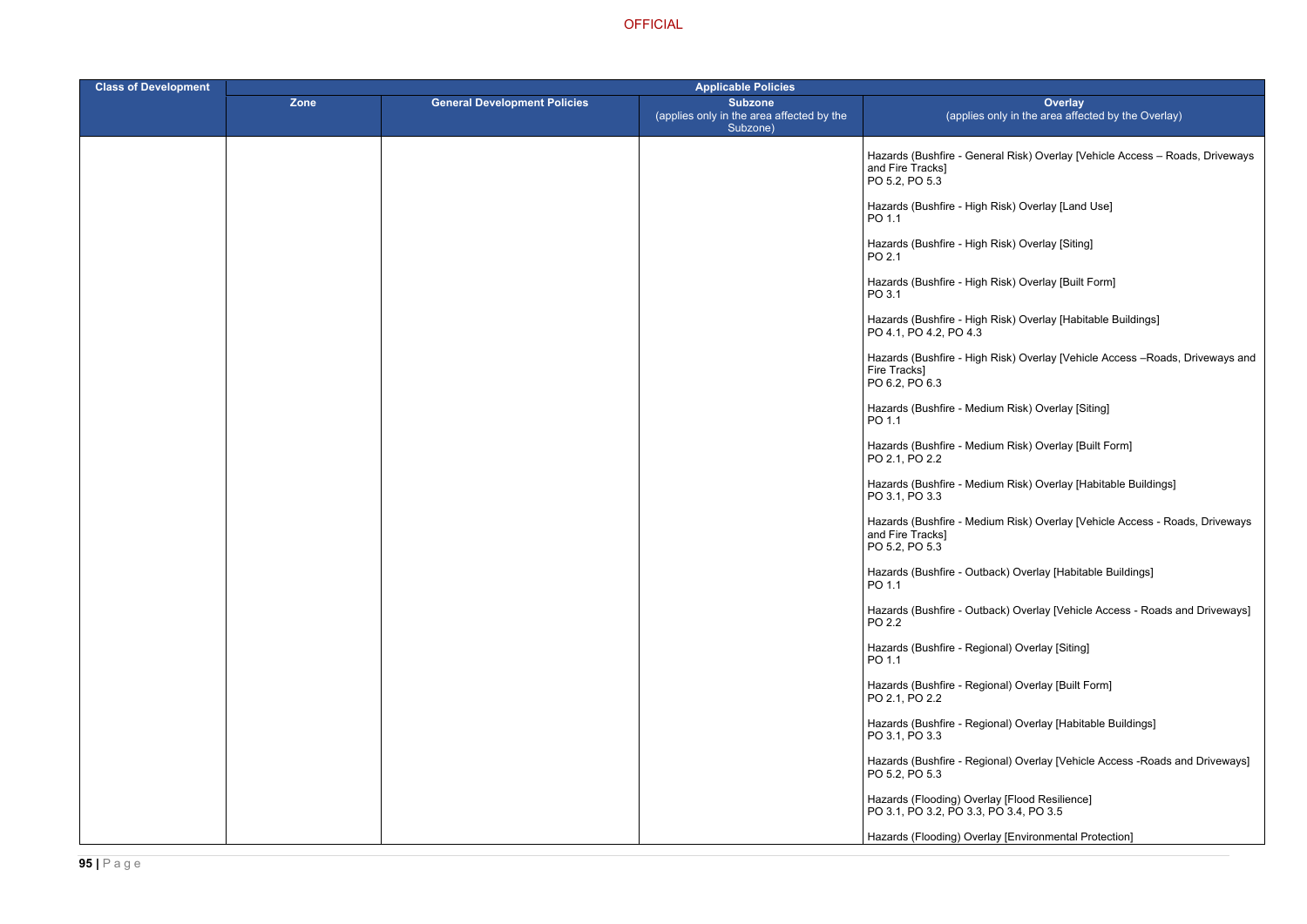ral Risk) Overlay [Vehicle Access – Roads, Driveways

- Risk) Overlay [Land Use]
- Risk) Overlay [Siting]
- Risk) Overlay [Built Form]
- Risk) Overlay [Habitable Buildings]
- Risk) Overlay [Vehicle Access –Roads, Driveways and
- um Risk) Overlay [Siting]
- um Risk) Overlay [Built Form]
- um Risk) Overlay [Habitable Buildings]
- am Risk) Overlay [Vehicle Access Roads, Driveways
- ack) Overlay [Habitable Buildings]
- ack) Overlay [Vehicle Access Roads and Driveways]
- mal) Overlay [Siting]
- ) Dverlay [Built Form]
- onal) Overlay [Habitable Buildings]
- onal) Overlay [Vehicle Access -Roads and Driveways]
- 
- ay [Environmental Protection]

| <b>Class of Development</b> | <b>Applicable Policies</b> |                                     |                                                                         |                                                                                         |
|-----------------------------|----------------------------|-------------------------------------|-------------------------------------------------------------------------|-----------------------------------------------------------------------------------------|
|                             | <b>Zone</b>                | <b>General Development Policies</b> | <b>Subzone</b><br>(applies only in the area affected by the<br>Subzone) | <b>Overlay</b><br>(applies only in the area affect                                      |
|                             |                            |                                     |                                                                         | Hazards (Bushfire - General Risk) Overlay [Ve<br>and Fire Tracks]<br>PO 5.2, PO 5.3     |
|                             |                            |                                     |                                                                         | Hazards (Bushfire - High Risk) Overlay [Land<br>PO 1.1                                  |
|                             |                            |                                     |                                                                         | Hazards (Bushfire - High Risk) Overlay [Siting]<br>PO 2.1                               |
|                             |                            |                                     |                                                                         | Hazards (Bushfire - High Risk) Overlay [Built F<br>PO 3.1                               |
|                             |                            |                                     |                                                                         | Hazards (Bushfire - High Risk) Overlay [Habita<br>PO 4.1, PO 4.2, PO 4.3                |
|                             |                            |                                     |                                                                         | Hazards (Bushfire - High Risk) Overlay [Vehic<br>Fire Tracks]<br>PO 6.2, PO 6.3         |
|                             |                            |                                     |                                                                         | Hazards (Bushfire - Medium Risk) Overlay [Sit<br>PO 1.1                                 |
|                             |                            |                                     |                                                                         | Hazards (Bushfire - Medium Risk) Overlay [Bu<br>PO 2.1, PO 2.2                          |
|                             |                            |                                     |                                                                         | Hazards (Bushfire - Medium Risk) Overlay [Ha<br>PO 3.1, PO 3.3                          |
|                             |                            |                                     |                                                                         | Hazards (Bushfire - Medium Risk) Overlay [Ve<br>and Fire Tracks]<br>PO 5.2, PO 5.3      |
|                             |                            |                                     |                                                                         | Hazards (Bushfire - Outback) Overlay [Habital<br>PO 1.1                                 |
|                             |                            |                                     |                                                                         | Hazards (Bushfire - Outback) Overlay [Vehicle<br>PO 2.2                                 |
|                             |                            |                                     |                                                                         | Hazards (Bushfire - Regional) Overlay [Siting]<br>PO 1.1                                |
|                             |                            |                                     |                                                                         | Hazards (Bushfire - Regional) Overlay [Built F<br>PO 2.1, PO 2.2                        |
|                             |                            |                                     |                                                                         | Hazards (Bushfire - Regional) Overlay [Habita<br>PO 3.1, PO 3.3                         |
|                             |                            |                                     |                                                                         | Hazards (Bushfire - Regional) Overlay [Vehicle<br>PO 5.2, PO 5.3                        |
|                             |                            |                                     |                                                                         | Hazards (Flooding) Overlay [Flood Resilience]<br>PO 3.1, PO 3.2, PO 3.3, PO 3.4, PO 3.5 |
|                             |                            |                                     |                                                                         | Hazards (Flooding) Overlay [Environmental Pr                                            |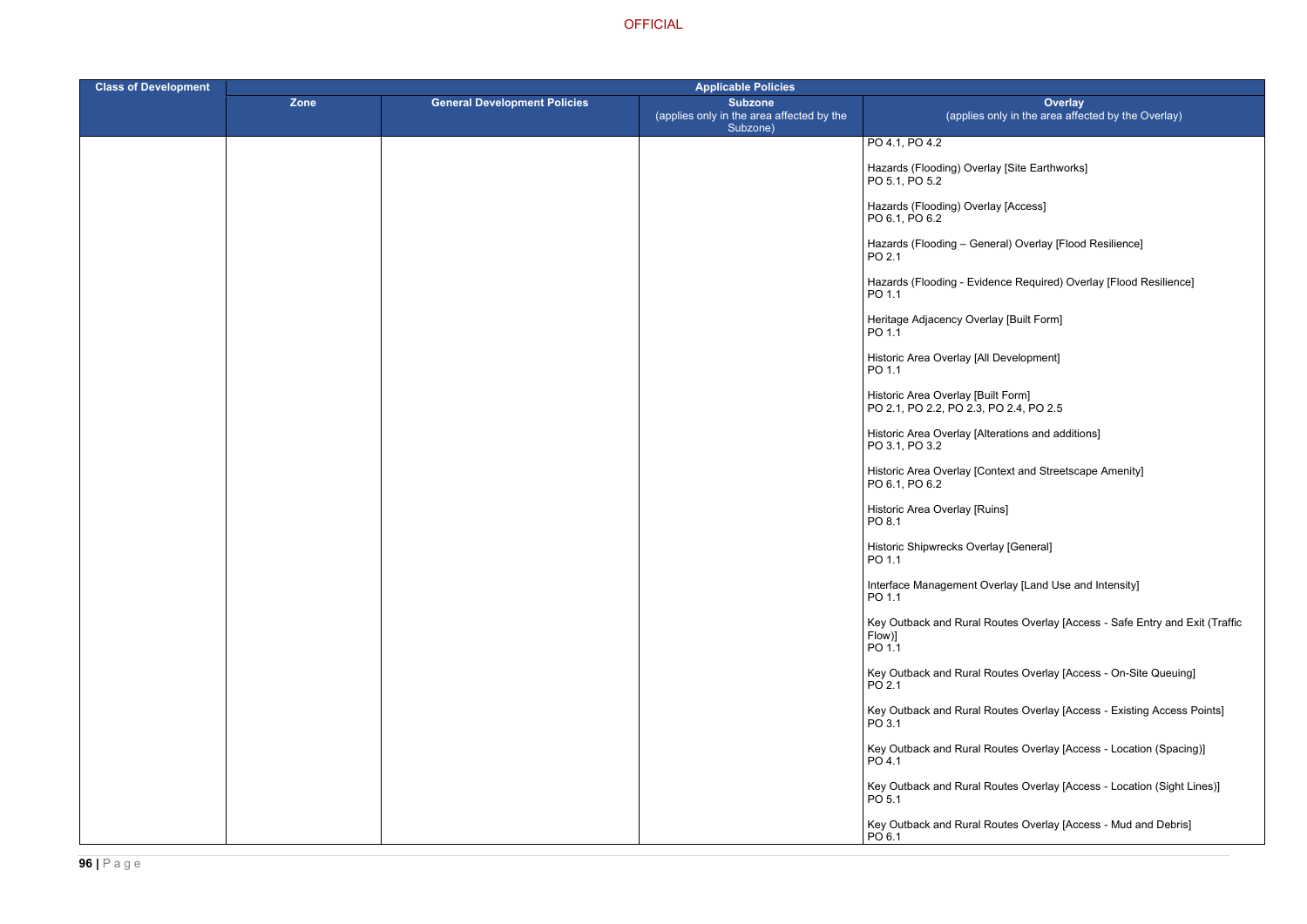- Iay [Site Earthworks]
- lay [Access]
- heral) Overlay [Flood Resilience]
- ence Required) Overlay [Flood Resilience]
- rlay [Built Form]
- I Development]
- 
- terations and additions]
- ontext and Streetscape Amenity]
- ins]
- rlay [General]
- $\sqrt{U}$  Interface Meana Intensity  $J$
- Routes Overlay [Access Safe Entry and Exit (Traffic
- Routes Overlay [Access On-Site Queuing]
- Routes Overlay [Access Existing Access Points]
- Routes Overlay [Access Location (Spacing)]
- Routes Overlay [Access Location (Sight Lines)]
- Routes Overlay [Access Mud and Debris]

| <b>Class of Development</b> | <b>Applicable Policies</b> |                                     |                                                                         |                                                                              |
|-----------------------------|----------------------------|-------------------------------------|-------------------------------------------------------------------------|------------------------------------------------------------------------------|
|                             | Zone                       | <b>General Development Policies</b> | <b>Subzone</b><br>(applies only in the area affected by the<br>Subzone) | Ove<br>(applies only in the area                                             |
|                             |                            |                                     |                                                                         | PO 4.1, PO 4.2                                                               |
|                             |                            |                                     |                                                                         | Hazards (Flooding) Overlay [Site Earthw<br>PO 5.1, PO 5.2                    |
|                             |                            |                                     |                                                                         | Hazards (Flooding) Overlay [Access]<br>PO 6.1, PO 6.2                        |
|                             |                            |                                     |                                                                         | Hazards (Flooding - General) Overlay [I<br>PO 2.1                            |
|                             |                            |                                     |                                                                         | Hazards (Flooding - Evidence Required)<br>PO 1.1                             |
|                             |                            |                                     |                                                                         | Heritage Adjacency Overlay [Built Form]<br>PO 1.1                            |
|                             |                            |                                     |                                                                         | Historic Area Overlay [All Development]<br>PO 1.1                            |
|                             |                            |                                     |                                                                         | Historic Area Overlay [Built Form]<br>PO 2.1, PO 2.2, PO 2.3, PO 2.4, PO 2.5 |
|                             |                            |                                     |                                                                         | Historic Area Overlay [Alterations and a<br>PO 3.1, PO 3.2                   |
|                             |                            |                                     |                                                                         | Historic Area Overlay [Context and Stree<br>PO 6.1, PO 6.2                   |
|                             |                            |                                     |                                                                         | Historic Area Overlay [Ruins]<br>PO 8.1                                      |
|                             |                            |                                     |                                                                         | Historic Shipwrecks Overlay [General]<br>PO 1.1                              |
|                             |                            |                                     |                                                                         | Interface Management Overlay [Land Us<br>PO 1.1                              |
|                             |                            |                                     |                                                                         | Key Outback and Rural Routes Overlay<br>Flow)]<br>PO 1.1                     |
|                             |                            |                                     |                                                                         | Key Outback and Rural Routes Overlay<br>PO 2.1                               |
|                             |                            |                                     |                                                                         | Key Outback and Rural Routes Overlay<br>PO 3.1                               |
|                             |                            |                                     |                                                                         | Key Outback and Rural Routes Overlay<br>PO 4.1                               |
|                             |                            |                                     |                                                                         | Key Outback and Rural Routes Overlay<br>PO 5.1                               |
|                             |                            |                                     |                                                                         | Key Outback and Rural Routes Overlay<br>PO 6.1                               |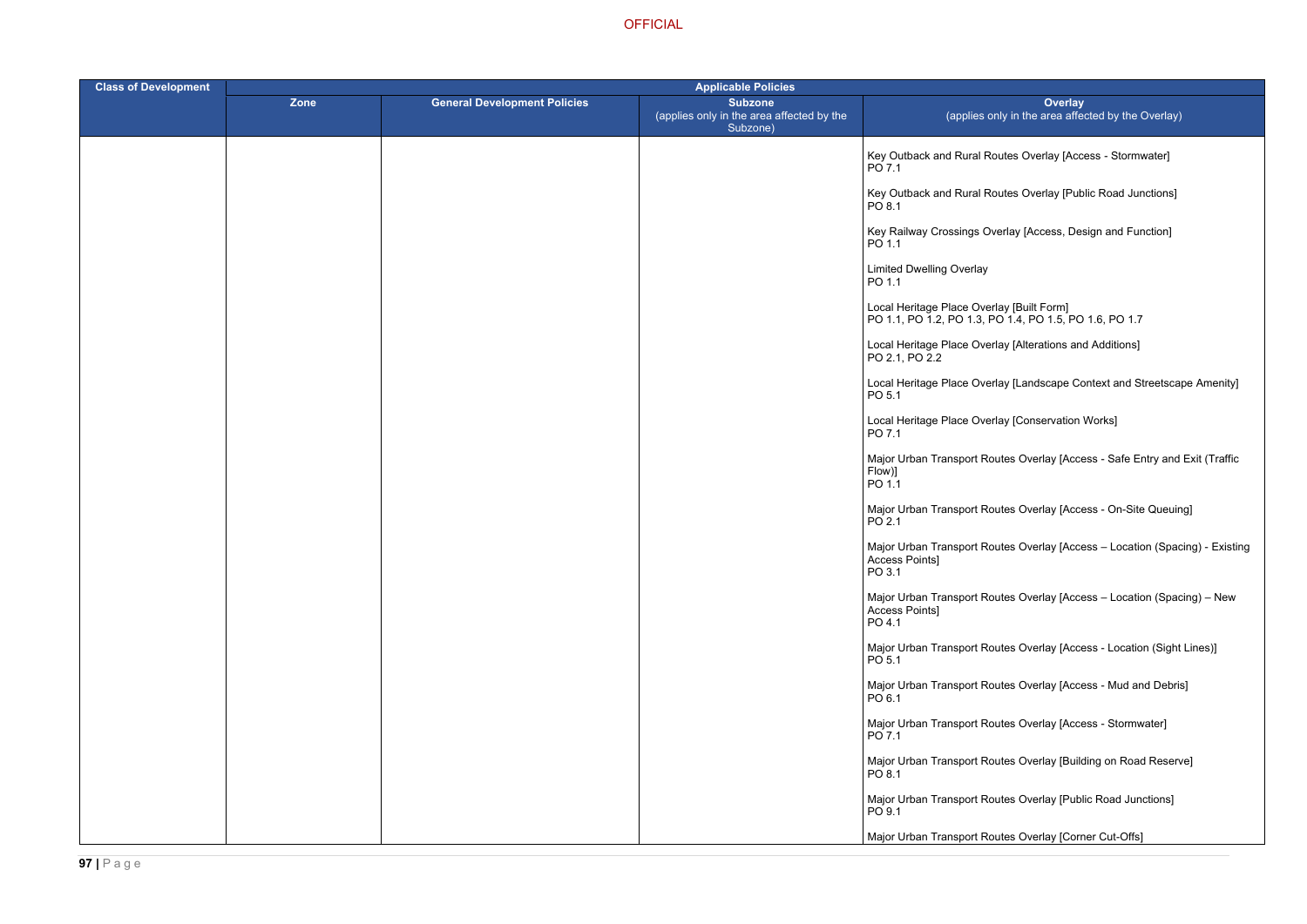Routes Overlay [Access - Stormwater]

Routes Overlay [Public Road Junctions]

Dverlay [Access, Design and Function]

PO 1.1, PO 1.2, PO 1.3, PO 1.4, PO 1.5, PO 1.6, PO 1.7

erlay [Alterations and Additions]

erlay [Landscape Context and Streetscape Amenity]

erlay [Conservation Works]

outes Overlay [Access - Safe Entry and Exit (Traffic

Routes Overlay [Access - On-Site Queuing]

outes Overlay [Access – Location (Spacing) - Existing

Routes Overlay [Access – Location (Spacing) – New

outes Overlay [Access - Location (Sight Lines)]

Routes Overlay [Access - Mud and Debris]

Routes Overlay [Access - Stormwater]

Routes Overlay [Building on Road Reserve]

Routes Overlay [Public Road Junctions]

Routes Overlay [Corner Cut-Offs]

| <b>Class of Development</b> | <b>Applicable Policies</b> |                                     |                                                                         |                                                                                      |  |
|-----------------------------|----------------------------|-------------------------------------|-------------------------------------------------------------------------|--------------------------------------------------------------------------------------|--|
|                             | Zone                       | <b>General Development Policies</b> | <b>Subzone</b><br>(applies only in the area affected by the<br>Subzone) | Over<br>(applies only in the area a                                                  |  |
|                             |                            |                                     |                                                                         | Key Outback and Rural Routes Overlay [<br>PO 7.1                                     |  |
|                             |                            |                                     |                                                                         | Key Outback and Rural Routes Overlay [I<br>PO 8.1                                    |  |
|                             |                            |                                     |                                                                         | Key Railway Crossings Overlay [Access,<br>PO 1.1                                     |  |
|                             |                            |                                     |                                                                         | <b>Limited Dwelling Overlay</b><br>PO 1.1                                            |  |
|                             |                            |                                     |                                                                         | Local Heritage Place Overlay [Built Form]<br>PO 1.1, PO 1.2, PO 1.3, PO 1.4, PO 1.5, |  |
|                             |                            |                                     |                                                                         | Local Heritage Place Overlay [Alterations<br>PO 2.1, PO 2.2                          |  |
|                             |                            |                                     |                                                                         | Local Heritage Place Overlay [Landscape<br>PO 5.1                                    |  |
|                             |                            |                                     |                                                                         | Local Heritage Place Overlay [Conservati<br>PO 7.1                                   |  |
|                             |                            |                                     |                                                                         | Major Urban Transport Routes Overlay [A<br>Flow)]<br>PO 1.1                          |  |
|                             |                            |                                     |                                                                         | Major Urban Transport Routes Overlay [A<br>PO 2.1                                    |  |
|                             |                            |                                     |                                                                         | Major Urban Transport Routes Overlay [A<br>Access Points]<br>PO 3.1                  |  |
|                             |                            |                                     |                                                                         | Major Urban Transport Routes Overlay [A<br>Access Points]<br>PO 4.1                  |  |
|                             |                            |                                     |                                                                         | Major Urban Transport Routes Overlay [A<br>PO 5.1                                    |  |
|                             |                            |                                     |                                                                         | Major Urban Transport Routes Overlay [A<br>PO 6.1                                    |  |
|                             |                            |                                     |                                                                         | Major Urban Transport Routes Overlay [A<br>PO 7.1                                    |  |
|                             |                            |                                     |                                                                         | Major Urban Transport Routes Overlay [B<br>PO 8.1                                    |  |
|                             |                            |                                     |                                                                         | Major Urban Transport Routes Overlay [F<br>PO 9.1                                    |  |
|                             |                            |                                     |                                                                         | Major Urban Transport Routes Overlay [C                                              |  |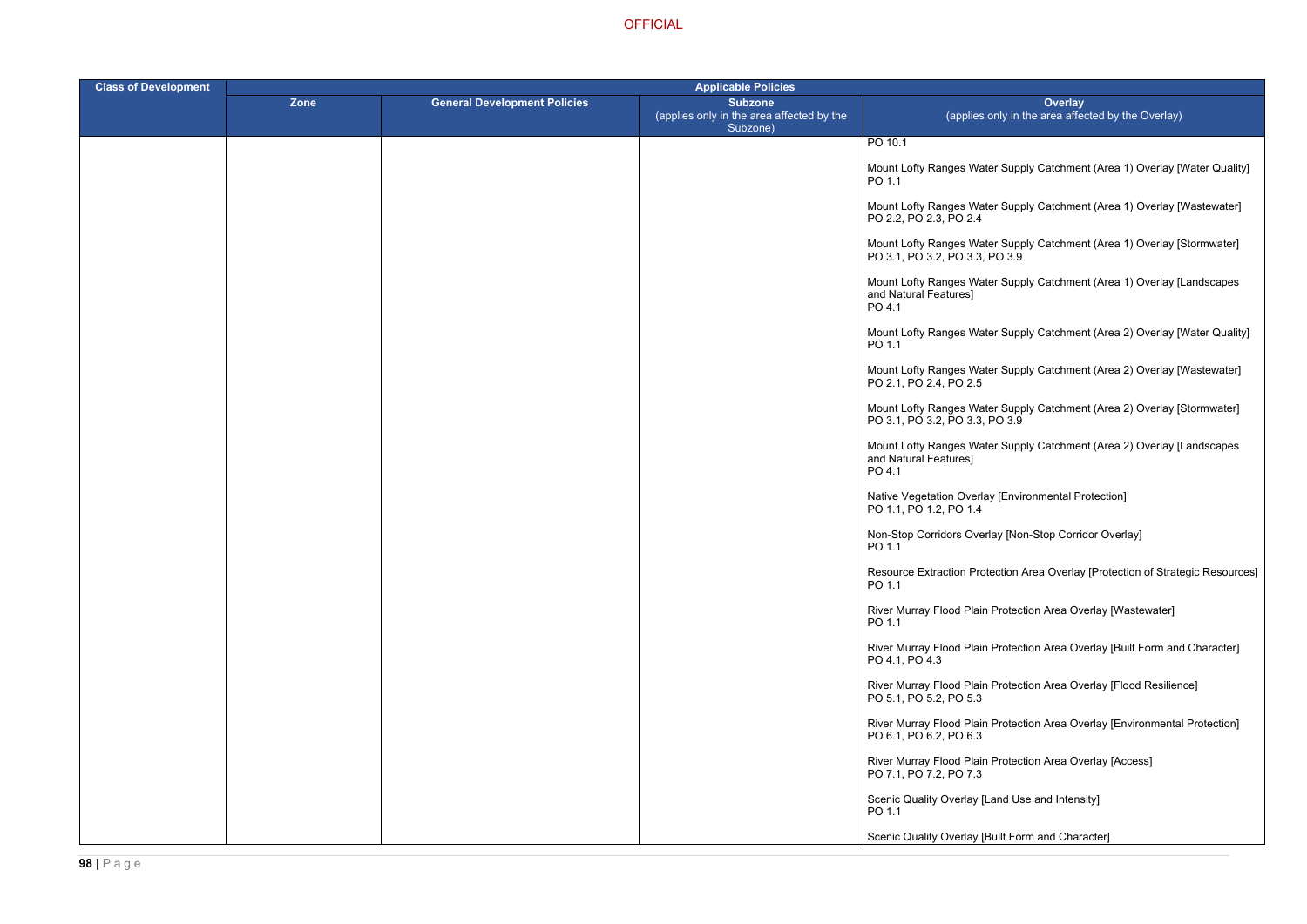er Supply Catchment (Area 1) Overlay [Water Quality]

er Supply Catchment (Area 1) Overlay [Wastewater]

er Supply Catchment (Area 1) Overlay [Stormwater]  $PO 3.9$ 

er Supply Catchment (Area 1) Overlay [Landscapes

er Supply Catchment (Area 2) Overlay [Water Quality]

er Supply Catchment (Area 2) Overlay [Wastewater]

er Supply Catchment (Area 2) Overlay [Stormwater]  $P_{\rm O}$  3.9

er Supply Catchment (Area 2) Overlay [Landscapes

Ve [Environmental Protection]

ay [Non-Stop Corridor Overlay]

ection Area Overlay [Protection of Strategic Resources]

Protection Area Overlay [Wastewater]

Protection Area Overlay [Built Form and Character]

Protection Area Overlay [Flood Resilience]

Protection Area Overlay [Environmental Protection]

Protection Area Overlay [Access]

and Use and Intensity]

uilt Form and Character]

| <b>Class of Development</b> | <b>Applicable Policies</b> |                                     |                                                                         |                                                            |
|-----------------------------|----------------------------|-------------------------------------|-------------------------------------------------------------------------|------------------------------------------------------------|
|                             | Zone                       | <b>General Development Policies</b> | <b>Subzone</b><br>(applies only in the area affected by the<br>Subzone) | (applies o                                                 |
|                             |                            |                                     |                                                                         | PO 10.1                                                    |
|                             |                            |                                     |                                                                         | Mount Lofty Ranges Wate<br>PO 1.1                          |
|                             |                            |                                     |                                                                         | Mount Lofty Ranges Wate<br>PO 2.2, PO 2.3, PO 2.4          |
|                             |                            |                                     |                                                                         | Mount Lofty Ranges Wate<br>PO 3.1, PO 3.2, PO 3.3, P       |
|                             |                            |                                     |                                                                         | Mount Lofty Ranges Wate<br>and Natural Features]<br>PO 4.1 |
|                             |                            |                                     |                                                                         | Mount Lofty Ranges Wate<br>PO 1.1                          |
|                             |                            |                                     |                                                                         | Mount Lofty Ranges Wate<br>PO 2.1, PO 2.4, PO 2.5          |
|                             |                            |                                     |                                                                         | Mount Lofty Ranges Wate<br>PO 3.1, PO 3.2, PO 3.3, P       |
|                             |                            |                                     |                                                                         | Mount Lofty Ranges Wate<br>and Natural Features]<br>PO 4.1 |
|                             |                            |                                     |                                                                         | Native Vegetation Overlay<br>PO 1.1, PO 1.2, PO 1.4        |
|                             |                            |                                     |                                                                         | Non-Stop Corridors Overla<br>PO 1.1                        |
|                             |                            |                                     |                                                                         | <b>Resource Extraction Prote</b><br>PO 1.1                 |
|                             |                            |                                     |                                                                         | River Murray Flood Plain I<br>PO 1.1                       |
|                             |                            |                                     |                                                                         | River Murray Flood Plain I<br>PO 4.1, PO 4.3               |
|                             |                            |                                     |                                                                         | River Murray Flood Plain I<br>PO 5.1, PO 5.2, PO 5.3       |
|                             |                            |                                     |                                                                         | River Murray Flood Plain I<br>PO 6.1, PO 6.2, PO 6.3       |
|                             |                            |                                     |                                                                         | River Murray Flood Plain I<br>PO 7.1, PO 7.2, PO 7.3       |
|                             |                            |                                     |                                                                         | Scenic Quality Overlay [La<br>PO 1.1                       |
|                             |                            |                                     |                                                                         | Scenic Quality Overlay [Br                                 |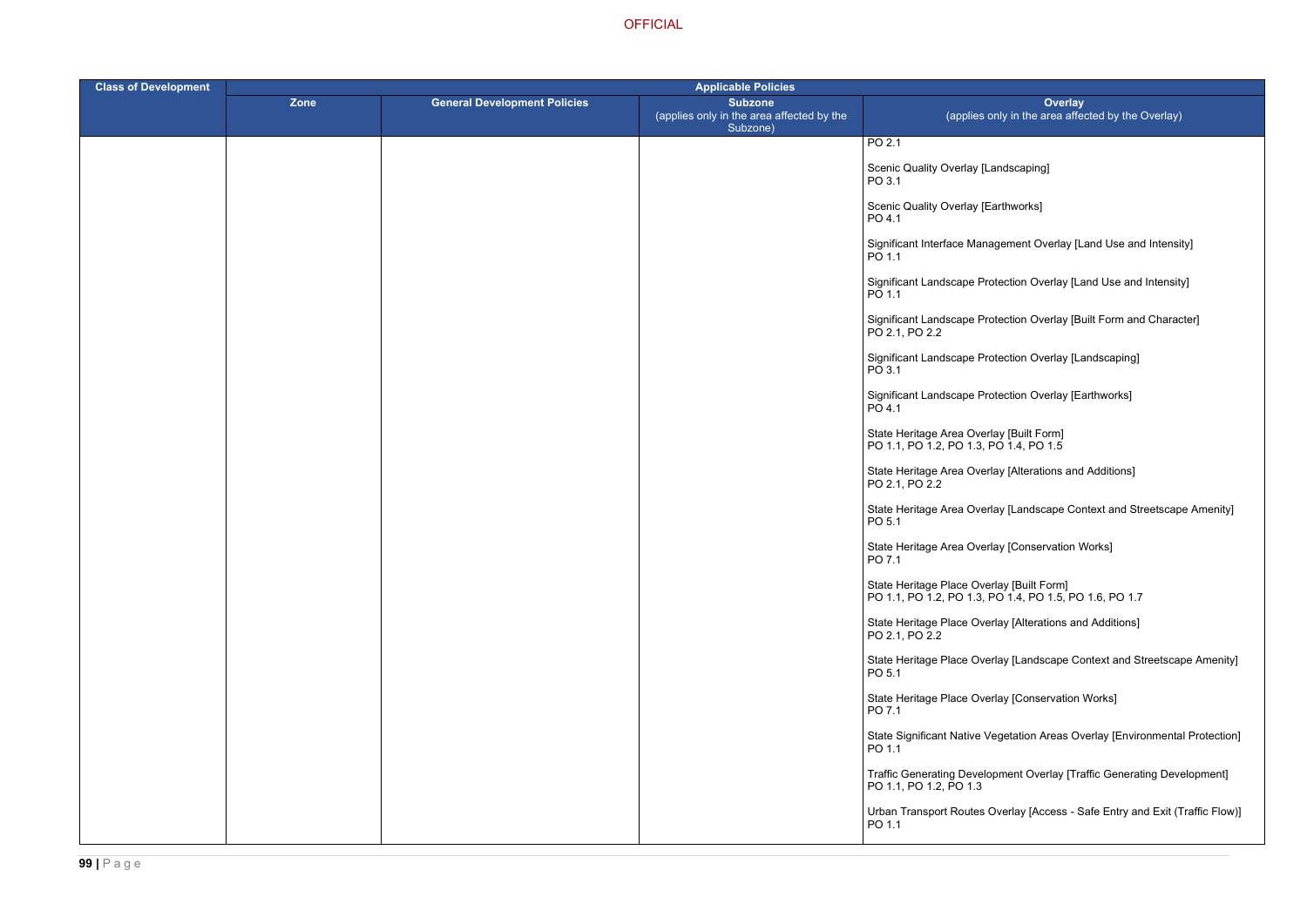agement Overlay [Land Use and Intensity]

otection Overlay [Land Use and Intensity]

otection Overlay [Built Form and Character]

otection Overlay [Landscaping]

otection Overlay [Earthworks]

Iay [Alterations and Additions]

lay [Landscape Context and Streetscape Amenity]

lay [Conservation Works]

**OFFICIAL** 

| <b>Class of Development</b> |      |                                     |                                                                         |                                                                                      |
|-----------------------------|------|-------------------------------------|-------------------------------------------------------------------------|--------------------------------------------------------------------------------------|
|                             | Zone | <b>General Development Policies</b> | <b>Subzone</b><br>(applies only in the area affected by the<br>Subzone) | Over<br>(applies only in the area                                                    |
|                             |      |                                     |                                                                         | PO 2.1                                                                               |
|                             |      |                                     |                                                                         | Scenic Quality Overlay [Landscaping]<br>PO 3.1                                       |
|                             |      |                                     |                                                                         | Scenic Quality Overlay [Earthworks]<br>PO 4.1                                        |
|                             |      |                                     |                                                                         | Significant Interface Management Overla<br>PO 1.1                                    |
|                             |      |                                     |                                                                         | Significant Landscape Protection Overlay<br>PO 1.1                                   |
|                             |      |                                     |                                                                         | Significant Landscape Protection Overlay<br>PO 2.1, PO 2.2                           |
|                             |      |                                     |                                                                         | Significant Landscape Protection Overlay<br>PO 3.1                                   |
|                             |      |                                     |                                                                         | Significant Landscape Protection Overlay<br>PO 4.1                                   |
|                             |      |                                     |                                                                         | State Heritage Area Overlay [Built Form]<br>PO 1.1, PO 1.2, PO 1.3, PO 1.4, PO 1.5   |
|                             |      |                                     |                                                                         | State Heritage Area Overlay [Alterations<br>PO 2.1, PO 2.2                           |
|                             |      |                                     |                                                                         | State Heritage Area Overlay [Landscape<br>PO 5.1                                     |
|                             |      |                                     |                                                                         | State Heritage Area Overlay [Conservation]<br>PO 7.1                                 |
|                             |      |                                     |                                                                         | State Heritage Place Overlay [Built Form]<br>PO 1.1, PO 1.2, PO 1.3, PO 1.4, PO 1.5, |
|                             |      |                                     |                                                                         | State Heritage Place Overlay [Alterations<br>PO 2.1, PO 2.2                          |
|                             |      |                                     |                                                                         | State Heritage Place Overlay [Landscape<br>PO 5.1                                    |
|                             |      |                                     |                                                                         | State Heritage Place Overlay [Conservati<br>PO 7.1                                   |
|                             |      |                                     |                                                                         | <b>State Significant Native Vegetation Areas</b><br>PO 1.1                           |
|                             |      |                                     |                                                                         | <b>Traffic Generating Development Overlay</b><br>PO 1.1, PO 1.2, PO 1.3              |
|                             |      |                                     |                                                                         | <b>Urban Transport Routes Overlay [Access</b><br>PO 1.1                              |

PO 1.1, PO 1.2, PO 1.3, PO 1.4, PO 1.5, PO 1.6, PO 1.7

erlay [Alterations and Additions]

erlay [Landscape Context and Streetscape Amenity]

erlay [Conservation Works]

/egetation Areas Overlay [Environmental Protection]

opment Overlay [Traffic Generating Development]

Overlay [Access - Safe Entry and Exit (Traffic Flow)]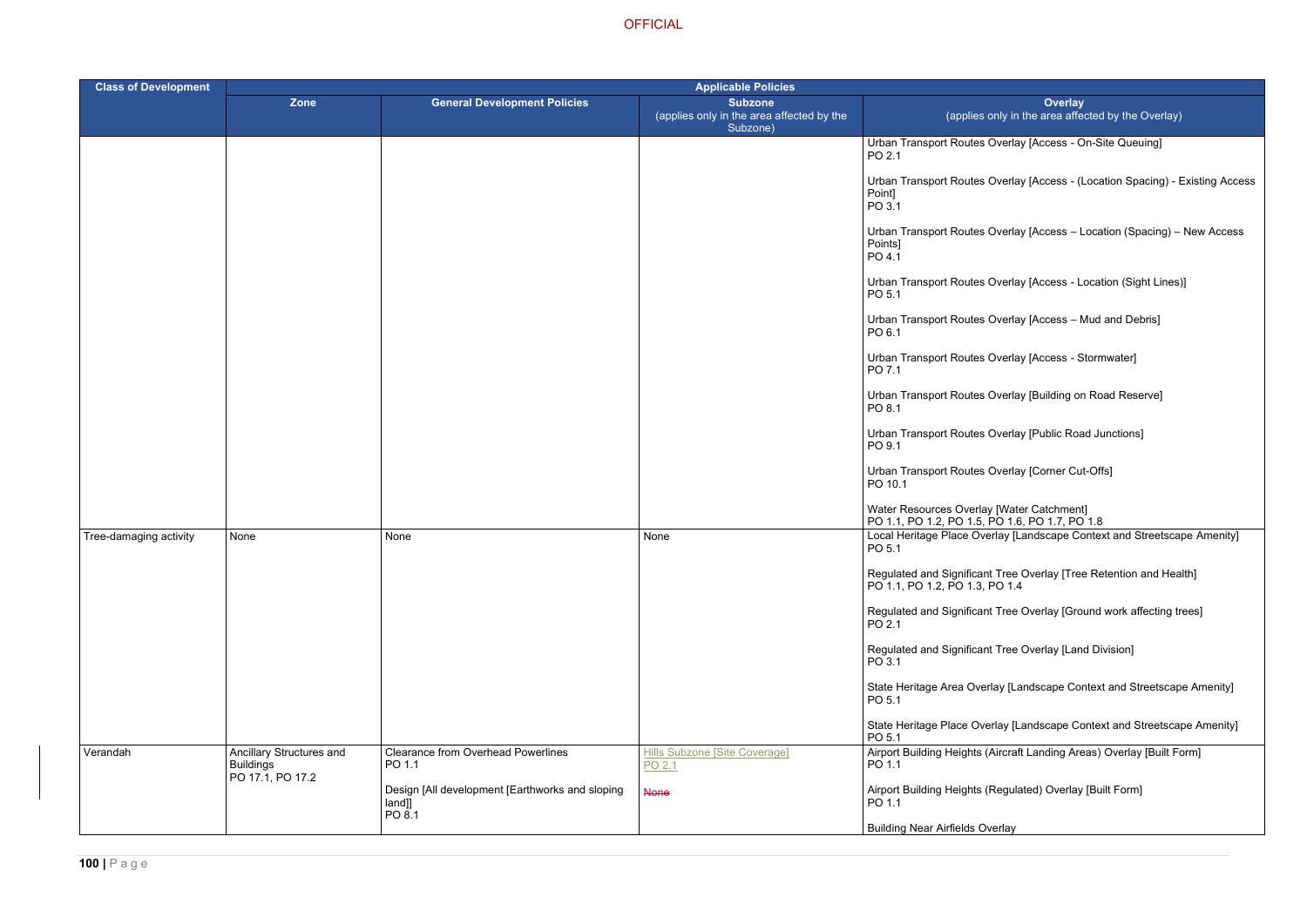Overlay [Access - On-Site Queuing]

Overlay [Access - (Location Spacing) - Existing Access

Overlay [Access – Location (Spacing) – New Access

Overlay [Access - Location (Sight Lines)]

Overlay [Access – Mud and Debris]

Overlay [Access - Stormwater]

Overlay [Building on Road Reserve]

Overlay [Public Road Junctions]

Overlay [Corner Cut-Offs]

erlay [Landscape Context and Streetscape Amenity]

nt Tree Overlay [Tree Retention and Health] PO 1.4

nt Tree Overlay [Ground work affecting trees]

nt Tree Overlay [Land Division]

rlay [Landscape Context and Streetscape Amenity]

erlay [Landscape Context and Streetscape Amenity]

(Aircraft Landing Areas) Overlay [Built Form]

(Regulated) Overlay [Built Form]

| <b>Class of Development</b> | <b>Applicable Policies</b>                                       |                                                                     |                                                                         |                                                                                             |  |
|-----------------------------|------------------------------------------------------------------|---------------------------------------------------------------------|-------------------------------------------------------------------------|---------------------------------------------------------------------------------------------|--|
|                             | <b>Zone</b>                                                      | <b>General Development Policies</b>                                 | <b>Subzone</b><br>(applies only in the area affected by the<br>Subzone) | <b>Overlay</b><br>(applies only in the area affected                                        |  |
|                             |                                                                  |                                                                     |                                                                         | Urban Transport Routes Overlay [Access - On-S<br>PO 2.1                                     |  |
|                             |                                                                  |                                                                     |                                                                         | Urban Transport Routes Overlay [Access - (Loca<br>Point]<br>PO 3.1                          |  |
|                             |                                                                  |                                                                     |                                                                         | Urban Transport Routes Overlay [Access - Loca<br>Points]<br>PO 4.1                          |  |
|                             |                                                                  |                                                                     |                                                                         | Urban Transport Routes Overlay [Access - Loca<br>PO 5.1                                     |  |
|                             |                                                                  |                                                                     |                                                                         | Urban Transport Routes Overlay [Access - Mud<br>PO 6.1                                      |  |
|                             |                                                                  |                                                                     |                                                                         | Urban Transport Routes Overlay [Access - Storr<br>PO 7.1                                    |  |
|                             |                                                                  |                                                                     |                                                                         | Urban Transport Routes Overlay [Building on Ro<br>PO 8.1                                    |  |
|                             |                                                                  |                                                                     |                                                                         | Urban Transport Routes Overlay [Public Road Ju<br>PO 9.1                                    |  |
|                             |                                                                  |                                                                     |                                                                         | Urban Transport Routes Overlay [Corner Cut-Of<br>PO 10.1                                    |  |
|                             |                                                                  |                                                                     |                                                                         | Water Resources Overlay [Water Catchment]<br>PO 1.1, PO 1.2, PO 1.5, PO 1.6, PO 1.7, PO 1.8 |  |
| Tree-damaging activity      | None                                                             | None                                                                | None                                                                    | Local Heritage Place Overlay [Landscape Conte<br>PO 5.1                                     |  |
|                             |                                                                  |                                                                     |                                                                         | Regulated and Significant Tree Overlay [Tree Re<br>PO 1.1, PO 1.2, PO 1.3, PO 1.4           |  |
|                             |                                                                  |                                                                     |                                                                         | Regulated and Significant Tree Overlay [Ground<br>PO 2.1                                    |  |
|                             |                                                                  |                                                                     |                                                                         | Regulated and Significant Tree Overlay [Land Di<br>PO 3.1                                   |  |
|                             |                                                                  |                                                                     |                                                                         | State Heritage Area Overlay [Landscape Contex<br>PO 5.1                                     |  |
|                             |                                                                  |                                                                     |                                                                         | State Heritage Place Overlay [Landscape Conte<br>PO 5.1                                     |  |
| Verandah                    | Ancillary Structures and<br><b>Buildings</b><br>PO 17.1, PO 17.2 | <b>Clearance from Overhead Powerlines</b><br>PO 1.1                 | <b>Hills Subzone [Site Coverage]</b><br>PO 2.1                          | Airport Building Heights (Aircraft Landing Areas)<br>PO 1.1                                 |  |
|                             |                                                                  | Design [All development [Earthworks and sloping<br>land]]<br>PO 8.1 | <b>None</b>                                                             | Airport Building Heights (Regulated) Overlay [Bu<br>PO 1.1                                  |  |
|                             |                                                                  |                                                                     |                                                                         | <b>Building Near Airfields Overlay</b>                                                      |  |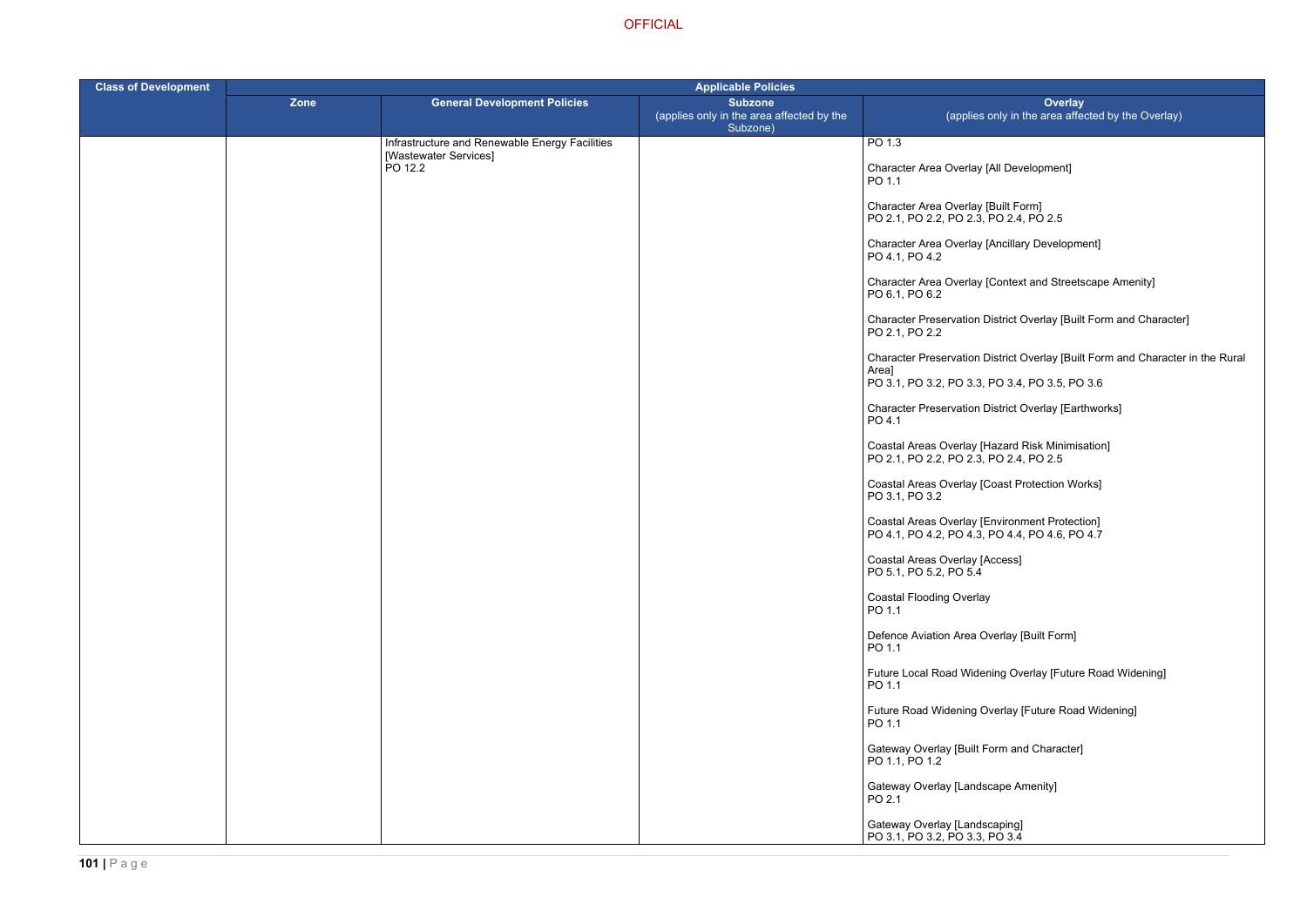Context and Streetscape Amenity]

istrict Overlay [Built Form and Character]

istrict Overlay [Built Form and Character in the Rural

ing Overlay [Future Road Widening]

rerlay [Future Road Widening]

istrict Overlay [Earthworks]

| <b>Class of Development</b> | <b>Applicable Policies</b> |                                                |                                                                         |                                                                                                                       |  |
|-----------------------------|----------------------------|------------------------------------------------|-------------------------------------------------------------------------|-----------------------------------------------------------------------------------------------------------------------|--|
|                             | Zone                       | <b>General Development Policies</b>            | <b>Subzone</b><br>(applies only in the area affected by the<br>Subzone) | <b>Overlay</b><br>(applies only in the area affected                                                                  |  |
|                             |                            | Infrastructure and Renewable Energy Facilities |                                                                         | PO <sub>1.3</sub>                                                                                                     |  |
|                             |                            | [Wastewater Services]<br>PO 12.2               |                                                                         | Character Area Overlay [All Development]<br>PO 1.1                                                                    |  |
|                             |                            |                                                |                                                                         | Character Area Overlay [Built Form]<br>PO 2.1, PO 2.2, PO 2.3, PO 2.4, PO 2.5                                         |  |
|                             |                            |                                                |                                                                         | Character Area Overlay [Ancillary Development]<br>PO 4.1, PO 4.2                                                      |  |
|                             |                            |                                                |                                                                         | Character Area Overlay [Context and Streetscape<br>PO 6.1, PO 6.2                                                     |  |
|                             |                            |                                                |                                                                         | <b>Character Preservation District Overlay [Built Forn</b><br>PO 2.1, PO 2.2                                          |  |
|                             |                            |                                                |                                                                         | <b>Character Preservation District Overlay [Built Forr</b><br>Area]<br>PO 3.1, PO 3.2, PO 3.3, PO 3.4, PO 3.5, PO 3.6 |  |
|                             |                            |                                                |                                                                         |                                                                                                                       |  |
|                             |                            |                                                |                                                                         | <b>Character Preservation District Overlay [Earthworl</b><br>PO 4.1                                                   |  |
|                             |                            |                                                |                                                                         | Coastal Areas Overlay [Hazard Risk Minimisation]<br>PO 2.1, PO 2.2, PO 2.3, PO 2.4, PO 2.5                            |  |
|                             |                            |                                                |                                                                         | Coastal Areas Overlay [Coast Protection Works]<br>PO 3.1, PO 3.2                                                      |  |
|                             |                            |                                                |                                                                         | Coastal Areas Overlay [Environment Protection]<br>PO 4.1, PO 4.2, PO 4.3, PO 4.4, PO 4.6, PO 4.7                      |  |
|                             |                            |                                                |                                                                         | Coastal Areas Overlay [Access]<br>PO 5.1, PO 5.2, PO 5.4                                                              |  |
|                             |                            |                                                |                                                                         | <b>Coastal Flooding Overlay</b><br>PO 1.1                                                                             |  |
|                             |                            |                                                |                                                                         | Defence Aviation Area Overlay [Built Form]<br>PO 1.1                                                                  |  |
|                             |                            |                                                |                                                                         | Future Local Road Widening Overlay [Future Roa<br>PO 1.1                                                              |  |
|                             |                            |                                                |                                                                         | Future Road Widening Overlay [Future Road Wide<br>PO 1.1                                                              |  |
|                             |                            |                                                |                                                                         | Gateway Overlay [Built Form and Character]<br>PO 1.1, PO 1.2                                                          |  |
|                             |                            |                                                |                                                                         | <b>Gateway Overlay [Landscape Amenity]</b><br>PO 2.1                                                                  |  |
|                             |                            |                                                |                                                                         | Gateway Overlay [Landscaping]<br>PO 3.1, PO 3.2, PO 3.3, PO 3.4                                                       |  |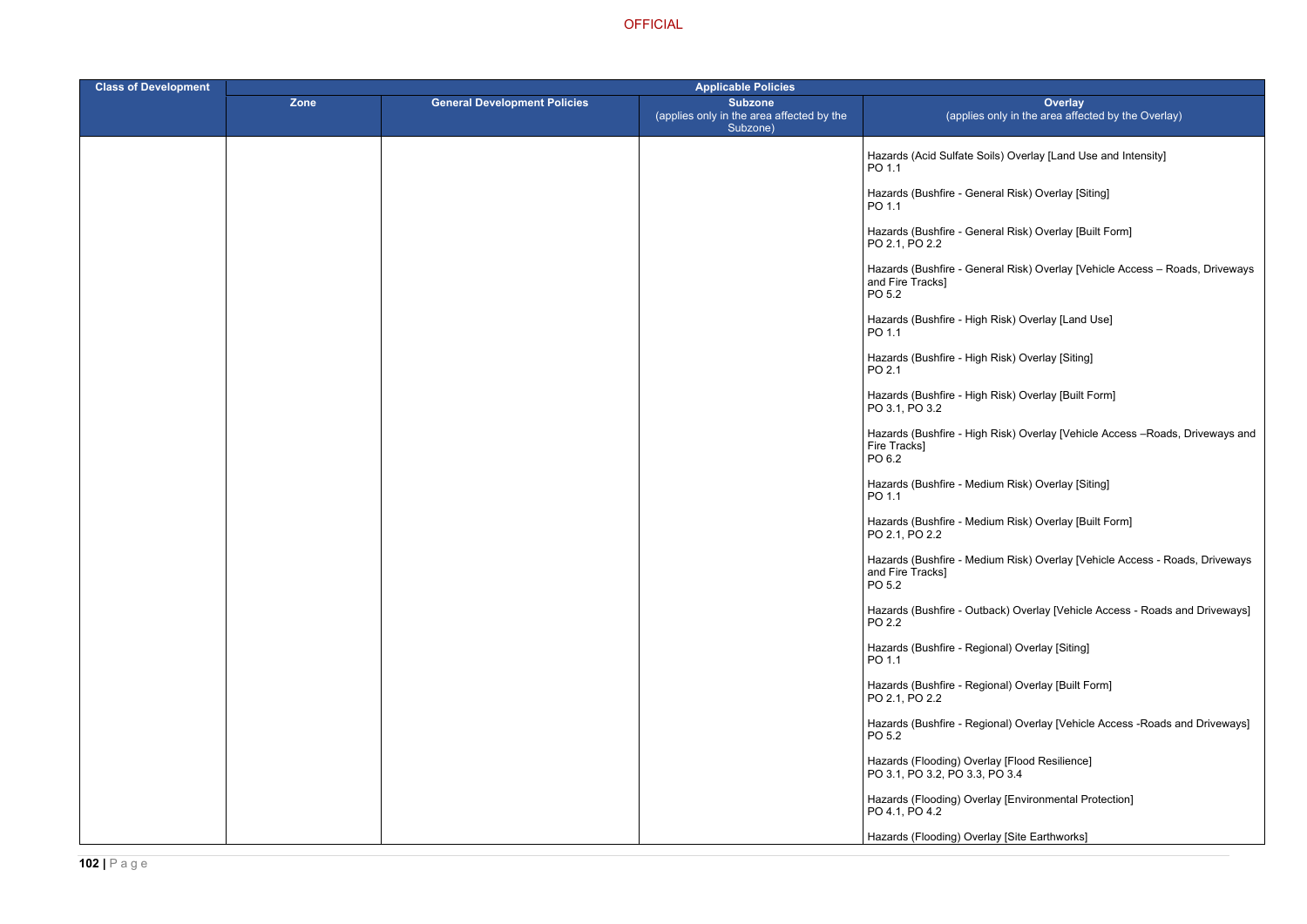- $\lambda$ ils) Overlay [Land Use and Intensity]
- eral Risk) Overlay [Siting]
- eral Risk) Overlay [Built Form]
- eral Risk) Overlay [Vehicle Access Roads, Driveways
- Risk) Overlay [Land Use]
- ا Risk) Overlay [Siting]
- Risk) Overlay [Built Form]
- Risk) Overlay [Vehicle Access –Roads, Driveways and
- ium Risk) Overlay [Siting]
- ium Risk) Overlay [Built Form]
- ium Risk) Overlay [Vehicle Access Roads, Driveways
- hack) Overlay [Vehicle Access Roads and Driveways]
- ional) Overlay [Siting]
- ional) Overlay [Built Form]
- ional) Overlay [Vehicle Access -Roads and Driveways]
- 
- Iay [Environmental Protection]
- Iay [Site Earthworks]

| <b>Class of Development</b> |      | <b>Applicable Policies</b>          |                                                                         |                                                                                 |  |
|-----------------------------|------|-------------------------------------|-------------------------------------------------------------------------|---------------------------------------------------------------------------------|--|
|                             | Zone | <b>General Development Policies</b> | <b>Subzone</b><br>(applies only in the area affected by the<br>Subzone) | <b>Overlay</b><br>(applies only in the area affect                              |  |
|                             |      |                                     |                                                                         | Hazards (Acid Sulfate Soils) Overlay [Land Us<br>PO 1.1                         |  |
|                             |      |                                     |                                                                         | Hazards (Bushfire - General Risk) Overlay [Sit<br>PO 1.1                        |  |
|                             |      |                                     |                                                                         | Hazards (Bushfire - General Risk) Overlay [Bu<br>PO 2.1, PO 2.2                 |  |
|                             |      |                                     |                                                                         | Hazards (Bushfire - General Risk) Overlay [Ve<br>and Fire Tracks]<br>PO 5.2     |  |
|                             |      |                                     |                                                                         | Hazards (Bushfire - High Risk) Overlay [Land<br>PO 1.1                          |  |
|                             |      |                                     |                                                                         | Hazards (Bushfire - High Risk) Overlay [Siting]<br>PO 2.1                       |  |
|                             |      |                                     |                                                                         | Hazards (Bushfire - High Risk) Overlay [Built F<br>PO 3.1, PO 3.2               |  |
|                             |      |                                     |                                                                         | Hazards (Bushfire - High Risk) Overlay [Vehic<br>Fire Tracks]<br>PO 6.2         |  |
|                             |      |                                     |                                                                         | Hazards (Bushfire - Medium Risk) Overlay [Sit<br>PO 1.1                         |  |
|                             |      |                                     |                                                                         | Hazards (Bushfire - Medium Risk) Overlay [Bu<br>PO 2.1, PO 2.2                  |  |
|                             |      |                                     |                                                                         | Hazards (Bushfire - Medium Risk) Overlay [Ve<br>and Fire Tracks]<br>PO 5.2      |  |
|                             |      |                                     |                                                                         | Hazards (Bushfire - Outback) Overlay [Vehicle<br>PO 2.2                         |  |
|                             |      |                                     |                                                                         | Hazards (Bushfire - Regional) Overlay [Siting]<br>PO 1.1                        |  |
|                             |      |                                     |                                                                         | Hazards (Bushfire - Regional) Overlay [Built F<br>PO 2.1, PO 2.2                |  |
|                             |      |                                     |                                                                         | Hazards (Bushfire - Regional) Overlay [Vehicle<br>PO 5.2                        |  |
|                             |      |                                     |                                                                         | Hazards (Flooding) Overlay [Flood Resilience]<br>PO 3.1, PO 3.2, PO 3.3, PO 3.4 |  |
|                             |      |                                     |                                                                         | Hazards (Flooding) Overlay [Environmental Pr<br>PO 4.1, PO 4.2                  |  |
|                             |      |                                     |                                                                         | Hazards (Flooding) Overlay [Site Earthworks]                                    |  |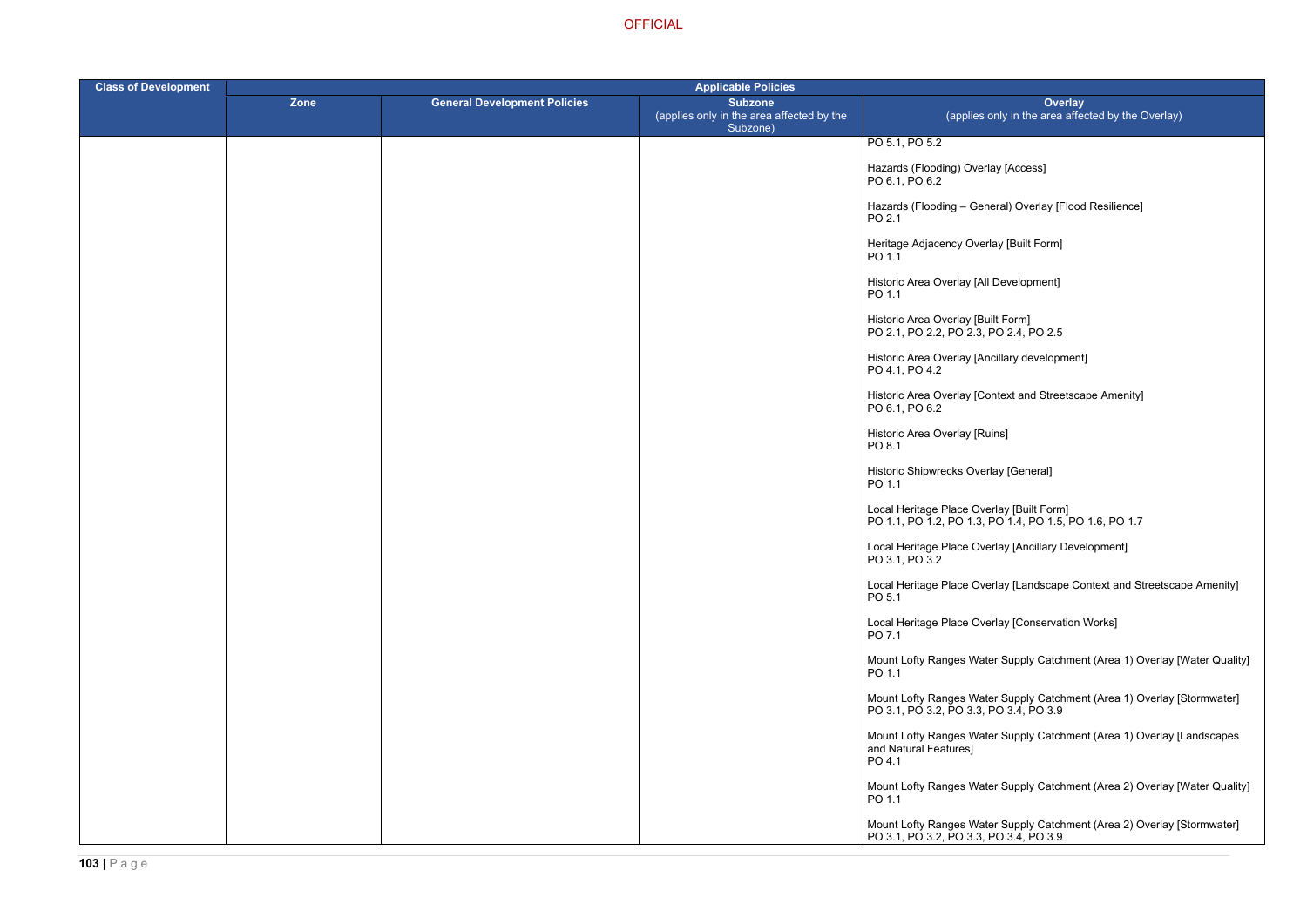heral) Overlay [Flood Resilience]

ncillary development]

ontext and Streetscape Amenity]

**OFFICIAL** 

| <b>Class of Development</b> |      |                                     |                                                                         |                                                                                      |
|-----------------------------|------|-------------------------------------|-------------------------------------------------------------------------|--------------------------------------------------------------------------------------|
|                             | Zone | <b>General Development Policies</b> | <b>Subzone</b><br>(applies only in the area affected by the<br>Subzone) | Over<br>(applies only in the area a                                                  |
|                             |      |                                     |                                                                         | PO 5.1, PO 5.2                                                                       |
|                             |      |                                     |                                                                         | Hazards (Flooding) Overlay [Access]<br>PO 6.1, PO 6.2                                |
|                             |      |                                     |                                                                         | Hazards (Flooding - General) Overlay [Fl<br>PO 2.1                                   |
|                             |      |                                     |                                                                         | Heritage Adjacency Overlay [Built Form]<br>PO 1.1                                    |
|                             |      |                                     |                                                                         | Historic Area Overlay [All Development]<br>PO 1.1                                    |
|                             |      |                                     |                                                                         | Historic Area Overlay [Built Form]<br>PO 2.1, PO 2.2, PO 2.3, PO 2.4, PO 2.5         |
|                             |      |                                     |                                                                         | Historic Area Overlay [Ancillary developm<br>PO 4.1, PO 4.2                          |
|                             |      |                                     |                                                                         | Historic Area Overlay [Context and Street<br>PO 6.1, PO 6.2                          |
|                             |      |                                     |                                                                         | Historic Area Overlay [Ruins]<br>PO 8.1                                              |
|                             |      |                                     |                                                                         | Historic Shipwrecks Overlay [General]<br>PO 1.1                                      |
|                             |      |                                     |                                                                         | Local Heritage Place Overlay [Built Form]<br>PO 1.1, PO 1.2, PO 1.3, PO 1.4, PO 1.5, |
|                             |      |                                     |                                                                         | Local Heritage Place Overlay [Ancillary D<br>PO 3.1, PO 3.2                          |
|                             |      |                                     |                                                                         | Local Heritage Place Overlay [Landscape<br>PO 5.1                                    |
|                             |      |                                     |                                                                         | Local Heritage Place Overlay [Conservati<br>PO 7.1                                   |
|                             |      |                                     |                                                                         | Mount Lofty Ranges Water Supply Catch<br>PO 1.1                                      |
|                             |      |                                     |                                                                         | Mount Lofty Ranges Water Supply Catch<br>PO 3.1, PO 3.2, PO 3.3, PO 3.4, PO 3.9      |
|                             |      |                                     |                                                                         | Mount Lofty Ranges Water Supply Catch<br>and Natural Features]<br>PO 4.1             |
|                             |      |                                     |                                                                         | Mount Lofty Ranges Water Supply Catch<br>PO 1.1                                      |
|                             |      |                                     |                                                                         | Mount Lofty Ranges Water Supply Catch<br>PO 3.1, PO 3.2, PO 3.3, PO 3.4, PO 3.9      |

PO 1.1, PO 1.2, PO 1.3, PO 1.4, PO 1.5, PO 1.6, PO 1.7

erlay [Ancillary Development]

erlay [Landscape Context and Streetscape Amenity]

erlay [Conservation Works]

er Supply Catchment (Area 1) Overlay [Water Quality]

Mount Lofty Ranges Water Supply Catchment (Area 1) Overlay [Stormwater]

er Supply Catchment (Area 1) Overlay [Landscapes

er Supply Catchment (Area 2) Overlay [Water Quality]

Mount Lofty Ranges Water Supply Catchment (Area 2) Overlay [Stormwater]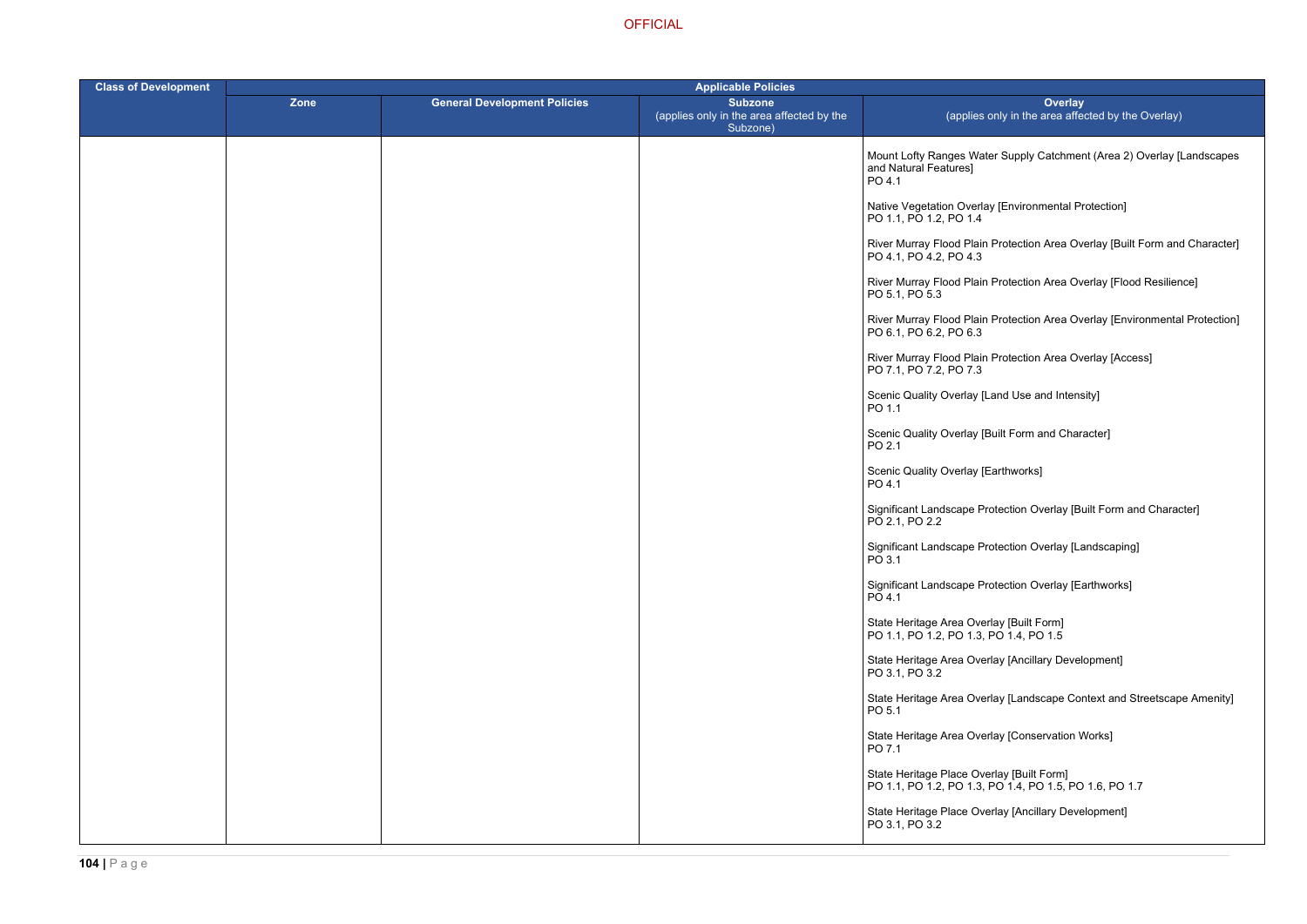er Supply Catchment (Area 2) Overlay [Landscapes

- / [Environmental Protection]
- Protection Area Overlay [Built Form and Character]
- Protection Area Overlay [Flood Resilience]
- Protection Area Overlay [Environmental Protection]
- Protection Area Overlay [Access]
- and Use and Intensity]
- uilt Form and Character]
- arthworks]
- otection Overlay [Built Form and Character]
- btection Overlay [Landscaping]
- otection Overlay [Earthworks]
- 
- lay [Ancillary Development]
- lay [Landscape Context and Streetscape Amenity]
- lay [Conservation Works]
- PO 1.1, PO 1.2, PO 1.3, PO 1.4, PO 1.5, PO 1.6, PO 1.7
	- rlay [Ancillary Development]

| <b>Class of Development</b> | <b>Applicable Policies</b> |                                     |                                                                         |                                                                                      |
|-----------------------------|----------------------------|-------------------------------------|-------------------------------------------------------------------------|--------------------------------------------------------------------------------------|
|                             | Zone                       | <b>General Development Policies</b> | <b>Subzone</b><br>(applies only in the area affected by the<br>Subzone) | Over<br>(applies only in the area                                                    |
|                             |                            |                                     |                                                                         | Mount Lofty Ranges Water Supply Catch<br>and Natural Features]<br>PO 4.1             |
|                             |                            |                                     |                                                                         | Native Vegetation Overlay [Environmenta<br>PO 1.1, PO 1.2, PO 1.4                    |
|                             |                            |                                     |                                                                         | River Murray Flood Plain Protection Area<br>PO 4.1, PO 4.2, PO 4.3                   |
|                             |                            |                                     |                                                                         | River Murray Flood Plain Protection Area<br>PO 5.1, PO 5.3                           |
|                             |                            |                                     |                                                                         | River Murray Flood Plain Protection Area<br>PO 6.1, PO 6.2, PO 6.3                   |
|                             |                            |                                     |                                                                         | River Murray Flood Plain Protection Area<br>PO 7.1, PO 7.2, PO 7.3                   |
|                             |                            |                                     |                                                                         | Scenic Quality Overlay [Land Use and Int<br>PO 1.1                                   |
|                             |                            |                                     |                                                                         | Scenic Quality Overlay [Built Form and C<br>PO 2.1                                   |
|                             |                            |                                     |                                                                         | Scenic Quality Overlay [Earthworks]<br>PO 4.1                                        |
|                             |                            |                                     |                                                                         | Significant Landscape Protection Overlay<br>PO 2.1, PO 2.2                           |
|                             |                            |                                     |                                                                         | Significant Landscape Protection Overlay<br>PO 3.1                                   |
|                             |                            |                                     |                                                                         | Significant Landscape Protection Overlay<br>PO 4.1                                   |
|                             |                            |                                     |                                                                         | State Heritage Area Overlay [Built Form]<br>PO 1.1, PO 1.2, PO 1.3, PO 1.4, PO 1.5   |
|                             |                            |                                     |                                                                         | State Heritage Area Overlay [Ancillary De<br>PO 3.1, PO 3.2                          |
|                             |                            |                                     |                                                                         | State Heritage Area Overlay [Landscape<br>PO 5.1                                     |
|                             |                            |                                     |                                                                         | State Heritage Area Overlay [Conservation]<br>PO 7.1                                 |
|                             |                            |                                     |                                                                         | State Heritage Place Overlay [Built Form]<br>PO 1.1, PO 1.2, PO 1.3, PO 1.4, PO 1.5, |
|                             |                            |                                     |                                                                         | State Heritage Place Overlay [Ancillary D<br>PO 3.1, PO 3.2                          |